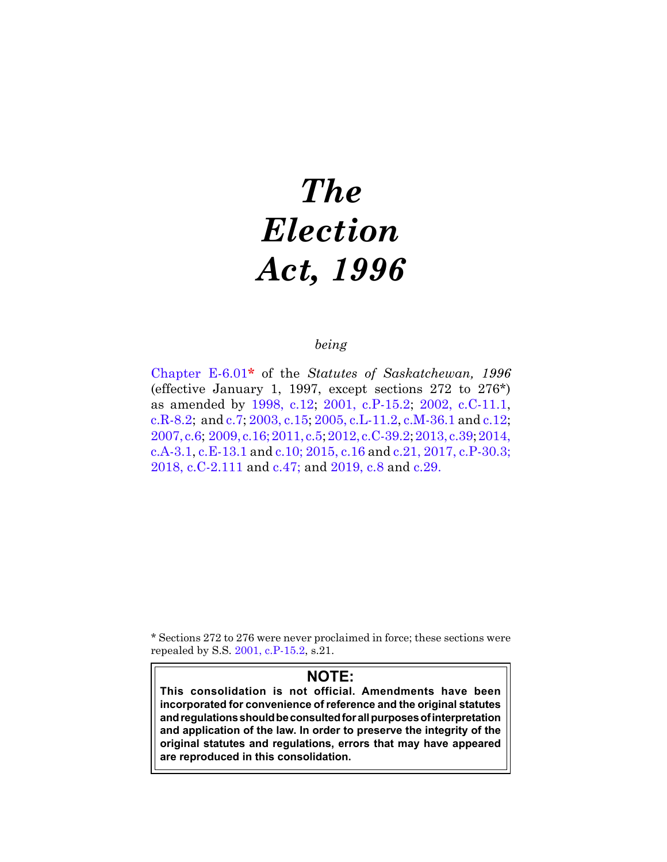# *The Election Act, 1996*

# *being*

[Chapter E-6.01](https://publications.saskatchewan.ca:443/api/v1/products/25378/formats/32872/download)**\*** of the *Statutes of Saskatchewan, 1996*  (effective January 1, 1997, except sections  $272$  to  $276^*$ ) as amended by [1998, c.12](https://publications.saskatchewan.ca:443/api/v1/products/3613/formats/6816/download); [2001, c.P-15.2;](https://publications.saskatchewan.ca:443/api/v1/products/3382/formats/6355/download) [2002, c.C-11.1,](https://publications.saskatchewan.ca:443/api/v1/products/4267/formats/8124/download) [c.R-8.2;](https://publications.saskatchewan.ca:443/api/v1/products/4282/formats/8154/download) and c[.7](https://publications.saskatchewan.ca:443/api/v1/products/4294/formats/8178/download); [2003, c.15](https://publications.saskatchewan.ca:443/api/v1/products/4478/formats/8537/download); [2005, c.L-11.2](https://publications.saskatchewan.ca:443/api/v1/products/10294/formats/15545/download), c[.M-36.1](https://publications.saskatchewan.ca:443/api/v1/products/10332/formats/15618/download) and c[.12;](https://publications.saskatchewan.ca:443/api/v1/products/10286/formats/15529/download) [2007, c.6;](https://publications.saskatchewan.ca:443/api/v1/products/23158/formats/29723/download) [2009, c.16;](https://publications.saskatchewan.ca:443/api/v1/products/28102/formats/35204/download)[2011, c.5](https://publications.saskatchewan.ca:443/api/v1/products/32476/formats/39530/download)[; 2012, c.C-39.2](https://publications.saskatchewan.ca:443/api/v1/products/64260/formats/71561/download); [2013, c.39](https://publications.saskatchewan.ca:443/api/v1/products/69243/formats/76968/download); [2014,](https://publications.saskatchewan.ca:443/api/v1/products/70547/formats/78438/download) [c.A-3.1,](https://publications.saskatchewan.ca:443/api/v1/products/70547/formats/78438/download) [c.E-13.1](https://publications.saskatchewan.ca:443/api/v1/products/70626/formats/78515/download) and [c.10;](https://publications.saskatchewan.ca:443/api/v1/products/70688/formats/78603/download) [2015, c.16](https://publications.saskatchewan.ca:443/api/v1/products/73239/formats/81836/download) and [c.21](https://publications.saskatchewan.ca:443/api/v1/products/73252/formats/81853/download), [2017, c.P-30.3;](https://publications.saskatchewan.ca:443/api/v1/products/85604/formats/99102/download) [2018, c.C-2.111](https://publications.saskatchewan.ca:443/api/v1/products/90574/formats/107491/download) and [c.47;](https://publications.saskatchewan.ca:443/api/v1/products/92844/formats/109903/download) and [2019, c.8](https://publications.saskatchewan.ca:443/api/v1/products/101536/formats/112252/download) and [c.29.](https://publications.saskatchewan.ca:443/api/v1/products/104031/formats/115718/download)

\* Sections 272 to 276 were never proclaimed in force; these sections were repealed by S.S. [2001, c.P-15.2](https://publications.saskatchewan.ca:443/api/v1/products/3382/formats/6355/download), s.21.

# **NOTE:**

**This consolidation is not official. Amendments have been incorporated for convenience of reference and the original statutes and regulations should be consulted for all purposes of interpretation and application of the law. In order to preserve the integrity of the original statutes and regulations, errors that may have appeared are reproduced in this consolidation.**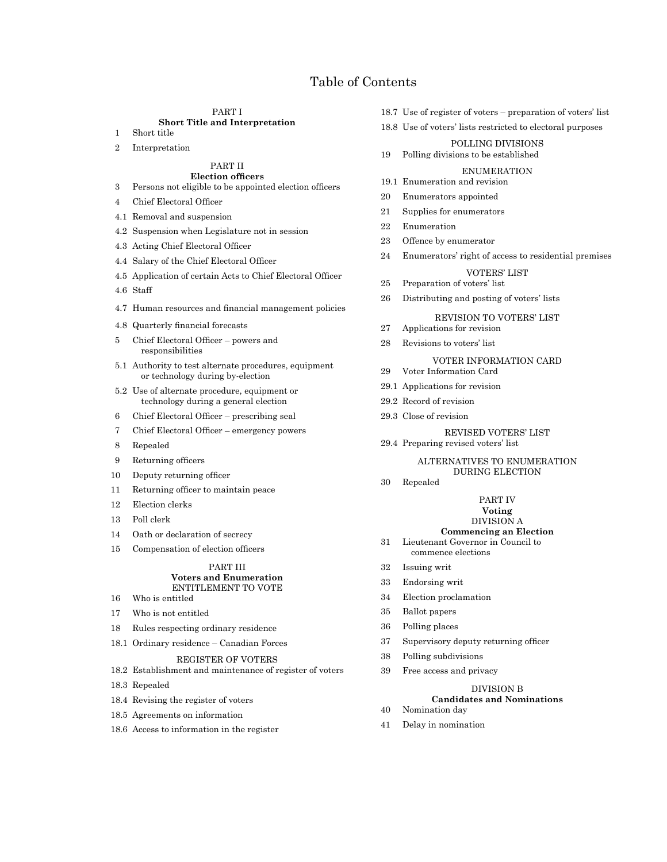# **c E-6.01** ELECTION, 1996 Table of Contents

#### PART I **Short Title and Interpretation**

- 1 Short title
- 2 Interpretation

#### PART II **Election officers**

- 3 Persons not eligible to be appointed election officers
- 4 Chief Electoral Officer
- 4.1 Removal and suspension
- 4.2 Suspension when Legislature not in session
- 4.3 Acting Chief Electoral Officer
- 4.4 Salary of the Chief Electoral Officer
- 4.5 Application of certain Acts to Chief Electoral Officer
- 4.6 Staff
- 4.7 Human resources and financial management policies
- 4.8 Quarterly financial forecasts
- 5 Chief Electoral Officer powers and responsibilities
- 5.1 Authority to test alternate procedures, equipment or technology during by-election
- 5.2 Use of alternate procedure, equipment or technology during a general election
- 6 Chief Electoral Officer prescribing seal
- 7 Chief Electoral Officer emergency powers
- 8 Repealed
- 9 Returning officers
- 10 Deputy returning officer
- 11 Returning officer to maintain peace
- 12 Election clerks
- 13 Poll clerk
- 14 Oath or declaration of secrecy
- 15 Compensation of election officers

# PART III **Voters and Enumeration** ENTITLEMENT TO VOTE

- 16 Who is entitled
- 17 Who is not entitled
- 18 Rules respecting ordinary residence
- 18.1 Ordinary residence Canadian Forces

#### REGISTER OF VOTERS

- 18.2 Establishment and maintenance of register of voters
- 18.3 Repealed
- 18.4 Revising the register of voters
- 18.5 Agreements on information
- 18.6 Access to information in the register
- 18.7 Use of register of voters preparation of voters' list
- 18.8 Use of voters' lists restricted to electoral purposes

# POLLING DIVISIONS

19 Polling divisions to be established

# ENUMERATION

- 19.1 Enumeration and revision
- 20 Enumerators appointed
- 21 Supplies for enumerators
- 22 Enumeration
- 23 Offence by enumerator
- 24 Enumerators' right of access to residential premises

# VOTERS' LIST

- 25 Preparation of voters' list
- 26 Distributing and posting of voters' lists

# REVISION TO VOTERS' LIST

- 27 Applications for revision
- 28 Revisions to voters' list

# VOTER INFORMATION CARD

- 29 Voter Information Card
- 29.1 Applications for revision
- 29.2 Record of revision
- 29.3 Close of revision

REVISED VOTERS' LIST 29.4 Preparing revised voters' list

#### ALTERNATIVES TO ENUMERATION DURING ELECTION

30 Repealed

# PART IV

**Voting**

# DIVISION A

- **Commencing an Election** 31 Lieutenant Governor in Council to
- commence elections
- 32 Issuing writ
- 33 Endorsing writ
- 34 Election proclamation
- 35 Ballot papers
- 36 Polling places
- 37 Supervisory deputy returning officer
- 38 Polling subdivisions
- 39 Free access and privacy

# DIVISION B

**Candidates and Nominations**

# 40 Nomination day

41 Delay in nomination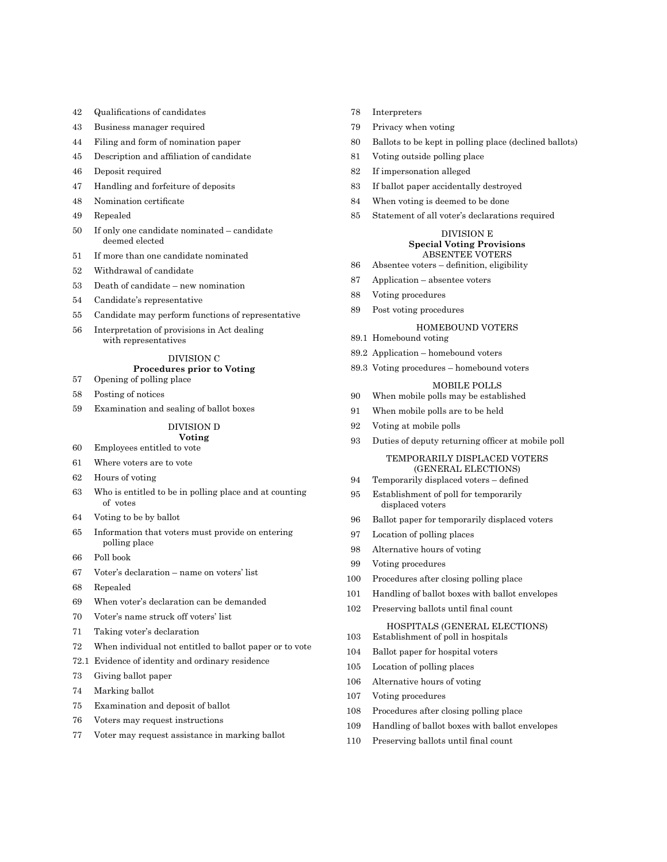- Qualifications of candidates
- Business manager required
- Filing and form of nomination paper
- Description and affiliation of candidate
- Deposit required
- Handling and forfeiture of deposits
- Nomination certificate
- Repealed
- If only one candidate nominated candidate deemed elected
- If more than one candidate nominated
- Withdrawal of candidate
- Death of candidate new nomination
- Candidate's representative
- Candidate may perform functions of representative
- Interpretation of provisions in Act dealing with representatives

# DIVISION C

# **Procedures prior to Voting**

- Opening of polling place
- Posting of notices
- Examination and sealing of ballot boxes

# DIVISION D

#### **Voting** Employees entitled to vote

- 
- Where voters are to vote
- Hours of voting
- Who is entitled to be in polling place and at counting of votes
- Voting to be by ballot
- Information that voters must provide on entering polling place
- Poll book
- Voter's declaration name on voters' list
- Repealed
- When voter's declaration can be demanded
- Voter's name struck off voters' list
- Taking voter's declaration
- When individual not entitled to ballot paper or to vote
- 72.1 Evidence of identity and ordinary residence
- Giving ballot paper
- Marking ballot
- Examination and deposit of ballot
- Voters may request instructions
- Voter may request assistance in marking ballot
- Interpreters
- Privacy when voting
- Ballots to be kept in polling place (declined ballots)
- Voting outside polling place
- If impersonation alleged
- If ballot paper accidentally destroyed
- When voting is deemed to be done
- Statement of all voter's declarations required

# DIVISION E **Special Voting Provisions** ABSENTEE VOTERS

- Absentee voters definition, eligibility
- Application absentee voters
- Voting procedures
- Post voting procedures

#### HOMEBOUND VOTERS

- 89.1 Homebound voting
- 89.2 Application homebound voters
- 89.3 Voting procedures homebound voters

# MOBILE POLLS

- When mobile polls may be established
- When mobile polls are to be held
- Voting at mobile polls
- Duties of deputy returning officer at mobile poll

# TEMPORARILY DISPLACED VOTERS (GENERAL ELECTIONS)

- Temporarily displaced voters defined
- Establishment of poll for temporarily displaced voters
- Ballot paper for temporarily displaced voters
- Location of polling places
- Alternative hours of voting
- Voting procedures
- Procedures after closing polling place
- Handling of ballot boxes with ballot envelopes
- Preserving ballots until final count
	- HOSPITALS (GENERAL ELECTIONS)
- Establishment of poll in hospitals
- Ballot paper for hospital voters
- Location of polling places
- Alternative hours of voting
- Voting procedures
- Procedures after closing polling place
- Handling of ballot boxes with ballot envelopes
- Preserving ballots until final count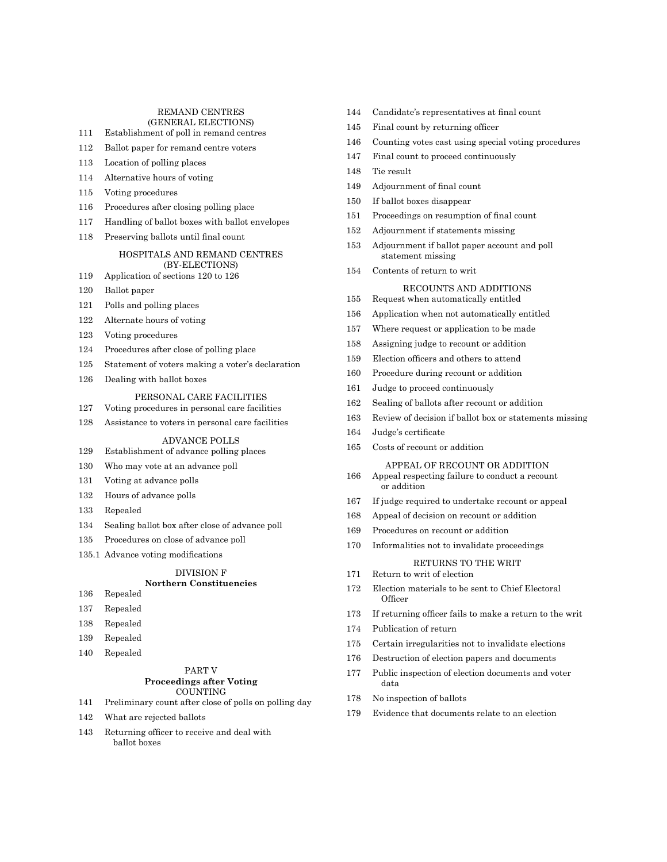# REMAND CENTRES

- (GENERAL ELECTIONS)
- Establishment of poll in remand centres
- Ballot paper for remand centre voters
- Location of polling places
- Alternative hours of voting
- Voting procedures
- Procedures after closing polling place
- Handling of ballot boxes with ballot envelopes
- Preserving ballots until final count

#### HOSPITALS AND REMAND CENTRES (BY-ELECTIONS)

- Application of sections 120 to 126
- Ballot paper
- Polls and polling places
- Alternate hours of voting
- Voting procedures
- Procedures after close of polling place
- Statement of voters making a voter's declaration
- Dealing with ballot boxes

#### PERSONAL CARE FACILITIES

- Voting procedures in personal care facilities
- Assistance to voters in personal care facilities

#### ADVANCE POLLS

- Establishment of advance polling places
- Who may vote at an advance poll
- Voting at advance polls
- Hours of advance polls
- Repealed
- Sealing ballot box after close of advance poll
- Procedures on close of advance poll
- 135.1 Advance voting modifications

#### DIVISION F **Northern Constituencies**

# Repealed

- 
- Repealed
- Repealed
- Repealed
- Repealed

# PART V **Proceedings after Voting** COUNTING

- Preliminary count after close of polls on polling day
- What are rejected ballots
- Returning officer to receive and deal with ballot boxes
- Candidate's representatives at final count
- Final count by returning officer
- Counting votes cast using special voting procedures
- Final count to proceed continuously
- Tie result
- Adjournment of final count
- If ballot boxes disappear
- Proceedings on resumption of final count
- Adjournment if statements missing
- Adjournment if ballot paper account and poll statement missing
- Contents of return to writ

#### RECOUNTS AND ADDITIONS

#### Request when automatically entitled

- Application when not automatically entitled
- Where request or application to be made
- Assigning judge to recount or addition
- Election officers and others to attend
- Procedure during recount or addition
- Judge to proceed continuously
- Sealing of ballots after recount or addition
- Review of decision if ballot box or statements missing
- Judge's certificate
- Costs of recount or addition

#### APPEAL OF RECOUNT OR ADDITION

- Appeal respecting failure to conduct a recount or addition
- If judge required to undertake recount or appeal
- Appeal of decision on recount or addition
- Procedures on recount or addition
- Informalities not to invalidate proceedings

# RETURNS TO THE WRIT

- Return to writ of election
- Election materials to be sent to Chief Electoral **Officer**
- If returning officer fails to make a return to the writ
- Publication of return
- Certain irregularities not to invalidate elections
- Destruction of election papers and documents
- Public inspection of election documents and voter data
- No inspection of ballots
- Evidence that documents relate to an election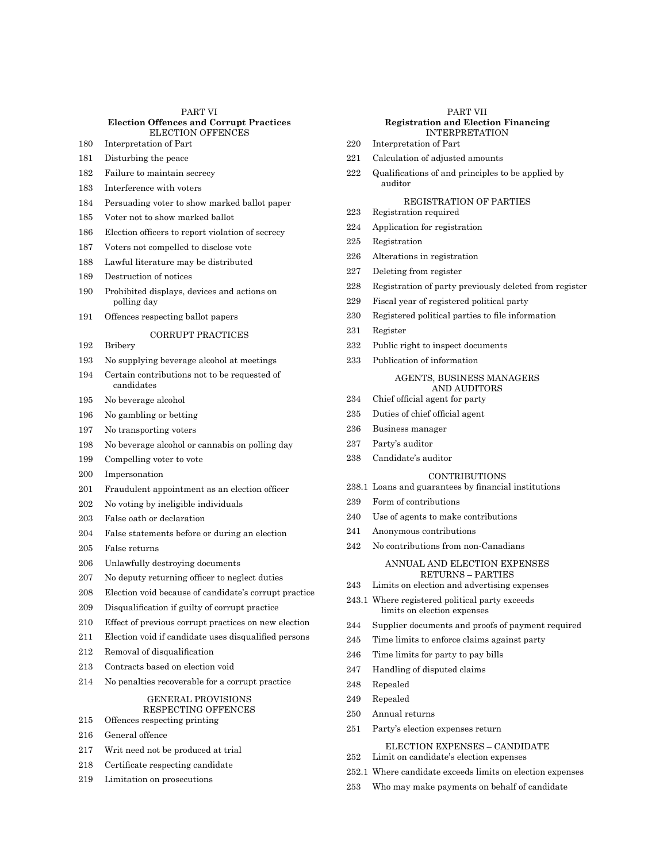# PART VI **Election Offences and Corrupt Practices** ELECTION OFFENCES

- Interpretation of Part
- Disturbing the peace
- Failure to maintain secrecy
- Interference with voters
- Persuading voter to show marked ballot paper
- Voter not to show marked ballot
- Election officers to report violation of secrecy
- Voters not compelled to disclose vote
- Lawful literature may be distributed
- Destruction of notices
- Prohibited displays, devices and actions on polling day
- Offences respecting ballot papers

# CORRUPT PRACTICES

- Bribery
- No supplying beverage alcohol at meetings
- Certain contributions not to be requested of candidates
- No beverage alcohol
- No gambling or betting
- No transporting voters
- No beverage alcohol or cannabis on polling day
- Compelling voter to vote
- Impersonation
- Fraudulent appointment as an election officer
- No voting by ineligible individuals
- False oath or declaration
- False statements before or during an election
- False returns
- Unlawfully destroying documents
- No deputy returning officer to neglect duties
- Election void because of candidate's corrupt practice
- Disqualification if guilty of corrupt practice
- Effect of previous corrupt practices on new election
- Election void if candidate uses disqualified persons
- Removal of disqualification
- Contracts based on election void
- No penalties recoverable for a corrupt practice

#### GENERAL PROVISIONS RESPECTING OFFENCES

- Offences respecting printing
- General offence
- Writ need not be produced at trial
- Certificate respecting candidate
- Limitation on prosecutions

# PART VII **Registration and Election Financing** INTERPRETATION

- Interpretation of Part
- Calculation of adjusted amounts
- Qualifications of and principles to be applied by auditor

# REGISTRATION OF PARTIES

- Registration required
- Application for registration
- Registration
- Alterations in registration
- Deleting from register
- Registration of party previously deleted from register
- Fiscal year of registered political party
- Registered political parties to file information
- Register
- Public right to inspect documents
- Publication of information

# AGENTS, BUSINESS MANAGERS AND AUDITORS

- Chief official agent for party
- Duties of chief official agent
- Business manager
- Party's auditor
- Candidate's auditor

# CONTRIBUTIONS

- 238.1 Loans and guarantees by financial institutions
- Form of contributions
- Use of agents to make contributions
- Anonymous contributions
- No contributions from non-Canadians

# ANNUAL AND ELECTION EXPENSES RETURNS – PARTIES

- Limits on election and advertising expenses
- 243.1 Where registered political party exceeds limits on election expenses
- Supplier documents and proofs of payment required
- Time limits to enforce claims against party
- Time limits for party to pay bills
- Handling of disputed claims
- Repealed
- Repealed
- Annual returns
- Party's election expenses return

# ELECTION EXPENSES – CANDIDATE

- Limit on candidate's election expenses
- 252.1 Where candidate exceeds limits on election expenses
- Who may make payments on behalf of candidate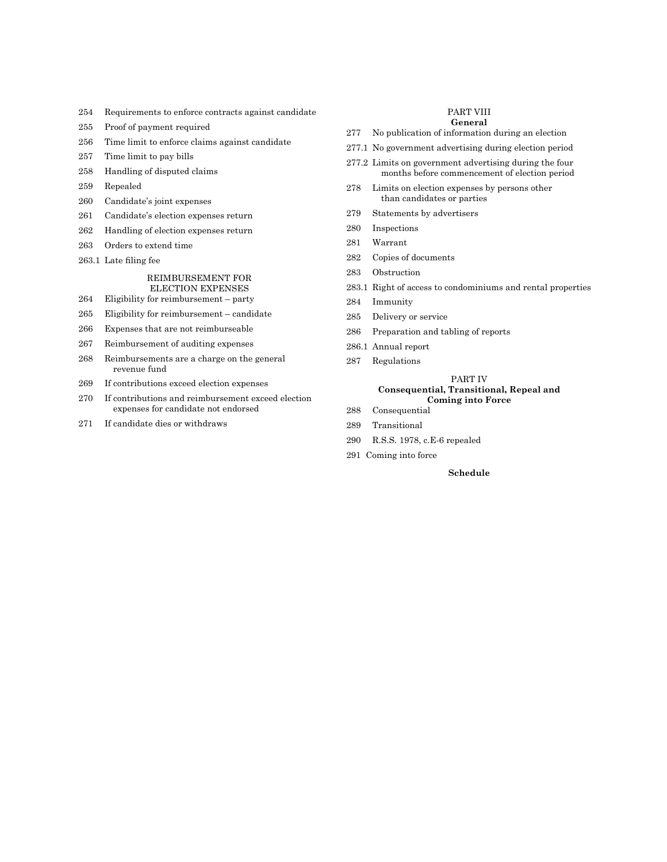- Requirements to enforce contracts against candidate
- Proof of payment required
- Time limit to enforce claims against candidate
- Time limit to pay bills
- Handling of disputed claims
- Repealed
- Candidate's joint expenses
- Candidate's election expenses return
- Handling of election expenses return
- Orders to extend time
- 263.1 Late filing fee

#### REIMBURSEMENT FOR ELECTION EXPENSES

- Eligibility for reimbursement party
- Eligibility for reimbursement candidate
- Expenses that are not reimburseable
- Reimbursement of auditing expenses
- Reimbursements are a charge on the general revenue fund
- If contributions exceed election expenses
- If contributions and reimbursement exceed election expenses for candidate not endorsed
- If candidate dies or withdraws

# PART VIII

# **General**

- No publication of information during an election
- 277.1 No government advertising during election period
- 277.2 Limits on government advertising during the four months before commencement of election period
- Limits on election expenses by persons other than candidates or parties
- Statements by advertisers
- Inspections
- Warrant
- Copies of documents
- Obstruction
- 283.1 Right of access to condominiums and rental properties
- Immunity
- Delivery or service
- Preparation and tabling of reports
- 286.1 Annual report
- Regulations
	- PART IV

# **Consequential, Transitional, Repeal and Coming into Force**

- Consequential
- Transitional
- R.S.S. 1978, c.E-6 repealed
- Coming into force

# **Schedule**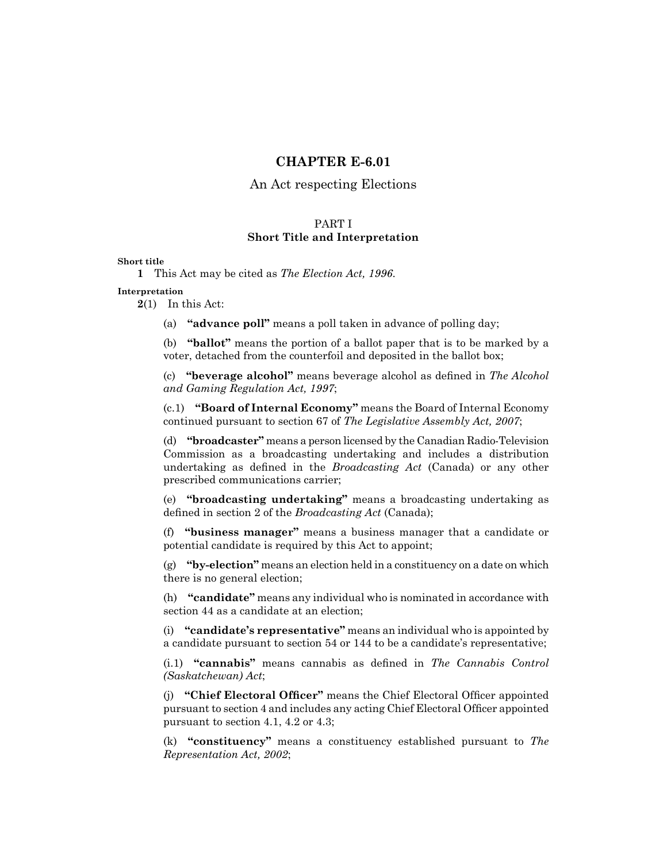# **CHAPTER E-6.01**

# An Act respecting Elections

# PART I **Short Title and Interpretation**

# **Short title**

**1** This Act may be cited as *The Election Act, 1996*.

# **Interpretation**

**2**(1) In this Act:

(a) **"advance poll"** means a poll taken in advance of polling day;

(b) **"ballot"** means the portion of a ballot paper that is to be marked by a voter, detached from the counterfoil and deposited in the ballot box;

(c) **"beverage alcohol"** means beverage alcohol as defined in *The Alcohol and Gaming Regulation Act, 1997*;

(c.1) **"Board of Internal Economy"** means the Board of Internal Economy continued pursuant to section 67 of *The Legislative Assembly Act, 2007*;

(d) **"broadcaster"** means a person licensed by the Canadian Radio-Television Commission as a broadcasting undertaking and includes a distribution undertaking as defined in the *Broadcasting Act* (Canada) or any other prescribed communications carrier;

(e) **"broadcasting undertaking"** means a broadcasting undertaking as defined in section 2 of the *Broadcasting Act* (Canada);

(f) **"business manager"** means a business manager that a candidate or potential candidate is required by this Act to appoint;

(g) **"by-election"** means an election held in a constituency on a date on which there is no general election;

(h) **"candidate"** means any individual who is nominated in accordance with section 44 as a candidate at an election;

(i) **"candidate's representative"** means an individual who is appointed by a candidate pursuant to section 54 or 144 to be a candidate's representative;

(i.1) **"cannabis"** means cannabis as defined in *The Cannabis Control (Saskatchewan) Act*;

(j) **"Chief Electoral Officer"** means the Chief Electoral Officer appointed pursuant to section 4 and includes any acting Chief Electoral Officer appointed pursuant to section 4.1, 4.2 or 4.3;

(k) **"constituency"** means a constituency established pursuant to *The Representation Act, 2002*;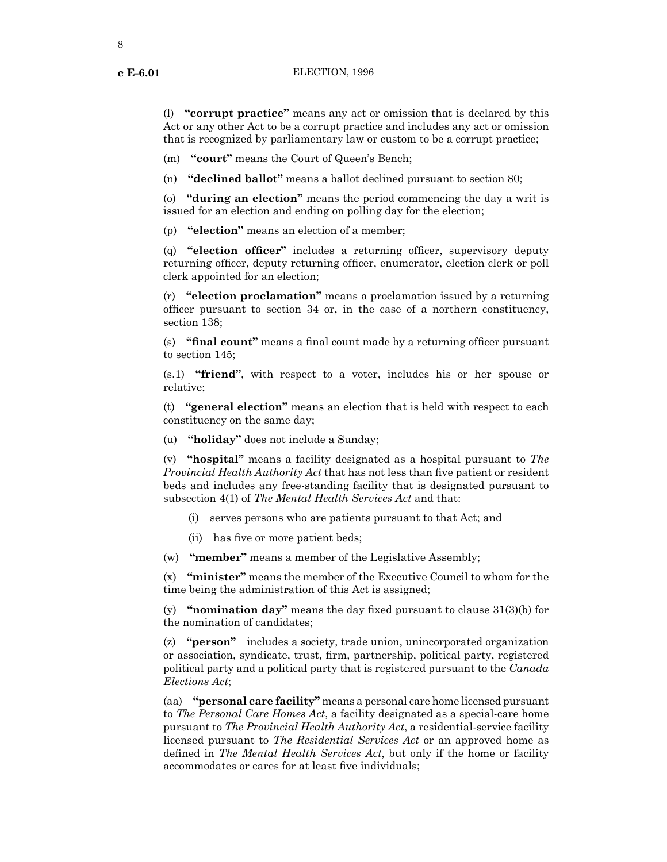(l) **"corrupt practice"** means any act or omission that is declared by this Act or any other Act to be a corrupt practice and includes any act or omission that is recognized by parliamentary law or custom to be a corrupt practice;

(m) **"court"** means the Court of Queen's Bench;

(n) **"declined ballot"** means a ballot declined pursuant to section 80;

(o) **"during an election"** means the period commencing the day a writ is issued for an election and ending on polling day for the election;

(p) **"election"** means an election of a member;

(q) **"election officer"** includes a returning officer, supervisory deputy returning officer, deputy returning officer, enumerator, election clerk or poll clerk appointed for an election;

(r) **"election proclamation"** means a proclamation issued by a returning officer pursuant to section 34 or, in the case of a northern constituency, section 138;

(s) **"final count"** means a final count made by a returning officer pursuant to section 145;

(s.1) **"friend"**, with respect to a voter, includes his or her spouse or relative;

(t) **"general election"** means an election that is held with respect to each constituency on the same day;

(u) **"holiday"** does not include a Sunday;

(v) **"hospital"** means a facility designated as a hospital pursuant to *The Provincial Health Authority Act* that has not less than five patient or resident beds and includes any free-standing facility that is designated pursuant to subsection 4(1) of *The Mental Health Services Act* and that:

- (i) serves persons who are patients pursuant to that Act; and
- (ii) has five or more patient beds;
- (w) **"member"** means a member of the Legislative Assembly;

(x) **"minister"** means the member of the Executive Council to whom for the time being the administration of this Act is assigned;

(y) **"nomination day"** means the day fixed pursuant to clause 31(3)(b) for the nomination of candidates;

(z) **"person"** includes a society, trade union, unincorporated organization or association, syndicate, trust, firm, partnership, political party, registered political party and a political party that is registered pursuant to the *Canada Elections Act*;

(aa) **"personal care facility"** means a personal care home licensed pursuant to *The Personal Care Homes Act*, a facility designated as a special-care home pursuant to *The Provincial Health Authority Act*, a residential-service facility licensed pursuant to *The Residential Services Act* or an approved home as defined in *The Mental Health Services Act*, but only if the home or facility accommodates or cares for at least five individuals;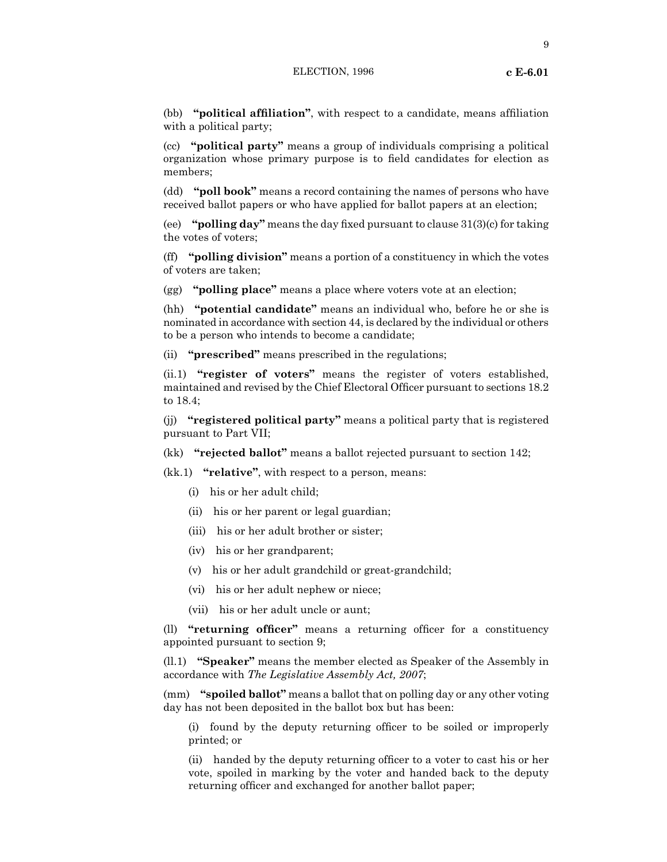# ELECTION, 1996 **c E-6.01**

(bb) **"political affiliation"**, with respect to a candidate, means affiliation with a political party;

(cc) **"political party"** means a group of individuals comprising a political organization whose primary purpose is to field candidates for election as members;

(dd) **"poll book"** means a record containing the names of persons who have received ballot papers or who have applied for ballot papers at an election;

(ee) **"polling day"** means the day fixed pursuant to clause 31(3)(c) for taking the votes of voters;

(ff) **"polling division"** means a portion of a constituency in which the votes of voters are taken;

(gg) **"polling place"** means a place where voters vote at an election;

(hh) **"potential candidate"** means an individual who, before he or she is nominated in accordance with section 44, is declared by the individual or others to be a person who intends to become a candidate;

(ii) **"prescribed"** means prescribed in the regulations;

(ii.1) **"register of voters"** means the register of voters established, maintained and revised by the Chief Electoral Officer pursuant to sections 18.2 to 18.4;

(jj) **"registered political party"** means a political party that is registered pursuant to Part VII;

(kk) **"rejected ballot"** means a ballot rejected pursuant to section 142;

(kk.1) **"relative"**, with respect to a person, means:

- (i) his or her adult child;
- (ii) his or her parent or legal guardian;
- (iii) his or her adult brother or sister;
- (iv) his or her grandparent;
- (v) his or her adult grandchild or great-grandchild;
- (vi) his or her adult nephew or niece;
- (vii) his or her adult uncle or aunt;

(ll) **"returning officer"** means a returning officer for a constituency appointed pursuant to section 9;

(ll.1) **"Speaker"** means the member elected as Speaker of the Assembly in accordance with *The Legislative Assembly Act, 2007*;

(mm) **"spoiled ballot"** means a ballot that on polling day or any other voting day has not been deposited in the ballot box but has been:

(i) found by the deputy returning officer to be soiled or improperly printed; or

(ii) handed by the deputy returning officer to a voter to cast his or her vote, spoiled in marking by the voter and handed back to the deputy returning officer and exchanged for another ballot paper;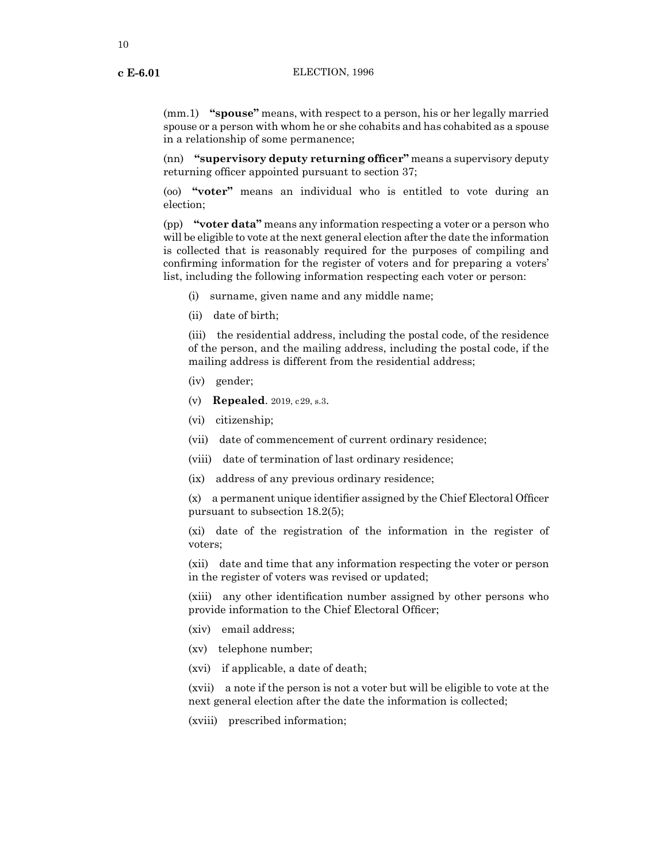(mm.1) **"spouse"** means, with respect to a person, his or her legally married spouse or a person with whom he or she cohabits and has cohabited as a spouse in a relationship of some permanence;

(nn) **"supervisory deputy returning officer"** means a supervisory deputy returning officer appointed pursuant to section 37;

(oo) **"voter"** means an individual who is entitled to vote during an election;

(pp) **"voter data"** means any information respecting a voter or a person who will be eligible to vote at the next general election after the date the information is collected that is reasonably required for the purposes of compiling and confirming information for the register of voters and for preparing a voters' list, including the following information respecting each voter or person:

- (i) surname, given name and any middle name;
- (ii) date of birth;

(iii) the residential address, including the postal code, of the residence of the person, and the mailing address, including the postal code, if the mailing address is different from the residential address;

- (iv) gender;
- (v) **Repealed**. 2019, c29, s.3.
- (vi) citizenship;
- (vii) date of commencement of current ordinary residence;
- (viii) date of termination of last ordinary residence;
- (ix) address of any previous ordinary residence;

(x) a permanent unique identifier assigned by the Chief Electoral Officer pursuant to subsection 18.2(5);

(xi) date of the registration of the information in the register of voters;

(xii) date and time that any information respecting the voter or person in the register of voters was revised or updated;

(xiii) any other identification number assigned by other persons who provide information to the Chief Electoral Officer;

- (xiv) email address;
- (xv) telephone number;
- (xvi) if applicable, a date of death;

(xvii) a note if the person is not a voter but will be eligible to vote at the next general election after the date the information is collected;

(xviii) prescribed information;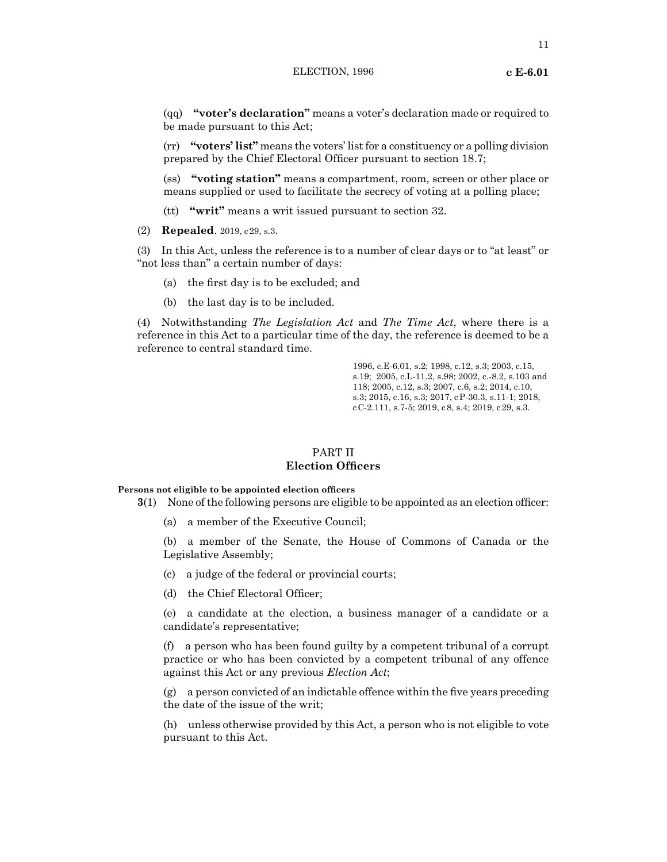# ELECTION, 1996 **c E-6.01**

11

(qq) **"voter's declaration"** means a voter's declaration made or required to be made pursuant to this Act;

(rr) **"voters' list"** means the voters' listfor a constituency or a polling division prepared by the Chief Electoral Officer pursuant to section 18.7;

(ss) **"voting station"** means a compartment, room, screen or other place or means supplied or used to facilitate the secrecy of voting at a polling place;

(tt) **"writ"** means a writ issued pursuant to section 32.

(2) **Repealed**. 2019, c29, s.3.

(3) In this Act, unless the reference is to a number of clear days or to "at least" or "not less than" a certain number of days:

- (a) the first day is to be excluded; and
- (b) the last day is to be included.

(4) Notwithstanding *The Legislation Act* and *The Time Act*, where there is a reference in this Act to a particular time of the day, the reference is deemed to be a reference to central standard time.

> 1996, c.E-6.01, s.2; 1998, c.12, s.3; 2003, c.15, s.19; 2005, c.L-11.2, s.98; 2002, c.-8.2, s.103 and 118; 2005, c.12, s.3; 2007, c.6, s.2; 2014, c.10, s.3; 2015, c.16, s.3; 2017, cP-30.3, s.11-1; 2018, cC-2.111, s.7-5; 2019, c8, s.4; 2019, c29, s.3.

# PART II **Election Officers**

**Persons not eligible to be appointed election officers**

**3**(1) None of the following persons are eligible to be appointed as an election officer:

(a) a member of the Executive Council;

(b) a member of the Senate, the House of Commons of Canada or the Legislative Assembly;

- (c) a judge of the federal or provincial courts;
- (d) the Chief Electoral Officer;

(e) a candidate at the election, a business manager of a candidate or a candidate's representative;

(f) a person who has been found guilty by a competent tribunal of a corrupt practice or who has been convicted by a competent tribunal of any offence against this Act or any previous *Election Act*;

(g) a person convicted of an indictable offence within the five years preceding the date of the issue of the writ;

(h) unless otherwise provided by this Act, a person who is not eligible to vote pursuant to this Act.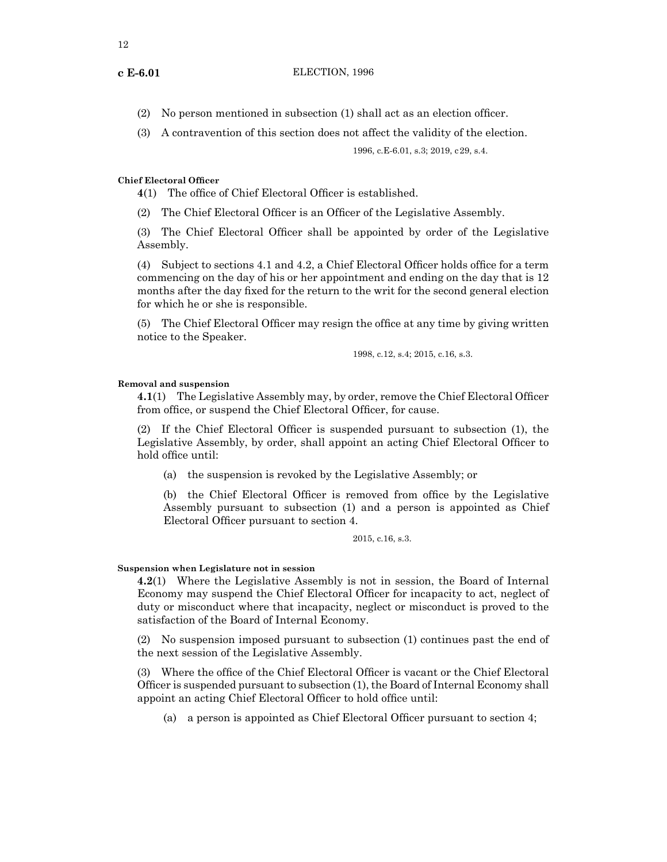- (2) No person mentioned in subsection (1) shall act as an election officer.
- (3) A contravention of this section does not affect the validity of the election.

1996, c.E-6.01, s.3; 2019, c29, s.4.

# **Chief Electoral Officer**

**4**(1) The office of Chief Electoral Officer is established.

(2) The Chief Electoral Officer is an Officer of the Legislative Assembly.

(3) The Chief Electoral Officer shall be appointed by order of the Legislative Assembly.

(4) Subject to sections 4.1 and 4.2, a Chief Electoral Officer holds office for a term commencing on the day of his or her appointment and ending on the day that is 12 months after the day fixed for the return to the writ for the second general election for which he or she is responsible.

(5) The Chief Electoral Officer may resign the office at any time by giving written notice to the Speaker.

1998, c.12, s.4; 2015, c.16, s.3.

# **Removal and suspension**

**4.1**(1) The Legislative Assembly may, by order, remove the Chief Electoral Officer from office, or suspend the Chief Electoral Officer, for cause.

(2) If the Chief Electoral Officer is suspended pursuant to subsection (1), the Legislative Assembly, by order, shall appoint an acting Chief Electoral Officer to hold office until:

(a) the suspension is revoked by the Legislative Assembly; or

(b) the Chief Electoral Officer is removed from office by the Legislative Assembly pursuant to subsection (1) and a person is appointed as Chief Electoral Officer pursuant to section 4.

2015, c.16, s.3.

# **Suspension when Legislature not in session**

**4.2**(1) Where the Legislative Assembly is not in session, the Board of Internal Economy may suspend the Chief Electoral Officer for incapacity to act, neglect of duty or misconduct where that incapacity, neglect or misconduct is proved to the satisfaction of the Board of Internal Economy.

(2) No suspension imposed pursuant to subsection (1) continues past the end of the next session of the Legislative Assembly.

(3) Where the office of the Chief Electoral Officer is vacant or the Chief Electoral Officer is suspended pursuant to subsection (1), the Board of Internal Economy shall appoint an acting Chief Electoral Officer to hold office until:

(a) a person is appointed as Chief Electoral Officer pursuant to section 4;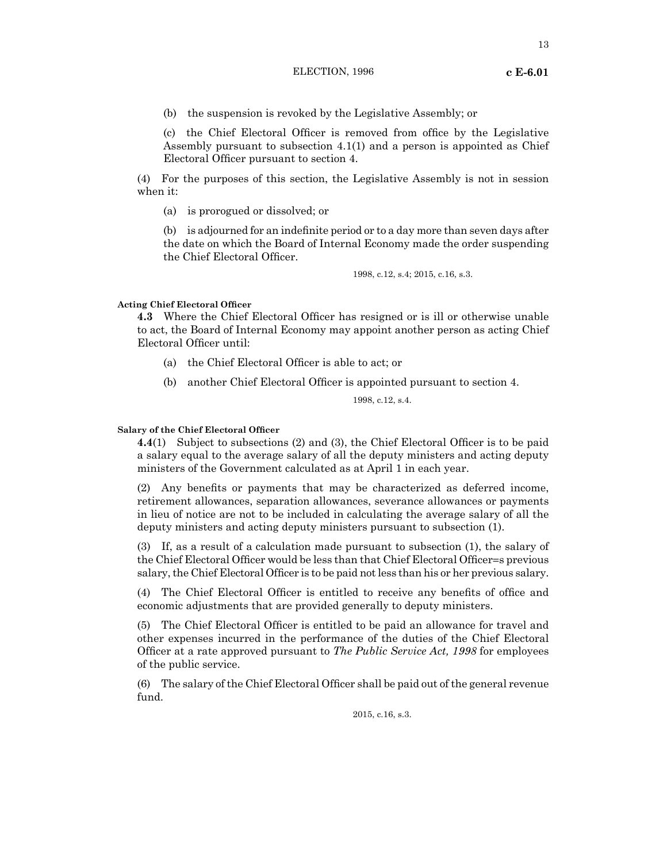# ELECTION, 1996 **c E-6.01**

13

(b) the suspension is revoked by the Legislative Assembly; or

(c) the Chief Electoral Officer is removed from office by the Legislative Assembly pursuant to subsection 4.1(1) and a person is appointed as Chief Electoral Officer pursuant to section 4.

(4) For the purposes of this section, the Legislative Assembly is not in session when it:

(a) is prorogued or dissolved; or

(b) is adjourned for an indefinite period or to a day more than seven days after the date on which the Board of Internal Economy made the order suspending the Chief Electoral Officer.

1998, c.12, s.4; 2015, c.16, s.3.

**Acting Chief Electoral Officer**

**4.3** Where the Chief Electoral Officer has resigned or is ill or otherwise unable to act, the Board of Internal Economy may appoint another person as acting Chief Electoral Officer until:

- (a) the Chief Electoral Officer is able to act; or
- (b) another Chief Electoral Officer is appointed pursuant to section 4.

1998, c.12, s.4.

**Salary of the Chief Electoral Officer**

**4.4**(1) Subject to subsections (2) and (3), the Chief Electoral Officer is to be paid a salary equal to the average salary of all the deputy ministers and acting deputy ministers of the Government calculated as at April 1 in each year.

(2) Any benefits or payments that may be characterized as deferred income, retirement allowances, separation allowances, severance allowances or payments in lieu of notice are not to be included in calculating the average salary of all the deputy ministers and acting deputy ministers pursuant to subsection (1).

(3) If, as a result of a calculation made pursuant to subsection (1), the salary of the Chief Electoral Officer would be less than that Chief Electoral Officer=s previous salary, the Chief Electoral Officer is to be paid not less than his or her previous salary.

(4) The Chief Electoral Officer is entitled to receive any benefits of office and economic adjustments that are provided generally to deputy ministers.

(5) The Chief Electoral Officer is entitled to be paid an allowance for travel and other expenses incurred in the performance of the duties of the Chief Electoral Officer at a rate approved pursuant to *The Public Service Act, 1998* for employees of the public service.

(6) The salary of the Chief Electoral Officer shall be paid out of the general revenue fund.

2015, c.16, s.3.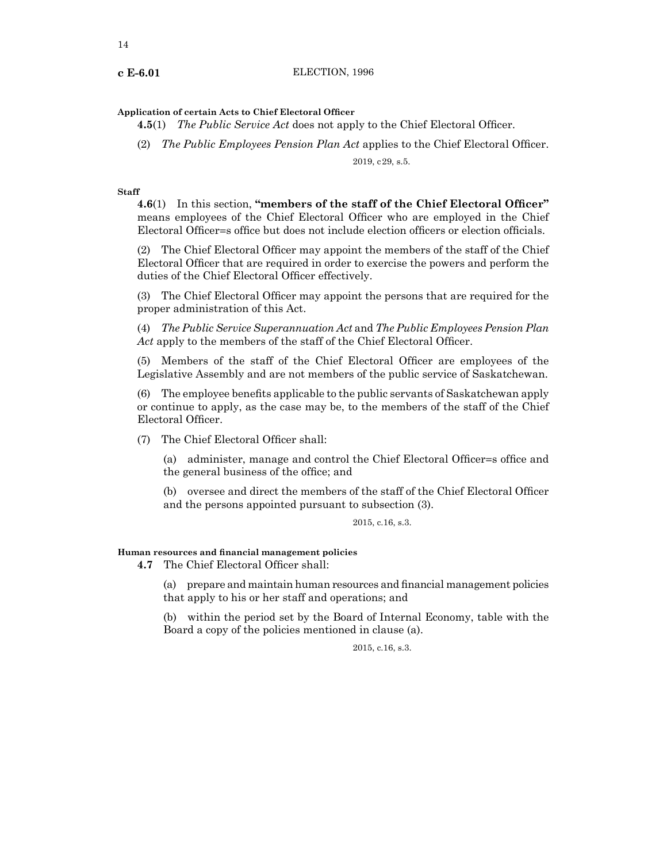# **Application of certain Acts to Chief Electoral Officer**

**4.5**(1) *The Public Service Act* does not apply to the Chief Electoral Officer.

(2) *The Public Employees Pension Plan Act* applies to the Chief Electoral Officer.

2019, c29, s.5.

# **Staff**

**4.6**(1) In this section, **"members of the staff of the Chief Electoral Officer"**  means employees of the Chief Electoral Officer who are employed in the Chief Electoral Officer=s office but does not include election officers or election officials.

(2) The Chief Electoral Officer may appoint the members of the staff of the Chief Electoral Officer that are required in order to exercise the powers and perform the duties of the Chief Electoral Officer effectively.

(3) The Chief Electoral Officer may appoint the persons that are required for the proper administration of this Act.

(4) *The Public Service Superannuation Act* and *The Public Employees Pension Plan*  Act apply to the members of the staff of the Chief Electoral Officer.

(5) Members of the staff of the Chief Electoral Officer are employees of the Legislative Assembly and are not members of the public service of Saskatchewan.

(6) The employee benefits applicable to the public servants of Saskatchewan apply or continue to apply, as the case may be, to the members of the staff of the Chief Electoral Officer.

(7) The Chief Electoral Officer shall:

(a) administer, manage and control the Chief Electoral Officer=s office and the general business of the office; and

(b) oversee and direct the members of the staff of the Chief Electoral Officer and the persons appointed pursuant to subsection (3).

# 2015, c.16, s.3.

# **Human resources and financial management policies**

**4.7** The Chief Electoral Officer shall:

(a) prepare and maintain human resources and financial management policies that apply to his or her staff and operations; and

(b) within the period set by the Board of Internal Economy, table with the Board a copy of the policies mentioned in clause (a).

2015, c.16, s.3.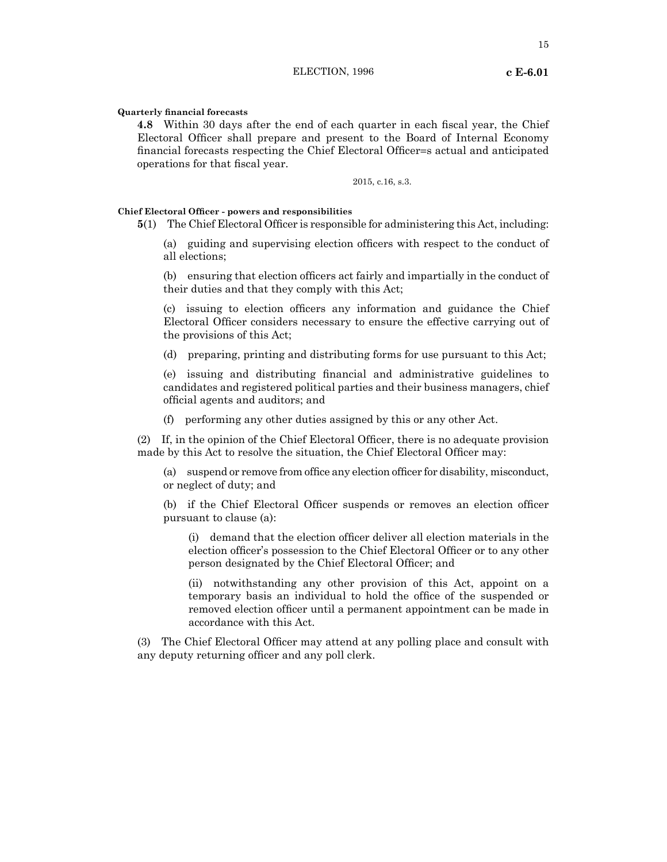**Quarterly financial forecasts**

**4.8** Within 30 days after the end of each quarter in each fiscal year, the Chief Electoral Officer shall prepare and present to the Board of Internal Economy financial forecasts respecting the Chief Electoral Officer=s actual and anticipated operations for that fiscal year.

2015, c.16, s.3.

# **Chief Electoral Officer - powers and responsibilities**

**5**(1) The Chief Electoral Officer is responsible for administering this Act, including:

(a) guiding and supervising election officers with respect to the conduct of all elections;

(b) ensuring that election officers act fairly and impartially in the conduct of their duties and that they comply with this Act;

(c) issuing to election officers any information and guidance the Chief Electoral Officer considers necessary to ensure the effective carrying out of the provisions of this Act;

(d) preparing, printing and distributing forms for use pursuant to this Act;

(e) issuing and distributing financial and administrative guidelines to candidates and registered political parties and their business managers, chief official agents and auditors; and

(f) performing any other duties assigned by this or any other Act.

(2) If, in the opinion of the Chief Electoral Officer, there is no adequate provision made by this Act to resolve the situation, the Chief Electoral Officer may:

(a) suspend or remove from office any election officer for disability, misconduct, or neglect of duty; and

(b) if the Chief Electoral Officer suspends or removes an election officer pursuant to clause (a):

(i) demand that the election officer deliver all election materials in the election officer's possession to the Chief Electoral Officer or to any other person designated by the Chief Electoral Officer; and

(ii) notwithstanding any other provision of this Act, appoint on a temporary basis an individual to hold the office of the suspended or removed election officer until a permanent appointment can be made in accordance with this Act.

(3) The Chief Electoral Officer may attend at any polling place and consult with any deputy returning officer and any poll clerk.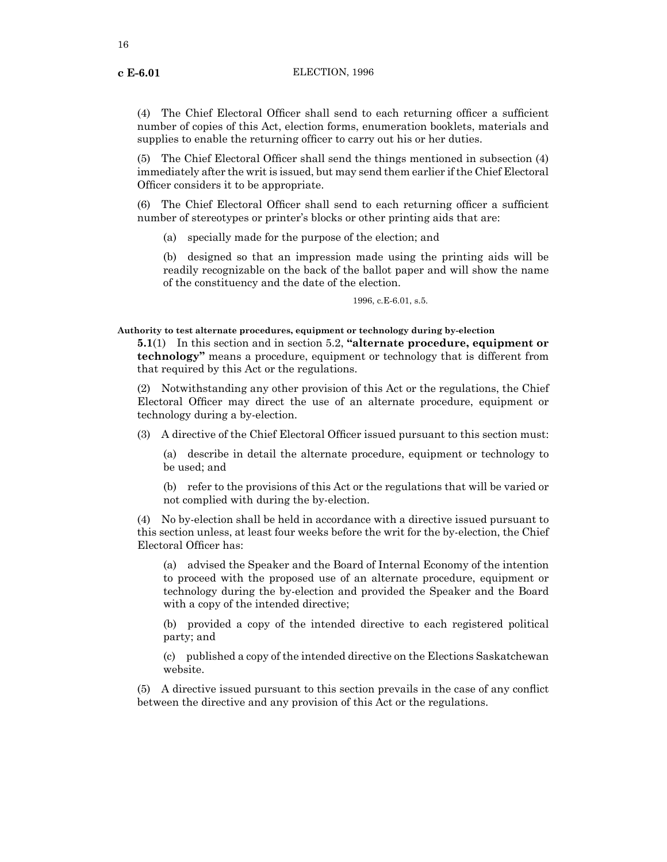(4) The Chief Electoral Officer shall send to each returning officer a sufficient number of copies of this Act, election forms, enumeration booklets, materials and supplies to enable the returning officer to carry out his or her duties.

(5) The Chief Electoral Officer shall send the things mentioned in subsection (4) immediately after the writ is issued, but may send them earlier if the Chief Electoral Officer considers it to be appropriate.

(6) The Chief Electoral Officer shall send to each returning officer a sufficient number of stereotypes or printer's blocks or other printing aids that are:

(a) specially made for the purpose of the election; and

(b) designed so that an impression made using the printing aids will be readily recognizable on the back of the ballot paper and will show the name of the constituency and the date of the election.

1996, c.E-6.01, s.5.

# **Authority to test alternate procedures, equipment or technology during by-election**

**5.1**(1) In this section and in section 5.2, **"alternate procedure, equipment or technology"** means a procedure, equipment or technology that is different from that required by this Act or the regulations.

(2) Notwithstanding any other provision of this Act or the regulations, the Chief Electoral Officer may direct the use of an alternate procedure, equipment or technology during a by-election.

(3) A directive of the Chief Electoral Officer issued pursuant to this section must:

(a) describe in detail the alternate procedure, equipment or technology to be used; and

(b) refer to the provisions of this Act or the regulations that will be varied or not complied with during the by-election.

(4) No by-election shall be held in accordance with a directive issued pursuant to this section unless, at least four weeks before the writ for the by-election, the Chief Electoral Officer has:

(a) advised the Speaker and the Board of Internal Economy of the intention to proceed with the proposed use of an alternate procedure, equipment or technology during the by-election and provided the Speaker and the Board with a copy of the intended directive;

(b) provided a copy of the intended directive to each registered political party; and

(c) published a copy of the intended directive on the Elections Saskatchewan website.

(5) A directive issued pursuant to this section prevails in the case of any conflict between the directive and any provision of this Act or the regulations.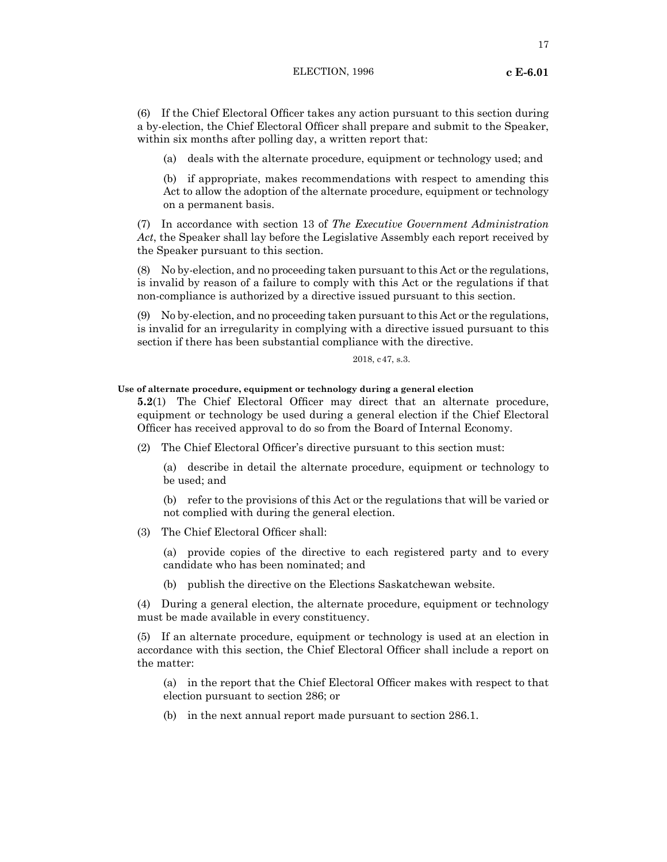# ELECTION, 1996 **c E-6.01**

(6) If the Chief Electoral Officer takes any action pursuant to this section during a by-election, the Chief Electoral Officer shall prepare and submit to the Speaker, within six months after polling day, a written report that:

(a) deals with the alternate procedure, equipment or technology used; and

(b) if appropriate, makes recommendations with respect to amending this Act to allow the adoption of the alternate procedure, equipment or technology on a permanent basis.

(7) In accordance with section 13 of *The Executive Government Administration Act*, the Speaker shall lay before the Legislative Assembly each report received by the Speaker pursuant to this section.

(8) No by-election, and no proceeding taken pursuant to this Act or the regulations, is invalid by reason of a failure to comply with this Act or the regulations if that non-compliance is authorized by a directive issued pursuant to this section.

(9) No by-election, and no proceeding taken pursuant to this Act or the regulations, is invalid for an irregularity in complying with a directive issued pursuant to this section if there has been substantial compliance with the directive.

2018, c47, s.3.

# **Use of alternate procedure, equipment or technology during a general election**

**5.2**(1) The Chief Electoral Officer may direct that an alternate procedure, equipment or technology be used during a general election if the Chief Electoral Officer has received approval to do so from the Board of Internal Economy.

(2) The Chief Electoral Officer's directive pursuant to this section must:

(a) describe in detail the alternate procedure, equipment or technology to be used; and

(b) refer to the provisions of this Act or the regulations that will be varied or not complied with during the general election.

(3) The Chief Electoral Officer shall:

(a) provide copies of the directive to each registered party and to every candidate who has been nominated; and

(b) publish the directive on the Elections Saskatchewan website.

(4) During a general election, the alternate procedure, equipment or technology must be made available in every constituency.

(5) If an alternate procedure, equipment or technology is used at an election in accordance with this section, the Chief Electoral Officer shall include a report on the matter:

(a) in the report that the Chief Electoral Officer makes with respect to that election pursuant to section 286; or

(b) in the next annual report made pursuant to section 286.1.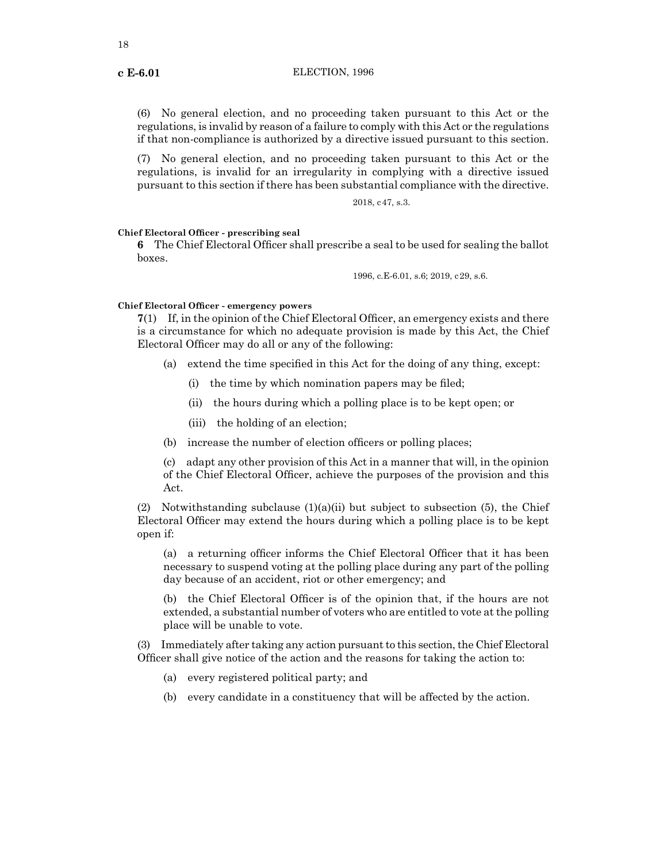(6) No general election, and no proceeding taken pursuant to this Act or the regulations, is invalid by reason of a failure to comply with this Act or the regulations if that non-compliance is authorized by a directive issued pursuant to this section.

(7) No general election, and no proceeding taken pursuant to this Act or the regulations, is invalid for an irregularity in complying with a directive issued pursuant to this section if there has been substantial compliance with the directive.

2018, c47, s.3.

# **Chief Electoral Officer - prescribing seal**

**6** The Chief Electoral Officer shall prescribe a seal to be used for sealing the ballot boxes.

1996, c.E-6.01, s.6; 2019, c29, s.6.

# **Chief Electoral Officer - emergency powers**

**7**(1) If, in the opinion of the Chief Electoral Officer, an emergency exists and there is a circumstance for which no adequate provision is made by this Act, the Chief Electoral Officer may do all or any of the following:

- (a) extend the time specified in this Act for the doing of any thing, except:
	- (i) the time by which nomination papers may be filed;
	- (ii) the hours during which a polling place is to be kept open; or
	- (iii) the holding of an election;
- (b) increase the number of election officers or polling places;

(c) adapt any other provision of this Act in a manner that will, in the opinion of the Chief Electoral Officer, achieve the purposes of the provision and this Act.

(2) Notwithstanding subclause  $(1)(a)(ii)$  but subject to subsection (5), the Chief Electoral Officer may extend the hours during which a polling place is to be kept open if:

(a) a returning officer informs the Chief Electoral Officer that it has been necessary to suspend voting at the polling place during any part of the polling day because of an accident, riot or other emergency; and

(b) the Chief Electoral Officer is of the opinion that, if the hours are not extended, a substantial number of voters who are entitled to vote at the polling place will be unable to vote.

(3) Immediately after taking any action pursuant to this section, the Chief Electoral Officer shall give notice of the action and the reasons for taking the action to:

- (a) every registered political party; and
- (b) every candidate in a constituency that will be affected by the action.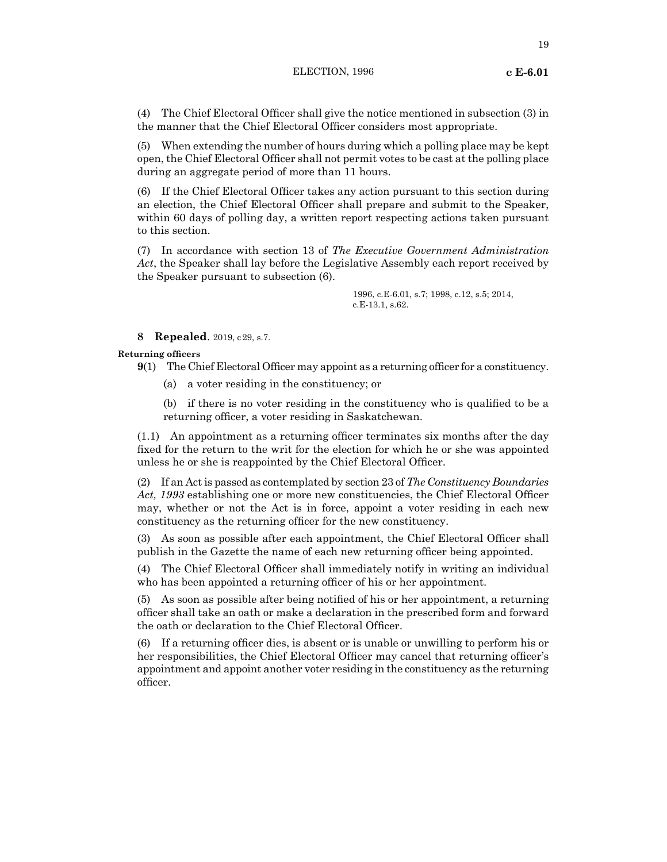(4) The Chief Electoral Officer shall give the notice mentioned in subsection (3) in the manner that the Chief Electoral Officer considers most appropriate.

(5) When extending the number of hours during which a polling place may be kept open, the Chief Electoral Officer shall not permit votes to be cast at the polling place during an aggregate period of more than 11 hours.

(6) If the Chief Electoral Officer takes any action pursuant to this section during an election, the Chief Electoral Officer shall prepare and submit to the Speaker, within 60 days of polling day, a written report respecting actions taken pursuant to this section.

(7) In accordance with section 13 of *The Executive Government Administration Act*, the Speaker shall lay before the Legislative Assembly each report received by the Speaker pursuant to subsection (6).

> 1996, c.E-6.01, s.7; 1998, c.12, s.5; 2014, c.E-13.1, s.62.

# **8 Repealed**. 2019, c29, s.7.

**Returning officers**

- **9**(1) The Chief Electoral Officer may appoint as a returning officer for a constituency.
	- (a) a voter residing in the constituency; or

(b) if there is no voter residing in the constituency who is qualified to be a returning officer, a voter residing in Saskatchewan.

(1.1) An appointment as a returning officer terminates six months after the day fixed for the return to the writ for the election for which he or she was appointed unless he or she is reappointed by the Chief Electoral Officer.

(2) If an Act is passed as contemplated by section 23 of *The Constituency Boundaries Act, 1993* establishing one or more new constituencies, the Chief Electoral Officer may, whether or not the Act is in force, appoint a voter residing in each new constituency as the returning officer for the new constituency.

(3) As soon as possible after each appointment, the Chief Electoral Officer shall publish in the Gazette the name of each new returning officer being appointed.

(4) The Chief Electoral Officer shall immediately notify in writing an individual who has been appointed a returning officer of his or her appointment.

(5) As soon as possible after being notified of his or her appointment, a returning officer shall take an oath or make a declaration in the prescribed form and forward the oath or declaration to the Chief Electoral Officer.

(6) If a returning officer dies, is absent or is unable or unwilling to perform his or her responsibilities, the Chief Electoral Officer may cancel that returning officer's appointment and appoint another voter residing in the constituency as the returning officer.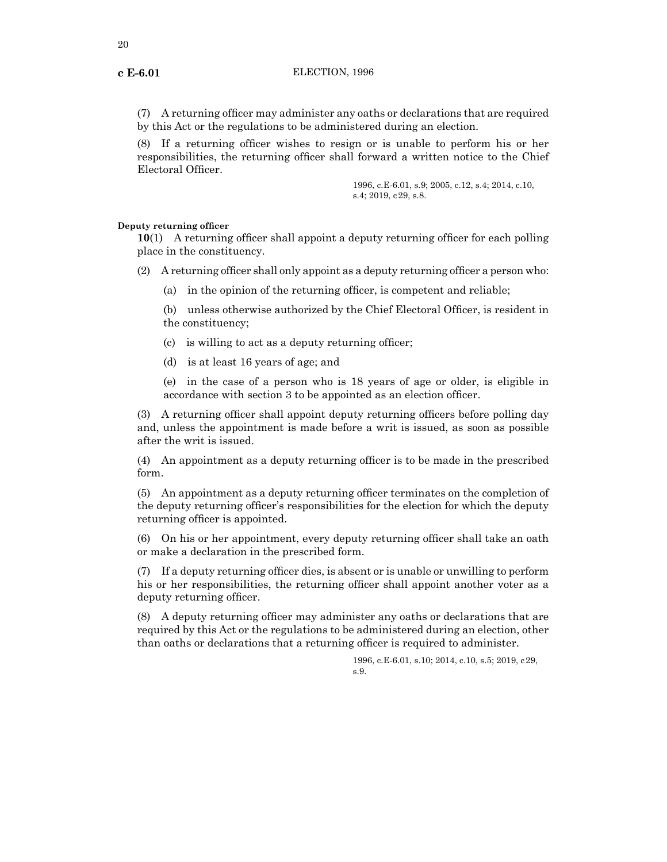(7) A returning officer may administer any oaths or declarations that are required by this Act or the regulations to be administered during an election.

(8) If a returning officer wishes to resign or is unable to perform his or her responsibilities, the returning officer shall forward a written notice to the Chief Electoral Officer.

> 1996, c.E-6.01, s.9; 2005, c.12, s.4; 2014, c.10, s.4; 2019, c29, s.8.

# **Deputy returning officer**

**10**(1) A returning officer shall appoint a deputy returning officer for each polling place in the constituency.

(2) A returning officer shall only appoint as a deputy returning officer a person who:

(a) in the opinion of the returning officer, is competent and reliable;

(b) unless otherwise authorized by the Chief Electoral Officer, is resident in the constituency;

- (c) is willing to act as a deputy returning officer;
- (d) is at least 16 years of age; and

(e) in the case of a person who is 18 years of age or older, is eligible in accordance with section 3 to be appointed as an election officer.

(3) A returning officer shall appoint deputy returning officers before polling day and, unless the appointment is made before a writ is issued, as soon as possible after the writ is issued.

(4) An appointment as a deputy returning officer is to be made in the prescribed form.

(5) An appointment as a deputy returning officer terminates on the completion of the deputy returning officer's responsibilities for the election for which the deputy returning officer is appointed.

(6) On his or her appointment, every deputy returning officer shall take an oath or make a declaration in the prescribed form.

(7) If a deputy returning officer dies, is absent or is unable or unwilling to perform his or her responsibilities, the returning officer shall appoint another voter as a deputy returning officer.

(8) A deputy returning officer may administer any oaths or declarations that are required by this Act or the regulations to be administered during an election, other than oaths or declarations that a returning officer is required to administer.

> 1996, c.E-6.01, s.10; 2014, c.10, s.5; 2019, c29, s.9.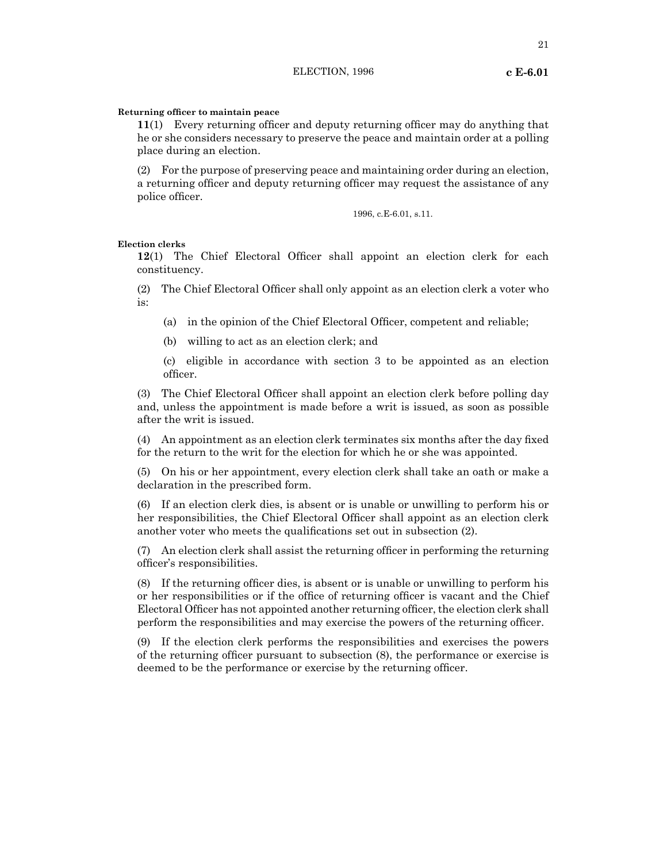# **Returning officer to maintain peace**

**11**(1) Every returning officer and deputy returning officer may do anything that he or she considers necessary to preserve the peace and maintain order at a polling place during an election.

(2) For the purpose of preserving peace and maintaining order during an election, a returning officer and deputy returning officer may request the assistance of any police officer.

1996, c.E-6.01, s.11.

# **Election clerks**

**12**(1) The Chief Electoral Officer shall appoint an election clerk for each constituency.

(2) The Chief Electoral Officer shall only appoint as an election clerk a voter who is:

(a) in the opinion of the Chief Electoral Officer, competent and reliable;

(b) willing to act as an election clerk; and

(c) eligible in accordance with section 3 to be appointed as an election officer.

(3) The Chief Electoral Officer shall appoint an election clerk before polling day and, unless the appointment is made before a writ is issued, as soon as possible after the writ is issued.

(4) An appointment as an election clerk terminates six months after the day fixed for the return to the writ for the election for which he or she was appointed.

(5) On his or her appointment, every election clerk shall take an oath or make a declaration in the prescribed form.

(6) If an election clerk dies, is absent or is unable or unwilling to perform his or her responsibilities, the Chief Electoral Officer shall appoint as an election clerk another voter who meets the qualifications set out in subsection (2).

(7) An election clerk shall assist the returning officer in performing the returning officer's responsibilities.

(8) If the returning officer dies, is absent or is unable or unwilling to perform his or her responsibilities or if the office of returning officer is vacant and the Chief Electoral Officer has not appointed another returning officer, the election clerk shall perform the responsibilities and may exercise the powers of the returning officer.

(9) If the election clerk performs the responsibilities and exercises the powers of the returning officer pursuant to subsection (8), the performance or exercise is deemed to be the performance or exercise by the returning officer.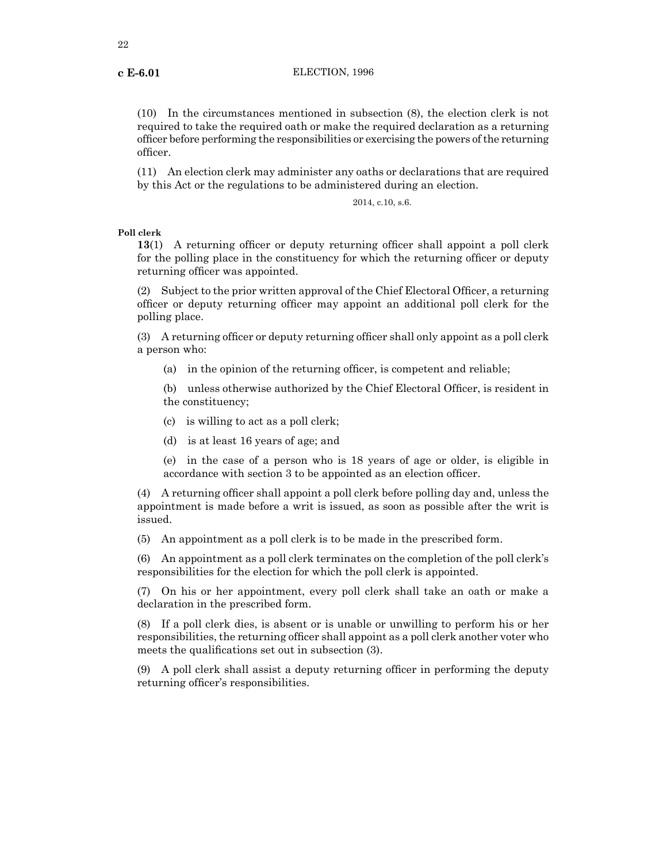(10) In the circumstances mentioned in subsection (8), the election clerk is not required to take the required oath or make the required declaration as a returning officer before performing the responsibilities or exercising the powers ofthe returning officer.

(11) An election clerk may administer any oaths or declarations that are required by this Act or the regulations to be administered during an election.

2014, c.10, s.6.

**Poll clerk**

**13**(1) A returning officer or deputy returning officer shall appoint a poll clerk for the polling place in the constituency for which the returning officer or deputy returning officer was appointed.

(2) Subject to the prior written approval of the Chief Electoral Officer, a returning officer or deputy returning officer may appoint an additional poll clerk for the polling place.

(3) A returning officer or deputy returning officer shall only appoint as a poll clerk a person who:

(a) in the opinion of the returning officer, is competent and reliable;

(b) unless otherwise authorized by the Chief Electoral Officer, is resident in the constituency;

(c) is willing to act as a poll clerk;

(d) is at least 16 years of age; and

(e) in the case of a person who is 18 years of age or older, is eligible in accordance with section 3 to be appointed as an election officer.

(4) A returning officer shall appoint a poll clerk before polling day and, unless the appointment is made before a writ is issued, as soon as possible after the writ is issued.

(5) An appointment as a poll clerk is to be made in the prescribed form.

(6) An appointment as a poll clerk terminates on the completion of the poll clerk's responsibilities for the election for which the poll clerk is appointed.

(7) On his or her appointment, every poll clerk shall take an oath or make a declaration in the prescribed form.

(8) If a poll clerk dies, is absent or is unable or unwilling to perform his or her responsibilities, the returning officer shall appoint as a poll clerk another voter who meets the qualifications set out in subsection (3).

(9) A poll clerk shall assist a deputy returning officer in performing the deputy returning officer's responsibilities.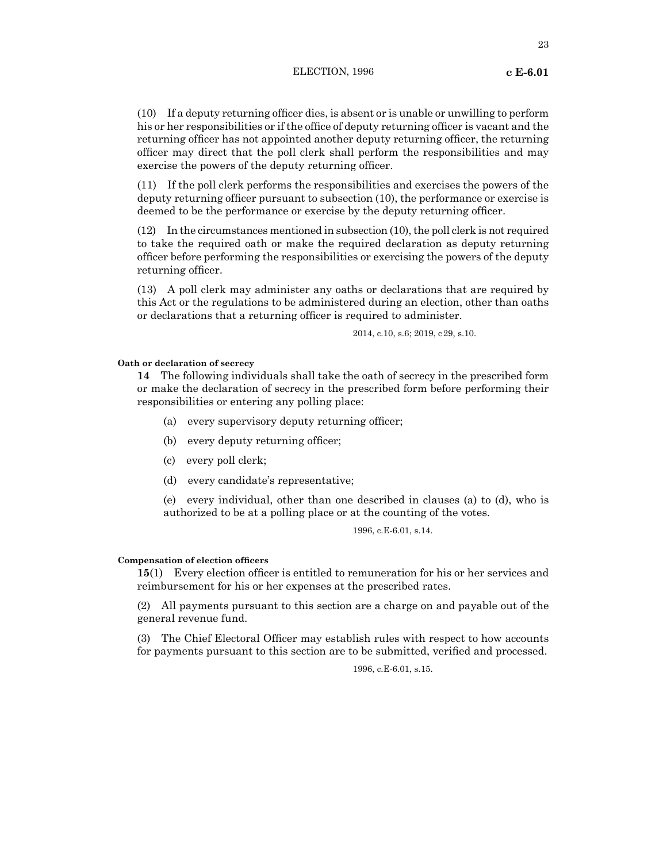23

(10) If a deputy returning officer dies, is absent or is unable or unwilling to perform his or her responsibilities or if the office of deputy returning officer is vacant and the returning officer has not appointed another deputy returning officer, the returning officer may direct that the poll clerk shall perform the responsibilities and may exercise the powers of the deputy returning officer.

(11) If the poll clerk performs the responsibilities and exercises the powers of the deputy returning officer pursuant to subsection (10), the performance or exercise is deemed to be the performance or exercise by the deputy returning officer.

(12) In the circumstances mentioned in subsection (10), the poll clerk is not required to take the required oath or make the required declaration as deputy returning officer before performing the responsibilities or exercising the powers of the deputy returning officer.

(13) A poll clerk may administer any oaths or declarations that are required by this Act or the regulations to be administered during an election, other than oaths or declarations that a returning officer is required to administer.

2014, c.10, s.6; 2019, c29, s.10.

# **Oath or declaration of secrecy**

**14** The following individuals shall take the oath of secrecy in the prescribed form or make the declaration of secrecy in the prescribed form before performing their responsibilities or entering any polling place:

- (a) every supervisory deputy returning officer;
- (b) every deputy returning officer;
- (c) every poll clerk;
- (d) every candidate's representative;

(e) every individual, other than one described in clauses (a) to (d), who is authorized to be at a polling place or at the counting of the votes.

1996, c.E-6.01, s.14.

# **Compensation of election officers**

**15**(1) Every election officer is entitled to remuneration for his or her services and reimbursement for his or her expenses at the prescribed rates.

(2) All payments pursuant to this section are a charge on and payable out of the general revenue fund.

(3) The Chief Electoral Officer may establish rules with respect to how accounts for payments pursuant to this section are to be submitted, verified and processed.

1996, c.E-6.01, s.15.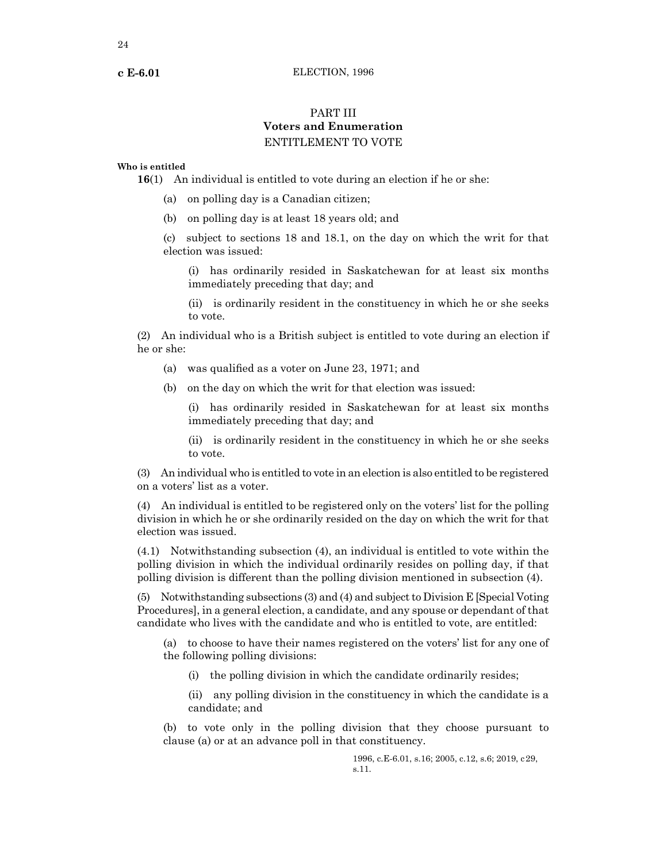# PART III **Voters and Enumeration** ENTITLEMENT TO VOTE

# **Who is entitled**

**16**(1) An individual is entitled to vote during an election if he or she:

- (a) on polling day is a Canadian citizen;
- (b) on polling day is at least 18 years old; and

(c) subject to sections 18 and 18.1, on the day on which the writ for that election was issued:

(i) has ordinarily resided in Saskatchewan for at least six months immediately preceding that day; and

(ii) is ordinarily resident in the constituency in which he or she seeks to vote.

(2) An individual who is a British subject is entitled to vote during an election if he or she:

- (a) was qualified as a voter on June 23, 1971; and
- (b) on the day on which the writ for that election was issued:

(i) has ordinarily resided in Saskatchewan for at least six months immediately preceding that day; and

(ii) is ordinarily resident in the constituency in which he or she seeks to vote.

(3) An individual who is entitled to vote in an election is also entitled to be registered on a voters' list as a voter.

(4) An individual is entitled to be registered only on the voters' list for the polling division in which he or she ordinarily resided on the day on which the writ for that election was issued.

(4.1) Notwithstanding subsection (4), an individual is entitled to vote within the polling division in which the individual ordinarily resides on polling day, if that polling division is different than the polling division mentioned in subsection (4).

(5) Notwithstanding subsections (3) and (4) and subject to Division E [Special Voting Procedures], in a general election, a candidate, and any spouse or dependant of that candidate who lives with the candidate and who is entitled to vote, are entitled:

(a) to choose to have their names registered on the voters' list for any one of the following polling divisions:

(i) the polling division in which the candidate ordinarily resides;

(ii) any polling division in the constituency in which the candidate is a candidate; and

(b) to vote only in the polling division that they choose pursuant to clause (a) or at an advance poll in that constituency.

> 1996, c.E-6.01, s.16; 2005, c.12, s.6; 2019, c29, s.11.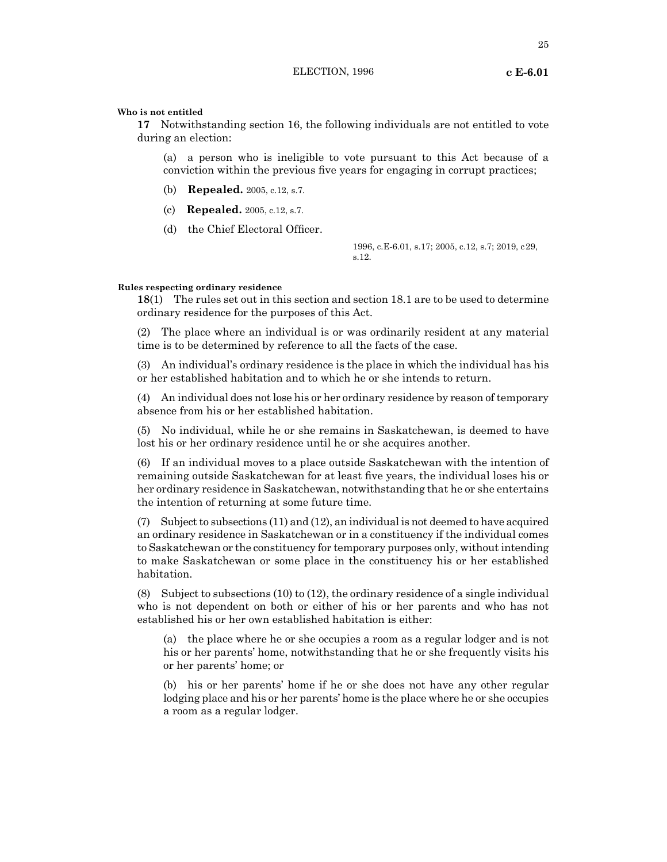**17** Notwithstanding section 16, the following individuals are not entitled to vote during an election:

(a) a person who is ineligible to vote pursuant to this Act because of a conviction within the previous five years for engaging in corrupt practices;

- (b) **Repealed.** 2005, c.12, s.7.
- (c) **Repealed.** 2005, c.12, s.7.
- (d) the Chief Electoral Officer.

1996, c.E-6.01, s.17; 2005, c.12, s.7; 2019, c29, s.12.

# **Rules respecting ordinary residence**

**18**(1) The rules set out in this section and section 18.1 are to be used to determine ordinary residence for the purposes of this Act.

(2) The place where an individual is or was ordinarily resident at any material time is to be determined by reference to all the facts of the case.

(3) An individual's ordinary residence is the place in which the individual has his or her established habitation and to which he or she intends to return.

(4) An individual does not lose his or her ordinary residence by reason of temporary absence from his or her established habitation.

(5) No individual, while he or she remains in Saskatchewan, is deemed to have lost his or her ordinary residence until he or she acquires another.

(6) If an individual moves to a place outside Saskatchewan with the intention of remaining outside Saskatchewan for at least five years, the individual loses his or her ordinary residence in Saskatchewan, notwithstanding that he or she entertains the intention of returning at some future time.

(7) Subject to subsections (11) and (12), an individual is not deemed to have acquired an ordinary residence in Saskatchewan or in a constituency if the individual comes to Saskatchewan or the constituency for temporary purposes only, without intending to make Saskatchewan or some place in the constituency his or her established habitation.

(8) Subject to subsections (10) to (12), the ordinary residence of a single individual who is not dependent on both or either of his or her parents and who has not established his or her own established habitation is either:

(a) the place where he or she occupies a room as a regular lodger and is not his or her parents' home, notwithstanding that he or she frequently visits his or her parents' home; or

(b) his or her parents' home if he or she does not have any other regular lodging place and his or her parents' home is the place where he or she occupies a room as a regular lodger.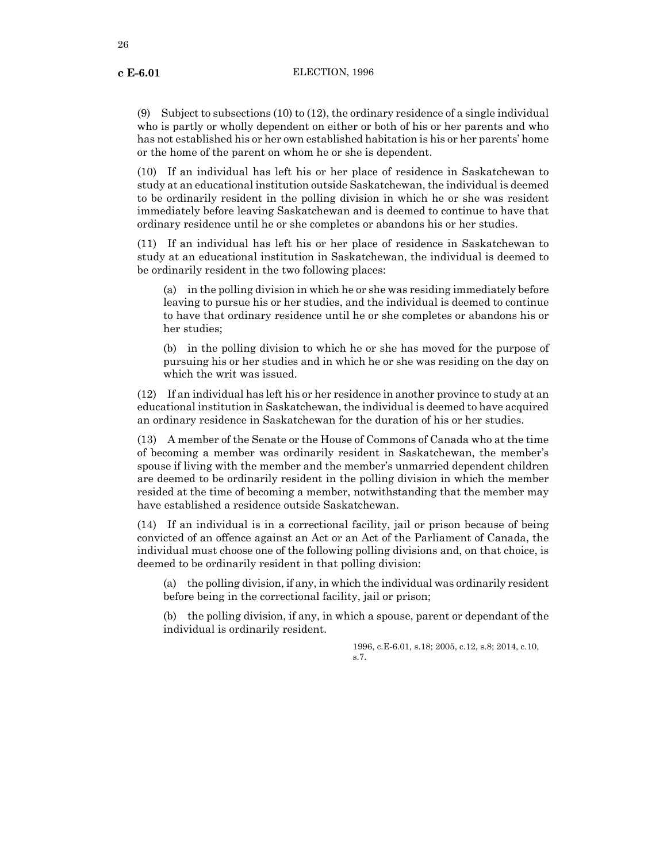(9) Subject to subsections (10) to (12), the ordinary residence of a single individual who is partly or wholly dependent on either or both of his or her parents and who has not established his or her own established habitation is his or her parents' home or the home of the parent on whom he or she is dependent.

(10) If an individual has left his or her place of residence in Saskatchewan to study at an educational institution outside Saskatchewan, the individual is deemed to be ordinarily resident in the polling division in which he or she was resident immediately before leaving Saskatchewan and is deemed to continue to have that ordinary residence until he or she completes or abandons his or her studies.

(11) If an individual has left his or her place of residence in Saskatchewan to study at an educational institution in Saskatchewan, the individual is deemed to be ordinarily resident in the two following places:

(a) in the polling division in which he or she was residing immediately before leaving to pursue his or her studies, and the individual is deemed to continue to have that ordinary residence until he or she completes or abandons his or her studies;

(b) in the polling division to which he or she has moved for the purpose of pursuing his or her studies and in which he or she was residing on the day on which the writ was issued.

(12) If an individual has left his or her residence in another province to study at an educational institution in Saskatchewan, the individual is deemed to have acquired an ordinary residence in Saskatchewan for the duration of his or her studies.

(13) A member of the Senate or the House of Commons of Canada who at the time of becoming a member was ordinarily resident in Saskatchewan, the member's spouse if living with the member and the member's unmarried dependent children are deemed to be ordinarily resident in the polling division in which the member resided at the time of becoming a member, notwithstanding that the member may have established a residence outside Saskatchewan.

(14) If an individual is in a correctional facility, jail or prison because of being convicted of an offence against an Act or an Act of the Parliament of Canada, the individual must choose one of the following polling divisions and, on that choice, is deemed to be ordinarily resident in that polling division:

(a) the polling division, if any, in which the individual was ordinarily resident before being in the correctional facility, jail or prison;

(b) the polling division, if any, in which a spouse, parent or dependant of the individual is ordinarily resident.

> 1996, c.E-6.01, s.18; 2005, c.12, s.8; 2014, c.10, s.7.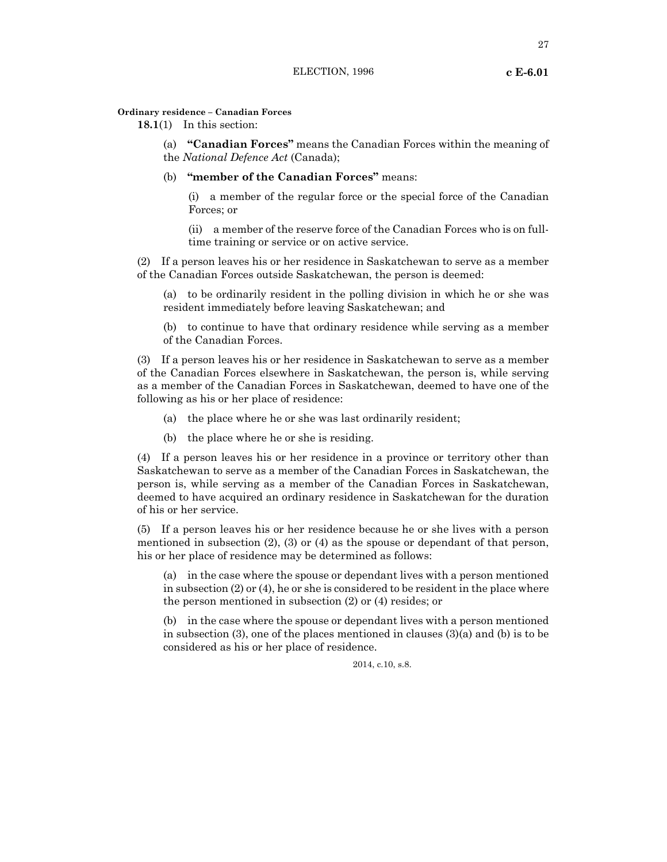**18.1**(1) In this section:

(a) **"Canadian Forces"** means the Canadian Forces within the meaning of the *National Defence Act* (Canada);

(b) **"member of the Canadian Forces"** means:

(i) a member of the regular force or the special force of the Canadian Forces; or

(ii) a member of the reserve force of the Canadian Forces who is on fulltime training or service or on active service.

(2) If a person leaves his or her residence in Saskatchewan to serve as a member of the Canadian Forces outside Saskatchewan, the person is deemed:

(a) to be ordinarily resident in the polling division in which he or she was resident immediately before leaving Saskatchewan; and

(b) to continue to have that ordinary residence while serving as a member of the Canadian Forces.

(3) If a person leaves his or her residence in Saskatchewan to serve as a member of the Canadian Forces elsewhere in Saskatchewan, the person is, while serving as a member of the Canadian Forces in Saskatchewan, deemed to have one of the following as his or her place of residence:

- (a) the place where he or she was last ordinarily resident;
- (b) the place where he or she is residing.

(4) If a person leaves his or her residence in a province or territory other than Saskatchewan to serve as a member of the Canadian Forces in Saskatchewan, the person is, while serving as a member of the Canadian Forces in Saskatchewan, deemed to have acquired an ordinary residence in Saskatchewan for the duration of his or her service.

(5) If a person leaves his or her residence because he or she lives with a person mentioned in subsection (2), (3) or (4) as the spouse or dependant of that person, his or her place of residence may be determined as follows:

(a) in the case where the spouse or dependant lives with a person mentioned in subsection (2) or (4), he or she is considered to be resident in the place where the person mentioned in subsection (2) or (4) resides; or

(b) in the case where the spouse or dependant lives with a person mentioned in subsection (3), one of the places mentioned in clauses (3)(a) and (b) is to be considered as his or her place of residence.

2014, c.10, s.8.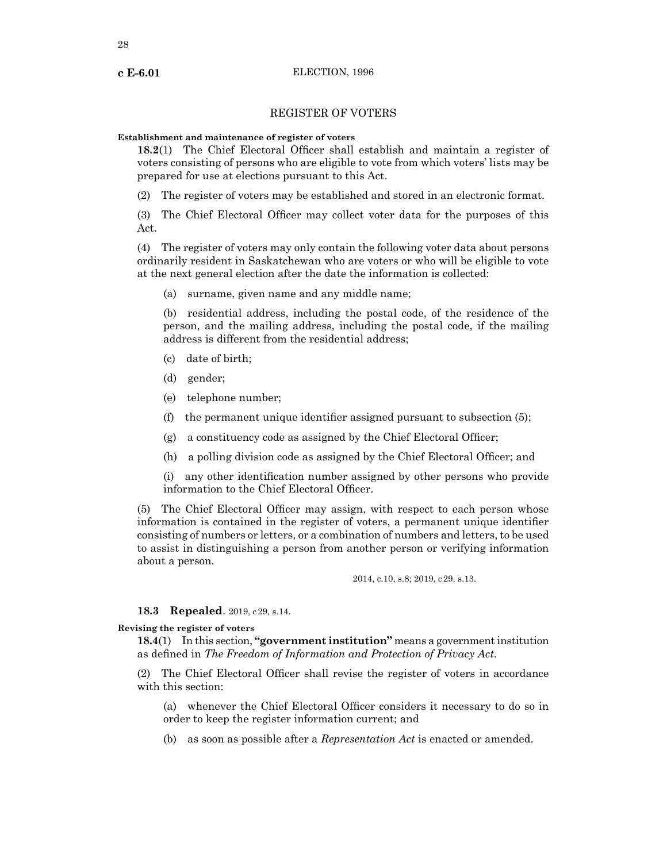# REGISTER OF VOTERS

# **Establishment and maintenance of register of voters**

**18.2**(1) The Chief Electoral Officer shall establish and maintain a register of voters consisting of persons who are eligible to vote from which voters' lists may be prepared for use at elections pursuant to this Act.

(2) The register of voters may be established and stored in an electronic format.

(3) The Chief Electoral Officer may collect voter data for the purposes of this Act.

(4) The register of voters may only contain the following voter data about persons ordinarily resident in Saskatchewan who are voters or who will be eligible to vote at the next general election after the date the information is collected:

(a) surname, given name and any middle name;

(b) residential address, including the postal code, of the residence of the person, and the mailing address, including the postal code, if the mailing address is different from the residential address;

- (c) date of birth;
- (d) gender;
- (e) telephone number;
- (f) the permanent unique identifier assigned pursuant to subsection (5);
- (g) a constituency code as assigned by the Chief Electoral Officer;
- (h) a polling division code as assigned by the Chief Electoral Officer; and

(i) any other identification number assigned by other persons who provide information to the Chief Electoral Officer.

(5) The Chief Electoral Officer may assign, with respect to each person whose information is contained in the register of voters, a permanent unique identifier consisting of numbers or letters, or a combination of numbers and letters, to be used to assist in distinguishing a person from another person or verifying information about a person.

2014, c.10, s.8; 2019, c29, s.13.

# **18.3 Repealed**. 2019, c29, s.14.

# **Revising the register of voters**

**18.4**(1) In this section, **"government institution"** means a government institution as defined in *The Freedom of Information and Protection of Privacy Act*.

(2) The Chief Electoral Officer shall revise the register of voters in accordance with this section:

(a) whenever the Chief Electoral Officer considers it necessary to do so in order to keep the register information current; and

(b) as soon as possible after a *Representation Act* is enacted or amended.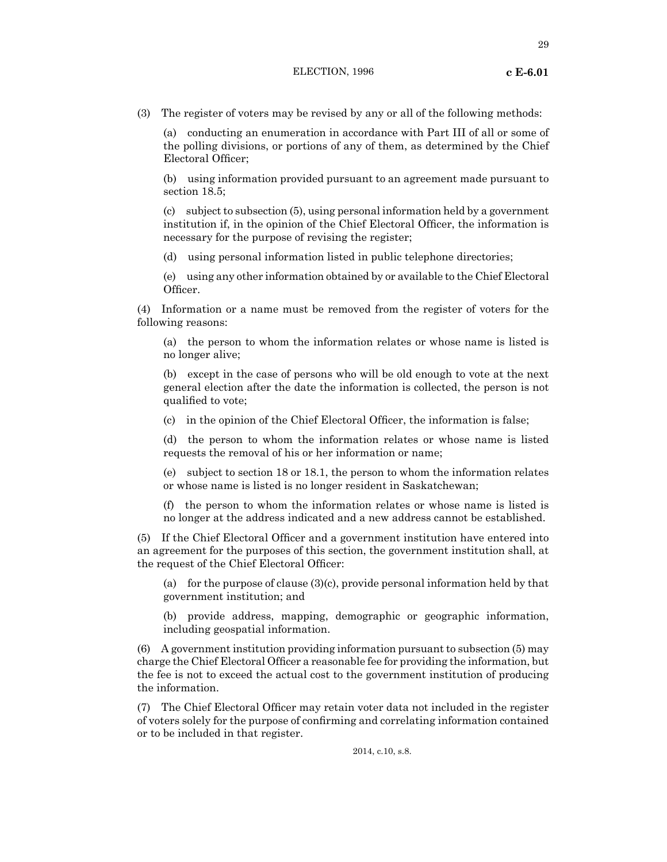# ELECTION, 1996 **c E-6.01**

29

(a) conducting an enumeration in accordance with Part III of all or some of the polling divisions, or portions of any of them, as determined by the Chief Electoral Officer;

(b) using information provided pursuant to an agreement made pursuant to section 18.5;

(c) subject to subsection (5), using personal information held by a government institution if, in the opinion of the Chief Electoral Officer, the information is necessary for the purpose of revising the register;

(d) using personal information listed in public telephone directories;

(e) using any other information obtained by or available to the Chief Electoral Officer.

(4) Information or a name must be removed from the register of voters for the following reasons:

(a) the person to whom the information relates or whose name is listed is no longer alive;

(b) except in the case of persons who will be old enough to vote at the next general election after the date the information is collected, the person is not qualified to vote;

(c) in the opinion of the Chief Electoral Officer, the information is false;

(d) the person to whom the information relates or whose name is listed requests the removal of his or her information or name;

(e) subject to section 18 or 18.1, the person to whom the information relates or whose name is listed is no longer resident in Saskatchewan;

(f) the person to whom the information relates or whose name is listed is no longer at the address indicated and a new address cannot be established.

(5) If the Chief Electoral Officer and a government institution have entered into an agreement for the purposes of this section, the government institution shall, at the request of the Chief Electoral Officer:

(a) for the purpose of clause (3)(c), provide personal information held by that government institution; and

(b) provide address, mapping, demographic or geographic information, including geospatial information.

(6) A government institution providing information pursuant to subsection (5) may charge the Chief Electoral Officer a reasonable fee for providing the information, but the fee is not to exceed the actual cost to the government institution of producing the information.

(7) The Chief Electoral Officer may retain voter data not included in the register of voters solely for the purpose of confirming and correlating information contained or to be included in that register.

2014, c.10, s.8.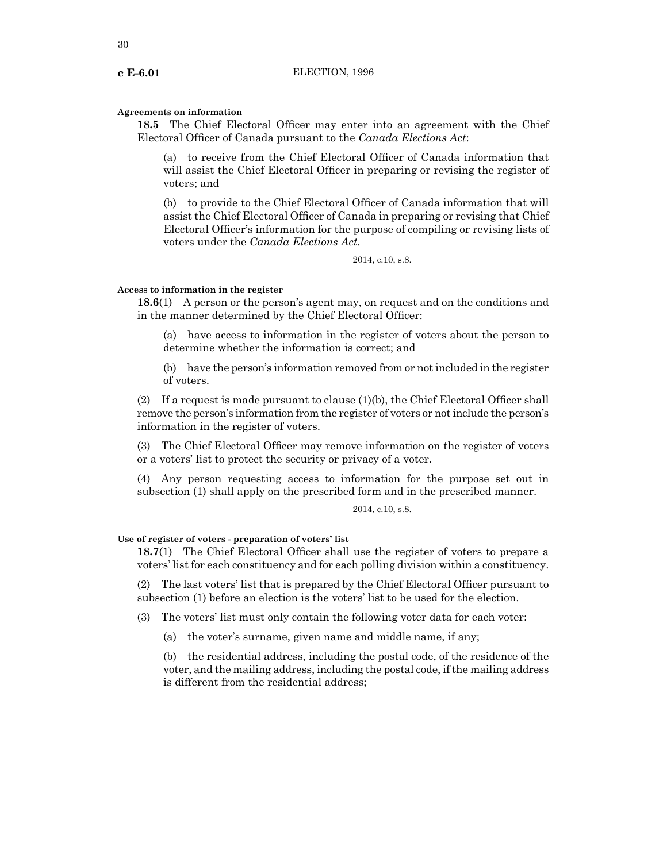# **Agreements on information**

**18.5** The Chief Electoral Officer may enter into an agreement with the Chief Electoral Officer of Canada pursuant to the *Canada Elections Act*:

(a) to receive from the Chief Electoral Officer of Canada information that will assist the Chief Electoral Officer in preparing or revising the register of voters; and

(b) to provide to the Chief Electoral Officer of Canada information that will assist the Chief Electoral Officer of Canada in preparing or revising that Chief Electoral Officer's information for the purpose of compiling or revising lists of voters under the *Canada Elections Act*.

2014, c.10, s.8.

# **Access to information in the register**

**18.6**(1) A person or the person's agent may, on request and on the conditions and in the manner determined by the Chief Electoral Officer:

(a) have access to information in the register of voters about the person to determine whether the information is correct; and

(b) have the person's information removed from or notincluded in the register of voters.

(2) If a request is made pursuant to clause (1)(b), the Chief Electoral Officer shall remove the person's information from the register of voters or notinclude the person's information in the register of voters.

(3) The Chief Electoral Officer may remove information on the register of voters or a voters' list to protect the security or privacy of a voter.

(4) Any person requesting access to information for the purpose set out in subsection (1) shall apply on the prescribed form and in the prescribed manner.

# 2014, c.10, s.8.

# **Use of register of voters - preparation of voters' list**

**18.7**(1) The Chief Electoral Officer shall use the register of voters to prepare a voters' list for each constituency and for each polling division within a constituency.

(2) The last voters' list that is prepared by the Chief Electoral Officer pursuant to subsection (1) before an election is the voters' list to be used for the election.

(3) The voters' list must only contain the following voter data for each voter:

(a) the voter's surname, given name and middle name, if any;

(b) the residential address, including the postal code, of the residence of the voter, and the mailing address, including the postal code, if the mailing address is different from the residential address;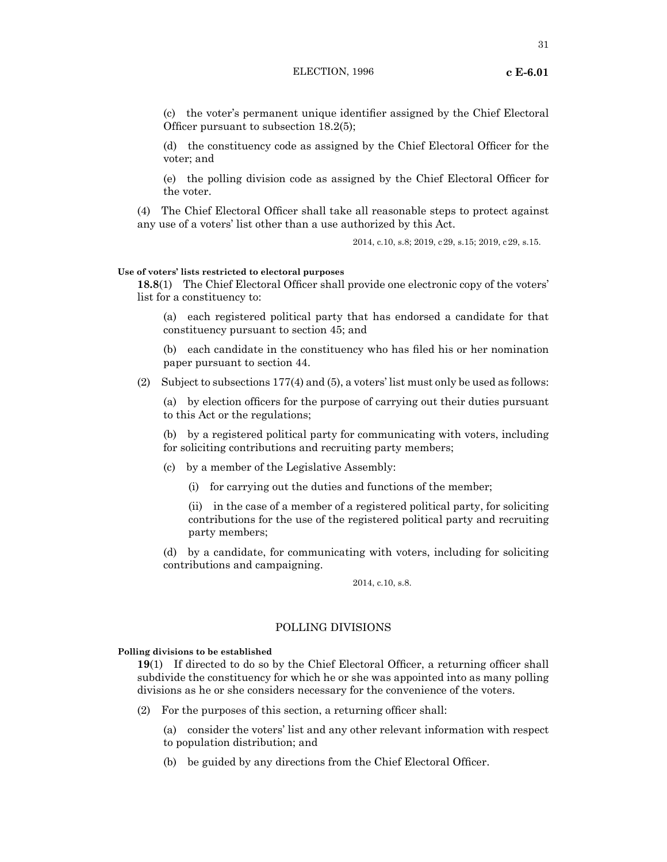# ELECTION, 1996 **c E-6.01**

31

(c) the voter's permanent unique identifier assigned by the Chief Electoral Officer pursuant to subsection 18.2(5);

(d) the constituency code as assigned by the Chief Electoral Officer for the voter; and

(e) the polling division code as assigned by the Chief Electoral Officer for the voter.

(4) The Chief Electoral Officer shall take all reasonable steps to protect against any use of a voters' list other than a use authorized by this Act.

2014, c.10, s.8; 2019, c29, s.15; 2019, c29, s.15.

# **Use of voters' lists restricted to electoral purposes**

**18.8**(1) The Chief Electoral Officer shall provide one electronic copy of the voters' list for a constituency to:

(a) each registered political party that has endorsed a candidate for that constituency pursuant to section 45; and

(b) each candidate in the constituency who has filed his or her nomination paper pursuant to section 44.

(2) Subject to subsections 177(4) and (5), a voters' list must only be used as follows:

(a) by election officers for the purpose of carrying out their duties pursuant to this Act or the regulations;

(b) by a registered political party for communicating with voters, including for soliciting contributions and recruiting party members;

(c) by a member of the Legislative Assembly:

(i) for carrying out the duties and functions of the member;

(ii) in the case of a member of a registered political party, for soliciting contributions for the use of the registered political party and recruiting party members;

(d) by a candidate, for communicating with voters, including for soliciting contributions and campaigning.

2014, c.10, s.8.

# POLLING DIVISIONS

# **Polling divisions to be established**

**19**(1) If directed to do so by the Chief Electoral Officer, a returning officer shall subdivide the constituency for which he or she was appointed into as many polling divisions as he or she considers necessary for the convenience of the voters.

(2) For the purposes of this section, a returning officer shall:

(a) consider the voters' list and any other relevant information with respect to population distribution; and

(b) be guided by any directions from the Chief Electoral Officer.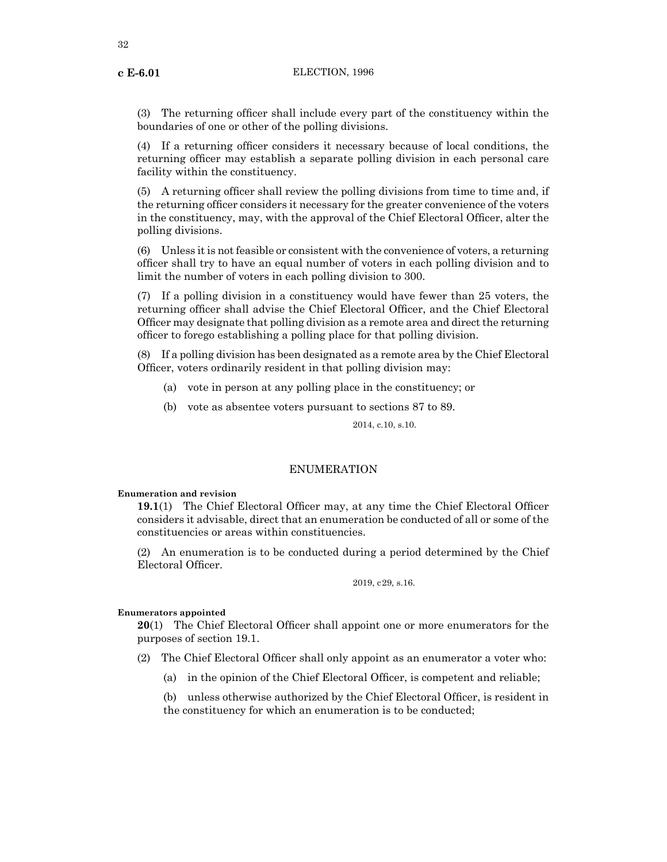(3) The returning officer shall include every part of the constituency within the boundaries of one or other of the polling divisions.

(4) If a returning officer considers it necessary because of local conditions, the returning officer may establish a separate polling division in each personal care facility within the constituency.

(5) A returning officer shall review the polling divisions from time to time and, if the returning officer considers it necessary for the greater convenience of the voters in the constituency, may, with the approval of the Chief Electoral Officer, alter the polling divisions.

(6) Unless it is not feasible or consistent with the convenience of voters, a returning officer shall try to have an equal number of voters in each polling division and to limit the number of voters in each polling division to 300.

(7) If a polling division in a constituency would have fewer than 25 voters, the returning officer shall advise the Chief Electoral Officer, and the Chief Electoral Officer may designate that polling division as a remote area and direct the returning officer to forego establishing a polling place for that polling division.

(8) If a polling division has been designated as a remote area by the Chief Electoral Officer, voters ordinarily resident in that polling division may:

- (a) vote in person at any polling place in the constituency; or
- (b) vote as absentee voters pursuant to sections 87 to 89.

2014, c.10, s.10.

# ENUMERATION

# **Enumeration and revision**

**19.1**(1) The Chief Electoral Officer may, at any time the Chief Electoral Officer considers it advisable, direct that an enumeration be conducted of all or some of the constituencies or areas within constituencies.

(2) An enumeration is to be conducted during a period determined by the Chief Electoral Officer.

2019, c29, s.16.

# **Enumerators appointed**

**20**(1) The Chief Electoral Officer shall appoint one or more enumerators for the purposes of section 19.1.

(2) The Chief Electoral Officer shall only appoint as an enumerator a voter who:

(a) in the opinion of the Chief Electoral Officer, is competent and reliable;

(b) unless otherwise authorized by the Chief Electoral Officer, is resident in the constituency for which an enumeration is to be conducted;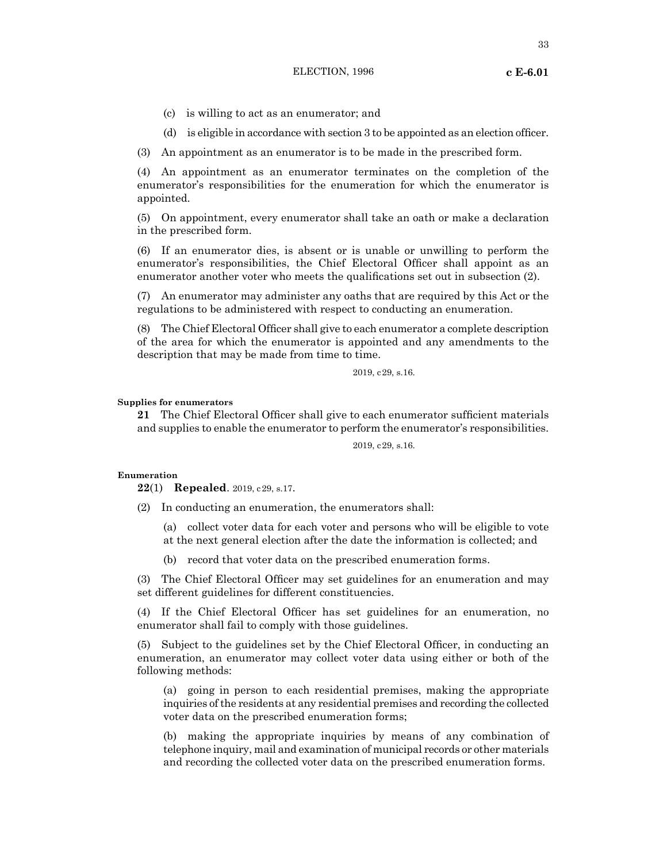# ELECTION, 1996 **c E-6.01**

- (c) is willing to act as an enumerator; and
- (d) is eligible in accordance with section 3 to be appointed as an election officer.

(3) An appointment as an enumerator is to be made in the prescribed form.

(4) An appointment as an enumerator terminates on the completion of the enumerator's responsibilities for the enumeration for which the enumerator is appointed.

(5) On appointment, every enumerator shall take an oath or make a declaration in the prescribed form.

(6) If an enumerator dies, is absent or is unable or unwilling to perform the enumerator's responsibilities, the Chief Electoral Officer shall appoint as an enumerator another voter who meets the qualifications set out in subsection (2).

(7) An enumerator may administer any oaths that are required by this Act or the regulations to be administered with respect to conducting an enumeration.

(8) The Chief Electoral Officer shall give to each enumerator a complete description of the area for which the enumerator is appointed and any amendments to the description that may be made from time to time.

2019, c29, s.16.

# **Supplies for enumerators**

**21** The Chief Electoral Officer shall give to each enumerator sufficient materials and supplies to enable the enumerator to perform the enumerator's responsibilities.

2019, c29, s.16.

# **Enumeration**

**22**(1) **Repealed**. 2019, c29, s.17.

(2) In conducting an enumeration, the enumerators shall:

(a) collect voter data for each voter and persons who will be eligible to vote at the next general election after the date the information is collected; and

(b) record that voter data on the prescribed enumeration forms.

(3) The Chief Electoral Officer may set guidelines for an enumeration and may set different guidelines for different constituencies.

(4) If the Chief Electoral Officer has set guidelines for an enumeration, no enumerator shall fail to comply with those guidelines.

(5) Subject to the guidelines set by the Chief Electoral Officer, in conducting an enumeration, an enumerator may collect voter data using either or both of the following methods:

(a) going in person to each residential premises, making the appropriate inquiries of the residents at any residential premises and recording the collected voter data on the prescribed enumeration forms;

(b) making the appropriate inquiries by means of any combination of telephone inquiry, mail and examination of municipal records or other materials and recording the collected voter data on the prescribed enumeration forms.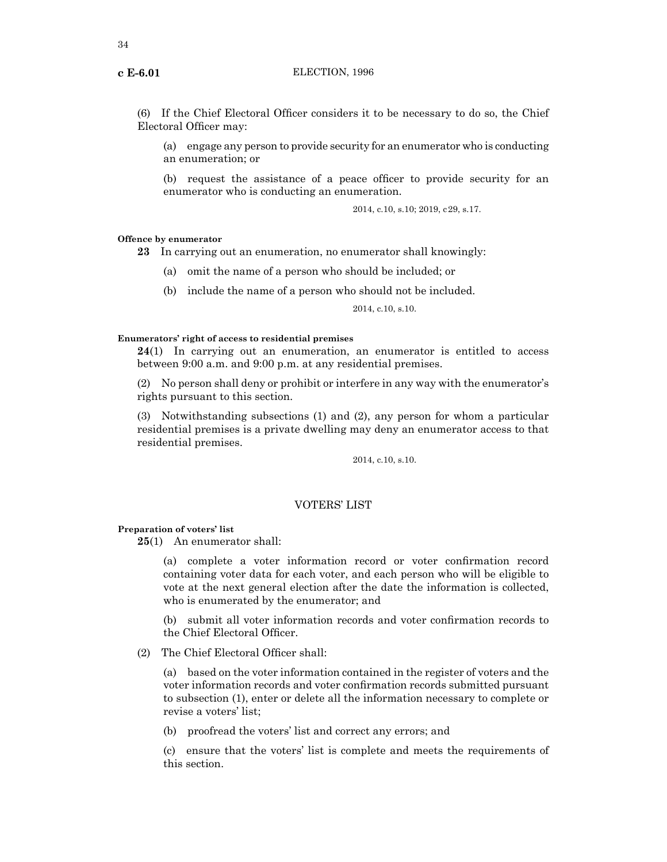(6) If the Chief Electoral Officer considers it to be necessary to do so, the Chief Electoral Officer may:

(a) engage any person to provide security for an enumerator who is conducting an enumeration; or

(b) request the assistance of a peace officer to provide security for an enumerator who is conducting an enumeration.

2014, c.10, s.10; 2019, c29, s.17.

# **Offence by enumerator**

**23** In carrying out an enumeration, no enumerator shall knowingly:

- (a) omit the name of a person who should be included; or
- (b) include the name of a person who should not be included.

2014, c.10, s.10.

# **Enumerators' right of access to residential premises**

**24**(1) In carrying out an enumeration, an enumerator is entitled to access between 9:00 a.m. and 9:00 p.m. at any residential premises.

(2) No person shall deny or prohibit or interfere in any way with the enumerator's rights pursuant to this section.

(3) Notwithstanding subsections (1) and (2), any person for whom a particular residential premises is a private dwelling may deny an enumerator access to that residential premises.

2014, c.10, s.10.

# VOTERS' LIST

# **Preparation of voters' list**

**25**(1) An enumerator shall:

(a) complete a voter information record or voter confirmation record containing voter data for each voter, and each person who will be eligible to vote at the next general election after the date the information is collected, who is enumerated by the enumerator; and

(b) submit all voter information records and voter confirmation records to the Chief Electoral Officer.

(2) The Chief Electoral Officer shall:

(a) based on the voter information contained in the register of voters and the voter information records and voter confirmation records submitted pursuant to subsection (1), enter or delete all the information necessary to complete or revise a voters' list;

(b) proofread the voters' list and correct any errors; and

(c) ensure that the voters' list is complete and meets the requirements of this section.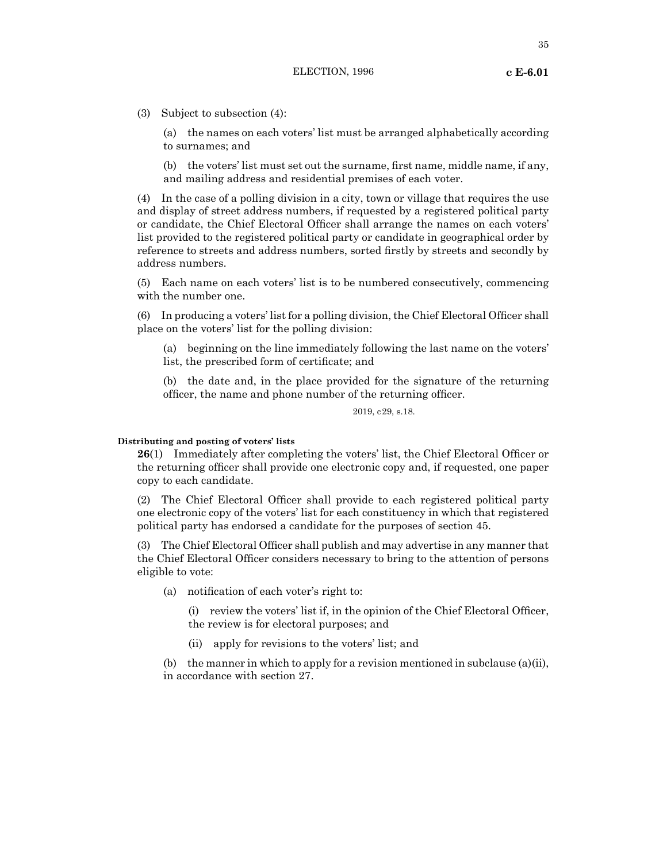35

(3) Subject to subsection (4):

(a) the names on each voters' list must be arranged alphabetically according to surnames; and

(b) the voters' list must set out the surname, first name, middle name, if any, and mailing address and residential premises of each voter.

(4) In the case of a polling division in a city, town or village that requires the use and display of street address numbers, if requested by a registered political party or candidate, the Chief Electoral Officer shall arrange the names on each voters' list provided to the registered political party or candidate in geographical order by reference to streets and address numbers, sorted firstly by streets and secondly by address numbers.

(5) Each name on each voters' list is to be numbered consecutively, commencing with the number one.

(6) In producing a voters' list for a polling division, the Chief Electoral Officer shall place on the voters' list for the polling division:

(a) beginning on the line immediately following the last name on the voters' list, the prescribed form of certificate; and

(b) the date and, in the place provided for the signature of the returning officer, the name and phone number of the returning officer.

2019, c29, s.18.

# **Distributing and posting of voters' lists**

**26**(1) Immediately after completing the voters' list, the Chief Electoral Officer or the returning officer shall provide one electronic copy and, if requested, one paper copy to each candidate.

(2) The Chief Electoral Officer shall provide to each registered political party one electronic copy of the voters' list for each constituency in which that registered political party has endorsed a candidate for the purposes of section 45.

(3) The Chief Electoral Officer shall publish and may advertise in any manner that the Chief Electoral Officer considers necessary to bring to the attention of persons eligible to vote:

(a) notification of each voter's right to:

(i) review the voters' list if, in the opinion of the Chief Electoral Officer, the review is for electoral purposes; and

(ii) apply for revisions to the voters' list; and

(b) the manner in which to apply for a revision mentioned in subclause (a)(ii), in accordance with section 27.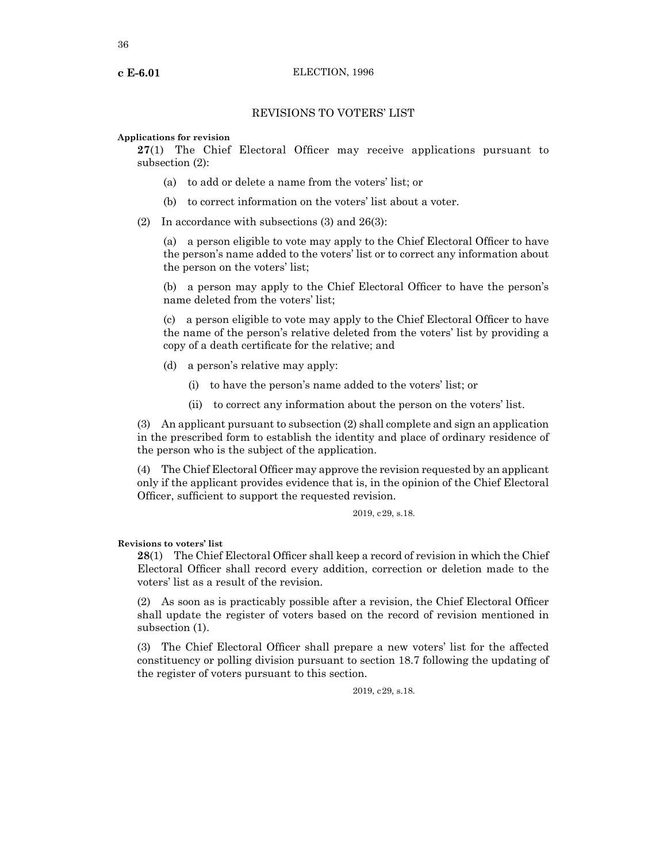# REVISIONS TO VOTERS' LIST

# **Applications for revision**

**27**(1) The Chief Electoral Officer may receive applications pursuant to subsection (2):

- (a) to add or delete a name from the voters' list; or
- (b) to correct information on the voters' list about a voter.

(2) In accordance with subsections (3) and 26(3):

(a) a person eligible to vote may apply to the Chief Electoral Officer to have the person's name added to the voters' list or to correct any information about the person on the voters' list;

(b) a person may apply to the Chief Electoral Officer to have the person's name deleted from the voters' list;

(c) a person eligible to vote may apply to the Chief Electoral Officer to have the name of the person's relative deleted from the voters' list by providing a copy of a death certificate for the relative; and

- (d) a person's relative may apply:
	- (i) to have the person's name added to the voters' list; or
	- (ii) to correct any information about the person on the voters' list.

(3) An applicant pursuant to subsection (2) shall complete and sign an application in the prescribed form to establish the identity and place of ordinary residence of the person who is the subject of the application.

(4) The Chief Electoral Officer may approve the revision requested by an applicant only if the applicant provides evidence that is, in the opinion of the Chief Electoral Officer, sufficient to support the requested revision.

2019, c29, s.18.

# **Revisions to voters' list**

**28**(1) The Chief Electoral Officer shall keep a record of revision in which the Chief Electoral Officer shall record every addition, correction or deletion made to the voters' list as a result of the revision.

(2) As soon as is practicably possible after a revision, the Chief Electoral Officer shall update the register of voters based on the record of revision mentioned in subsection (1).

(3) The Chief Electoral Officer shall prepare a new voters' list for the affected constituency or polling division pursuant to section 18.7 following the updating of the register of voters pursuant to this section.

2019, c29, s.18.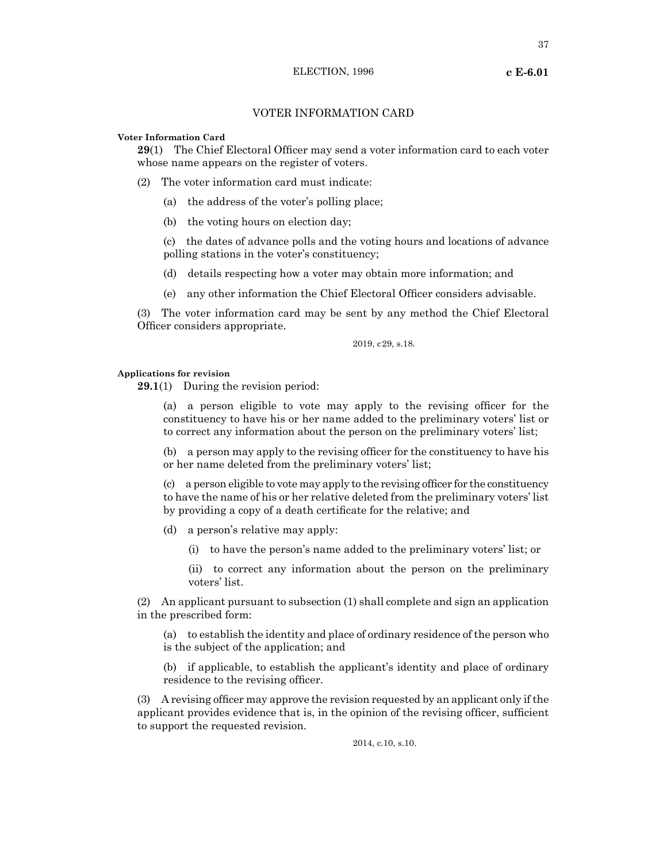## VOTER INFORMATION CARD

#### **Voter Information Card**

**29**(1) The Chief Electoral Officer may send a voter information card to each voter whose name appears on the register of voters.

- (2) The voter information card must indicate:
	- (a) the address of the voter's polling place;
	- (b) the voting hours on election day;

(c) the dates of advance polls and the voting hours and locations of advance polling stations in the voter's constituency;

- (d) details respecting how a voter may obtain more information; and
- (e) any other information the Chief Electoral Officer considers advisable.

(3) The voter information card may be sent by any method the Chief Electoral Officer considers appropriate.

2019, c29, s.18.

#### **Applications for revision**

**29.1**(1) During the revision period:

(a) a person eligible to vote may apply to the revising officer for the constituency to have his or her name added to the preliminary voters' list or to correct any information about the person on the preliminary voters' list;

(b) a person may apply to the revising officer for the constituency to have his or her name deleted from the preliminary voters' list;

(c) a person eligible to vote may apply to the revising officer for the constituency to have the name of his or her relative deleted from the preliminary voters' list by providing a copy of a death certificate for the relative; and

- (d) a person's relative may apply:
	- (i) to have the person's name added to the preliminary voters' list; or
	- (ii) to correct any information about the person on the preliminary voters' list.

(2) An applicant pursuant to subsection (1) shall complete and sign an application in the prescribed form:

(a) to establish the identity and place of ordinary residence of the person who is the subject of the application; and

(b) if applicable, to establish the applicant's identity and place of ordinary residence to the revising officer.

(3) A revising officer may approve the revision requested by an applicant only if the applicant provides evidence that is, in the opinion of the revising officer, sufficient to support the requested revision.

2014, c.10, s.10.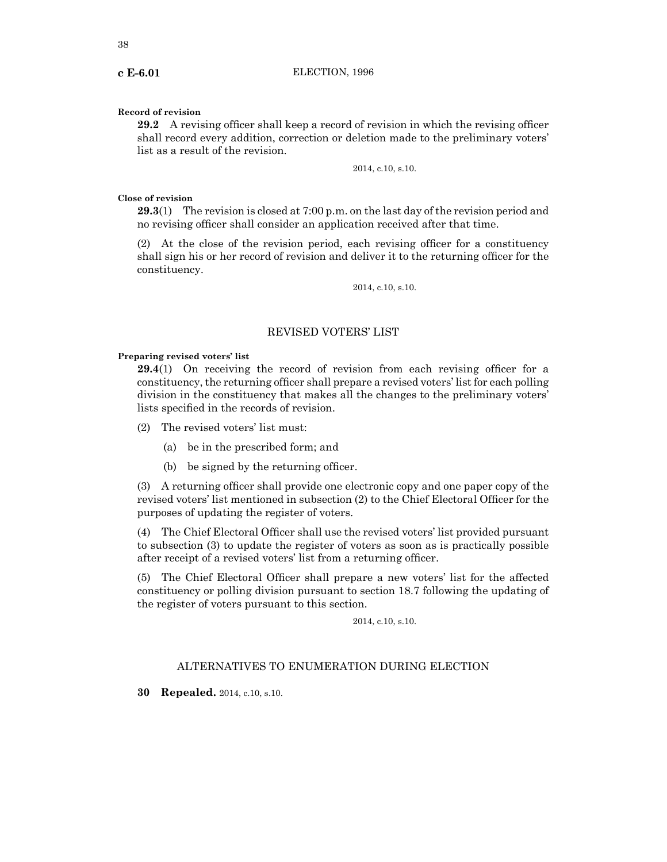## **Record of revision**

**29.2** A revising officer shall keep a record of revision in which the revising officer shall record every addition, correction or deletion made to the preliminary voters' list as a result of the revision.

2014, c.10, s.10.

## **Close of revision**

**29.3**(1) The revision is closed at 7:00 p.m. on the last day of the revision period and no revising officer shall consider an application received after that time.

(2) At the close of the revision period, each revising officer for a constituency shall sign his or her record of revision and deliver it to the returning officer for the constituency.

2014, c.10, s.10.

## REVISED VOTERS' LIST

## **Preparing revised voters' list**

**29.4**(1) On receiving the record of revision from each revising officer for a constituency, the returning officer shall prepare a revised voters' list for each polling division in the constituency that makes all the changes to the preliminary voters' lists specified in the records of revision.

- (2) The revised voters' list must:
	- (a) be in the prescribed form; and
	- (b) be signed by the returning officer.

(3) A returning officer shall provide one electronic copy and one paper copy of the revised voters' list mentioned in subsection (2) to the Chief Electoral Officer for the purposes of updating the register of voters.

(4) The Chief Electoral Officer shall use the revised voters' list provided pursuant to subsection (3) to update the register of voters as soon as is practically possible after receipt of a revised voters' list from a returning officer.

(5) The Chief Electoral Officer shall prepare a new voters' list for the affected constituency or polling division pursuant to section 18.7 following the updating of the register of voters pursuant to this section.

2014, c.10, s.10.

## ALTERNATIVES TO ENUMERATION DURING ELECTION

**30 Repealed.** 2014, c.10, s.10.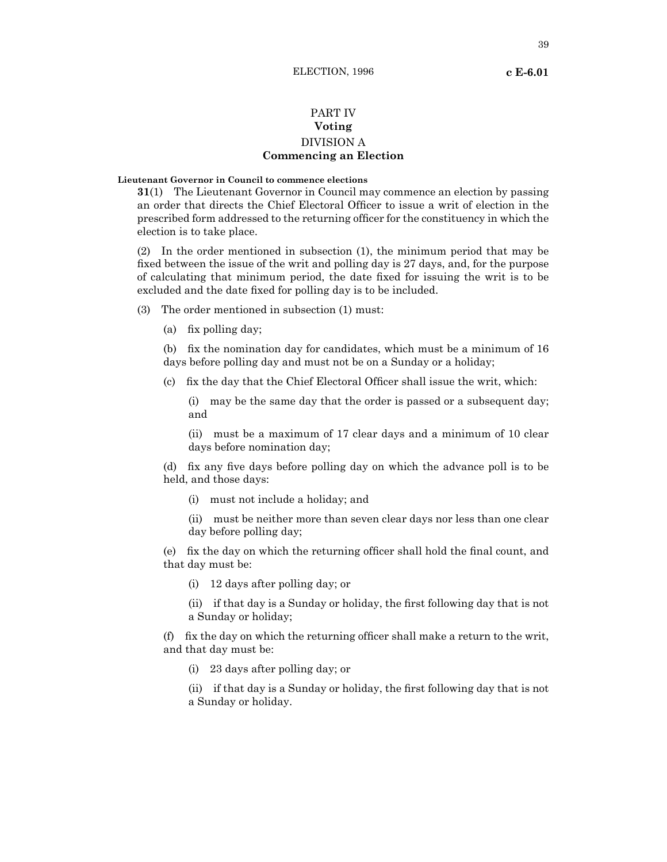## PART IV **Voting**

# DIVISION A **Commencing an Election**

# **Lieutenant Governor in Council to commence elections**

**31**(1) The Lieutenant Governor in Council may commence an election by passing an order that directs the Chief Electoral Officer to issue a writ of election in the prescribed form addressed to the returning officer for the constituency in which the election is to take place.

(2) In the order mentioned in subsection (1), the minimum period that may be fixed between the issue of the writ and polling day is 27 days, and, for the purpose of calculating that minimum period, the date fixed for issuing the writ is to be excluded and the date fixed for polling day is to be included.

- (3) The order mentioned in subsection (1) must:
	- (a) fix polling day;

(b) fix the nomination day for candidates, which must be a minimum of 16 days before polling day and must not be on a Sunday or a holiday;

(c) fix the day that the Chief Electoral Officer shall issue the writ, which:

(i) may be the same day that the order is passed or a subsequent day; and

(ii) must be a maximum of 17 clear days and a minimum of 10 clear days before nomination day;

(d) fix any five days before polling day on which the advance poll is to be held, and those days:

- (i) must not include a holiday; and
- (ii) must be neither more than seven clear days nor less than one clear day before polling day;

(e) fix the day on which the returning officer shall hold the final count, and that day must be:

(i) 12 days after polling day; or

(ii) if that day is a Sunday or holiday, the first following day that is not a Sunday or holiday;

(f) fix the day on which the returning officer shall make a return to the writ, and that day must be:

(i) 23 days after polling day; or

(ii) if that day is a Sunday or holiday, the first following day that is not a Sunday or holiday.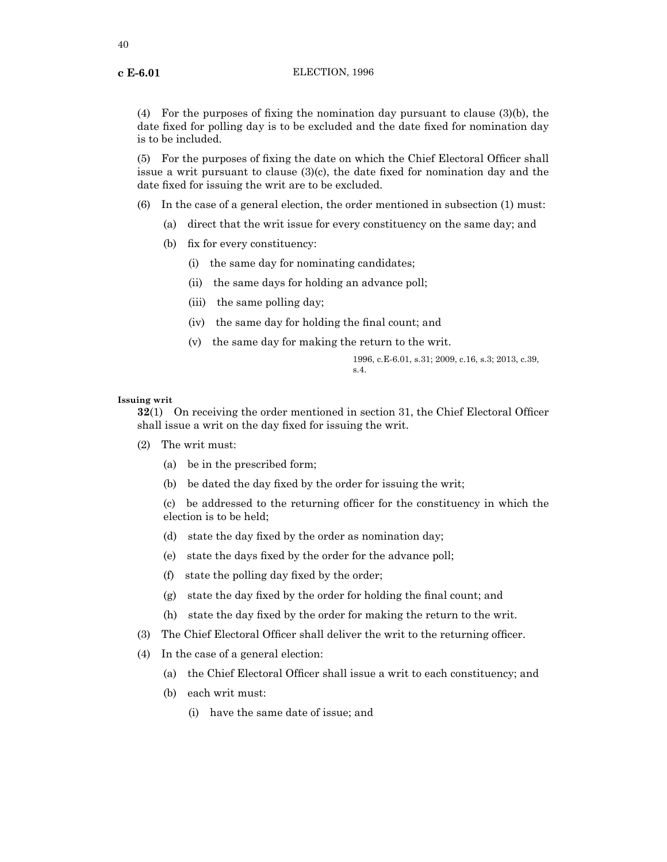(4) For the purposes of fixing the nomination day pursuant to clause (3)(b), the date fixed for polling day is to be excluded and the date fixed for nomination day is to be included.

(5) For the purposes of fixing the date on which the Chief Electoral Officer shall issue a writ pursuant to clause (3)(c), the date fixed for nomination day and the date fixed for issuing the writ are to be excluded.

(6) In the case of a general election, the order mentioned in subsection (1) must:

- (a) direct that the writ issue for every constituency on the same day; and
- (b) fix for every constituency:
	- (i) the same day for nominating candidates;
	- (ii) the same days for holding an advance poll;
	- (iii) the same polling day;
	- (iv) the same day for holding the final count; and
	- (v) the same day for making the return to the writ.

1996, c.E-6.01, s.31; 2009, c.16, s.3; 2013, c.39, s.4.

## **Issuing writ**

**32**(1) On receiving the order mentioned in section 31, the Chief Electoral Officer shall issue a writ on the day fixed for issuing the writ.

- (2) The writ must:
	- (a) be in the prescribed form;
	- (b) be dated the day fixed by the order for issuing the writ;

(c) be addressed to the returning officer for the constituency in which the election is to be held;

- (d) state the day fixed by the order as nomination day;
- (e) state the days fixed by the order for the advance poll;
- (f) state the polling day fixed by the order;
- (g) state the day fixed by the order for holding the final count; and
- (h) state the day fixed by the order for making the return to the writ.
- (3) The Chief Electoral Officer shall deliver the writ to the returning officer.
- (4) In the case of a general election:
	- (a) the Chief Electoral Officer shall issue a writ to each constituency; and
	- (b) each writ must:
		- (i) have the same date of issue; and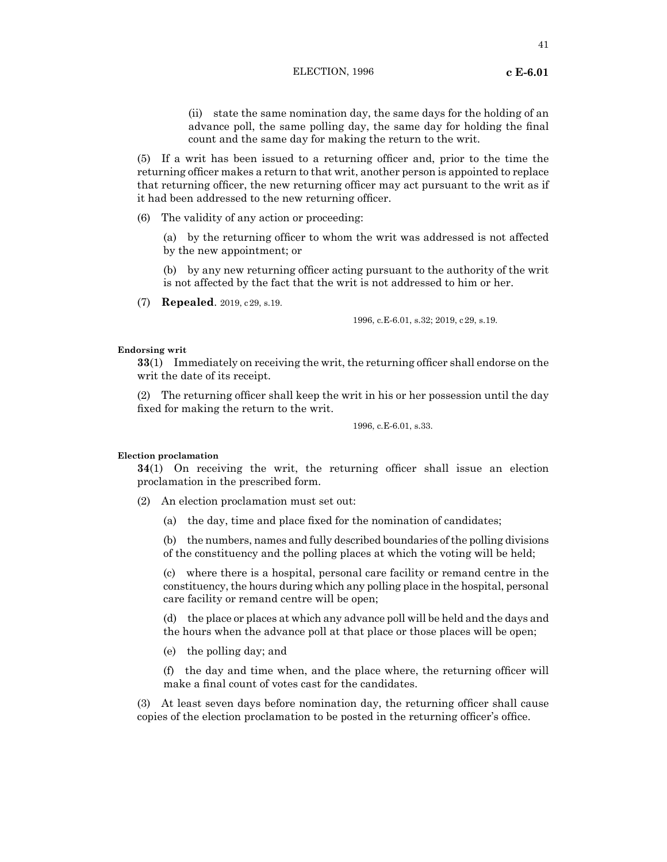(ii) state the same nomination day, the same days for the holding of an advance poll, the same polling day, the same day for holding the final count and the same day for making the return to the writ.

(5) If a writ has been issued to a returning officer and, prior to the time the returning officer makes a return to that writ, another person is appointed to replace that returning officer, the new returning officer may act pursuant to the writ as if it had been addressed to the new returning officer.

(6) The validity of any action or proceeding:

(a) by the returning officer to whom the writ was addressed is not affected by the new appointment; or

(b) by any new returning officer acting pursuant to the authority of the writ is not affected by the fact that the writ is not addressed to him or her.

(7) **Repealed**. 2019, c29, s.19.

1996, c.E-6.01, s.32; 2019, c29, s.19.

#### **Endorsing writ**

**33**(1) Immediately on receiving the writ, the returning officer shall endorse on the writ the date of its receipt.

(2) The returning officer shall keep the writ in his or her possession until the day fixed for making the return to the writ.

1996, c.E-6.01, s.33.

#### **Election proclamation**

**34**(1) On receiving the writ, the returning officer shall issue an election proclamation in the prescribed form.

- (2) An election proclamation must set out:
	- (a) the day, time and place fixed for the nomination of candidates;

(b) the numbers, names and fully described boundaries of the polling divisions of the constituency and the polling places at which the voting will be held;

(c) where there is a hospital, personal care facility or remand centre in the constituency, the hours during which any polling place in the hospital, personal care facility or remand centre will be open;

(d) the place or places at which any advance poll will be held and the days and the hours when the advance poll at that place or those places will be open;

(e) the polling day; and

(f) the day and time when, and the place where, the returning officer will make a final count of votes cast for the candidates.

(3) At least seven days before nomination day, the returning officer shall cause copies of the election proclamation to be posted in the returning officer's office.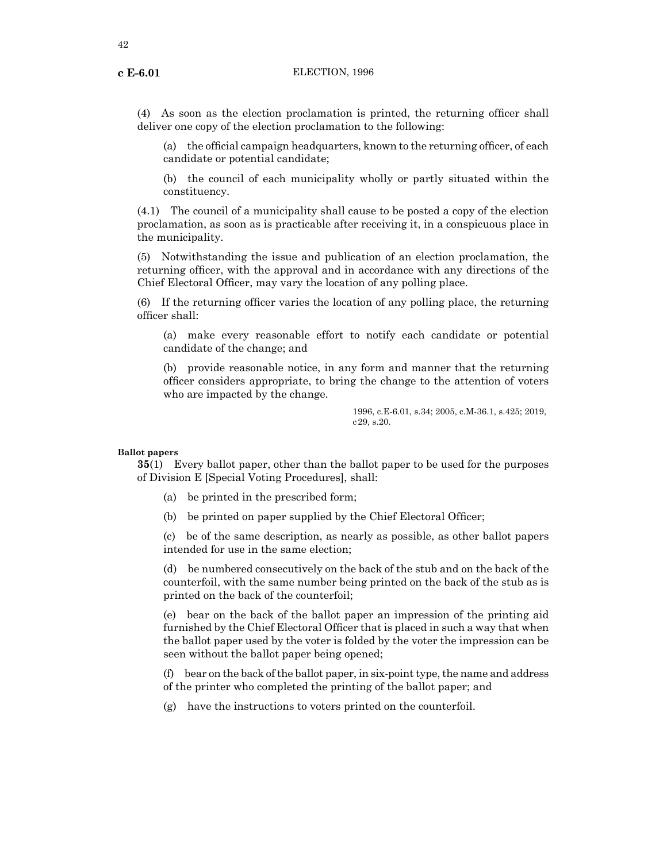(4) As soon as the election proclamation is printed, the returning officer shall deliver one copy of the election proclamation to the following:

(a) the official campaign headquarters, known to the returning officer, of each candidate or potential candidate;

(b) the council of each municipality wholly or partly situated within the constituency.

(4.1) The council of a municipality shall cause to be posted a copy of the election proclamation, as soon as is practicable after receiving it, in a conspicuous place in the municipality.

(5) Notwithstanding the issue and publication of an election proclamation, the returning officer, with the approval and in accordance with any directions of the Chief Electoral Officer, may vary the location of any polling place.

(6) If the returning officer varies the location of any polling place, the returning officer shall:

(a) make every reasonable effort to notify each candidate or potential candidate of the change; and

(b) provide reasonable notice, in any form and manner that the returning officer considers appropriate, to bring the change to the attention of voters who are impacted by the change.

> 1996, c.E-6.01, s.34; 2005, c.M-36.1, s.425; 2019, c29, s.20.

#### **Ballot papers**

**35**(1) Every ballot paper, other than the ballot paper to be used for the purposes of Division E [Special Voting Procedures], shall:

- (a) be printed in the prescribed form;
- (b) be printed on paper supplied by the Chief Electoral Officer;

(c) be of the same description, as nearly as possible, as other ballot papers intended for use in the same election;

(d) be numbered consecutively on the back of the stub and on the back of the counterfoil, with the same number being printed on the back of the stub as is printed on the back of the counterfoil;

(e) bear on the back of the ballot paper an impression of the printing aid furnished by the Chief Electoral Officer that is placed in such a way that when the ballot paper used by the voter is folded by the voter the impression can be seen without the ballot paper being opened;

(f) bear on the back of the ballot paper, in six-point type, the name and address of the printer who completed the printing of the ballot paper; and

(g) have the instructions to voters printed on the counterfoil.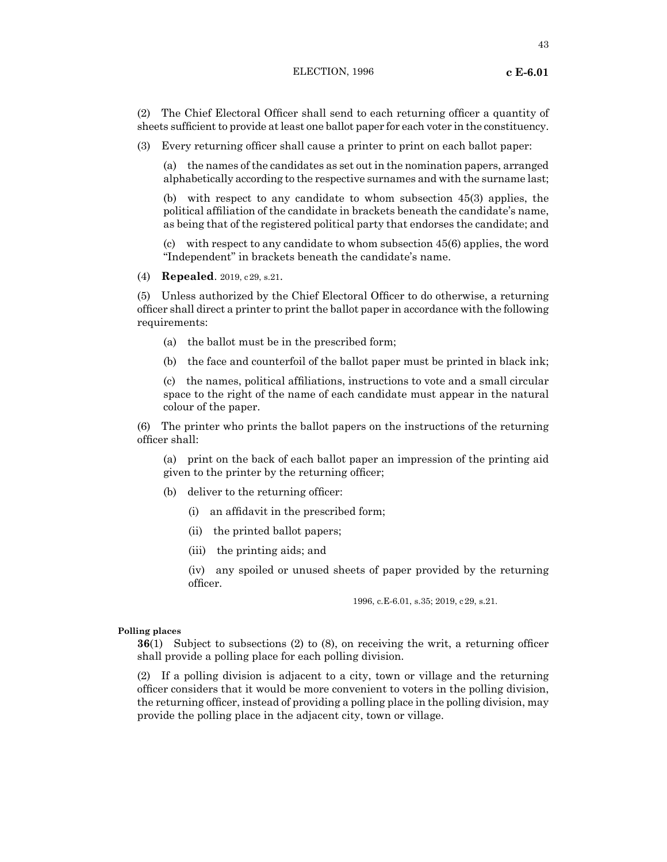(2) The Chief Electoral Officer shall send to each returning officer a quantity of sheets sufficient to provide at least one ballot paper for each voter in the constituency.

(3) Every returning officer shall cause a printer to print on each ballot paper:

(a) the names of the candidates as set out in the nomination papers, arranged alphabetically according to the respective surnames and with the surname last;

(b) with respect to any candidate to whom subsection 45(3) applies, the political affiliation of the candidate in brackets beneath the candidate's name, as being that of the registered political party that endorses the candidate; and

(c) with respect to any candidate to whom subsection 45(6) applies, the word "Independent" in brackets beneath the candidate's name.

(4) **Repealed**. 2019, c29, s.21.

(5) Unless authorized by the Chief Electoral Officer to do otherwise, a returning officer shall direct a printer to print the ballot paper in accordance with the following requirements:

- (a) the ballot must be in the prescribed form;
- (b) the face and counterfoil of the ballot paper must be printed in black ink;

(c) the names, political affiliations, instructions to vote and a small circular space to the right of the name of each candidate must appear in the natural colour of the paper.

(6) The printer who prints the ballot papers on the instructions of the returning officer shall:

(a) print on the back of each ballot paper an impression of the printing aid given to the printer by the returning officer;

- (b) deliver to the returning officer:
	- (i) an affidavit in the prescribed form;
	- (ii) the printed ballot papers;
	- (iii) the printing aids; and

(iv) any spoiled or unused sheets of paper provided by the returning officer.

1996, c.E-6.01, s.35; 2019, c29, s.21.

#### **Polling places**

**36**(1) Subject to subsections (2) to (8), on receiving the writ, a returning officer shall provide a polling place for each polling division.

(2) If a polling division is adjacent to a city, town or village and the returning officer considers that it would be more convenient to voters in the polling division, the returning officer, instead of providing a polling place in the polling division, may provide the polling place in the adjacent city, town or village.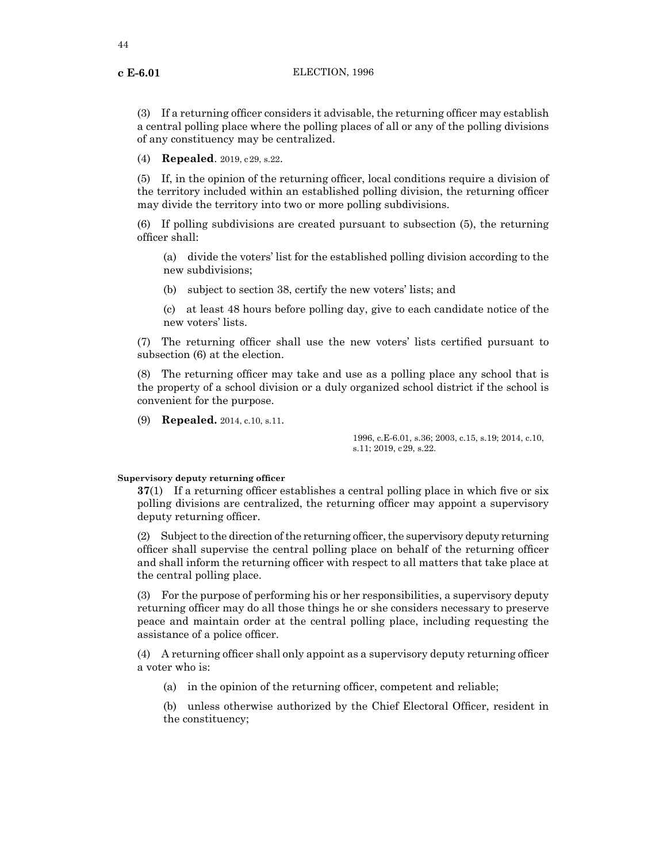(3) If a returning officer considers it advisable, the returning officer may establish a central polling place where the polling places of all or any of the polling divisions of any constituency may be centralized.

(4) **Repealed**. 2019, c29, s.22.

(5) If, in the opinion of the returning officer, local conditions require a division of the territory included within an established polling division, the returning officer may divide the territory into two or more polling subdivisions.

(6) If polling subdivisions are created pursuant to subsection (5), the returning officer shall:

(a) divide the voters' list for the established polling division according to the new subdivisions;

(b) subject to section 38, certify the new voters' lists; and

(c) at least 48 hours before polling day, give to each candidate notice of the new voters' lists.

(7) The returning officer shall use the new voters' lists certified pursuant to subsection (6) at the election.

(8) The returning officer may take and use as a polling place any school that is the property of a school division or a duly organized school district if the school is convenient for the purpose.

(9) **Repealed.** 2014, c.10, s.11.

1996, c.E-6.01, s.36; 2003, c.15, s.19; 2014, c.10, s.11; 2019, c29, s.22.

#### **Supervisory deputy returning officer**

**37**(1) If a returning officer establishes a central polling place in which five or six polling divisions are centralized, the returning officer may appoint a supervisory deputy returning officer.

 $(2)$  Subject to the direction of the returning officer, the supervisory deputy returning officer shall supervise the central polling place on behalf of the returning officer and shall inform the returning officer with respect to all matters that take place at the central polling place.

(3) For the purpose of performing his or her responsibilities, a supervisory deputy returning officer may do all those things he or she considers necessary to preserve peace and maintain order at the central polling place, including requesting the assistance of a police officer.

(4) A returning officer shall only appoint as a supervisory deputy returning officer a voter who is:

(a) in the opinion of the returning officer, competent and reliable;

(b) unless otherwise authorized by the Chief Electoral Officer, resident in the constituency;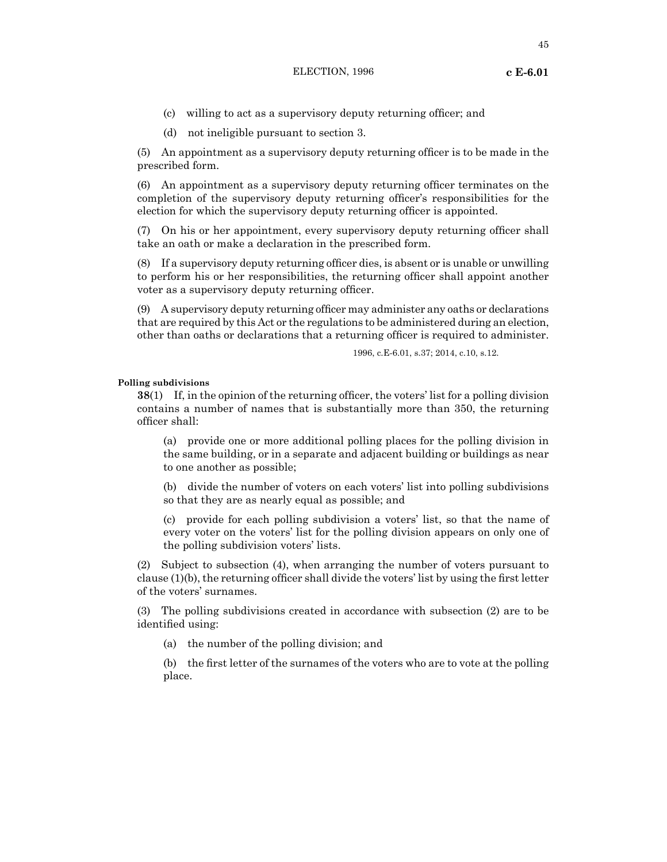45

- (c) willing to act as a supervisory deputy returning officer; and
- (d) not ineligible pursuant to section 3.

(5) An appointment as a supervisory deputy returning officer is to be made in the prescribed form.

(6) An appointment as a supervisory deputy returning officer terminates on the completion of the supervisory deputy returning officer's responsibilities for the election for which the supervisory deputy returning officer is appointed.

(7) On his or her appointment, every supervisory deputy returning officer shall take an oath or make a declaration in the prescribed form.

(8) If a supervisory deputy returning officer dies, is absent or is unable or unwilling to perform his or her responsibilities, the returning officer shall appoint another voter as a supervisory deputy returning officer.

(9) A supervisory deputy returning officer may administer any oaths or declarations that are required by this Act or the regulations to be administered during an election, other than oaths or declarations that a returning officer is required to administer.

1996, c.E-6.01, s.37; 2014, c.10, s.12.

### **Polling subdivisions**

**38**(1) If, in the opinion of the returning officer, the voters' list for a polling division contains a number of names that is substantially more than 350, the returning officer shall:

(a) provide one or more additional polling places for the polling division in the same building, or in a separate and adjacent building or buildings as near to one another as possible;

(b) divide the number of voters on each voters' list into polling subdivisions so that they are as nearly equal as possible; and

(c) provide for each polling subdivision a voters' list, so that the name of every voter on the voters' list for the polling division appears on only one of the polling subdivision voters' lists.

(2) Subject to subsection (4), when arranging the number of voters pursuant to clause (1)(b), the returning officer shall divide the voters' list by using the first letter of the voters' surnames.

(3) The polling subdivisions created in accordance with subsection (2) are to be identified using:

(a) the number of the polling division; and

(b) the first letter of the surnames of the voters who are to vote at the polling place.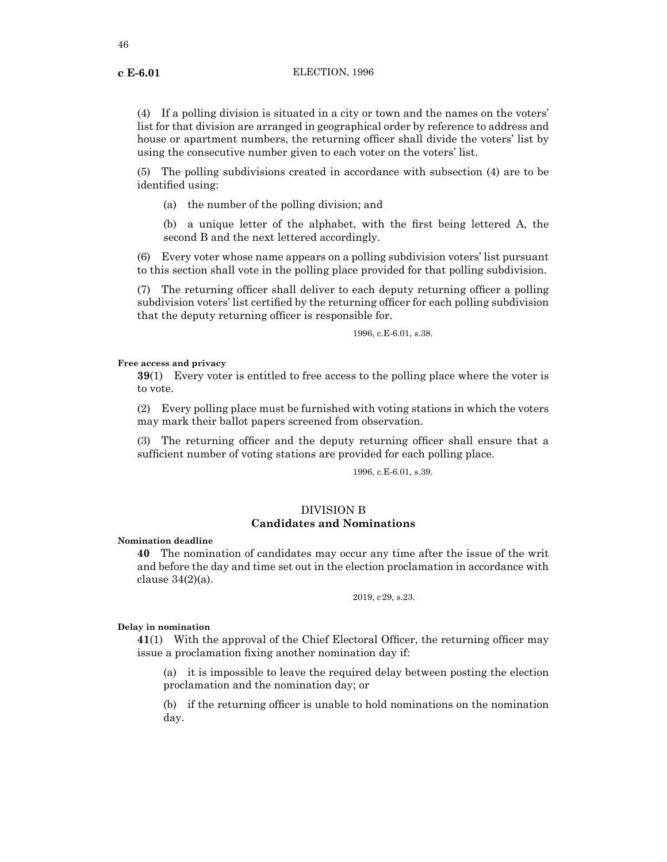(4) If a polling division is situated in a city or town and the names on the voters' list for that division are arranged in geographical order by reference to address and house or apartment numbers, the returning officer shall divide the voters' list by using the consecutive number given to each voter on the voters' list.

(5) The polling subdivisions created in accordance with subsection (4) are to be identified using:

(a) the number of the polling division; and

(b) a unique letter of the alphabet, with the first being lettered A, the second B and the next lettered accordingly.

(6) Every voter whose name appears on a polling subdivision voters' list pursuant to this section shall vote in the polling place provided for that polling subdivision.

(7) The returning officer shall deliver to each deputy returning officer a polling subdivision voters' list certified by the returning officer for each polling subdivision that the deputy returning officer is responsible for.

1996, c.E-6.01, s.38.

#### **Free access and privacy**

**39**(1) Every voter is entitled to free access to the polling place where the voter is to vote.

(2) Every polling place must be furnished with voting stations in which the voters may mark their ballot papers screened from observation.

(3) The returning officer and the deputy returning officer shall ensure that a sufficient number of voting stations are provided for each polling place.

1996, c.E-6.01, s.39.

## DIVISION B **Candidates and Nominations**

**Nomination deadline**

**40** The nomination of candidates may occur any time after the issue of the writ and before the day and time set out in the election proclamation in accordance with clause  $34(2)(a)$ .

2019, c29, s.23.

## **Delay in nomination**

**41**(1) With the approval of the Chief Electoral Officer, the returning officer may issue a proclamation fixing another nomination day if:

(a) it is impossible to leave the required delay between posting the election proclamation and the nomination day; or

(b) if the returning officer is unable to hold nominations on the nomination day.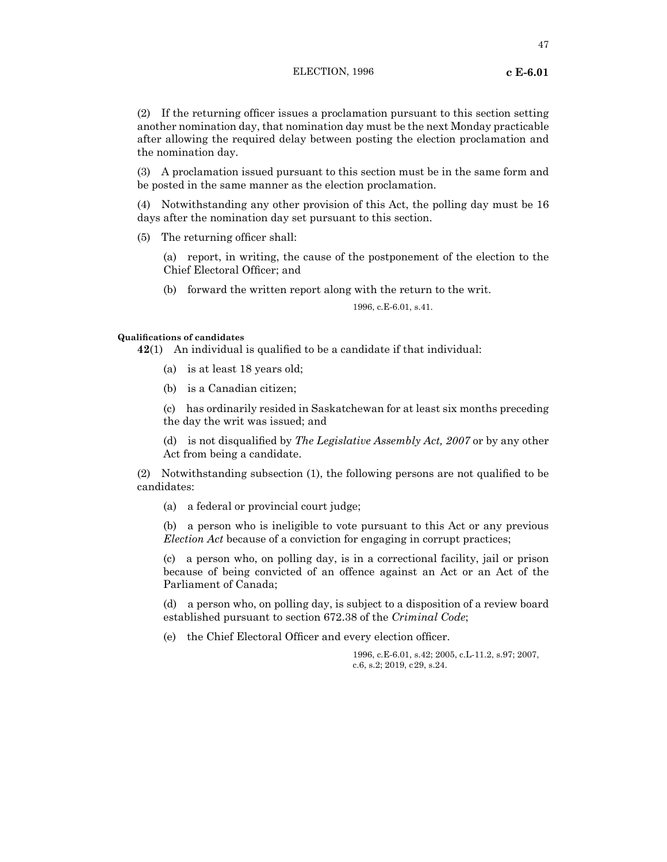(2) If the returning officer issues a proclamation pursuant to this section setting another nomination day, that nomination day must be the next Monday practicable after allowing the required delay between posting the election proclamation and the nomination day.

(3) A proclamation issued pursuant to this section must be in the same form and be posted in the same manner as the election proclamation.

(4) Notwithstanding any other provision of this Act, the polling day must be 16 days after the nomination day set pursuant to this section.

(5) The returning officer shall:

(a) report, in writing, the cause of the postponement of the election to the Chief Electoral Officer; and

(b) forward the written report along with the return to the writ.

1996, c.E-6.01, s.41.

## **Qualifications of candidates**

**42**(1) An individual is qualified to be a candidate if that individual:

- (a) is at least 18 years old;
- (b) is a Canadian citizen;

(c) has ordinarily resided in Saskatchewan for at least six months preceding the day the writ was issued; and

(d) is not disqualified by *The Legislative Assembly Act, 2007* or by any other Act from being a candidate.

(2) Notwithstanding subsection (1), the following persons are not qualified to be candidates:

(a) a federal or provincial court judge;

(b) a person who is ineligible to vote pursuant to this Act or any previous *Election Act* because of a conviction for engaging in corrupt practices;

(c) a person who, on polling day, is in a correctional facility, jail or prison because of being convicted of an offence against an Act or an Act of the Parliament of Canada;

(d) a person who, on polling day, is subject to a disposition of a review board established pursuant to section 672.38 of the *Criminal Code*;

(e) the Chief Electoral Officer and every election officer.

1996, c.E-6.01, s.42; 2005, c.L-11.2, s.97; 2007, c.6, s.2; 2019, c29, s.24.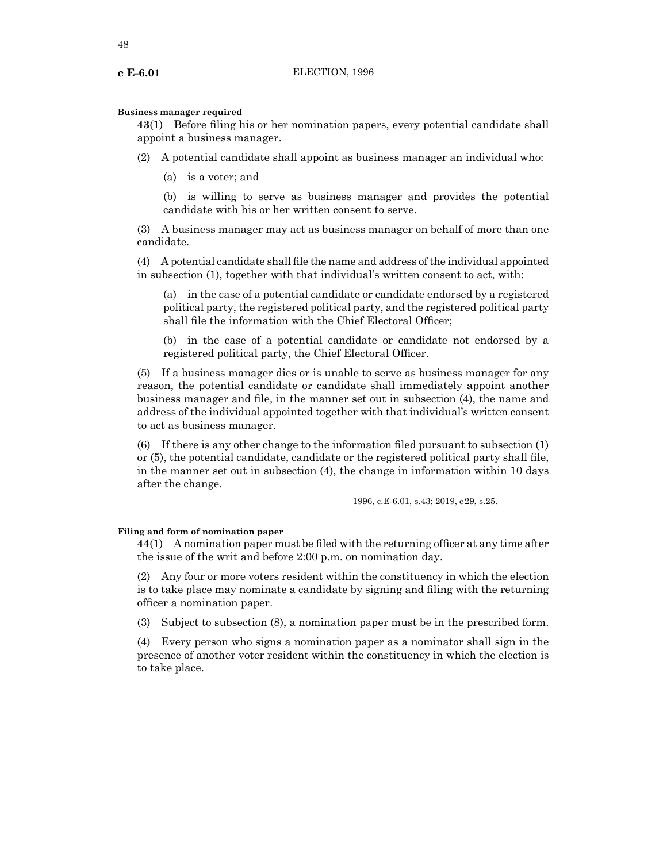#### **Business manager required**

**43**(1) Before filing his or her nomination papers, every potential candidate shall appoint a business manager.

- (2) A potential candidate shall appoint as business manager an individual who:
	- (a) is a voter; and

(b) is willing to serve as business manager and provides the potential candidate with his or her written consent to serve.

(3) A business manager may act as business manager on behalf of more than one candidate.

(4) A potential candidate shall file the name and address ofthe individual appointed in subsection (1), together with that individual's written consent to act, with:

(a) in the case of a potential candidate or candidate endorsed by a registered political party, the registered political party, and the registered political party shall file the information with the Chief Electoral Officer;

(b) in the case of a potential candidate or candidate not endorsed by a registered political party, the Chief Electoral Officer.

(5) If a business manager dies or is unable to serve as business manager for any reason, the potential candidate or candidate shall immediately appoint another business manager and file, in the manner set out in subsection (4), the name and address of the individual appointed together with that individual's written consent to act as business manager.

(6) If there is any other change to the information filed pursuant to subsection (1) or (5), the potential candidate, candidate or the registered political party shall file, in the manner set out in subsection (4), the change in information within 10 days after the change.

1996, c.E-6.01, s.43; 2019, c29, s.25.

## **Filing and form of nomination paper**

**44**(1) A nomination paper must be filed with the returning officer at any time after the issue of the writ and before 2:00 p.m. on nomination day.

(2) Any four or more voters resident within the constituency in which the election is to take place may nominate a candidate by signing and filing with the returning officer a nomination paper.

(3) Subject to subsection (8), a nomination paper must be in the prescribed form.

(4) Every person who signs a nomination paper as a nominator shall sign in the presence of another voter resident within the constituency in which the election is to take place.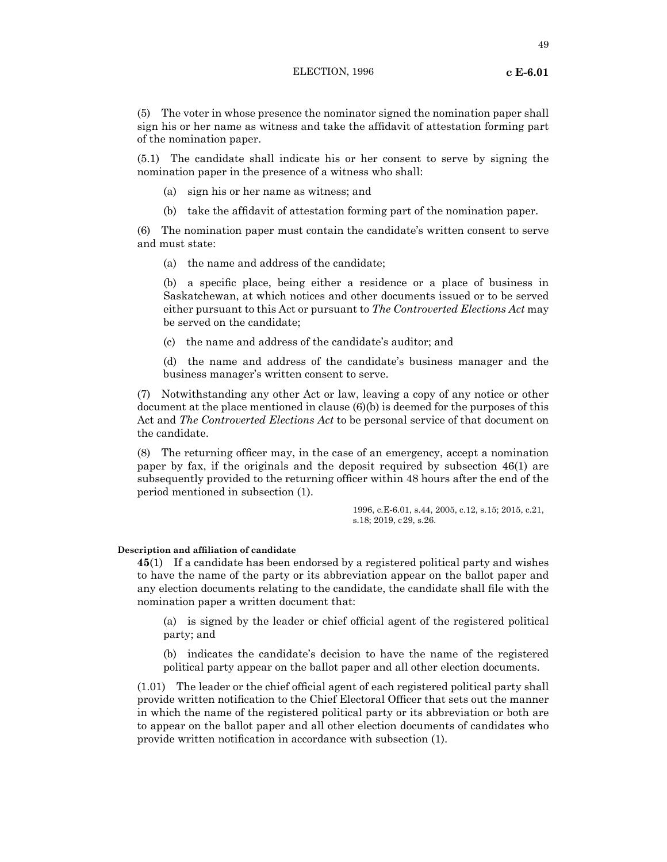(5) The voter in whose presence the nominator signed the nomination paper shall sign his or her name as witness and take the affidavit of attestation forming part of the nomination paper.

(5.1) The candidate shall indicate his or her consent to serve by signing the nomination paper in the presence of a witness who shall:

- (a) sign his or her name as witness; and
- (b) take the affidavit of attestation forming part of the nomination paper.

(6) The nomination paper must contain the candidate's written consent to serve and must state:

(a) the name and address of the candidate;

(b) a specific place, being either a residence or a place of business in Saskatchewan, at which notices and other documents issued or to be served either pursuant to this Act or pursuant to *The Controverted Elections Act* may be served on the candidate;

(c) the name and address of the candidate's auditor; and

(d) the name and address of the candidate's business manager and the business manager's written consent to serve.

(7) Notwithstanding any other Act or law, leaving a copy of any notice or other document at the place mentioned in clause (6)(b) is deemed for the purposes of this Act and *The Controverted Elections Act* to be personal service of that document on the candidate.

(8) The returning officer may, in the case of an emergency, accept a nomination paper by fax, if the originals and the deposit required by subsection 46(1) are subsequently provided to the returning officer within 48 hours after the end of the period mentioned in subsection (1).

> 1996, c.E-6.01, s.44, 2005, c.12, s.15; 2015, c.21, s.18; 2019, c29, s.26.

#### **Description and affiliation of candidate**

**45**(1) If a candidate has been endorsed by a registered political party and wishes to have the name of the party or its abbreviation appear on the ballot paper and any election documents relating to the candidate, the candidate shall file with the nomination paper a written document that:

(a) is signed by the leader or chief official agent of the registered political party; and

(b) indicates the candidate's decision to have the name of the registered political party appear on the ballot paper and all other election documents.

(1.01) The leader or the chief official agent of each registered political party shall provide written notification to the Chief Electoral Officer that sets out the manner in which the name of the registered political party or its abbreviation or both are to appear on the ballot paper and all other election documents of candidates who provide written notification in accordance with subsection (1).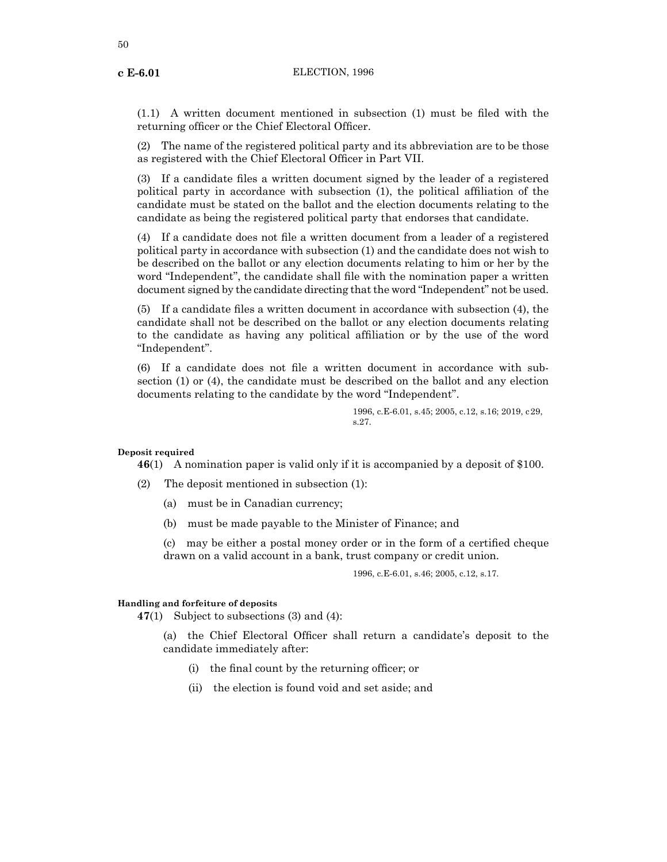50

(1.1) A written document mentioned in subsection (1) must be filed with the returning officer or the Chief Electoral Officer.

(2) The name of the registered political party and its abbreviation are to be those as registered with the Chief Electoral Officer in Part VII.

(3) If a candidate files a written document signed by the leader of a registered political party in accordance with subsection (1), the political affiliation of the candidate must be stated on the ballot and the election documents relating to the candidate as being the registered political party that endorses that candidate.

(4) If a candidate does not file a written document from a leader of a registered political party in accordance with subsection (1) and the candidate does not wish to be described on the ballot or any election documents relating to him or her by the word "Independent", the candidate shall file with the nomination paper a written document signed by the candidate directing that the word "Independent" not be used.

(5) If a candidate files a written document in accordance with subsection (4), the candidate shall not be described on the ballot or any election documents relating to the candidate as having any political affiliation or by the use of the word "Independent".

(6) If a candidate does not file a written document in accordance with subsection (1) or (4), the candidate must be described on the ballot and any election documents relating to the candidate by the word "Independent".

> 1996, c.E-6.01, s.45; 2005, c.12, s.16; 2019, c29, s.27.

#### **Deposit required**

**46**(1) A nomination paper is valid only if it is accompanied by a deposit of \$100.

- (2) The deposit mentioned in subsection (1):
	- (a) must be in Canadian currency;
	- (b) must be made payable to the Minister of Finance; and

(c) may be either a postal money order or in the form of a certified cheque drawn on a valid account in a bank, trust company or credit union.

1996, c.E-6.01, s.46; 2005, c.12, s.17.

## **Handling and forfeiture of deposits**

**47**(1) Subject to subsections (3) and (4):

(a) the Chief Electoral Officer shall return a candidate's deposit to the candidate immediately after:

- (i) the final count by the returning officer; or
- (ii) the election is found void and set aside; and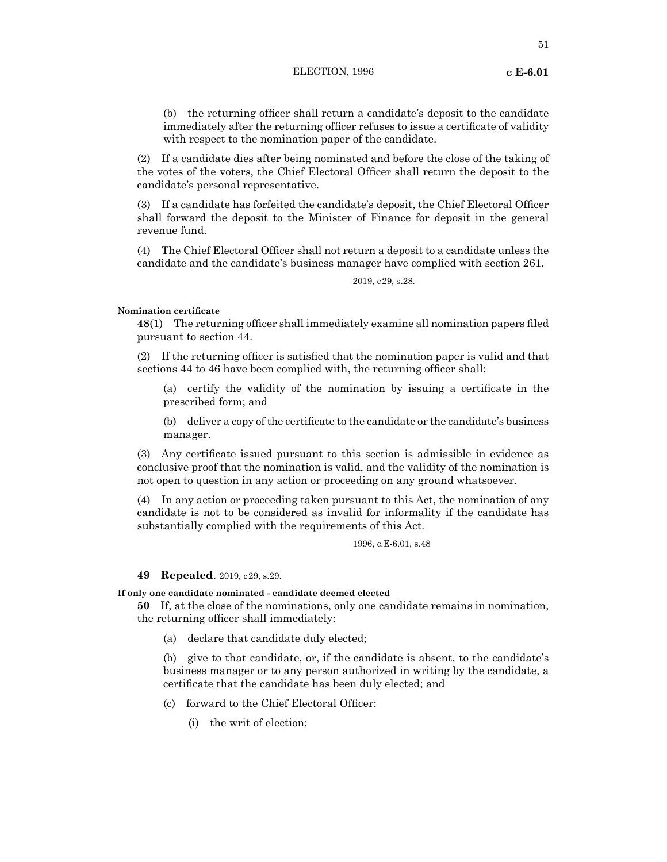(2) If a candidate dies after being nominated and before the close of the taking of the votes of the voters, the Chief Electoral Officer shall return the deposit to the candidate's personal representative.

(3) If a candidate has forfeited the candidate's deposit, the Chief Electoral Officer shall forward the deposit to the Minister of Finance for deposit in the general revenue fund.

(4) The Chief Electoral Officer shall not return a deposit to a candidate unless the candidate and the candidate's business manager have complied with section 261.

2019, c29, s.28.

## **Nomination certificate**

**48**(1) The returning officer shall immediately examine all nomination papers filed pursuant to section 44.

(2) If the returning officer is satisfied that the nomination paper is valid and that sections 44 to 46 have been complied with, the returning officer shall:

(a) certify the validity of the nomination by issuing a certificate in the prescribed form; and

(b) deliver a copy of the certificate to the candidate or the candidate's business manager.

(3) Any certificate issued pursuant to this section is admissible in evidence as conclusive proof that the nomination is valid, and the validity of the nomination is not open to question in any action or proceeding on any ground whatsoever.

(4) In any action or proceeding taken pursuant to this Act, the nomination of any candidate is not to be considered as invalid for informality if the candidate has substantially complied with the requirements of this Act.

1996, c.E-6.01, s.48

## **49 Repealed**. 2019, c29, s.29.

## **If only one candidate nominated - candidate deemed elected**

**50** If, at the close of the nominations, only one candidate remains in nomination, the returning officer shall immediately:

(a) declare that candidate duly elected;

(b) give to that candidate, or, if the candidate is absent, to the candidate's business manager or to any person authorized in writing by the candidate, a certificate that the candidate has been duly elected; and

- (c) forward to the Chief Electoral Officer:
	- (i) the writ of election;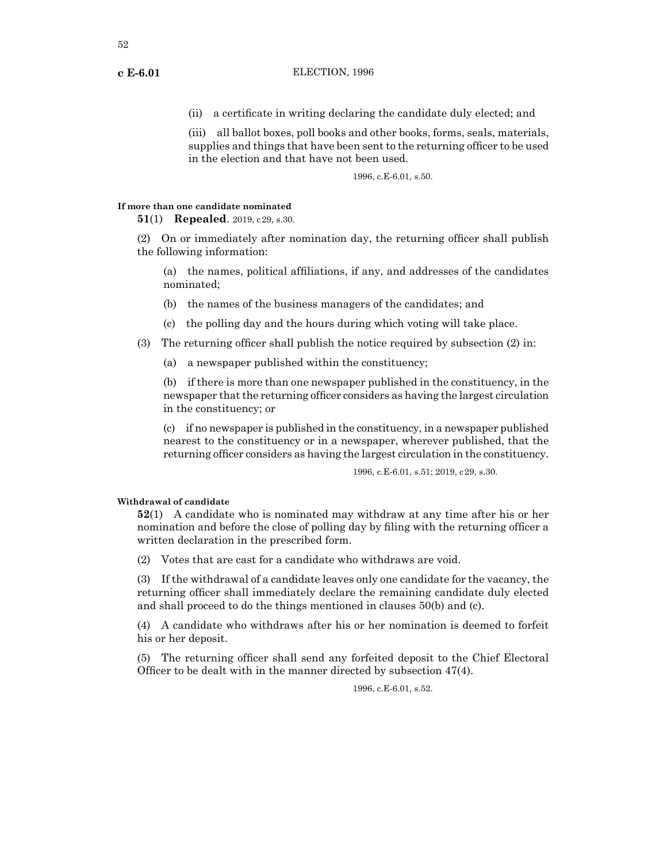(ii) a certificate in writing declaring the candidate duly elected; and

(iii) all ballot boxes, poll books and other books, forms, seals, materials, supplies and things that have been sent to the returning officer to be used in the election and that have not been used.

1996, c.E-6.01, s.50.

#### **If more than one candidate nominated**

**51**(1) **Repealed**. 2019, c29, s.30.

(2) On or immediately after nomination day, the returning officer shall publish the following information:

(a) the names, political affiliations, if any, and addresses of the candidates nominated;

- (b) the names of the business managers of the candidates; and
- (c) the polling day and the hours during which voting will take place.
- (3) The returning officer shall publish the notice required by subsection (2) in:
	- (a) a newspaper published within the constituency;

(b) if there is more than one newspaper published in the constituency, in the newspaper that the returning officer considers as having the largest circulation in the constituency; or

(c) if no newspaper is published in the constituency, in a newspaper published nearest to the constituency or in a newspaper, wherever published, that the returning officer considers as having the largest circulation in the constituency.

1996, c.E-6.01, s.51; 2019, c29, s.30.

## **Withdrawal of candidate**

**52**(1) A candidate who is nominated may withdraw at any time after his or her nomination and before the close of polling day by filing with the returning officer a written declaration in the prescribed form.

(2) Votes that are cast for a candidate who withdraws are void.

(3) If the withdrawal of a candidate leaves only one candidate for the vacancy, the returning officer shall immediately declare the remaining candidate duly elected and shall proceed to do the things mentioned in clauses 50(b) and (c).

(4) A candidate who withdraws after his or her nomination is deemed to forfeit his or her deposit.

(5) The returning officer shall send any forfeited deposit to the Chief Electoral Officer to be dealt with in the manner directed by subsection 47(4).

1996, c.E-6.01, s.52.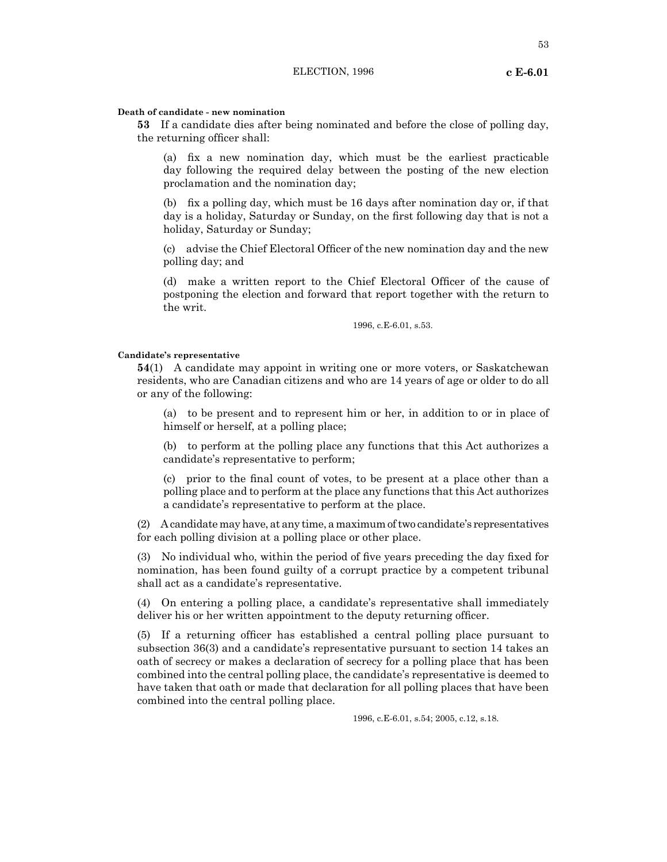#### **Death of candidate - new nomination**

**53** If a candidate dies after being nominated and before the close of polling day, the returning officer shall:

(a) fix a new nomination day, which must be the earliest practicable day following the required delay between the posting of the new election proclamation and the nomination day;

(b) fix a polling day, which must be 16 days after nomination day or, if that day is a holiday, Saturday or Sunday, on the first following day that is not a holiday, Saturday or Sunday;

(c) advise the Chief Electoral Officer of the new nomination day and the new polling day; and

(d) make a written report to the Chief Electoral Officer of the cause of postponing the election and forward that report together with the return to the writ.

1996, c.E-6.01, s.53.

#### **Candidate's representative**

**54**(1) A candidate may appoint in writing one or more voters, or Saskatchewan residents, who are Canadian citizens and who are 14 years of age or older to do all or any of the following:

(a) to be present and to represent him or her, in addition to or in place of himself or herself, at a polling place;

(b) to perform at the polling place any functions that this Act authorizes a candidate's representative to perform;

(c) prior to the final count of votes, to be present at a place other than a polling place and to perform at the place any functions that this Act authorizes a candidate's representative to perform at the place.

 $(2)$  A candidate may have, at any time, a maximum of two candidate's representatives for each polling division at a polling place or other place.

(3) No individual who, within the period of five years preceding the day fixed for nomination, has been found guilty of a corrupt practice by a competent tribunal shall act as a candidate's representative.

(4) On entering a polling place, a candidate's representative shall immediately deliver his or her written appointment to the deputy returning officer.

(5) If a returning officer has established a central polling place pursuant to subsection 36(3) and a candidate's representative pursuant to section 14 takes an oath of secrecy or makes a declaration of secrecy for a polling place that has been combined into the central polling place, the candidate's representative is deemed to have taken that oath or made that declaration for all polling places that have been combined into the central polling place.

1996, c.E-6.01, s.54; 2005, c.12, s.18.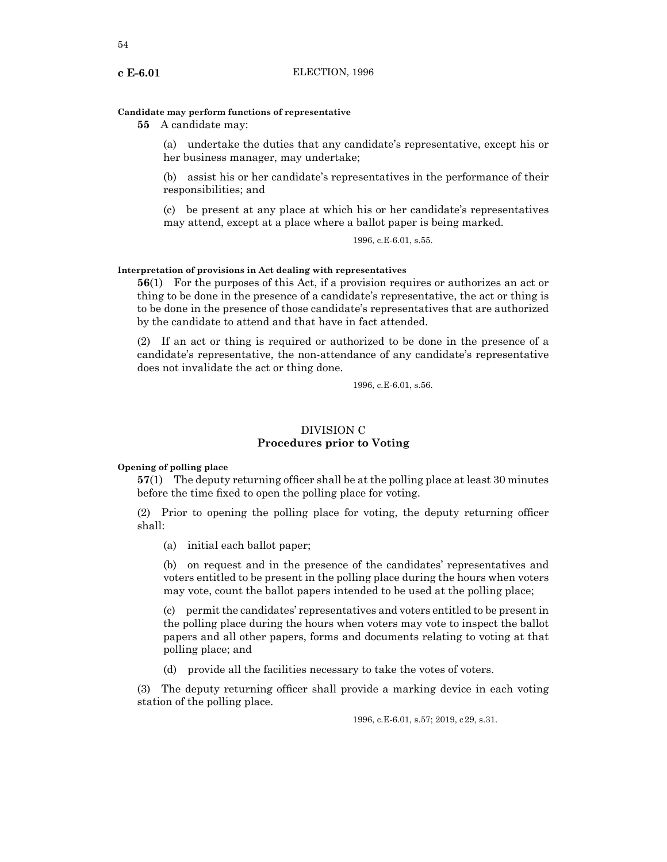## **Candidate may perform functions of representative**

**55** A candidate may:

(a) undertake the duties that any candidate's representative, except his or her business manager, may undertake;

(b) assist his or her candidate's representatives in the performance of their responsibilities; and

(c) be present at any place at which his or her candidate's representatives may attend, except at a place where a ballot paper is being marked.

1996, c.E-6.01, s.55.

## **Interpretation of provisions in Act dealing with representatives**

**56**(1) For the purposes of this Act, if a provision requires or authorizes an act or thing to be done in the presence of a candidate's representative, the act or thing is to be done in the presence of those candidate's representatives that are authorized by the candidate to attend and that have in fact attended.

(2) If an act or thing is required or authorized to be done in the presence of a candidate's representative, the non-attendance of any candidate's representative does not invalidate the act or thing done.

1996, c.E-6.01, s.56.

# DIVISION C **Procedures prior to Voting**

## **Opening of polling place**

**57**(1) The deputy returning officer shall be at the polling place at least 30 minutes before the time fixed to open the polling place for voting.

(2) Prior to opening the polling place for voting, the deputy returning officer shall:

(a) initial each ballot paper;

(b) on request and in the presence of the candidates' representatives and voters entitled to be present in the polling place during the hours when voters may vote, count the ballot papers intended to be used at the polling place;

(c) permit the candidates' representatives and voters entitled to be present in the polling place during the hours when voters may vote to inspect the ballot papers and all other papers, forms and documents relating to voting at that polling place; and

(d) provide all the facilities necessary to take the votes of voters.

(3) The deputy returning officer shall provide a marking device in each voting station of the polling place.

1996, c.E-6.01, s.57; 2019, c29, s.31.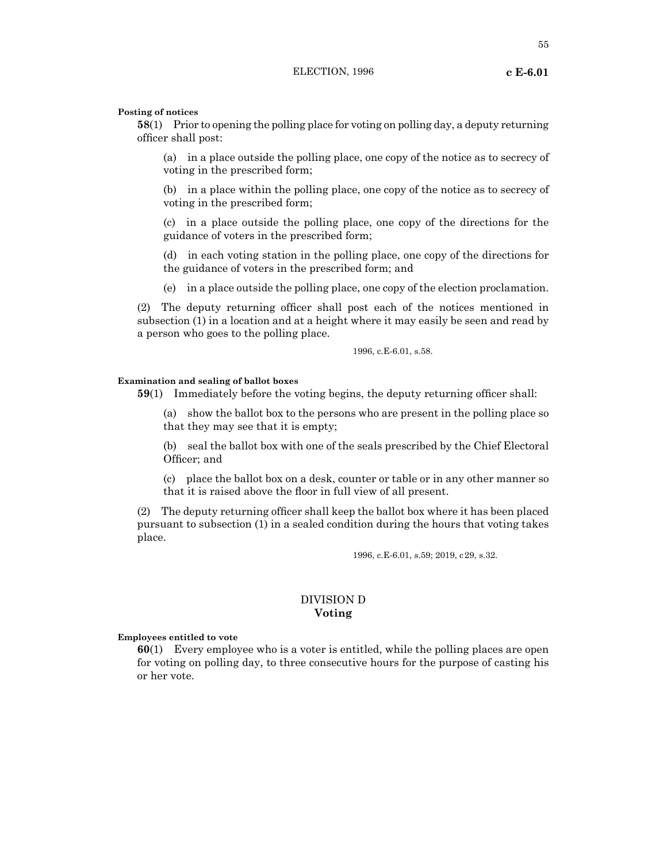55

#### **Posting of notices**

**58**(1) Prior to opening the polling place for voting on polling day, a deputy returning officer shall post:

(a) in a place outside the polling place, one copy of the notice as to secrecy of voting in the prescribed form;

(b) in a place within the polling place, one copy of the notice as to secrecy of voting in the prescribed form;

(c) in a place outside the polling place, one copy of the directions for the guidance of voters in the prescribed form;

(d) in each voting station in the polling place, one copy of the directions for the guidance of voters in the prescribed form; and

(e) in a place outside the polling place, one copy of the election proclamation.

(2) The deputy returning officer shall post each of the notices mentioned in subsection (1) in a location and at a height where it may easily be seen and read by a person who goes to the polling place.

1996, c.E-6.01, s.58.

## **Examination and sealing of ballot boxes**

**59**(1) Immediately before the voting begins, the deputy returning officer shall:

(a) show the ballot box to the persons who are present in the polling place so that they may see that it is empty;

(b) seal the ballot box with one of the seals prescribed by the Chief Electoral Officer; and

(c) place the ballot box on a desk, counter or table or in any other manner so that it is raised above the floor in full view of all present.

(2) The deputy returning officer shall keep the ballot box where it has been placed pursuant to subsection (1) in a sealed condition during the hours that voting takes place.

1996, c.E-6.01, s.59; 2019, c29, s.32.

## DIVISION D **Voting**

#### **Employees entitled to vote**

**60**(1) Every employee who is a voter is entitled, while the polling places are open for voting on polling day, to three consecutive hours for the purpose of casting his or her vote.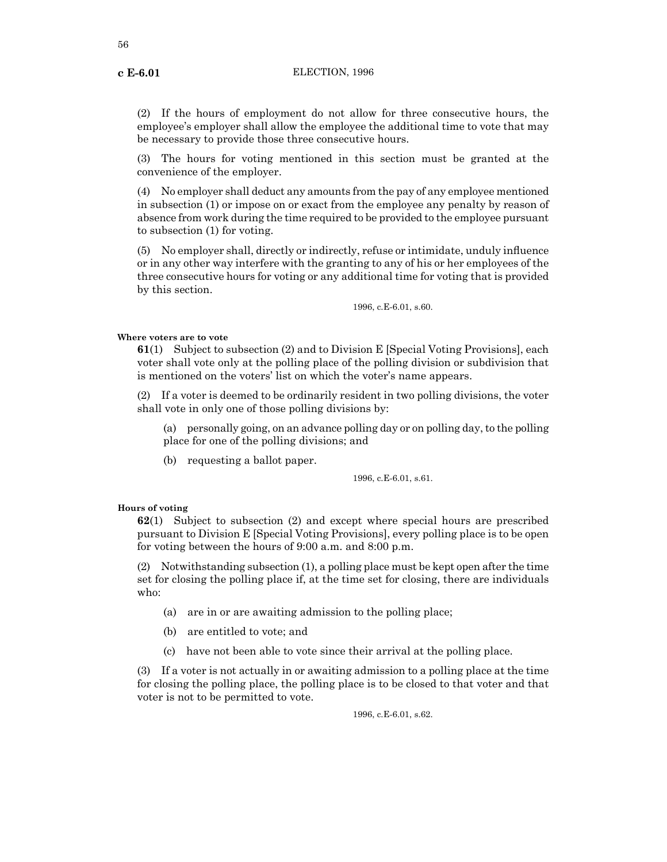(2) If the hours of employment do not allow for three consecutive hours, the employee's employer shall allow the employee the additional time to vote that may be necessary to provide those three consecutive hours.

(3) The hours for voting mentioned in this section must be granted at the convenience of the employer.

(4) No employer shall deduct any amounts from the pay of any employee mentioned in subsection (1) or impose on or exact from the employee any penalty by reason of absence from work during the time required to be provided to the employee pursuant to subsection (1) for voting.

(5) No employer shall, directly or indirectly, refuse or intimidate, unduly influence or in any other way interfere with the granting to any of his or her employees of the three consecutive hours for voting or any additional time for voting that is provided by this section.

1996, c.E-6.01, s.60.

### **Where voters are to vote**

**61**(1) Subject to subsection (2) and to Division E [Special Voting Provisions], each voter shall vote only at the polling place of the polling division or subdivision that is mentioned on the voters' list on which the voter's name appears.

(2) If a voter is deemed to be ordinarily resident in two polling divisions, the voter shall vote in only one of those polling divisions by:

(a) personally going, on an advance polling day or on polling day, to the polling place for one of the polling divisions; and

(b) requesting a ballot paper.

1996, c.E-6.01, s.61.

### **Hours of voting**

**62**(1) Subject to subsection (2) and except where special hours are prescribed pursuant to Division E [Special Voting Provisions], every polling place is to be open for voting between the hours of 9:00 a.m. and 8:00 p.m.

(2) Notwithstanding subsection (1), a polling place must be kept open after the time set for closing the polling place if, at the time set for closing, there are individuals who:

- (a) are in or are awaiting admission to the polling place;
- (b) are entitled to vote; and
- (c) have not been able to vote since their arrival at the polling place.

(3) If a voter is not actually in or awaiting admission to a polling place at the time for closing the polling place, the polling place is to be closed to that voter and that voter is not to be permitted to vote.

1996, c.E-6.01, s.62.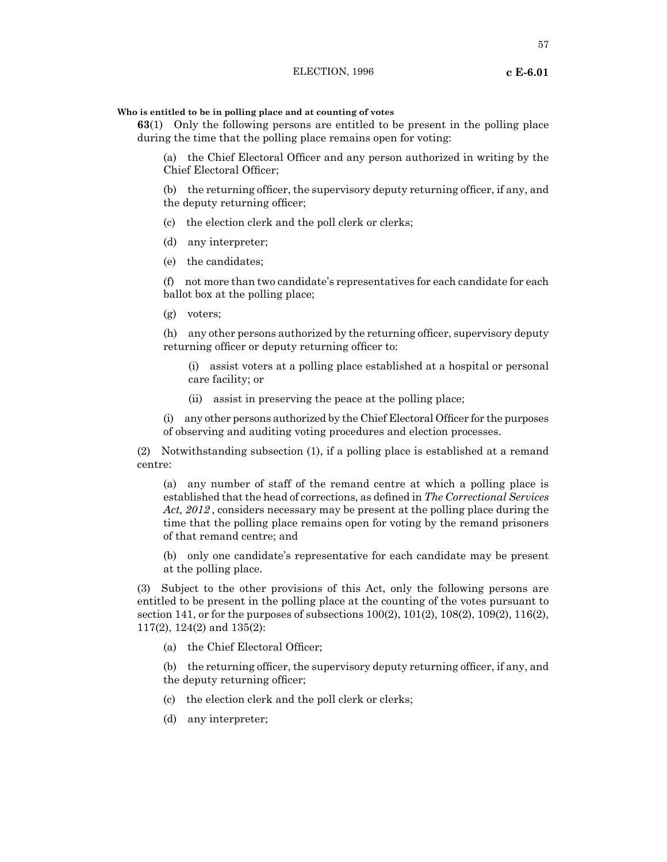**Who is entitled to be in polling place and at counting of votes**

**63**(1) Only the following persons are entitled to be present in the polling place during the time that the polling place remains open for voting:

(a) the Chief Electoral Officer and any person authorized in writing by the Chief Electoral Officer;

(b) the returning officer, the supervisory deputy returning officer, if any, and the deputy returning officer;

- (c) the election clerk and the poll clerk or clerks;
- (d) any interpreter;
- (e) the candidates;

(f) not more than two candidate's representatives for each candidate for each ballot box at the polling place;

(g) voters;

(h) any other persons authorized by the returning officer, supervisory deputy returning officer or deputy returning officer to:

(i) assist voters at a polling place established at a hospital or personal care facility; or

(ii) assist in preserving the peace at the polling place;

(i) any other persons authorized by the Chief Electoral Officer for the purposes of observing and auditing voting procedures and election processes.

(2) Notwithstanding subsection (1), if a polling place is established at a remand centre:

(a) any number of staff of the remand centre at which a polling place is established that the head of corrections, as defined in *The Correctional Services Act, 2012* , considers necessary may be present at the polling place during the time that the polling place remains open for voting by the remand prisoners of that remand centre; and

(b) only one candidate's representative for each candidate may be present at the polling place.

(3) Subject to the other provisions of this Act, only the following persons are entitled to be present in the polling place at the counting of the votes pursuant to section 141, or for the purposes of subsections 100(2), 101(2), 108(2), 109(2), 116(2), 117(2), 124(2) and 135(2):

(a) the Chief Electoral Officer;

(b) the returning officer, the supervisory deputy returning officer, if any, and the deputy returning officer;

- (c) the election clerk and the poll clerk or clerks;
- (d) any interpreter;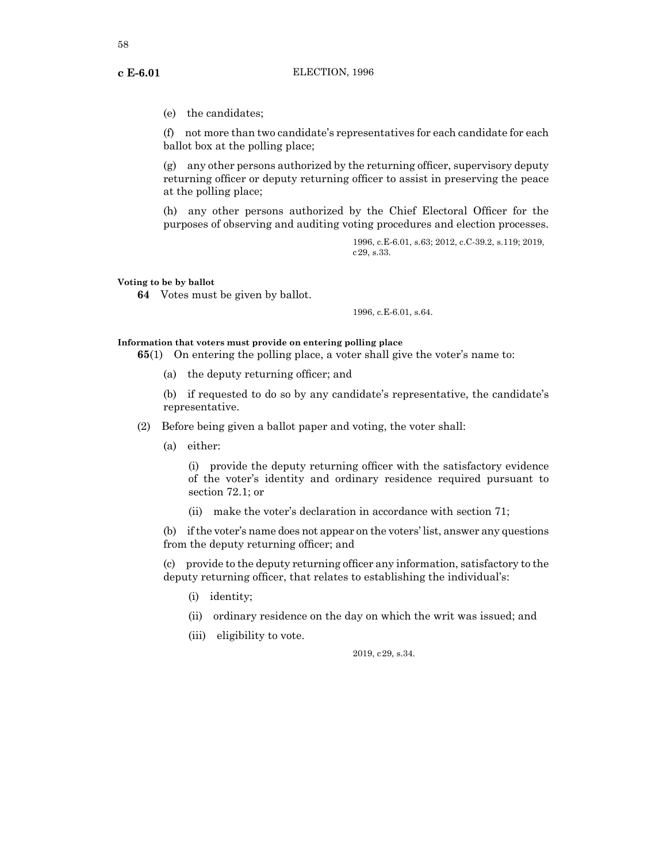(e) the candidates;

(f) not more than two candidate's representatives for each candidate for each ballot box at the polling place;

(g) any other persons authorized by the returning officer, supervisory deputy returning officer or deputy returning officer to assist in preserving the peace at the polling place;

(h) any other persons authorized by the Chief Electoral Officer for the purposes of observing and auditing voting procedures and election processes.

> 1996, c.E-6.01, s.63; 2012, c.C-39.2, s.119; 2019, c29, s.33.

## **Voting to be by ballot**

**64** Votes must be given by ballot.

1996, c.E-6.01, s.64.

## **Information that voters must provide on entering polling place**

**65**(1) On entering the polling place, a voter shall give the voter's name to:

(a) the deputy returning officer; and

(b) if requested to do so by any candidate's representative, the candidate's representative.

- (2) Before being given a ballot paper and voting, the voter shall:
	- (a) either:

(i) provide the deputy returning officer with the satisfactory evidence of the voter's identity and ordinary residence required pursuant to section 72.1; or

(ii) make the voter's declaration in accordance with section 71;

(b) ifthe voter's name does not appear on the voters' list, answer any questions from the deputy returning officer; and

(c) provide to the deputy returning officer any information, satisfactory to the deputy returning officer, that relates to establishing the individual's:

- (i) identity;
- (ii) ordinary residence on the day on which the writ was issued; and
- (iii) eligibility to vote.

2019, c29, s.34.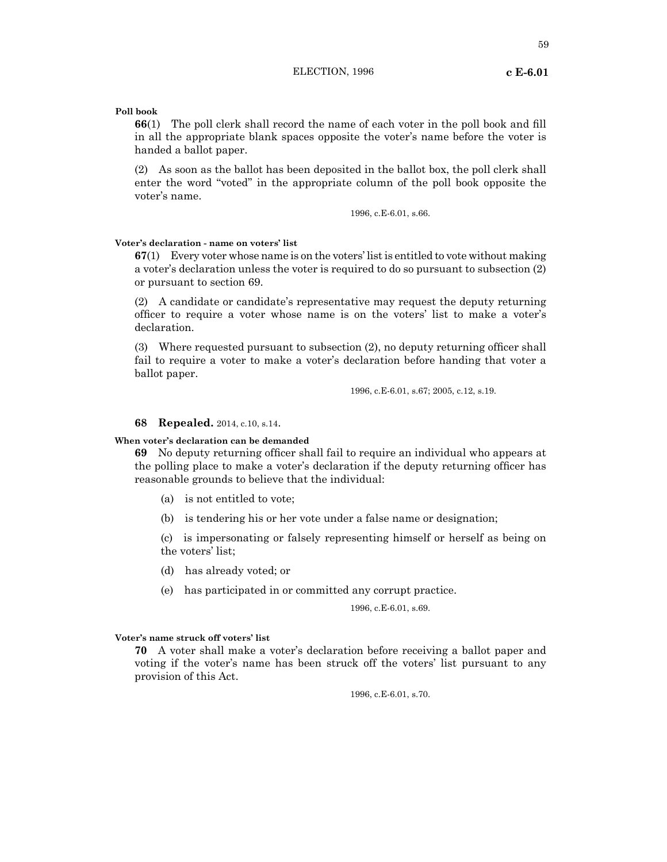59

## **Poll book**

**66**(1) The poll clerk shall record the name of each voter in the poll book and fill in all the appropriate blank spaces opposite the voter's name before the voter is handed a ballot paper.

(2) As soon as the ballot has been deposited in the ballot box, the poll clerk shall enter the word "voted" in the appropriate column of the poll book opposite the voter's name.

1996, c.E-6.01, s.66.

#### **Voter's declaration - name on voters' list**

**67**(1) Every voter whose name is on the voters' listis entitled to vote without making a voter's declaration unless the voter is required to do so pursuant to subsection (2) or pursuant to section 69.

(2) A candidate or candidate's representative may request the deputy returning officer to require a voter whose name is on the voters' list to make a voter's declaration.

(3) Where requested pursuant to subsection (2), no deputy returning officer shall fail to require a voter to make a voter's declaration before handing that voter a ballot paper.

1996, c.E-6.01, s.67; 2005, c.12, s.19.

#### **68 Repealed.** 2014, c.10, s.14.

## **When voter's declaration can be demanded**

**69** No deputy returning officer shall fail to require an individual who appears at the polling place to make a voter's declaration if the deputy returning officer has reasonable grounds to believe that the individual:

- (a) is not entitled to vote;
- (b) is tendering his or her vote under a false name or designation;

(c) is impersonating or falsely representing himself or herself as being on the voters' list;

(d) has already voted; or

(e) has participated in or committed any corrupt practice.

1996, c.E-6.01, s.69.

#### **Voter's name struck off voters' list**

**70** A voter shall make a voter's declaration before receiving a ballot paper and voting if the voter's name has been struck off the voters' list pursuant to any provision of this Act.

1996, c.E-6.01, s.70.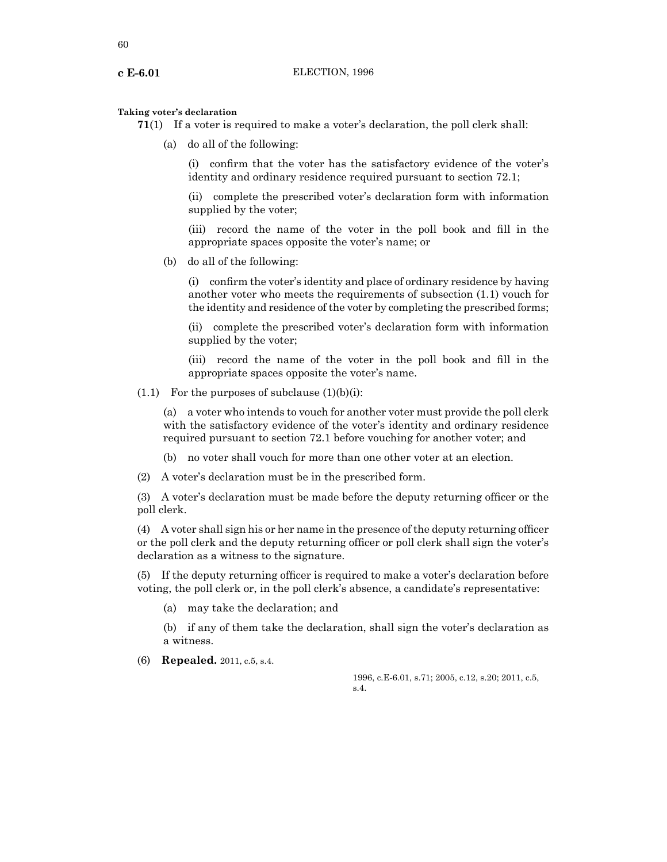### **Taking voter's declaration**

- **71**(1) If a voter is required to make a voter's declaration, the poll clerk shall:
	- (a) do all of the following:

(i) confirm that the voter has the satisfactory evidence of the voter's identity and ordinary residence required pursuant to section 72.1;

(ii) complete the prescribed voter's declaration form with information supplied by the voter;

(iii) record the name of the voter in the poll book and fill in the appropriate spaces opposite the voter's name; or

(b) do all of the following:

(i) confirm the voter's identity and place of ordinary residence by having another voter who meets the requirements of subsection (1.1) vouch for the identity and residence of the voter by completing the prescribed forms;

(ii) complete the prescribed voter's declaration form with information supplied by the voter;

(iii) record the name of the voter in the poll book and fill in the appropriate spaces opposite the voter's name.

 $(1.1)$  For the purposes of subclause  $(1)(b)(i)$ :

(a) a voter who intends to vouch for another voter must provide the poll clerk with the satisfactory evidence of the voter's identity and ordinary residence required pursuant to section 72.1 before vouching for another voter; and

(b) no voter shall vouch for more than one other voter at an election.

(2) A voter's declaration must be in the prescribed form.

(3) A voter's declaration must be made before the deputy returning officer or the poll clerk.

(4) A voter shall sign his or her name in the presence of the deputy returning officer or the poll clerk and the deputy returning officer or poll clerk shall sign the voter's declaration as a witness to the signature.

(5) If the deputy returning officer is required to make a voter's declaration before voting, the poll clerk or, in the poll clerk's absence, a candidate's representative:

(a) may take the declaration; and

(b) if any of them take the declaration, shall sign the voter's declaration as a witness.

(6) **Repealed.** 2011, c.5, s.4.

1996, c.E-6.01, s.71; 2005, c.12, s.20; 2011, c.5, s.4.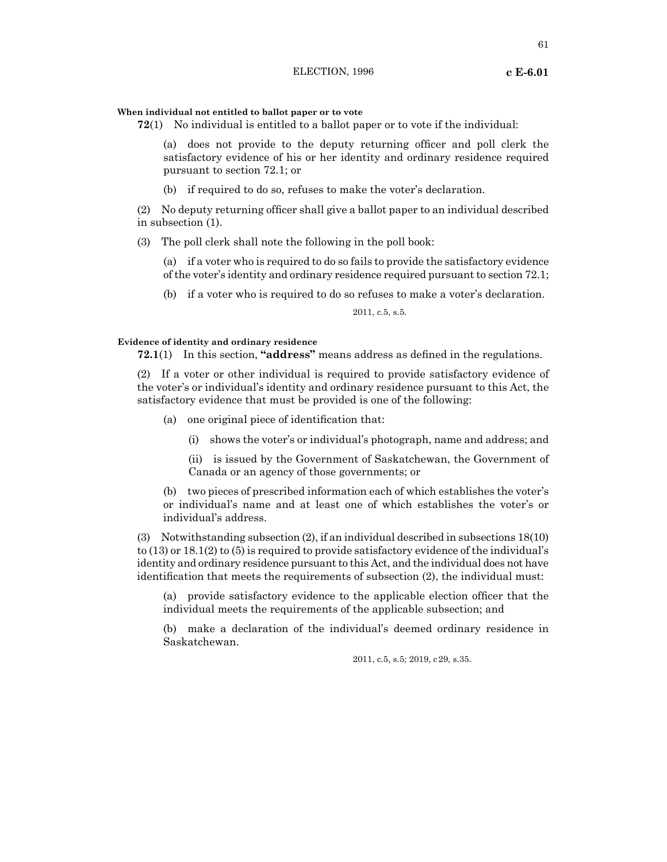### **When individual not entitled to ballot paper or to vote**

**72**(1) No individual is entitled to a ballot paper or to vote if the individual:

(a) does not provide to the deputy returning officer and poll clerk the satisfactory evidence of his or her identity and ordinary residence required pursuant to section 72.1; or

(b) if required to do so, refuses to make the voter's declaration.

(2) No deputy returning officer shall give a ballot paper to an individual described in subsection (1).

(3) The poll clerk shall note the following in the poll book:

(a) if a voter who is required to do so fails to provide the satisfactory evidence of the voter's identity and ordinary residence required pursuant to section 72.1;

(b) if a voter who is required to do so refuses to make a voter's declaration.

2011, c.5, s.5.

## **Evidence of identity and ordinary residence**

**72.1**(1) In this section, **"address"** means address as defined in the regulations.

(2) If a voter or other individual is required to provide satisfactory evidence of the voter's or individual's identity and ordinary residence pursuant to this Act, the satisfactory evidence that must be provided is one of the following:

(a) one original piece of identification that:

(i) shows the voter's or individual's photograph, name and address; and

(ii) is issued by the Government of Saskatchewan, the Government of Canada or an agency of those governments; or

(b) two pieces of prescribed information each of which establishes the voter's or individual's name and at least one of which establishes the voter's or individual's address.

(3) Notwithstanding subsection (2), if an individual described in subsections 18(10) to (13) or 18.1(2) to (5) is required to provide satisfactory evidence of the individual's identity and ordinary residence pursuant to this Act, and the individual does not have identification that meets the requirements of subsection (2), the individual must:

(a) provide satisfactory evidence to the applicable election officer that the individual meets the requirements of the applicable subsection; and

(b) make a declaration of the individual's deemed ordinary residence in Saskatchewan.

2011, c.5, s.5; 2019, c29, s.35.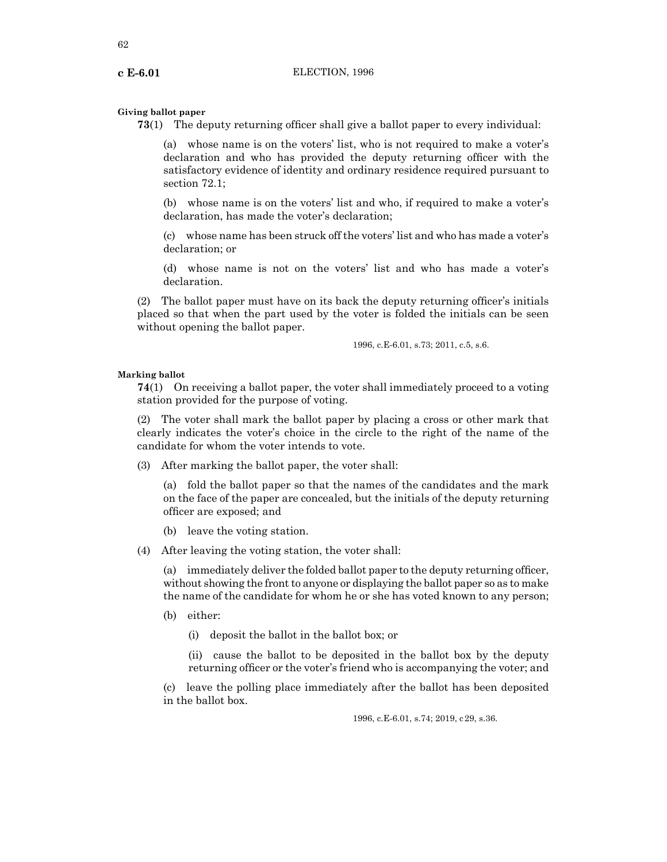### **Giving ballot paper**

**73**(1) The deputy returning officer shall give a ballot paper to every individual:

(a) whose name is on the voters' list, who is not required to make a voter's declaration and who has provided the deputy returning officer with the satisfactory evidence of identity and ordinary residence required pursuant to section 72.1;

(b) whose name is on the voters' list and who, if required to make a voter's declaration, has made the voter's declaration;

(c) whose name has been struck off the voters' list and who has made a voter's declaration; or

(d) whose name is not on the voters' list and who has made a voter's declaration.

(2) The ballot paper must have on its back the deputy returning officer's initials placed so that when the part used by the voter is folded the initials can be seen without opening the ballot paper.

1996, c.E-6.01, s.73; 2011, c.5, s.6.

### **Marking ballot**

**74**(1) On receiving a ballot paper, the voter shall immediately proceed to a voting station provided for the purpose of voting.

(2) The voter shall mark the ballot paper by placing a cross or other mark that clearly indicates the voter's choice in the circle to the right of the name of the candidate for whom the voter intends to vote.

(3) After marking the ballot paper, the voter shall:

(a) fold the ballot paper so that the names of the candidates and the mark on the face of the paper are concealed, but the initials of the deputy returning officer are exposed; and

- (b) leave the voting station.
- (4) After leaving the voting station, the voter shall:

(a) immediately deliver the folded ballot paper to the deputy returning officer, without showing the front to anyone or displaying the ballot paper so as to make the name of the candidate for whom he or she has voted known to any person;

(b) either:

(i) deposit the ballot in the ballot box; or

(ii) cause the ballot to be deposited in the ballot box by the deputy returning officer or the voter's friend who is accompanying the voter; and

(c) leave the polling place immediately after the ballot has been deposited in the ballot box.

1996, c.E-6.01, s.74; 2019, c29, s.36.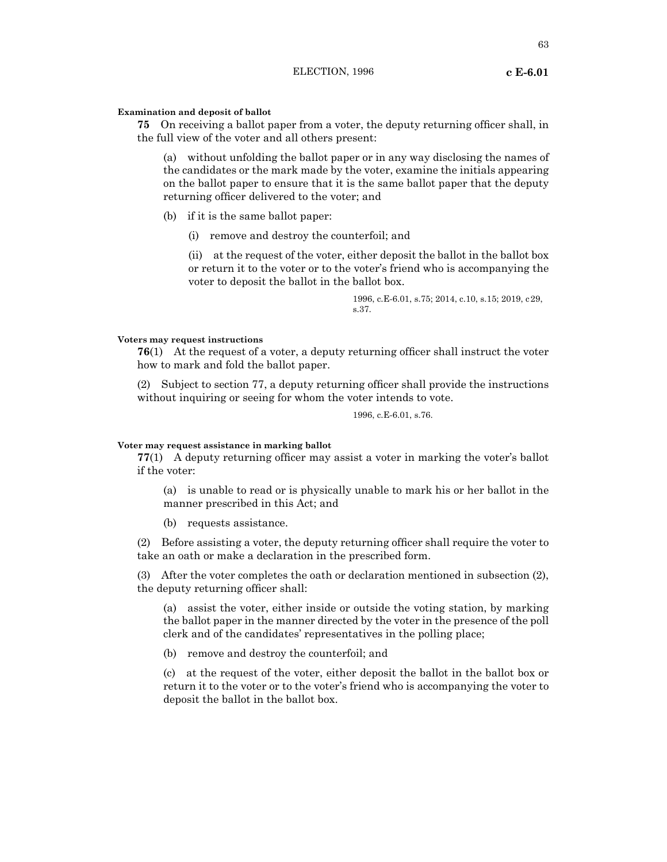#### **Examination and deposit of ballot**

**75** On receiving a ballot paper from a voter, the deputy returning officer shall, in the full view of the voter and all others present:

(a) without unfolding the ballot paper or in any way disclosing the names of the candidates or the mark made by the voter, examine the initials appearing on the ballot paper to ensure that it is the same ballot paper that the deputy returning officer delivered to the voter; and

- (b) if it is the same ballot paper:
	- (i) remove and destroy the counterfoil; and

(ii) at the request of the voter, either deposit the ballot in the ballot box or return it to the voter or to the voter's friend who is accompanying the voter to deposit the ballot in the ballot box.

> 1996, c.E-6.01, s.75; 2014, c.10, s.15; 2019, c29, s.37.

## **Voters may request instructions**

**76**(1) At the request of a voter, a deputy returning officer shall instruct the voter how to mark and fold the ballot paper.

(2) Subject to section 77, a deputy returning officer shall provide the instructions without inquiring or seeing for whom the voter intends to vote.

1996, c.E-6.01, s.76.

#### **Voter may request assistance in marking ballot**

**77**(1) A deputy returning officer may assist a voter in marking the voter's ballot if the voter:

(a) is unable to read or is physically unable to mark his or her ballot in the manner prescribed in this Act; and

(b) requests assistance.

(2) Before assisting a voter, the deputy returning officer shall require the voter to take an oath or make a declaration in the prescribed form.

(3) After the voter completes the oath or declaration mentioned in subsection (2), the deputy returning officer shall:

(a) assist the voter, either inside or outside the voting station, by marking the ballot paper in the manner directed by the voter in the presence of the poll clerk and of the candidates' representatives in the polling place;

(b) remove and destroy the counterfoil; and

(c) at the request of the voter, either deposit the ballot in the ballot box or return it to the voter or to the voter's friend who is accompanying the voter to deposit the ballot in the ballot box.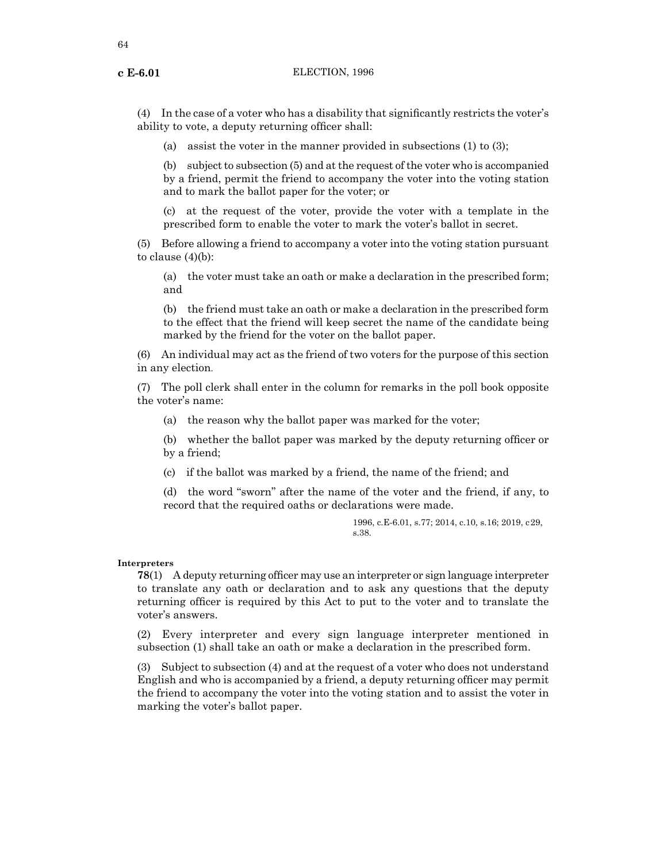64

(4) In the case of a voter who has a disability that significantly restricts the voter's ability to vote, a deputy returning officer shall:

(a) assist the voter in the manner provided in subsections (1) to (3);

(b) subject to subsection (5) and at the request of the voter who is accompanied by a friend, permit the friend to accompany the voter into the voting station and to mark the ballot paper for the voter; or

(c) at the request of the voter, provide the voter with a template in the prescribed form to enable the voter to mark the voter's ballot in secret.

(5) Before allowing a friend to accompany a voter into the voting station pursuant to clause  $(4)(b)$ :

(a) the voter must take an oath or make a declaration in the prescribed form; and

(b) the friend must take an oath or make a declaration in the prescribed form to the effect that the friend will keep secret the name of the candidate being marked by the friend for the voter on the ballot paper.

(6) An individual may act as the friend of two voters for the purpose of this section in any election.

(7) The poll clerk shall enter in the column for remarks in the poll book opposite the voter's name:

(a) the reason why the ballot paper was marked for the voter;

(b) whether the ballot paper was marked by the deputy returning officer or by a friend;

(c) if the ballot was marked by a friend, the name of the friend; and

(d) the word "sworn" after the name of the voter and the friend, if any, to record that the required oaths or declarations were made.

> 1996, c.E-6.01, s.77; 2014, c.10, s.16; 2019, c29, s.38.

#### **Interpreters**

**78**(1) A deputy returning officer may use an interpreter or sign language interpreter to translate any oath or declaration and to ask any questions that the deputy returning officer is required by this Act to put to the voter and to translate the voter's answers.

(2) Every interpreter and every sign language interpreter mentioned in subsection (1) shall take an oath or make a declaration in the prescribed form.

(3) Subject to subsection (4) and at the request of a voter who does not understand English and who is accompanied by a friend, a deputy returning officer may permit the friend to accompany the voter into the voting station and to assist the voter in marking the voter's ballot paper.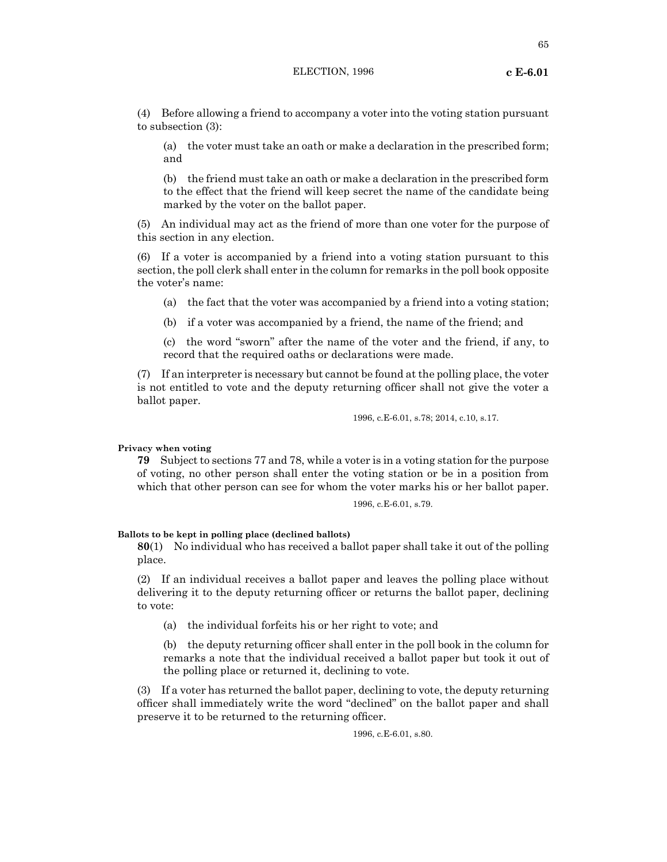(4) Before allowing a friend to accompany a voter into the voting station pursuant to subsection (3):

(a) the voter must take an oath or make a declaration in the prescribed form; and

(b) the friend must take an oath or make a declaration in the prescribed form to the effect that the friend will keep secret the name of the candidate being marked by the voter on the ballot paper.

(5) An individual may act as the friend of more than one voter for the purpose of this section in any election.

(6) If a voter is accompanied by a friend into a voting station pursuant to this section, the poll clerk shall enter in the column for remarks in the poll book opposite the voter's name:

(a) the fact that the voter was accompanied by a friend into a voting station;

(b) if a voter was accompanied by a friend, the name of the friend; and

(c) the word "sworn" after the name of the voter and the friend, if any, to record that the required oaths or declarations were made.

(7) If an interpreter is necessary but cannot be found at the polling place, the voter is not entitled to vote and the deputy returning officer shall not give the voter a ballot paper.

1996, c.E-6.01, s.78; 2014, c.10, s.17.

**Privacy when voting**

**79** Subject to sections 77 and 78, while a voter is in a voting station for the purpose of voting, no other person shall enter the voting station or be in a position from which that other person can see for whom the voter marks his or her ballot paper.

1996, c.E-6.01, s.79.

#### **Ballots to be kept in polling place (declined ballots)**

**80**(1) No individual who has received a ballot paper shall take it out of the polling place.

(2) If an individual receives a ballot paper and leaves the polling place without delivering it to the deputy returning officer or returns the ballot paper, declining to vote:

(a) the individual forfeits his or her right to vote; and

(b) the deputy returning officer shall enter in the poll book in the column for remarks a note that the individual received a ballot paper but took it out of the polling place or returned it, declining to vote.

(3) If a voter has returned the ballot paper, declining to vote, the deputy returning officer shall immediately write the word "declined" on the ballot paper and shall preserve it to be returned to the returning officer.

1996, c.E-6.01, s.80.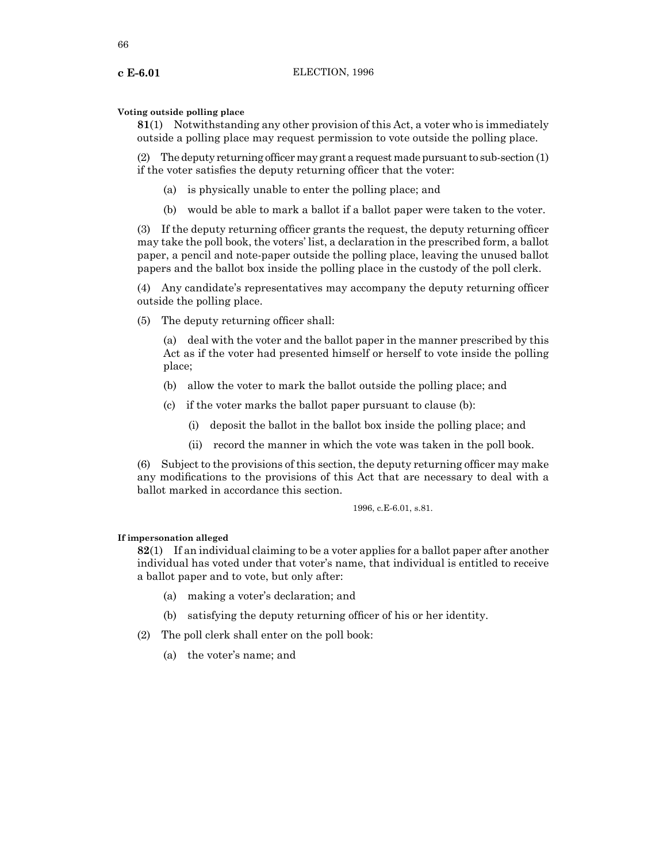66

## **Voting outside polling place**

**81**(1) Notwithstanding any other provision of this Act, a voter who is immediately outside a polling place may request permission to vote outside the polling place.

(2) The deputy returning officer may grant a request made pursuant to sub-section  $(1)$ if the voter satisfies the deputy returning officer that the voter:

- (a) is physically unable to enter the polling place; and
- (b) would be able to mark a ballot if a ballot paper were taken to the voter.

(3) If the deputy returning officer grants the request, the deputy returning officer may take the poll book, the voters' list, a declaration in the prescribed form, a ballot paper, a pencil and note-paper outside the polling place, leaving the unused ballot papers and the ballot box inside the polling place in the custody of the poll clerk.

(4) Any candidate's representatives may accompany the deputy returning officer outside the polling place.

(5) The deputy returning officer shall:

(a) deal with the voter and the ballot paper in the manner prescribed by this Act as if the voter had presented himself or herself to vote inside the polling place;

- (b) allow the voter to mark the ballot outside the polling place; and
- (c) if the voter marks the ballot paper pursuant to clause (b):
	- (i) deposit the ballot in the ballot box inside the polling place; and
	- (ii) record the manner in which the vote was taken in the poll book.

(6) Subject to the provisions of this section, the deputy returning officer may make any modifications to the provisions of this Act that are necessary to deal with a ballot marked in accordance this section.

1996, c.E-6.01, s.81.

## **If impersonation alleged**

**82**(1) If an individual claiming to be a voter applies for a ballot paper after another individual has voted under that voter's name, that individual is entitled to receive a ballot paper and to vote, but only after:

- (a) making a voter's declaration; and
- (b) satisfying the deputy returning officer of his or her identity.
- (2) The poll clerk shall enter on the poll book:
	- (a) the voter's name; and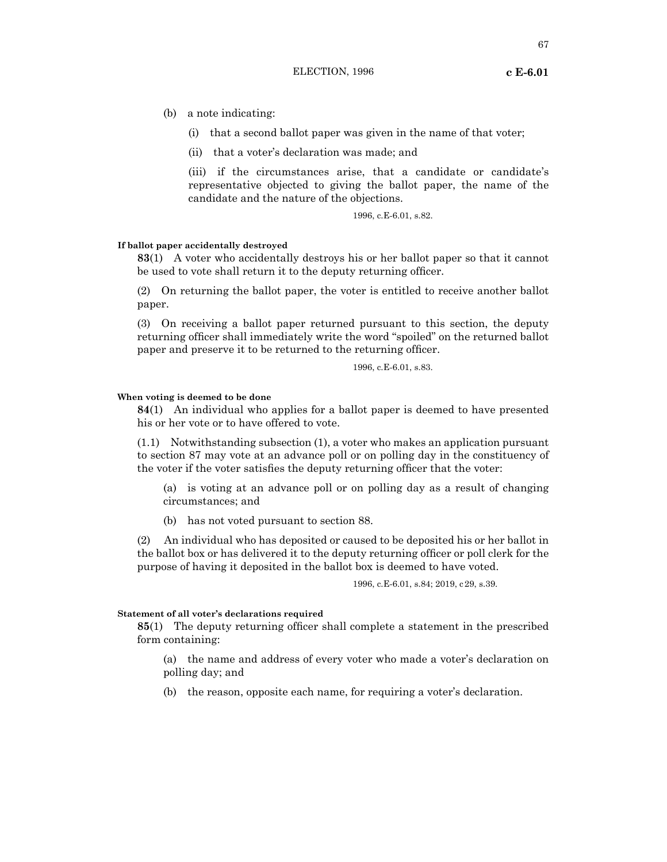(b) a note indicating:

- (i) that a second ballot paper was given in the name of that voter;
- (ii) that a voter's declaration was made; and

(iii) if the circumstances arise, that a candidate or candidate's representative objected to giving the ballot paper, the name of the candidate and the nature of the objections.

1996, c.E-6.01, s.82.

#### **If ballot paper accidentally destroyed**

**83**(1) A voter who accidentally destroys his or her ballot paper so that it cannot be used to vote shall return it to the deputy returning officer.

(2) On returning the ballot paper, the voter is entitled to receive another ballot paper.

(3) On receiving a ballot paper returned pursuant to this section, the deputy returning officer shall immediately write the word "spoiled" on the returned ballot paper and preserve it to be returned to the returning officer.

1996, c.E-6.01, s.83.

#### **When voting is deemed to be done**

**84**(1) An individual who applies for a ballot paper is deemed to have presented his or her vote or to have offered to vote.

(1.1) Notwithstanding subsection (1), a voter who makes an application pursuant to section 87 may vote at an advance poll or on polling day in the constituency of the voter if the voter satisfies the deputy returning officer that the voter:

(a) is voting at an advance poll or on polling day as a result of changing circumstances; and

(b) has not voted pursuant to section 88.

(2) An individual who has deposited or caused to be deposited his or her ballot in the ballot box or has delivered it to the deputy returning officer or poll clerk for the purpose of having it deposited in the ballot box is deemed to have voted.

1996, c.E-6.01, s.84; 2019, c29, s.39.

#### **Statement of all voter's declarations required**

**85**(1) The deputy returning officer shall complete a statement in the prescribed form containing:

(a) the name and address of every voter who made a voter's declaration on polling day; and

(b) the reason, opposite each name, for requiring a voter's declaration.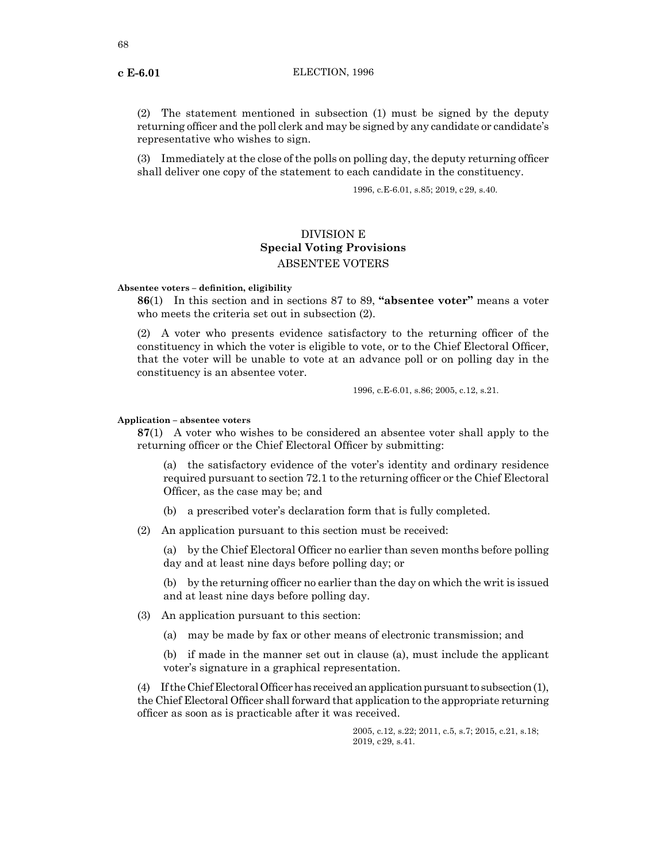(2) The statement mentioned in subsection (1) must be signed by the deputy returning officer and the poll clerk and may be signed by any candidate or candidate's representative who wishes to sign.

(3) Immediately at the close of the polls on polling day, the deputy returning officer shall deliver one copy of the statement to each candidate in the constituency.

1996, c.E-6.01, s.85; 2019, c29, s.40.

# DIVISION E **Special Voting Provisions** ABSENTEE VOTERS

**Absentee voters – definition, eligibility**

**86**(1) In this section and in sections 87 to 89, **"absentee voter"** means a voter who meets the criteria set out in subsection (2).

(2) A voter who presents evidence satisfactory to the returning officer of the constituency in which the voter is eligible to vote, or to the Chief Electoral Officer, that the voter will be unable to vote at an advance poll or on polling day in the constituency is an absentee voter.

1996, c.E-6.01, s.86; 2005, c.12, s.21.

#### **Application – absentee voters**

**87**(1) A voter who wishes to be considered an absentee voter shall apply to the returning officer or the Chief Electoral Officer by submitting:

(a) the satisfactory evidence of the voter's identity and ordinary residence required pursuant to section 72.1 to the returning officer or the Chief Electoral Officer, as the case may be; and

(b) a prescribed voter's declaration form that is fully completed.

(2) An application pursuant to this section must be received:

(a) by the Chief Electoral Officer no earlier than seven months before polling day and at least nine days before polling day; or

(b) by the returning officer no earlier than the day on which the writ is issued and at least nine days before polling day.

- (3) An application pursuant to this section:
	- (a) may be made by fax or other means of electronic transmission; and

(b) if made in the manner set out in clause (a), must include the applicant voter's signature in a graphical representation.

(4) If the Chief Electoral Officer has received an application pursuant to subsection (1), the Chief Electoral Officer shall forward that application to the appropriate returning officer as soon as is practicable after it was received.

> 2005, c.12, s.22; 2011, c.5, s.7; 2015, c.21, s.18; 2019, c29, s.41.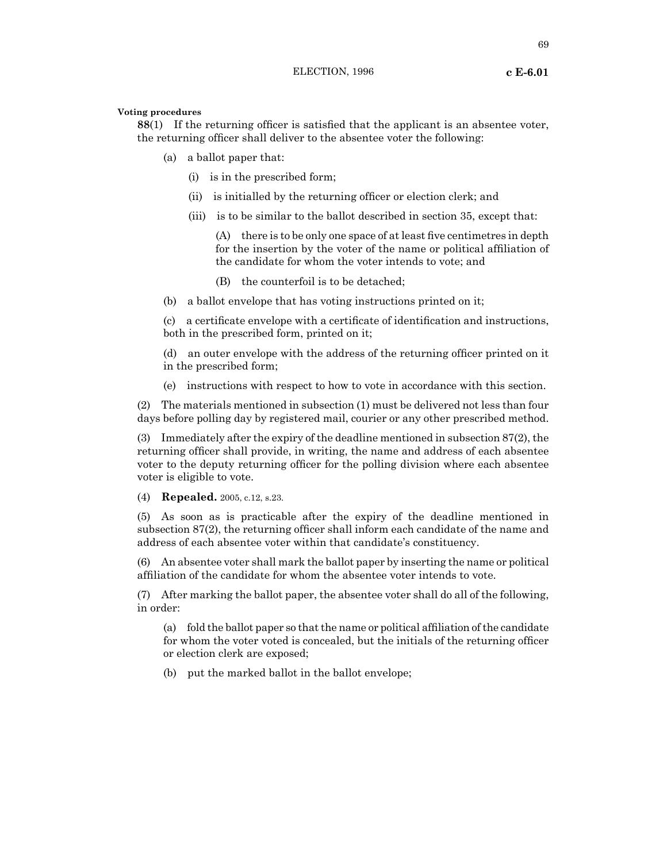#### **Voting procedures**

**88**(1) If the returning officer is satisfied that the applicant is an absentee voter, the returning officer shall deliver to the absentee voter the following:

- (a) a ballot paper that:
	- (i) is in the prescribed form;
	- (ii) is initialled by the returning officer or election clerk; and
	- (iii) is to be similar to the ballot described in section 35, except that:

(A) there is to be only one space of at least five centimetres in depth for the insertion by the voter of the name or political affiliation of the candidate for whom the voter intends to vote; and

(B) the counterfoil is to be detached;

(b) a ballot envelope that has voting instructions printed on it;

(c) a certificate envelope with a certificate of identification and instructions, both in the prescribed form, printed on it;

(d) an outer envelope with the address of the returning officer printed on it in the prescribed form;

(e) instructions with respect to how to vote in accordance with this section.

(2) The materials mentioned in subsection (1) must be delivered not less than four days before polling day by registered mail, courier or any other prescribed method.

(3) Immediately after the expiry of the deadline mentioned in subsection 87(2), the returning officer shall provide, in writing, the name and address of each absentee voter to the deputy returning officer for the polling division where each absentee voter is eligible to vote.

(4) **Repealed.** 2005, c.12, s.23.

(5) As soon as is practicable after the expiry of the deadline mentioned in subsection 87(2), the returning officer shall inform each candidate of the name and address of each absentee voter within that candidate's constituency.

(6) An absentee voter shall mark the ballot paper by inserting the name or political affiliation of the candidate for whom the absentee voter intends to vote.

(7) After marking the ballot paper, the absentee voter shall do all of the following, in order:

(a) fold the ballot paper so that the name or political affiliation of the candidate for whom the voter voted is concealed, but the initials of the returning officer or election clerk are exposed;

(b) put the marked ballot in the ballot envelope;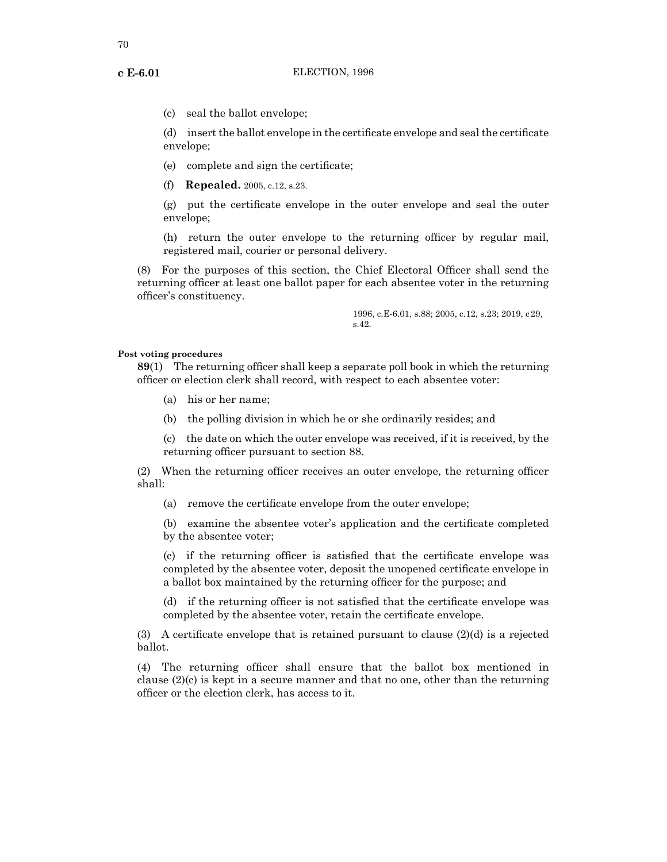(c) seal the ballot envelope;

(d) insertthe ballot envelope in the certificate envelope and sealthe certificate envelope;

- (e) complete and sign the certificate;
- (f) **Repealed.** 2005, c.12, s.23.

(g) put the certificate envelope in the outer envelope and seal the outer envelope;

(h) return the outer envelope to the returning officer by regular mail, registered mail, courier or personal delivery.

(8) For the purposes of this section, the Chief Electoral Officer shall send the returning officer at least one ballot paper for each absentee voter in the returning officer's constituency.

> 1996, c.E-6.01, s.88; 2005, c.12, s.23; 2019, c29, s.42.

## **Post voting procedures**

**89**(1) The returning officer shall keep a separate poll book in which the returning officer or election clerk shall record, with respect to each absentee voter:

- (a) his or her name;
- (b) the polling division in which he or she ordinarily resides; and

(c) the date on which the outer envelope was received, if it is received, by the returning officer pursuant to section 88.

(2) When the returning officer receives an outer envelope, the returning officer shall:

(a) remove the certificate envelope from the outer envelope;

(b) examine the absentee voter's application and the certificate completed by the absentee voter;

(c) if the returning officer is satisfied that the certificate envelope was completed by the absentee voter, deposit the unopened certificate envelope in a ballot box maintained by the returning officer for the purpose; and

(d) if the returning officer is not satisfied that the certificate envelope was completed by the absentee voter, retain the certificate envelope.

(3) A certificate envelope that is retained pursuant to clause  $(2)(d)$  is a rejected ballot.

(4) The returning officer shall ensure that the ballot box mentioned in clause  $(2)(c)$  is kept in a secure manner and that no one, other than the returning officer or the election clerk, has access to it.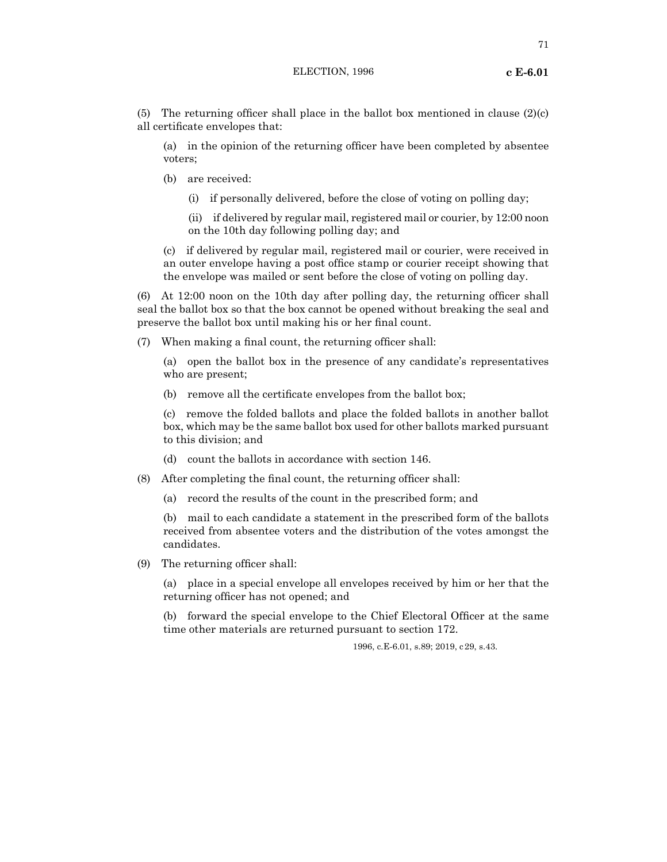(5) The returning officer shall place in the ballot box mentioned in clause  $(2)(c)$ all certificate envelopes that:

(a) in the opinion of the returning officer have been completed by absentee voters;

- (b) are received:
	- (i) if personally delivered, before the close of voting on polling day;

(ii) if delivered by regular mail, registered mail or courier, by 12:00 noon on the 10th day following polling day; and

(c) if delivered by regular mail, registered mail or courier, were received in an outer envelope having a post office stamp or courier receipt showing that the envelope was mailed or sent before the close of voting on polling day.

(6) At 12:00 noon on the 10th day after polling day, the returning officer shall seal the ballot box so that the box cannot be opened without breaking the seal and preserve the ballot box until making his or her final count.

(7) When making a final count, the returning officer shall:

(a) open the ballot box in the presence of any candidate's representatives who are present;

(b) remove all the certificate envelopes from the ballot box;

(c) remove the folded ballots and place the folded ballots in another ballot box, which may be the same ballot box used for other ballots marked pursuant to this division; and

(d) count the ballots in accordance with section 146.

- (8) After completing the final count, the returning officer shall:
	- (a) record the results of the count in the prescribed form; and

(b) mail to each candidate a statement in the prescribed form of the ballots received from absentee voters and the distribution of the votes amongst the candidates.

(9) The returning officer shall:

(a) place in a special envelope all envelopes received by him or her that the returning officer has not opened; and

(b) forward the special envelope to the Chief Electoral Officer at the same time other materials are returned pursuant to section 172.

1996, c.E-6.01, s.89; 2019, c29, s.43.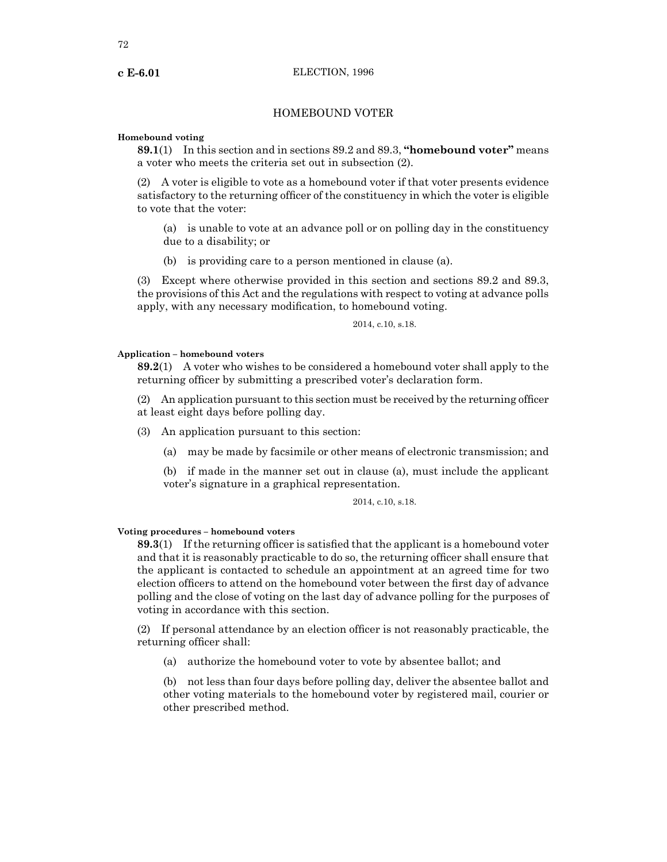## HOMEBOUND VOTER

#### **Homebound voting**

**89.1**(1) In this section and in sections 89.2 and 89.3, **"homebound voter"** means a voter who meets the criteria set out in subsection (2).

(2) A voter is eligible to vote as a homebound voter if that voter presents evidence satisfactory to the returning officer of the constituency in which the voter is eligible to vote that the voter:

(a) is unable to vote at an advance poll or on polling day in the constituency due to a disability; or

(b) is providing care to a person mentioned in clause (a).

(3) Except where otherwise provided in this section and sections 89.2 and 89.3, the provisions of this Act and the regulations with respect to voting at advance polls apply, with any necessary modification, to homebound voting.

#### 2014, c.10, s.18.

#### **Application – homebound voters**

**89.2**(1) A voter who wishes to be considered a homebound voter shall apply to the returning officer by submitting a prescribed voter's declaration form.

 $(2)$  An application pursuant to this section must be received by the returning officer at least eight days before polling day.

(3) An application pursuant to this section:

(a) may be made by facsimile or other means of electronic transmission; and

(b) if made in the manner set out in clause (a), must include the applicant voter's signature in a graphical representation.

## 2014, c.10, s.18.

## **Voting procedures – homebound voters**

**89.3**(1) If the returning officer is satisfied that the applicant is a homebound voter and that it is reasonably practicable to do so, the returning officer shall ensure that the applicant is contacted to schedule an appointment at an agreed time for two election officers to attend on the homebound voter between the first day of advance polling and the close of voting on the last day of advance polling for the purposes of voting in accordance with this section.

(2) If personal attendance by an election officer is not reasonably practicable, the returning officer shall:

(a) authorize the homebound voter to vote by absentee ballot; and

(b) not less than four days before polling day, deliver the absentee ballot and other voting materials to the homebound voter by registered mail, courier or other prescribed method.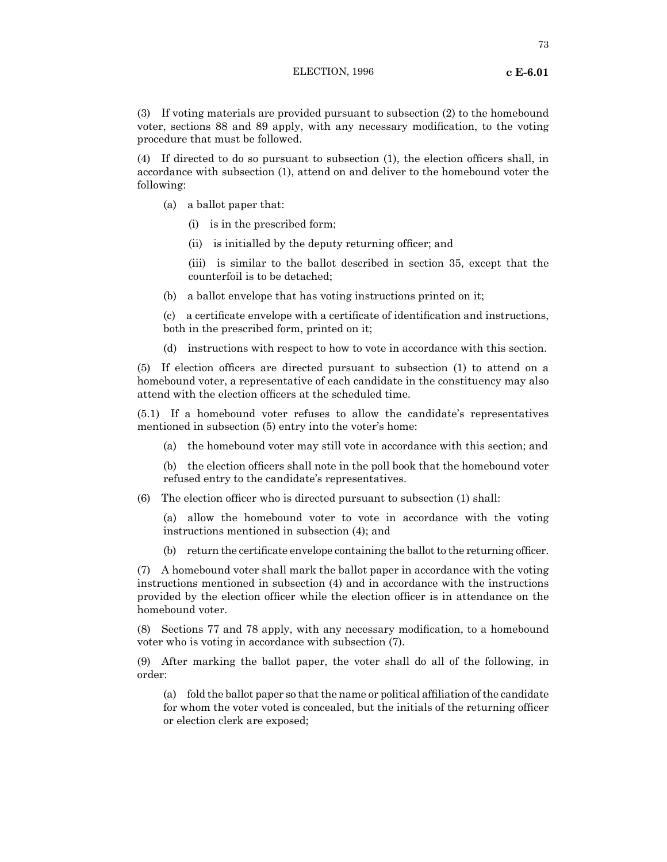(3) If voting materials are provided pursuant to subsection (2) to the homebound voter, sections 88 and 89 apply, with any necessary modification, to the voting procedure that must be followed.

(4) If directed to do so pursuant to subsection (1), the election officers shall, in accordance with subsection (1), attend on and deliver to the homebound voter the following:

- (a) a ballot paper that:
	- (i) is in the prescribed form;
	- (ii) is initialled by the deputy returning officer; and

(iii) is similar to the ballot described in section 35, except that the counterfoil is to be detached;

(b) a ballot envelope that has voting instructions printed on it;

(c) a certificate envelope with a certificate of identification and instructions, both in the prescribed form, printed on it;

(d) instructions with respect to how to vote in accordance with this section.

(5) If election officers are directed pursuant to subsection (1) to attend on a homebound voter, a representative of each candidate in the constituency may also attend with the election officers at the scheduled time.

(5.1) If a homebound voter refuses to allow the candidate's representatives mentioned in subsection (5) entry into the voter's home:

(a) the homebound voter may still vote in accordance with this section; and

(b) the election officers shall note in the poll book that the homebound voter refused entry to the candidate's representatives.

(6) The election officer who is directed pursuant to subsection (1) shall:

(a) allow the homebound voter to vote in accordance with the voting instructions mentioned in subsection (4); and

(b) return the certificate envelope containing the ballot to the returning officer.

(7) A homebound voter shall mark the ballot paper in accordance with the voting instructions mentioned in subsection (4) and in accordance with the instructions provided by the election officer while the election officer is in attendance on the homebound voter.

(8) Sections 77 and 78 apply, with any necessary modification, to a homebound voter who is voting in accordance with subsection (7).

(9) After marking the ballot paper, the voter shall do all of the following, in order:

(a) fold the ballot paper so that the name or political affiliation of the candidate for whom the voter voted is concealed, but the initials of the returning officer or election clerk are exposed;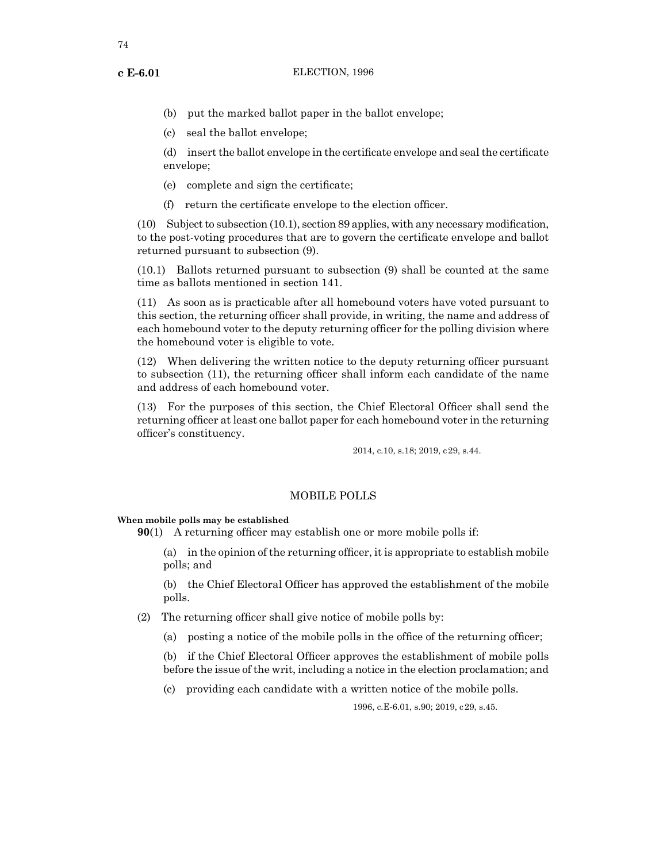- (b) put the marked ballot paper in the ballot envelope;
- (c) seal the ballot envelope;

(d) insertthe ballot envelope in the certificate envelope and sealthe certificate envelope;

- (e) complete and sign the certificate;
- (f) return the certificate envelope to the election officer.

 $(10)$  Subject to subsection  $(10.1)$ , section 89 applies, with any necessary modification, to the post-voting procedures that are to govern the certificate envelope and ballot returned pursuant to subsection (9).

(10.1) Ballots returned pursuant to subsection (9) shall be counted at the same time as ballots mentioned in section 141.

(11) As soon as is practicable after all homebound voters have voted pursuant to this section, the returning officer shall provide, in writing, the name and address of each homebound voter to the deputy returning officer for the polling division where the homebound voter is eligible to vote.

(12) When delivering the written notice to the deputy returning officer pursuant to subsection (11), the returning officer shall inform each candidate of the name and address of each homebound voter.

(13) For the purposes of this section, the Chief Electoral Officer shall send the returning officer at least one ballot paper for each homebound voter in the returning officer's constituency.

2014, c.10, s.18; 2019, c29, s.44.

## MOBILE POLLS

**When mobile polls may be established**

**90**(1) A returning officer may establish one or more mobile polls if:

(a) in the opinion of the returning officer, it is appropriate to establish mobile polls; and

(b) the Chief Electoral Officer has approved the establishment of the mobile polls.

(2) The returning officer shall give notice of mobile polls by:

(a) posting a notice of the mobile polls in the office of the returning officer;

(b) if the Chief Electoral Officer approves the establishment of mobile polls before the issue of the writ, including a notice in the election proclamation; and

(c) providing each candidate with a written notice of the mobile polls.

1996, c.E-6.01, s.90; 2019, c29, s.45.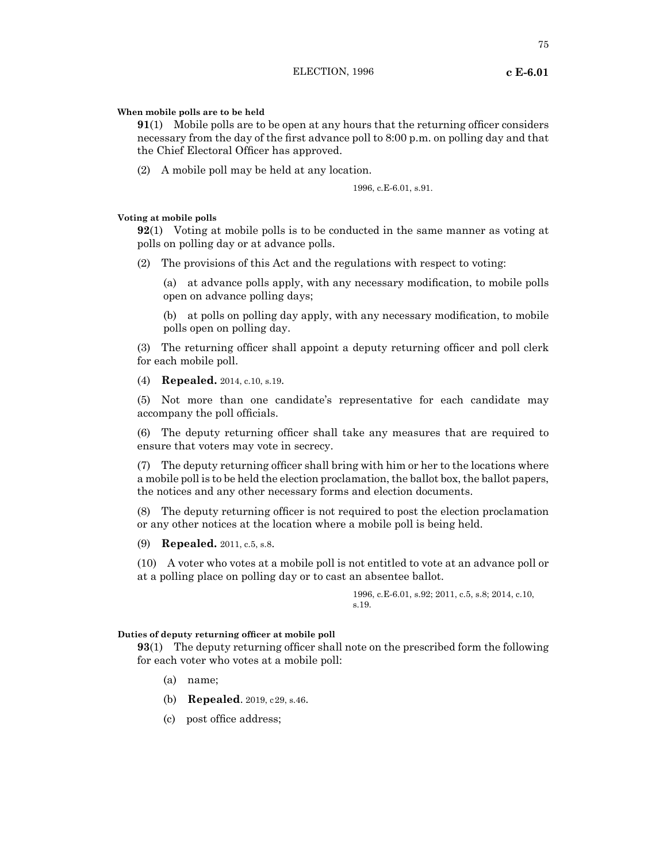## **When mobile polls are to be held**

**91**(1) Mobile polls are to be open at any hours that the returning officer considers necessary from the day of the first advance poll to 8:00 p.m. on polling day and that the Chief Electoral Officer has approved.

(2) A mobile poll may be held at any location.

1996, c.E-6.01, s.91.

#### **Voting at mobile polls**

**92**(1) Voting at mobile polls is to be conducted in the same manner as voting at polls on polling day or at advance polls.

(2) The provisions of this Act and the regulations with respect to voting:

(a) at advance polls apply, with any necessary modification, to mobile polls open on advance polling days;

(b) at polls on polling day apply, with any necessary modification, to mobile polls open on polling day.

(3) The returning officer shall appoint a deputy returning officer and poll clerk for each mobile poll.

(4) **Repealed.** 2014, c.10, s.19.

(5) Not more than one candidate's representative for each candidate may accompany the poll officials.

(6) The deputy returning officer shall take any measures that are required to ensure that voters may vote in secrecy.

(7) The deputy returning officer shall bring with him or her to the locations where a mobile poll is to be held the election proclamation, the ballot box, the ballot papers, the notices and any other necessary forms and election documents.

(8) The deputy returning officer is not required to post the election proclamation or any other notices at the location where a mobile poll is being held.

(9) **Repealed.** 2011, c.5, s.8.

(10) A voter who votes at a mobile poll is not entitled to vote at an advance poll or at a polling place on polling day or to cast an absentee ballot.

> 1996, c.E-6.01, s.92; 2011, c.5, s.8; 2014, c.10, s.19.

#### **Duties of deputy returning officer at mobile poll**

**93**(1) The deputy returning officer shall note on the prescribed form the following for each voter who votes at a mobile poll:

- (a) name;
- (b) **Repealed**. 2019, c29, s.46.
- (c) post office address;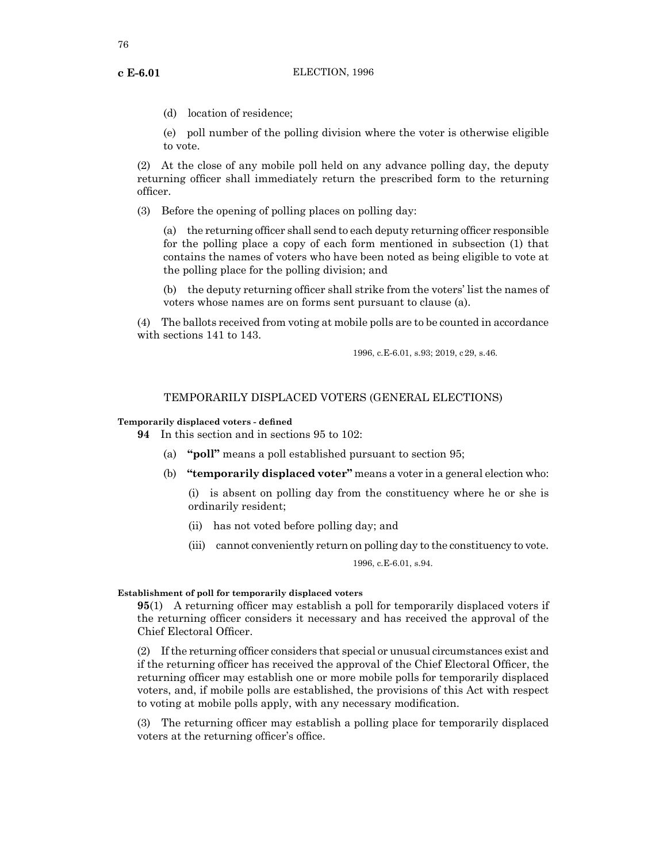(d) location of residence;

(e) poll number of the polling division where the voter is otherwise eligible to vote.

(2) At the close of any mobile poll held on any advance polling day, the deputy returning officer shall immediately return the prescribed form to the returning officer.

(3) Before the opening of polling places on polling day:

(a) the returning officer shall send to each deputy returning officer responsible for the polling place a copy of each form mentioned in subsection (1) that contains the names of voters who have been noted as being eligible to vote at the polling place for the polling division; and

(b) the deputy returning officer shall strike from the voters' list the names of voters whose names are on forms sent pursuant to clause (a).

(4) The ballots received from voting at mobile polls are to be counted in accordance with sections 141 to 143.

1996, c.E-6.01, s.93; 2019, c29, s.46.

## TEMPORARILY DISPLACED VOTERS (GENERAL ELECTIONS)

#### **Temporarily displaced voters - defined**

**94** In this section and in sections 95 to 102:

- (a) **"poll"** means a poll established pursuant to section 95;
- (b) **"temporarily displaced voter"** means a voter in a general election who:

(i) is absent on polling day from the constituency where he or she is ordinarily resident;

- (ii) has not voted before polling day; and
- (iii) cannot conveniently return on polling day to the constituency to vote.

1996, c.E-6.01, s.94.

## **Establishment of poll for temporarily displaced voters**

**95**(1) A returning officer may establish a poll for temporarily displaced voters if the returning officer considers it necessary and has received the approval of the Chief Electoral Officer.

(2) Ifthe returning officer considers that special or unusual circumstances exist and if the returning officer has received the approval of the Chief Electoral Officer, the returning officer may establish one or more mobile polls for temporarily displaced voters, and, if mobile polls are established, the provisions of this Act with respect to voting at mobile polls apply, with any necessary modification.

(3) The returning officer may establish a polling place for temporarily displaced voters at the returning officer's office.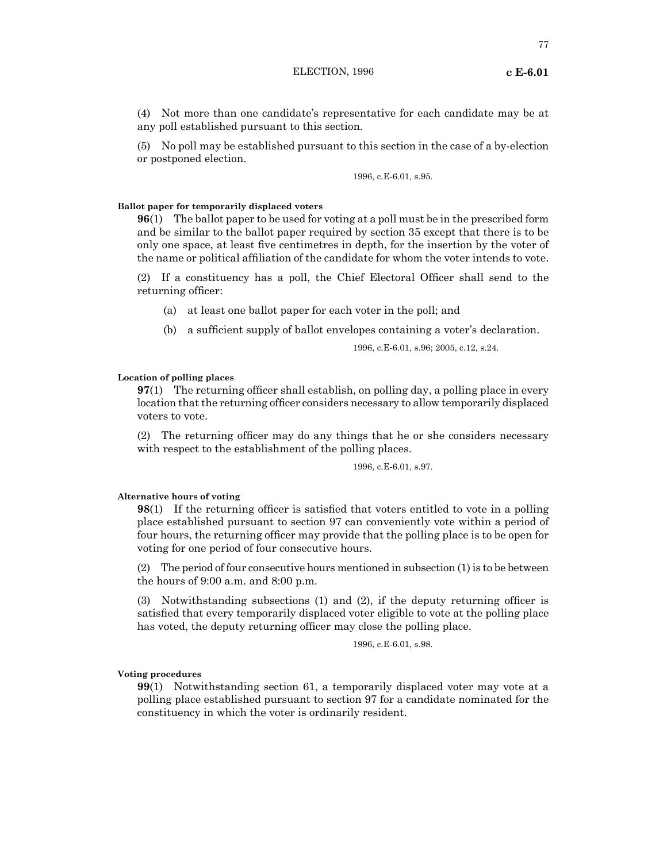(4) Not more than one candidate's representative for each candidate may be at any poll established pursuant to this section.

(5) No poll may be established pursuant to this section in the case of a by-election or postponed election.

1996, c.E-6.01, s.95.

#### **Ballot paper for temporarily displaced voters**

**96**(1) The ballot paper to be used for voting at a poll must be in the prescribed form and be similar to the ballot paper required by section 35 except that there is to be only one space, at least five centimetres in depth, for the insertion by the voter of the name or political affiliation of the candidate for whom the voter intends to vote.

(2) If a constituency has a poll, the Chief Electoral Officer shall send to the returning officer:

- (a) at least one ballot paper for each voter in the poll; and
- (b) a sufficient supply of ballot envelopes containing a voter's declaration.

1996, c.E-6.01, s.96; 2005, c.12, s.24.

## **Location of polling places**

**97**(1) The returning officer shall establish, on polling day, a polling place in every location that the returning officer considers necessary to allow temporarily displaced voters to vote.

(2) The returning officer may do any things that he or she considers necessary with respect to the establishment of the polling places.

## 1996, c.E-6.01, s.97.

#### **Alternative hours of voting**

**98**(1) If the returning officer is satisfied that voters entitled to vote in a polling place established pursuant to section 97 can conveniently vote within a period of four hours, the returning officer may provide that the polling place is to be open for voting for one period of four consecutive hours.

(2) The period of four consecutive hours mentioned in subsection (1) is to be between the hours of 9:00 a.m. and 8:00 p.m.

(3) Notwithstanding subsections (1) and (2), if the deputy returning officer is satisfied that every temporarily displaced voter eligible to vote at the polling place has voted, the deputy returning officer may close the polling place.

1996, c.E-6.01, s.98.

#### **Voting procedures**

**99**(1) Notwithstanding section 61, a temporarily displaced voter may vote at a polling place established pursuant to section 97 for a candidate nominated for the constituency in which the voter is ordinarily resident.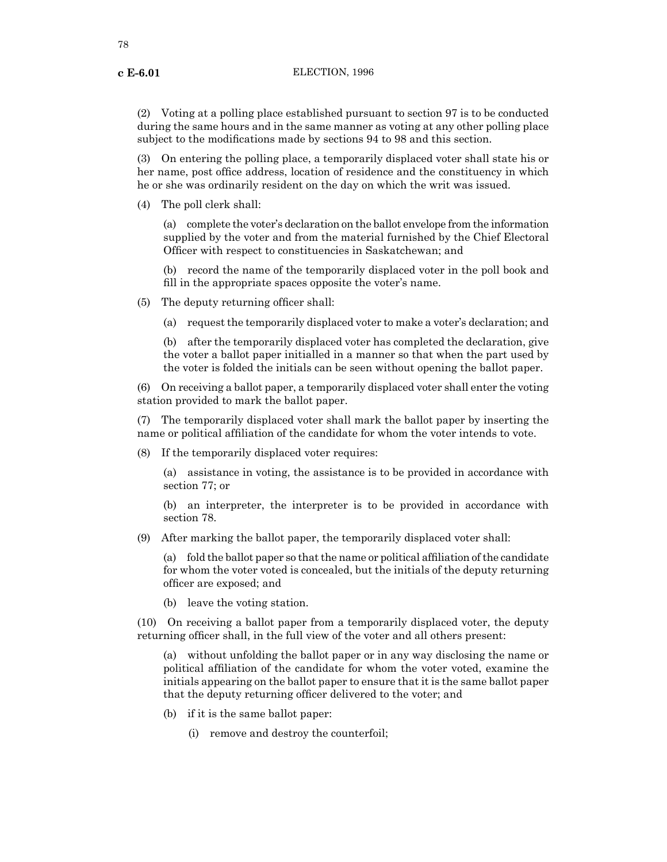(2) Voting at a polling place established pursuant to section 97 is to be conducted during the same hours and in the same manner as voting at any other polling place subject to the modifications made by sections 94 to 98 and this section.

(3) On entering the polling place, a temporarily displaced voter shall state his or her name, post office address, location of residence and the constituency in which he or she was ordinarily resident on the day on which the writ was issued.

(4) The poll clerk shall:

(a) complete the voter's declaration on the ballot envelope from the information supplied by the voter and from the material furnished by the Chief Electoral Officer with respect to constituencies in Saskatchewan; and

(b) record the name of the temporarily displaced voter in the poll book and fill in the appropriate spaces opposite the voter's name.

- (5) The deputy returning officer shall:
	- (a) request the temporarily displaced voter to make a voter's declaration; and

(b) after the temporarily displaced voter has completed the declaration, give the voter a ballot paper initialled in a manner so that when the part used by the voter is folded the initials can be seen without opening the ballot paper.

(6) On receiving a ballot paper, a temporarily displaced voter shall enter the voting station provided to mark the ballot paper.

(7) The temporarily displaced voter shall mark the ballot paper by inserting the name or political affiliation of the candidate for whom the voter intends to vote.

(8) If the temporarily displaced voter requires:

(a) assistance in voting, the assistance is to be provided in accordance with section 77; or

(b) an interpreter, the interpreter is to be provided in accordance with section 78.

(9) After marking the ballot paper, the temporarily displaced voter shall:

(a) fold the ballot paper so that the name or political affiliation of the candidate for whom the voter voted is concealed, but the initials of the deputy returning officer are exposed; and

(b) leave the voting station.

(10) On receiving a ballot paper from a temporarily displaced voter, the deputy returning officer shall, in the full view of the voter and all others present:

(a) without unfolding the ballot paper or in any way disclosing the name or political affiliation of the candidate for whom the voter voted, examine the initials appearing on the ballot paper to ensure that it is the same ballot paper that the deputy returning officer delivered to the voter; and

- (b) if it is the same ballot paper:
	- (i) remove and destroy the counterfoil;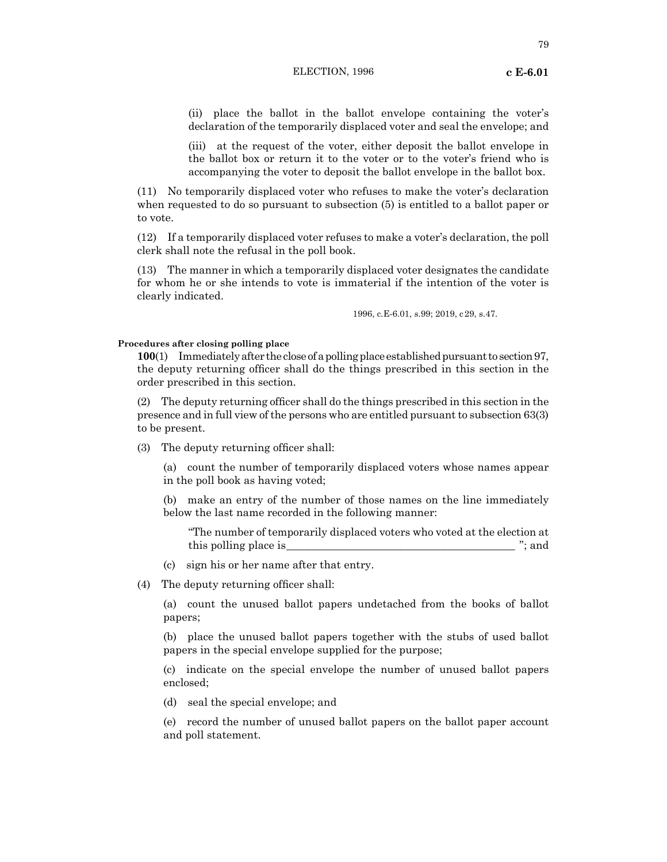79

(ii) place the ballot in the ballot envelope containing the voter's declaration of the temporarily displaced voter and seal the envelope; and

(iii) at the request of the voter, either deposit the ballot envelope in the ballot box or return it to the voter or to the voter's friend who is accompanying the voter to deposit the ballot envelope in the ballot box.

(11) No temporarily displaced voter who refuses to make the voter's declaration when requested to do so pursuant to subsection (5) is entitled to a ballot paper or to vote.

(12) If a temporarily displaced voter refuses to make a voter's declaration, the poll clerk shall note the refusal in the poll book.

(13) The manner in which a temporarily displaced voter designates the candidate for whom he or she intends to vote is immaterial if the intention of the voter is clearly indicated.

1996, c.E-6.01, s.99; 2019, c29, s.47.

#### **Procedures after closing polling place**

**100**(1) Immediately after the close of a polling place established pursuant to section 97, the deputy returning officer shall do the things prescribed in this section in the order prescribed in this section.

(2) The deputy returning officer shall do the things prescribed in this section in the presence and in full view of the persons who are entitled pursuant to subsection 63(3) to be present.

(3) The deputy returning officer shall:

(a) count the number of temporarily displaced voters whose names appear in the poll book as having voted;

(b) make an entry of the number of those names on the line immediately below the last name recorded in the following manner:

"The number of temporarily displaced voters who voted at the election at this polling place is  $\ddot{\hspace{1cm}}$  ; and

- (c) sign his or her name after that entry.
- (4) The deputy returning officer shall:

(a) count the unused ballot papers undetached from the books of ballot papers;

(b) place the unused ballot papers together with the stubs of used ballot papers in the special envelope supplied for the purpose;

(c) indicate on the special envelope the number of unused ballot papers enclosed;

(d) seal the special envelope; and

(e) record the number of unused ballot papers on the ballot paper account and poll statement.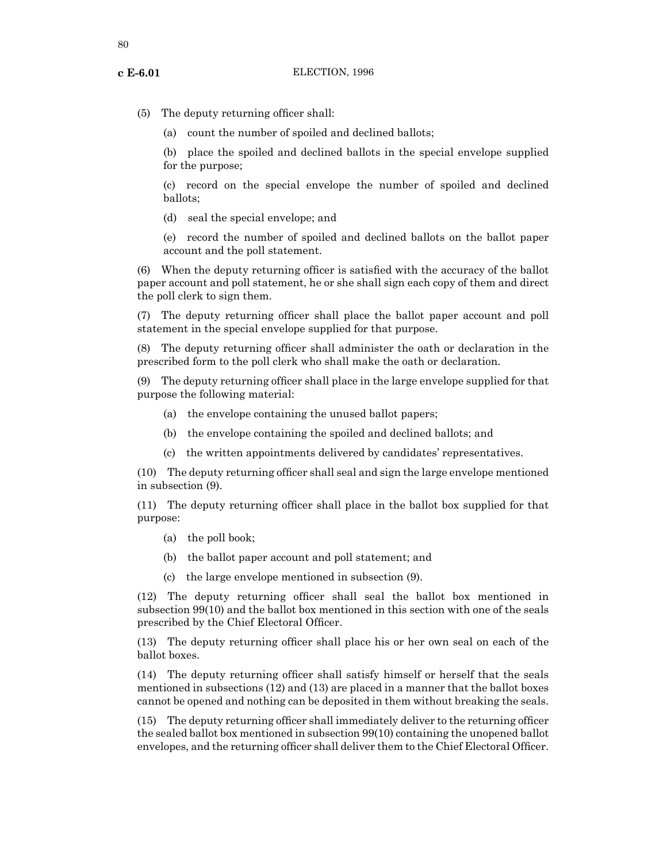(5) The deputy returning officer shall:

(a) count the number of spoiled and declined ballots;

(b) place the spoiled and declined ballots in the special envelope supplied for the purpose;

(c) record on the special envelope the number of spoiled and declined ballots;

(d) seal the special envelope; and

(e) record the number of spoiled and declined ballots on the ballot paper account and the poll statement.

(6) When the deputy returning officer is satisfied with the accuracy of the ballot paper account and poll statement, he or she shall sign each copy of them and direct the poll clerk to sign them.

(7) The deputy returning officer shall place the ballot paper account and poll statement in the special envelope supplied for that purpose.

(8) The deputy returning officer shall administer the oath or declaration in the prescribed form to the poll clerk who shall make the oath or declaration.

(9) The deputy returning officer shall place in the large envelope supplied for that purpose the following material:

- (a) the envelope containing the unused ballot papers;
- (b) the envelope containing the spoiled and declined ballots; and
- (c) the written appointments delivered by candidates' representatives.

(10) The deputy returning officer shall seal and sign the large envelope mentioned in subsection (9).

(11) The deputy returning officer shall place in the ballot box supplied for that purpose:

- (a) the poll book;
- (b) the ballot paper account and poll statement; and
- (c) the large envelope mentioned in subsection (9).

(12) The deputy returning officer shall seal the ballot box mentioned in subsection 99(10) and the ballot box mentioned in this section with one of the seals prescribed by the Chief Electoral Officer.

(13) The deputy returning officer shall place his or her own seal on each of the ballot boxes.

(14) The deputy returning officer shall satisfy himself or herself that the seals mentioned in subsections (12) and (13) are placed in a manner that the ballot boxes cannot be opened and nothing can be deposited in them without breaking the seals.

(15) The deputy returning officer shall immediately deliver to the returning officer the sealed ballot box mentioned in subsection 99(10) containing the unopened ballot envelopes, and the returning officer shall deliver them to the Chief Electoral Officer.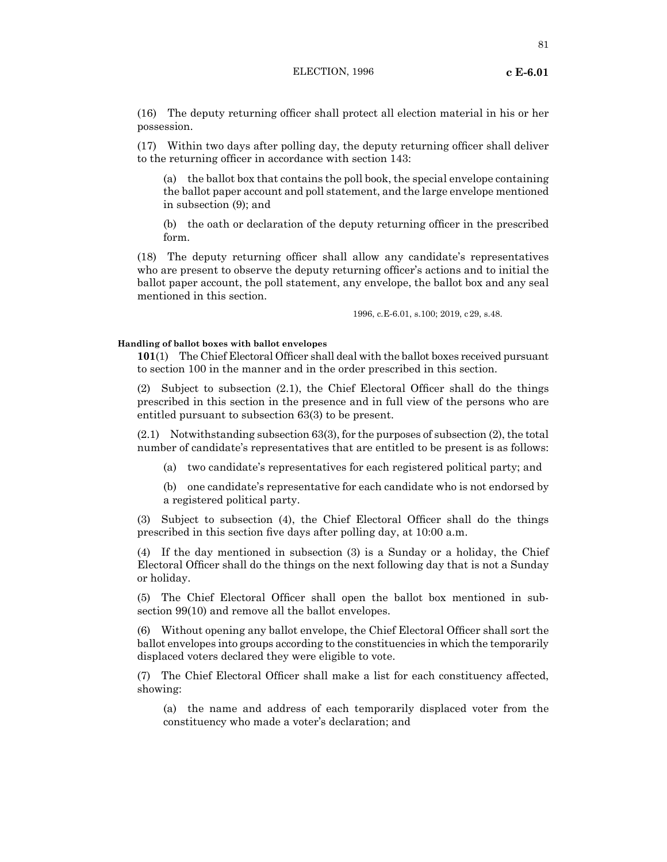81

(16) The deputy returning officer shall protect all election material in his or her possession.

(17) Within two days after polling day, the deputy returning officer shall deliver to the returning officer in accordance with section 143:

(a) the ballot box that contains the poll book, the special envelope containing the ballot paper account and poll statement, and the large envelope mentioned in subsection (9); and

(b) the oath or declaration of the deputy returning officer in the prescribed form.

(18) The deputy returning officer shall allow any candidate's representatives who are present to observe the deputy returning officer's actions and to initial the ballot paper account, the poll statement, any envelope, the ballot box and any seal mentioned in this section.

1996, c.E-6.01, s.100; 2019, c29, s.48.

#### **Handling of ballot boxes with ballot envelopes**

**101**(1) The Chief Electoral Officer shall deal with the ballot boxes received pursuant to section 100 in the manner and in the order prescribed in this section.

(2) Subject to subsection (2.1), the Chief Electoral Officer shall do the things prescribed in this section in the presence and in full view of the persons who are entitled pursuant to subsection 63(3) to be present.

(2.1) Notwithstanding subsection 63(3), for the purposes of subsection (2), the total number of candidate's representatives that are entitled to be present is as follows:

(a) two candidate's representatives for each registered political party; and

(b) one candidate's representative for each candidate who is not endorsed by a registered political party.

(3) Subject to subsection (4), the Chief Electoral Officer shall do the things prescribed in this section five days after polling day, at 10:00 a.m.

(4) If the day mentioned in subsection (3) is a Sunday or a holiday, the Chief Electoral Officer shall do the things on the next following day that is not a Sunday or holiday.

(5) The Chief Electoral Officer shall open the ballot box mentioned in subsection 99(10) and remove all the ballot envelopes.

(6) Without opening any ballot envelope, the Chief Electoral Officer shall sort the ballot envelopes into groups according to the constituencies in which the temporarily displaced voters declared they were eligible to vote.

(7) The Chief Electoral Officer shall make a list for each constituency affected, showing:

(a) the name and address of each temporarily displaced voter from the constituency who made a voter's declaration; and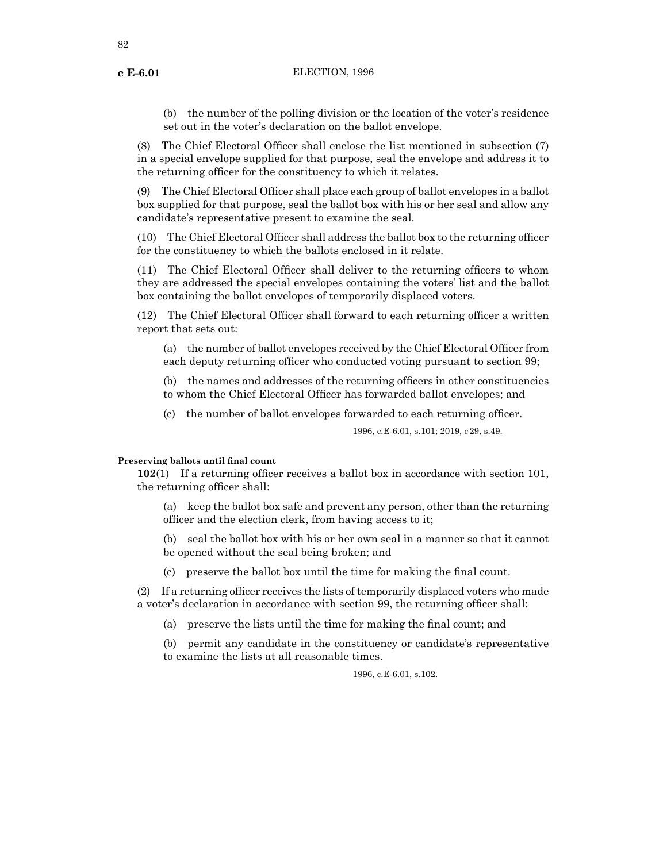82

(b) the number of the polling division or the location of the voter's residence set out in the voter's declaration on the ballot envelope.

(8) The Chief Electoral Officer shall enclose the list mentioned in subsection (7) in a special envelope supplied for that purpose, seal the envelope and address it to the returning officer for the constituency to which it relates.

(9) The Chief Electoral Officer shall place each group of ballot envelopes in a ballot box supplied for that purpose, seal the ballot box with his or her seal and allow any candidate's representative present to examine the seal.

(10) The Chief Electoral Officer shall address the ballot box to the returning officer for the constituency to which the ballots enclosed in it relate.

(11) The Chief Electoral Officer shall deliver to the returning officers to whom they are addressed the special envelopes containing the voters' list and the ballot box containing the ballot envelopes of temporarily displaced voters.

(12) The Chief Electoral Officer shall forward to each returning officer a written report that sets out:

(a) the number of ballot envelopes received by the Chief Electoral Officer from each deputy returning officer who conducted voting pursuant to section 99;

(b) the names and addresses of the returning officers in other constituencies to whom the Chief Electoral Officer has forwarded ballot envelopes; and

(c) the number of ballot envelopes forwarded to each returning officer.

1996, c.E-6.01, s.101; 2019, c29, s.49.

## **Preserving ballots until final count**

**102**(1) If a returning officer receives a ballot box in accordance with section 101, the returning officer shall:

(a) keep the ballot box safe and prevent any person, other than the returning officer and the election clerk, from having access to it;

(b) seal the ballot box with his or her own seal in a manner so that it cannot be opened without the seal being broken; and

(c) preserve the ballot box until the time for making the final count.

(2) If a returning officer receives the lists of temporarily displaced voters who made a voter's declaration in accordance with section 99, the returning officer shall:

(a) preserve the lists until the time for making the final count; and

(b) permit any candidate in the constituency or candidate's representative to examine the lists at all reasonable times.

1996, c.E-6.01, s.102.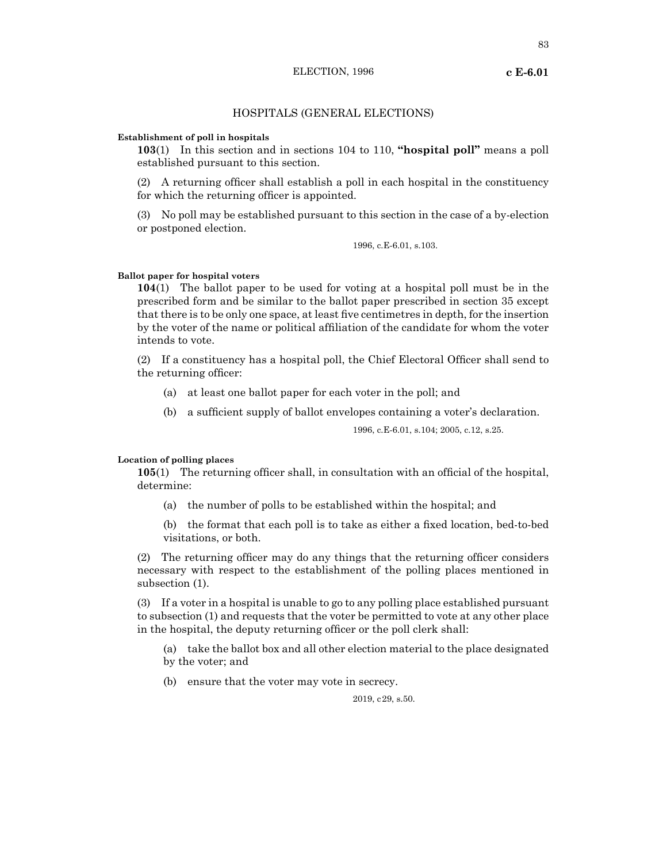#### **Establishment of poll in hospitals**

**103**(1) In this section and in sections 104 to 110, **"hospital poll"** means a poll established pursuant to this section.

(2) A returning officer shall establish a poll in each hospital in the constituency for which the returning officer is appointed.

(3) No poll may be established pursuant to this section in the case of a by-election or postponed election.

1996, c.E-6.01, s.103.

#### **Ballot paper for hospital voters**

**104**(1) The ballot paper to be used for voting at a hospital poll must be in the prescribed form and be similar to the ballot paper prescribed in section 35 except that there is to be only one space, at least five centimetres in depth, for the insertion by the voter of the name or political affiliation of the candidate for whom the voter intends to vote.

(2) If a constituency has a hospital poll, the Chief Electoral Officer shall send to the returning officer:

- (a) at least one ballot paper for each voter in the poll; and
- (b) a sufficient supply of ballot envelopes containing a voter's declaration.

1996, c.E-6.01, s.104; 2005, c.12, s.25.

## **Location of polling places**

**105**(1) The returning officer shall, in consultation with an official of the hospital, determine:

- (a) the number of polls to be established within the hospital; and
- (b) the format that each poll is to take as either a fixed location, bed-to-bed visitations, or both.

(2) The returning officer may do any things that the returning officer considers necessary with respect to the establishment of the polling places mentioned in subsection (1).

(3) If a voter in a hospital is unable to go to any polling place established pursuant to subsection (1) and requests that the voter be permitted to vote at any other place in the hospital, the deputy returning officer or the poll clerk shall:

- (a) take the ballot box and all other election material to the place designated by the voter; and
- (b) ensure that the voter may vote in secrecy.

2019, c29, s.50.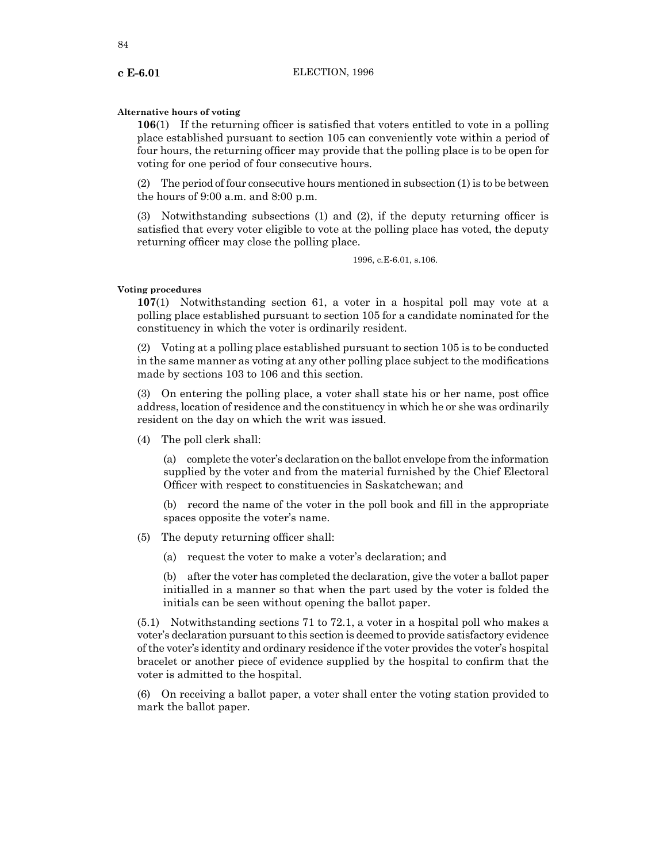## **Alternative hours of voting**

**106**(1) If the returning officer is satisfied that voters entitled to vote in a polling place established pursuant to section 105 can conveniently vote within a period of four hours, the returning officer may provide that the polling place is to be open for voting for one period of four consecutive hours.

(2) The period of four consecutive hours mentioned in subsection (1) is to be between the hours of 9:00 a.m. and 8:00 p.m.

(3) Notwithstanding subsections (1) and (2), if the deputy returning officer is satisfied that every voter eligible to vote at the polling place has voted, the deputy returning officer may close the polling place.

1996, c.E-6.01, s.106.

#### **Voting procedures**

**107**(1) Notwithstanding section 61, a voter in a hospital poll may vote at a polling place established pursuant to section 105 for a candidate nominated for the constituency in which the voter is ordinarily resident.

(2) Voting at a polling place established pursuant to section 105 is to be conducted in the same manner as voting at any other polling place subject to the modifications made by sections 103 to 106 and this section.

(3) On entering the polling place, a voter shall state his or her name, post office address, location of residence and the constituency in which he or she was ordinarily resident on the day on which the writ was issued.

(4) The poll clerk shall:

(a) complete the voter's declaration on the ballot envelope from the information supplied by the voter and from the material furnished by the Chief Electoral Officer with respect to constituencies in Saskatchewan; and

(b) record the name of the voter in the poll book and fill in the appropriate spaces opposite the voter's name.

- (5) The deputy returning officer shall:
	- (a) request the voter to make a voter's declaration; and

(b) after the voter has completed the declaration, give the voter a ballot paper initialled in a manner so that when the part used by the voter is folded the initials can be seen without opening the ballot paper.

(5.1) Notwithstanding sections 71 to 72.1, a voter in a hospital poll who makes a voter's declaration pursuant to this section is deemed to provide satisfactory evidence ofthe voter's identity and ordinary residence ifthe voter provides the voter's hospital bracelet or another piece of evidence supplied by the hospital to confirm that the voter is admitted to the hospital.

(6) On receiving a ballot paper, a voter shall enter the voting station provided to mark the ballot paper.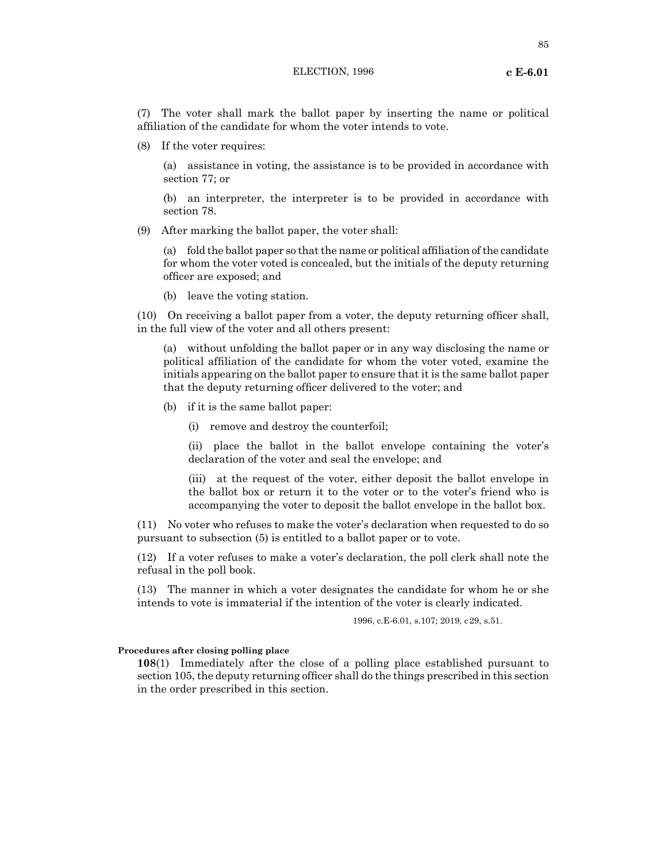(7) The voter shall mark the ballot paper by inserting the name or political affiliation of the candidate for whom the voter intends to vote.

(8) If the voter requires:

(a) assistance in voting, the assistance is to be provided in accordance with section 77; or

(b) an interpreter, the interpreter is to be provided in accordance with section 78.

(9) After marking the ballot paper, the voter shall:

(a) fold the ballot paper so that the name or political affiliation of the candidate for whom the voter voted is concealed, but the initials of the deputy returning officer are exposed; and

(b) leave the voting station.

(10) On receiving a ballot paper from a voter, the deputy returning officer shall, in the full view of the voter and all others present:

(a) without unfolding the ballot paper or in any way disclosing the name or political affiliation of the candidate for whom the voter voted, examine the initials appearing on the ballot paper to ensure that it is the same ballot paper that the deputy returning officer delivered to the voter; and

- (b) if it is the same ballot paper:
	- (i) remove and destroy the counterfoil;

(ii) place the ballot in the ballot envelope containing the voter's declaration of the voter and seal the envelope; and

(iii) at the request of the voter, either deposit the ballot envelope in the ballot box or return it to the voter or to the voter's friend who is accompanying the voter to deposit the ballot envelope in the ballot box.

(11) No voter who refuses to make the voter's declaration when requested to do so pursuant to subsection (5) is entitled to a ballot paper or to vote.

(12) If a voter refuses to make a voter's declaration, the poll clerk shall note the refusal in the poll book.

(13) The manner in which a voter designates the candidate for whom he or she intends to vote is immaterial if the intention of the voter is clearly indicated.

1996, c.E-6.01, s.107; 2019, c29, s.51.

#### **Procedures after closing polling place**

**108**(1) Immediately after the close of a polling place established pursuant to section 105, the deputy returning officer shall do the things prescribed in this section in the order prescribed in this section.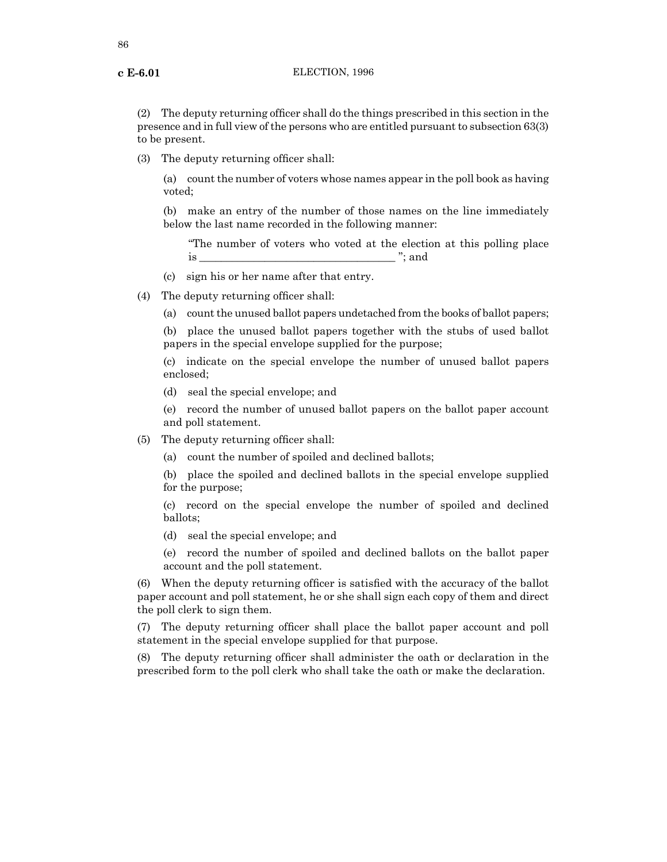(2) The deputy returning officer shall do the things prescribed in this section in the presence and in full view of the persons who are entitled pursuant to subsection 63(3) to be present.

(3) The deputy returning officer shall:

(a) count the number of voters whose names appear in the poll book as having voted;

(b) make an entry of the number of those names on the line immediately below the last name recorded in the following manner:

"The number of voters who voted at the election at this polling place is \_\_\_\_\_\_\_\_\_\_\_\_\_\_\_\_\_\_\_\_\_\_\_\_\_\_\_\_\_\_\_\_\_\_\_\_ "; and

(c) sign his or her name after that entry.

(4) The deputy returning officer shall:

(a) count the unused ballot papers undetached from the books of ballot papers;

(b) place the unused ballot papers together with the stubs of used ballot papers in the special envelope supplied for the purpose;

(c) indicate on the special envelope the number of unused ballot papers enclosed;

(d) seal the special envelope; and

(e) record the number of unused ballot papers on the ballot paper account and poll statement.

(5) The deputy returning officer shall:

(a) count the number of spoiled and declined ballots;

(b) place the spoiled and declined ballots in the special envelope supplied for the purpose;

(c) record on the special envelope the number of spoiled and declined ballots;

(d) seal the special envelope; and

(e) record the number of spoiled and declined ballots on the ballot paper account and the poll statement.

(6) When the deputy returning officer is satisfied with the accuracy of the ballot paper account and poll statement, he or she shall sign each copy of them and direct the poll clerk to sign them.

(7) The deputy returning officer shall place the ballot paper account and poll statement in the special envelope supplied for that purpose.

(8) The deputy returning officer shall administer the oath or declaration in the prescribed form to the poll clerk who shall take the oath or make the declaration.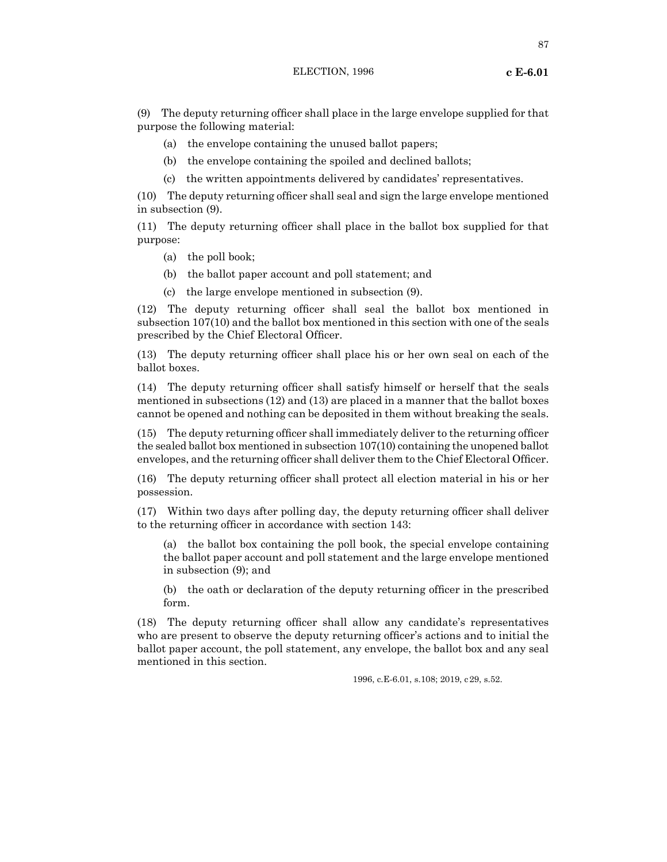(9) The deputy returning officer shall place in the large envelope supplied for that purpose the following material:

- (a) the envelope containing the unused ballot papers;
- (b) the envelope containing the spoiled and declined ballots;
- (c) the written appointments delivered by candidates' representatives.

(10) The deputy returning officer shall seal and sign the large envelope mentioned in subsection (9).

(11) The deputy returning officer shall place in the ballot box supplied for that purpose:

- (a) the poll book;
- (b) the ballot paper account and poll statement; and
- (c) the large envelope mentioned in subsection (9).

(12) The deputy returning officer shall seal the ballot box mentioned in subsection 107(10) and the ballot box mentioned in this section with one of the seals prescribed by the Chief Electoral Officer.

(13) The deputy returning officer shall place his or her own seal on each of the ballot boxes.

(14) The deputy returning officer shall satisfy himself or herself that the seals mentioned in subsections (12) and (13) are placed in a manner that the ballot boxes cannot be opened and nothing can be deposited in them without breaking the seals.

(15) The deputy returning officer shall immediately deliver to the returning officer the sealed ballot box mentioned in subsection 107(10) containing the unopened ballot envelopes, and the returning officer shall deliver them to the Chief Electoral Officer.

(16) The deputy returning officer shall protect all election material in his or her possession.

(17) Within two days after polling day, the deputy returning officer shall deliver to the returning officer in accordance with section 143:

(a) the ballot box containing the poll book, the special envelope containing the ballot paper account and poll statement and the large envelope mentioned in subsection (9); and

(b) the oath or declaration of the deputy returning officer in the prescribed form.

(18) The deputy returning officer shall allow any candidate's representatives who are present to observe the deputy returning officer's actions and to initial the ballot paper account, the poll statement, any envelope, the ballot box and any seal mentioned in this section.

1996, c.E-6.01, s.108; 2019, c29, s.52.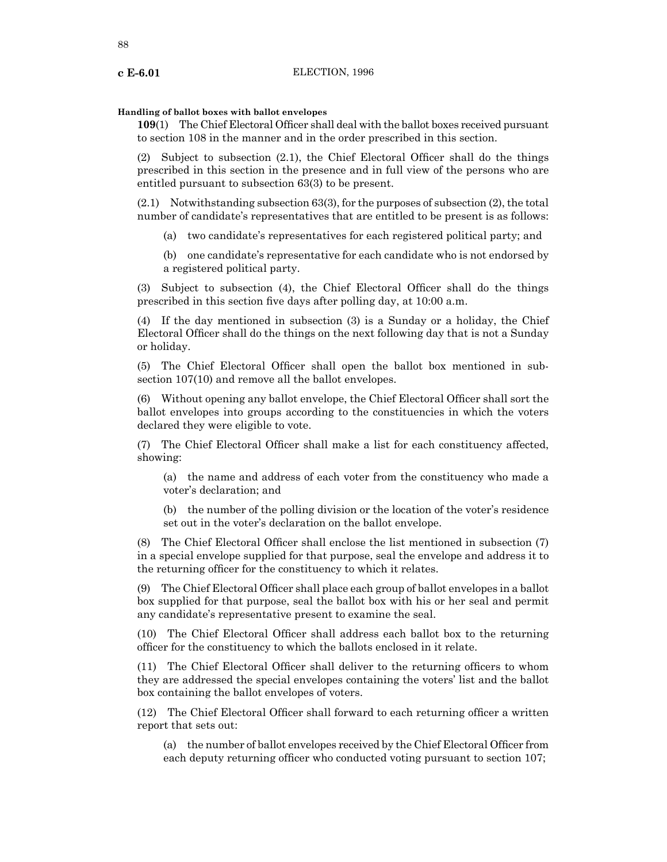#### **Handling of ballot boxes with ballot envelopes**

**109**(1) The Chief Electoral Officer shall deal with the ballot boxes received pursuant to section 108 in the manner and in the order prescribed in this section.

(2) Subject to subsection (2.1), the Chief Electoral Officer shall do the things prescribed in this section in the presence and in full view of the persons who are entitled pursuant to subsection 63(3) to be present.

(2.1) Notwithstanding subsection 63(3), for the purposes of subsection (2), the total number of candidate's representatives that are entitled to be present is as follows:

(a) two candidate's representatives for each registered political party; and

(b) one candidate's representative for each candidate who is not endorsed by a registered political party.

(3) Subject to subsection (4), the Chief Electoral Officer shall do the things prescribed in this section five days after polling day, at 10:00 a.m.

(4) If the day mentioned in subsection (3) is a Sunday or a holiday, the Chief Electoral Officer shall do the things on the next following day that is not a Sunday or holiday.

(5) The Chief Electoral Officer shall open the ballot box mentioned in subsection 107(10) and remove all the ballot envelopes.

(6) Without opening any ballot envelope, the Chief Electoral Officer shall sort the ballot envelopes into groups according to the constituencies in which the voters declared they were eligible to vote.

(7) The Chief Electoral Officer shall make a list for each constituency affected, showing:

(a) the name and address of each voter from the constituency who made a voter's declaration; and

(b) the number of the polling division or the location of the voter's residence set out in the voter's declaration on the ballot envelope.

(8) The Chief Electoral Officer shall enclose the list mentioned in subsection (7) in a special envelope supplied for that purpose, seal the envelope and address it to the returning officer for the constituency to which it relates.

(9) The Chief Electoral Officer shall place each group of ballot envelopes in a ballot box supplied for that purpose, seal the ballot box with his or her seal and permit any candidate's representative present to examine the seal.

(10) The Chief Electoral Officer shall address each ballot box to the returning officer for the constituency to which the ballots enclosed in it relate.

(11) The Chief Electoral Officer shall deliver to the returning officers to whom they are addressed the special envelopes containing the voters' list and the ballot box containing the ballot envelopes of voters.

(12) The Chief Electoral Officer shall forward to each returning officer a written report that sets out:

(a) the number of ballot envelopes received by the Chief Electoral Officer from each deputy returning officer who conducted voting pursuant to section 107;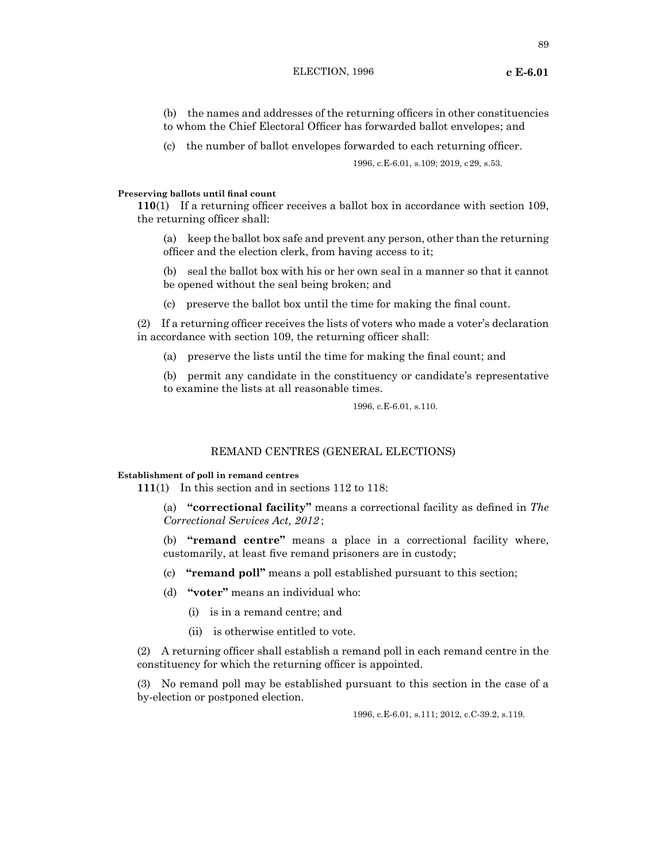# (b) the names and addresses of the returning officers in other constituencies to whom the Chief Electoral Officer has forwarded ballot envelopes; and

(c) the number of ballot envelopes forwarded to each returning officer.

1996, c.E-6.01, s.109; 2019, c29, s.53.

## **Preserving ballots until final count**

**110**(1) If a returning officer receives a ballot box in accordance with section 109, the returning officer shall:

(a) keep the ballot box safe and prevent any person, other than the returning officer and the election clerk, from having access to it;

(b) seal the ballot box with his or her own seal in a manner so that it cannot be opened without the seal being broken; and

(c) preserve the ballot box until the time for making the final count.

(2) If a returning officer receives the lists of voters who made a voter's declaration in accordance with section 109, the returning officer shall:

(a) preserve the lists until the time for making the final count; and

(b) permit any candidate in the constituency or candidate's representative to examine the lists at all reasonable times.

1996, c.E-6.01, s.110.

## REMAND CENTRES (GENERAL ELECTIONS)

## **Establishment of poll in remand centres**

**111**(1) In this section and in sections 112 to 118:

(a) **"correctional facility"** means a correctional facility as defined in *The Correctional Services Act, 2012* ;

(b) **"remand centre"** means a place in a correctional facility where, customarily, at least five remand prisoners are in custody;

- (c) **"remand poll"** means a poll established pursuant to this section;
- (d) **"voter"** means an individual who:
	- (i) is in a remand centre; and
	- (ii) is otherwise entitled to vote.

(2) A returning officer shall establish a remand poll in each remand centre in the constituency for which the returning officer is appointed.

(3) No remand poll may be established pursuant to this section in the case of a by-election or postponed election.

1996, c.E-6.01, s.111; 2012, c.C-39.2, s.119.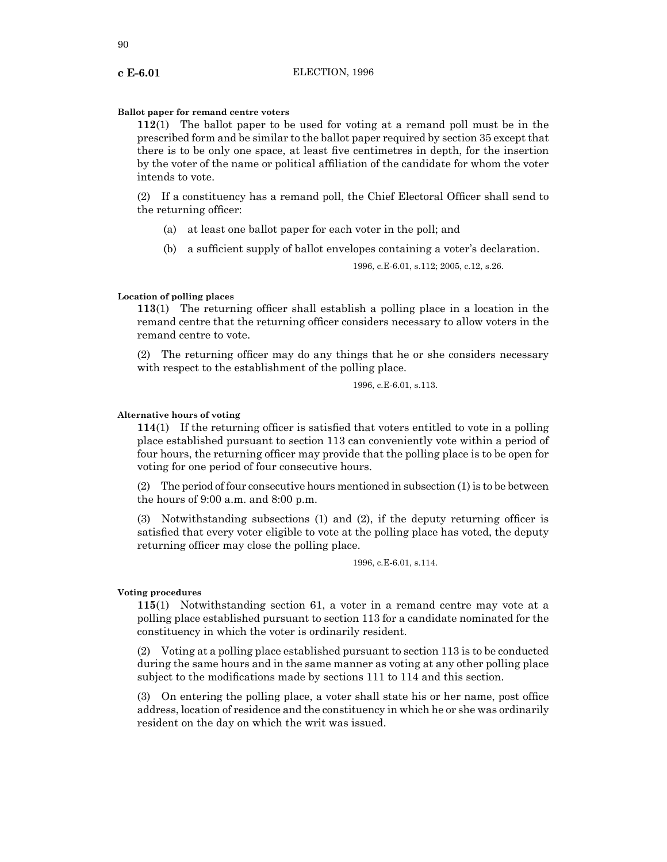#### **Ballot paper for remand centre voters**

**112**(1) The ballot paper to be used for voting at a remand poll must be in the prescribed form and be similar to the ballot paper required by section 35 except that there is to be only one space, at least five centimetres in depth, for the insertion by the voter of the name or political affiliation of the candidate for whom the voter intends to vote.

(2) If a constituency has a remand poll, the Chief Electoral Officer shall send to the returning officer:

- (a) at least one ballot paper for each voter in the poll; and
- (b) a sufficient supply of ballot envelopes containing a voter's declaration.

1996, c.E-6.01, s.112; 2005, c.12, s.26.

#### **Location of polling places**

**113**(1) The returning officer shall establish a polling place in a location in the remand centre that the returning officer considers necessary to allow voters in the remand centre to vote.

(2) The returning officer may do any things that he or she considers necessary with respect to the establishment of the polling place.

1996, c.E-6.01, s.113.

#### **Alternative hours of voting**

**114**(1) If the returning officer is satisfied that voters entitled to vote in a polling place established pursuant to section 113 can conveniently vote within a period of four hours, the returning officer may provide that the polling place is to be open for voting for one period of four consecutive hours.

(2) The period of four consecutive hours mentioned in subsection (1) is to be between the hours of 9:00 a.m. and 8:00 p.m.

(3) Notwithstanding subsections (1) and (2), if the deputy returning officer is satisfied that every voter eligible to vote at the polling place has voted, the deputy returning officer may close the polling place.

1996, c.E-6.01, s.114.

## **Voting procedures**

**115**(1) Notwithstanding section 61, a voter in a remand centre may vote at a polling place established pursuant to section 113 for a candidate nominated for the constituency in which the voter is ordinarily resident.

(2) Voting at a polling place established pursuant to section 113 is to be conducted during the same hours and in the same manner as voting at any other polling place subject to the modifications made by sections 111 to 114 and this section.

(3) On entering the polling place, a voter shall state his or her name, post office address, location of residence and the constituency in which he or she was ordinarily resident on the day on which the writ was issued.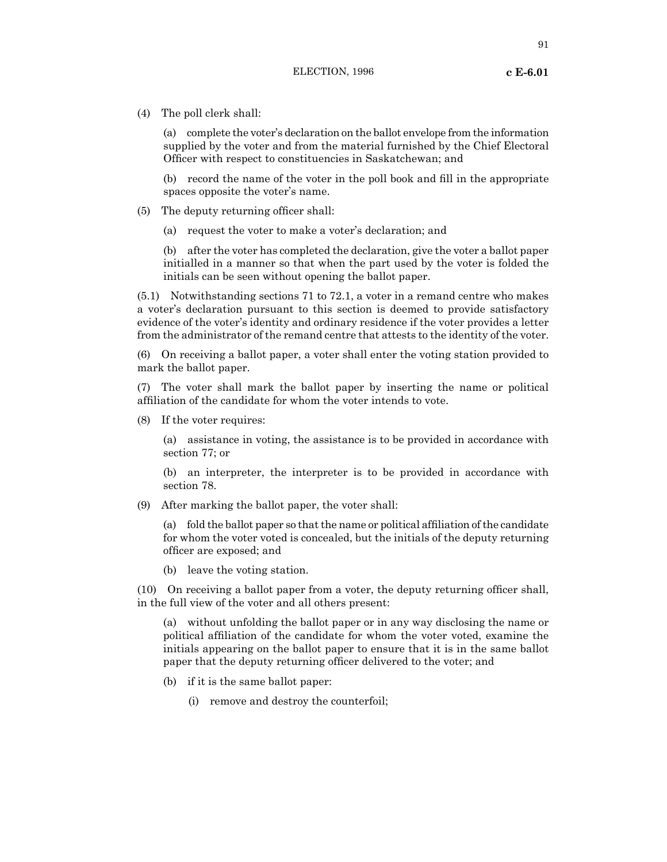(4) The poll clerk shall:

(a) complete the voter's declaration on the ballot envelope from the information supplied by the voter and from the material furnished by the Chief Electoral Officer with respect to constituencies in Saskatchewan; and

(b) record the name of the voter in the poll book and fill in the appropriate spaces opposite the voter's name.

- (5) The deputy returning officer shall:
	- (a) request the voter to make a voter's declaration; and

(b) after the voter has completed the declaration, give the voter a ballot paper initialled in a manner so that when the part used by the voter is folded the initials can be seen without opening the ballot paper.

(5.1) Notwithstanding sections 71 to 72.1, a voter in a remand centre who makes a voter's declaration pursuant to this section is deemed to provide satisfactory evidence of the voter's identity and ordinary residence if the voter provides a letter from the administrator of the remand centre that attests to the identity of the voter.

(6) On receiving a ballot paper, a voter shall enter the voting station provided to mark the ballot paper.

(7) The voter shall mark the ballot paper by inserting the name or political affiliation of the candidate for whom the voter intends to vote.

(8) If the voter requires:

(a) assistance in voting, the assistance is to be provided in accordance with section 77; or

(b) an interpreter, the interpreter is to be provided in accordance with section 78.

(9) After marking the ballot paper, the voter shall:

(a) fold the ballot paper so that the name or political affiliation of the candidate for whom the voter voted is concealed, but the initials of the deputy returning officer are exposed; and

(b) leave the voting station.

(10) On receiving a ballot paper from a voter, the deputy returning officer shall, in the full view of the voter and all others present:

(a) without unfolding the ballot paper or in any way disclosing the name or political affiliation of the candidate for whom the voter voted, examine the initials appearing on the ballot paper to ensure that it is in the same ballot paper that the deputy returning officer delivered to the voter; and

- (b) if it is the same ballot paper:
	- (i) remove and destroy the counterfoil;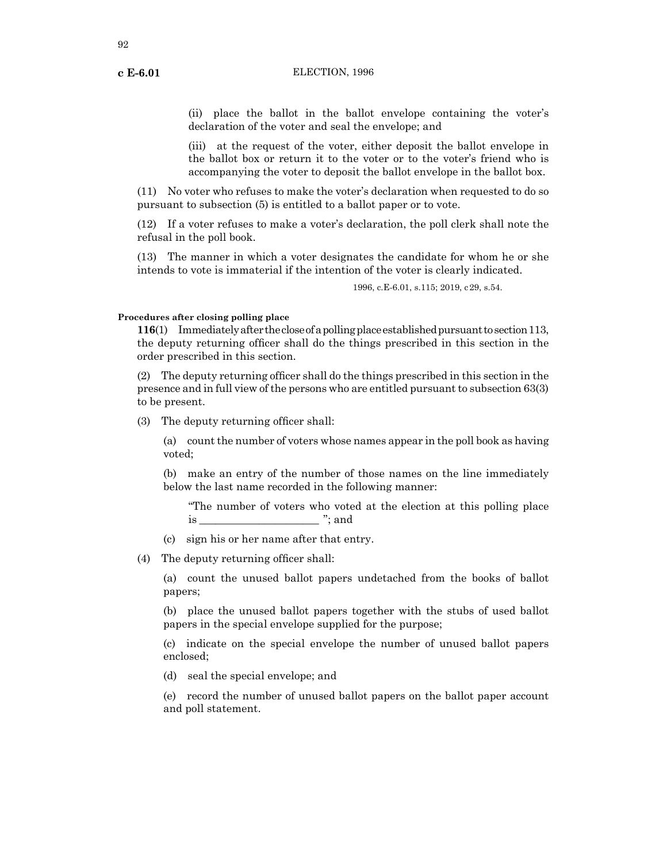(ii) place the ballot in the ballot envelope containing the voter's declaration of the voter and seal the envelope; and

(iii) at the request of the voter, either deposit the ballot envelope in the ballot box or return it to the voter or to the voter's friend who is accompanying the voter to deposit the ballot envelope in the ballot box.

(11) No voter who refuses to make the voter's declaration when requested to do so pursuant to subsection (5) is entitled to a ballot paper or to vote.

(12) If a voter refuses to make a voter's declaration, the poll clerk shall note the refusal in the poll book.

(13) The manner in which a voter designates the candidate for whom he or she intends to vote is immaterial if the intention of the voter is clearly indicated.

1996, c.E-6.01, s.115; 2019, c29, s.54.

#### **Procedures after closing polling place**

**116**(1) Immediately after the close of a polling place established pursuant to section 113, the deputy returning officer shall do the things prescribed in this section in the order prescribed in this section.

(2) The deputy returning officer shall do the things prescribed in this section in the presence and in full view of the persons who are entitled pursuant to subsection 63(3) to be present.

(3) The deputy returning officer shall:

(a) count the number of voters whose names appear in the poll book as having voted;

(b) make an entry of the number of those names on the line immediately below the last name recorded in the following manner:

"The number of voters who voted at the election at this polling place is  $\cdots$ ; and

(c) sign his or her name after that entry.

(4) The deputy returning officer shall:

(a) count the unused ballot papers undetached from the books of ballot papers;

(b) place the unused ballot papers together with the stubs of used ballot papers in the special envelope supplied for the purpose;

(c) indicate on the special envelope the number of unused ballot papers enclosed;

(d) seal the special envelope; and

(e) record the number of unused ballot papers on the ballot paper account and poll statement.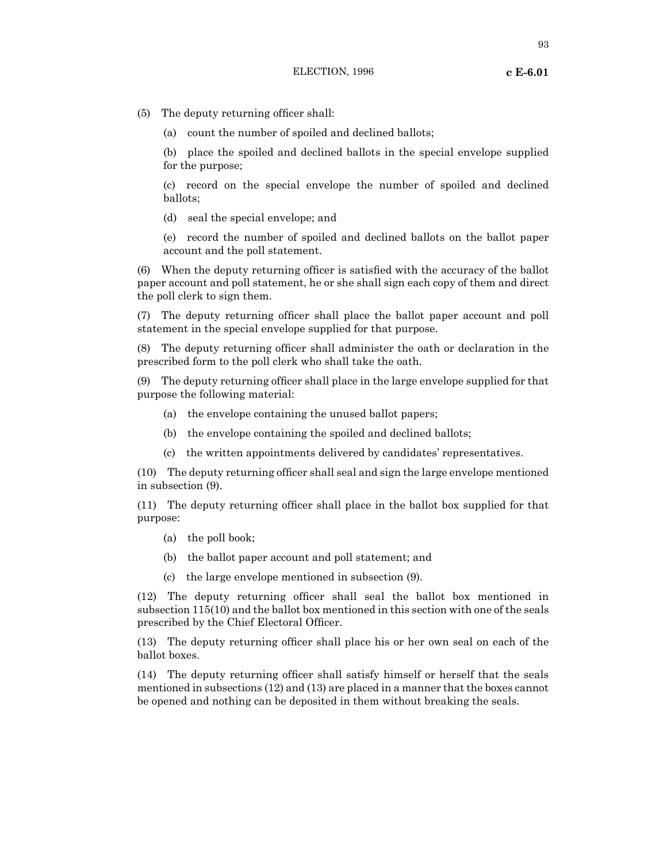(a) count the number of spoiled and declined ballots;

(b) place the spoiled and declined ballots in the special envelope supplied for the purpose;

(c) record on the special envelope the number of spoiled and declined ballots;

(d) seal the special envelope; and

(e) record the number of spoiled and declined ballots on the ballot paper account and the poll statement.

(6) When the deputy returning officer is satisfied with the accuracy of the ballot paper account and poll statement, he or she shall sign each copy of them and direct the poll clerk to sign them.

(7) The deputy returning officer shall place the ballot paper account and poll statement in the special envelope supplied for that purpose.

(8) The deputy returning officer shall administer the oath or declaration in the prescribed form to the poll clerk who shall take the oath.

(9) The deputy returning officer shall place in the large envelope supplied for that purpose the following material:

- (a) the envelope containing the unused ballot papers;
- (b) the envelope containing the spoiled and declined ballots;
- (c) the written appointments delivered by candidates' representatives.

(10) The deputy returning officer shall seal and sign the large envelope mentioned in subsection (9).

(11) The deputy returning officer shall place in the ballot box supplied for that purpose:

- (a) the poll book;
- (b) the ballot paper account and poll statement; and
- (c) the large envelope mentioned in subsection (9).

(12) The deputy returning officer shall seal the ballot box mentioned in subsection 115(10) and the ballot box mentioned in this section with one of the seals prescribed by the Chief Electoral Officer.

(13) The deputy returning officer shall place his or her own seal on each of the ballot boxes.

(14) The deputy returning officer shall satisfy himself or herself that the seals mentioned in subsections (12) and (13) are placed in a manner that the boxes cannot be opened and nothing can be deposited in them without breaking the seals.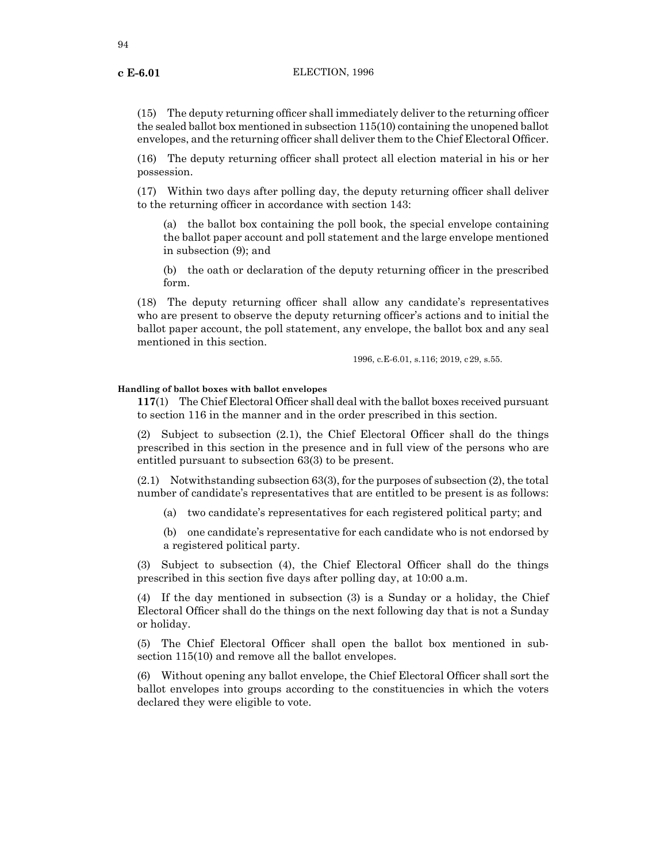(15) The deputy returning officer shall immediately deliver to the returning officer the sealed ballot box mentioned in subsection 115(10) containing the unopened ballot envelopes, and the returning officer shall deliver them to the Chief Electoral Officer.

(16) The deputy returning officer shall protect all election material in his or her possession.

(17) Within two days after polling day, the deputy returning officer shall deliver to the returning officer in accordance with section 143:

(a) the ballot box containing the poll book, the special envelope containing the ballot paper account and poll statement and the large envelope mentioned in subsection (9); and

(b) the oath or declaration of the deputy returning officer in the prescribed form.

(18) The deputy returning officer shall allow any candidate's representatives who are present to observe the deputy returning officer's actions and to initial the ballot paper account, the poll statement, any envelope, the ballot box and any seal mentioned in this section.

1996, c.E-6.01, s.116; 2019, c29, s.55.

#### **Handling of ballot boxes with ballot envelopes**

**117**(1) The Chief Electoral Officer shall deal with the ballot boxes received pursuant to section 116 in the manner and in the order prescribed in this section.

(2) Subject to subsection (2.1), the Chief Electoral Officer shall do the things prescribed in this section in the presence and in full view of the persons who are entitled pursuant to subsection 63(3) to be present.

(2.1) Notwithstanding subsection 63(3), for the purposes of subsection (2), the total number of candidate's representatives that are entitled to be present is as follows:

- (a) two candidate's representatives for each registered political party; and
- (b) one candidate's representative for each candidate who is not endorsed by a registered political party.

(3) Subject to subsection (4), the Chief Electoral Officer shall do the things prescribed in this section five days after polling day, at 10:00 a.m.

(4) If the day mentioned in subsection (3) is a Sunday or a holiday, the Chief Electoral Officer shall do the things on the next following day that is not a Sunday or holiday.

(5) The Chief Electoral Officer shall open the ballot box mentioned in subsection 115(10) and remove all the ballot envelopes.

(6) Without opening any ballot envelope, the Chief Electoral Officer shall sort the ballot envelopes into groups according to the constituencies in which the voters declared they were eligible to vote.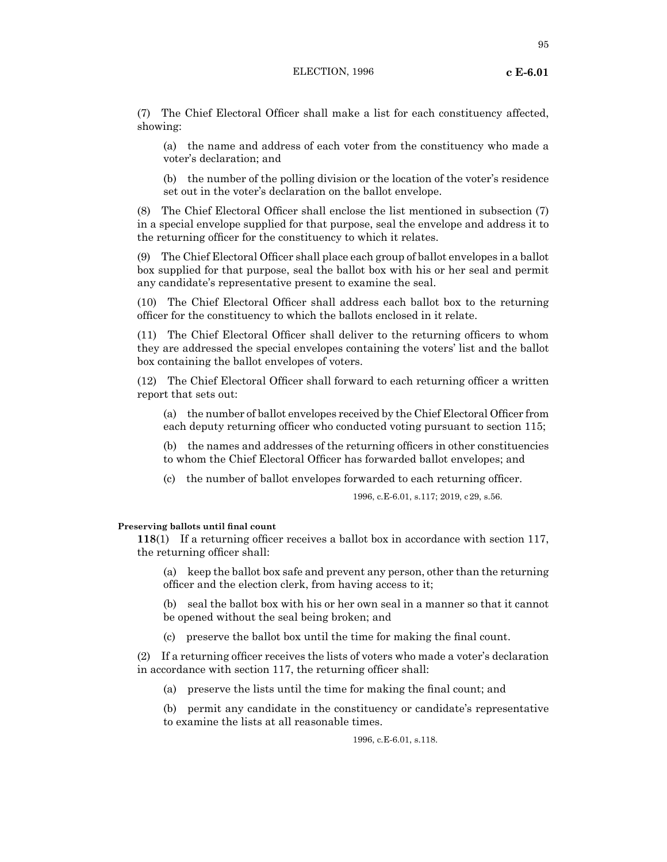(7) The Chief Electoral Officer shall make a list for each constituency affected, showing:

(a) the name and address of each voter from the constituency who made a voter's declaration; and

(b) the number of the polling division or the location of the voter's residence set out in the voter's declaration on the ballot envelope.

(8) The Chief Electoral Officer shall enclose the list mentioned in subsection (7) in a special envelope supplied for that purpose, seal the envelope and address it to the returning officer for the constituency to which it relates.

(9) The Chief Electoral Officer shall place each group of ballot envelopes in a ballot box supplied for that purpose, seal the ballot box with his or her seal and permit any candidate's representative present to examine the seal.

(10) The Chief Electoral Officer shall address each ballot box to the returning officer for the constituency to which the ballots enclosed in it relate.

(11) The Chief Electoral Officer shall deliver to the returning officers to whom they are addressed the special envelopes containing the voters' list and the ballot box containing the ballot envelopes of voters.

(12) The Chief Electoral Officer shall forward to each returning officer a written report that sets out:

(a) the number of ballot envelopes received by the Chief Electoral Officer from each deputy returning officer who conducted voting pursuant to section 115;

(b) the names and addresses of the returning officers in other constituencies to whom the Chief Electoral Officer has forwarded ballot envelopes; and

(c) the number of ballot envelopes forwarded to each returning officer.

1996, c.E-6.01, s.117; 2019, c29, s.56.

## **Preserving ballots until final count**

**118**(1) If a returning officer receives a ballot box in accordance with section 117, the returning officer shall:

(a) keep the ballot box safe and prevent any person, other than the returning officer and the election clerk, from having access to it;

(b) seal the ballot box with his or her own seal in a manner so that it cannot be opened without the seal being broken; and

(c) preserve the ballot box until the time for making the final count.

(2) If a returning officer receives the lists of voters who made a voter's declaration in accordance with section 117, the returning officer shall:

(a) preserve the lists until the time for making the final count; and

(b) permit any candidate in the constituency or candidate's representative to examine the lists at all reasonable times.

1996, c.E-6.01, s.118.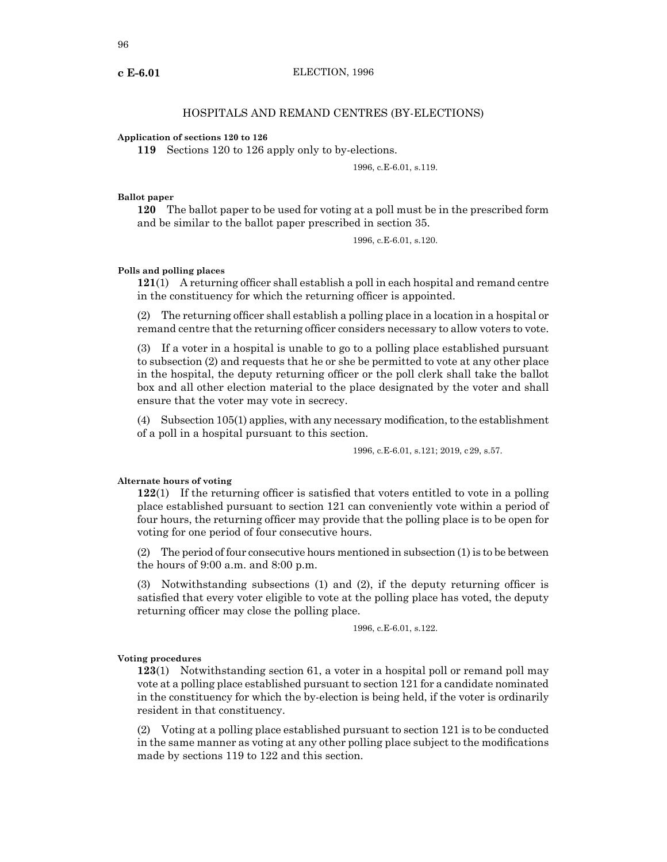## HOSPITALS AND REMAND CENTRES (BY-ELECTIONS)

#### **Application of sections 120 to 126**

**119** Sections 120 to 126 apply only to by-elections.

## 1996, c.E-6.01, s.119.

#### **Ballot paper**

**120** The ballot paper to be used for voting at a poll must be in the prescribed form and be similar to the ballot paper prescribed in section 35.

1996, c.E-6.01, s.120.

## **Polls and polling places**

**121**(1) A returning officer shall establish a poll in each hospital and remand centre in the constituency for which the returning officer is appointed.

(2) The returning officer shall establish a polling place in a location in a hospital or remand centre that the returning officer considers necessary to allow voters to vote.

(3) If a voter in a hospital is unable to go to a polling place established pursuant to subsection (2) and requests that he or she be permitted to vote at any other place in the hospital, the deputy returning officer or the poll clerk shall take the ballot box and all other election material to the place designated by the voter and shall ensure that the voter may vote in secrecy.

 $(4)$  Subsection 105(1) applies, with any necessary modification, to the establishment of a poll in a hospital pursuant to this section.

1996, c.E-6.01, s.121; 2019, c29, s.57.

#### **Alternate hours of voting**

**122**(1) If the returning officer is satisfied that voters entitled to vote in a polling place established pursuant to section 121 can conveniently vote within a period of four hours, the returning officer may provide that the polling place is to be open for voting for one period of four consecutive hours.

(2) The period of four consecutive hours mentioned in subsection (1) is to be between the hours of 9:00 a.m. and 8:00 p.m.

(3) Notwithstanding subsections (1) and (2), if the deputy returning officer is satisfied that every voter eligible to vote at the polling place has voted, the deputy returning officer may close the polling place.

1996, c.E-6.01, s.122.

#### **Voting procedures**

**123**(1) Notwithstanding section 61, a voter in a hospital poll or remand poll may vote at a polling place established pursuant to section 121 for a candidate nominated in the constituency for which the by-election is being held, if the voter is ordinarily resident in that constituency.

(2) Voting at a polling place established pursuant to section 121 is to be conducted in the same manner as voting at any other polling place subject to the modifications made by sections 119 to 122 and this section.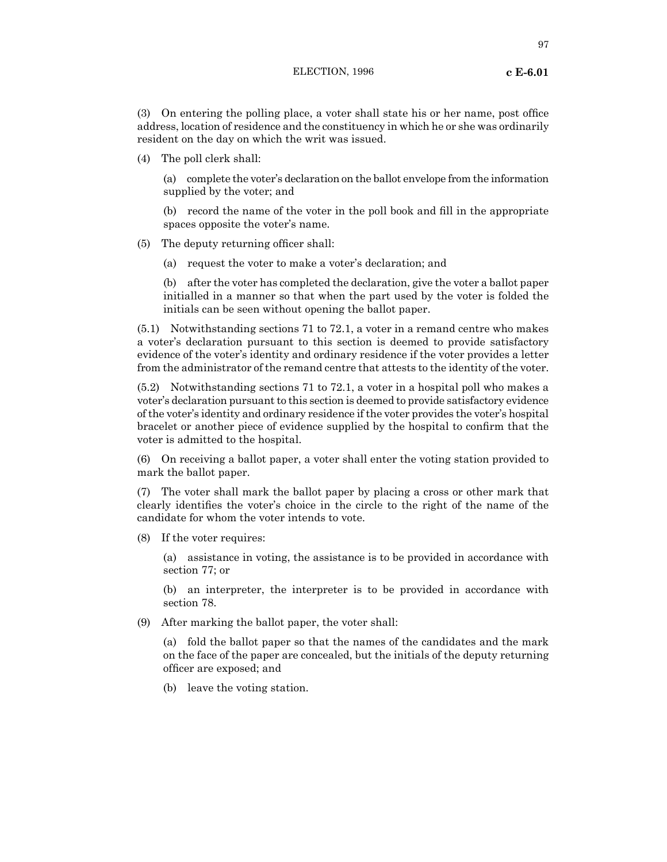(3) On entering the polling place, a voter shall state his or her name, post office address, location of residence and the constituency in which he or she was ordinarily resident on the day on which the writ was issued.

(4) The poll clerk shall:

(a) complete the voter's declaration on the ballot envelope from the information supplied by the voter; and

(b) record the name of the voter in the poll book and fill in the appropriate spaces opposite the voter's name.

- (5) The deputy returning officer shall:
	- (a) request the voter to make a voter's declaration; and

(b) after the voter has completed the declaration, give the voter a ballot paper initialled in a manner so that when the part used by the voter is folded the initials can be seen without opening the ballot paper.

(5.1) Notwithstanding sections 71 to 72.1, a voter in a remand centre who makes a voter's declaration pursuant to this section is deemed to provide satisfactory evidence of the voter's identity and ordinary residence if the voter provides a letter from the administrator of the remand centre that attests to the identity of the voter.

(5.2) Notwithstanding sections 71 to 72.1, a voter in a hospital poll who makes a voter's declaration pursuantto this section is deemed to provide satisfactory evidence ofthe voter's identity and ordinary residence ifthe voter provides the voter's hospital bracelet or another piece of evidence supplied by the hospital to confirm that the voter is admitted to the hospital.

(6) On receiving a ballot paper, a voter shall enter the voting station provided to mark the ballot paper.

(7) The voter shall mark the ballot paper by placing a cross or other mark that clearly identifies the voter's choice in the circle to the right of the name of the candidate for whom the voter intends to vote.

(8) If the voter requires:

(a) assistance in voting, the assistance is to be provided in accordance with section 77; or

(b) an interpreter, the interpreter is to be provided in accordance with section 78.

(9) After marking the ballot paper, the voter shall:

(a) fold the ballot paper so that the names of the candidates and the mark on the face of the paper are concealed, but the initials of the deputy returning officer are exposed; and

(b) leave the voting station.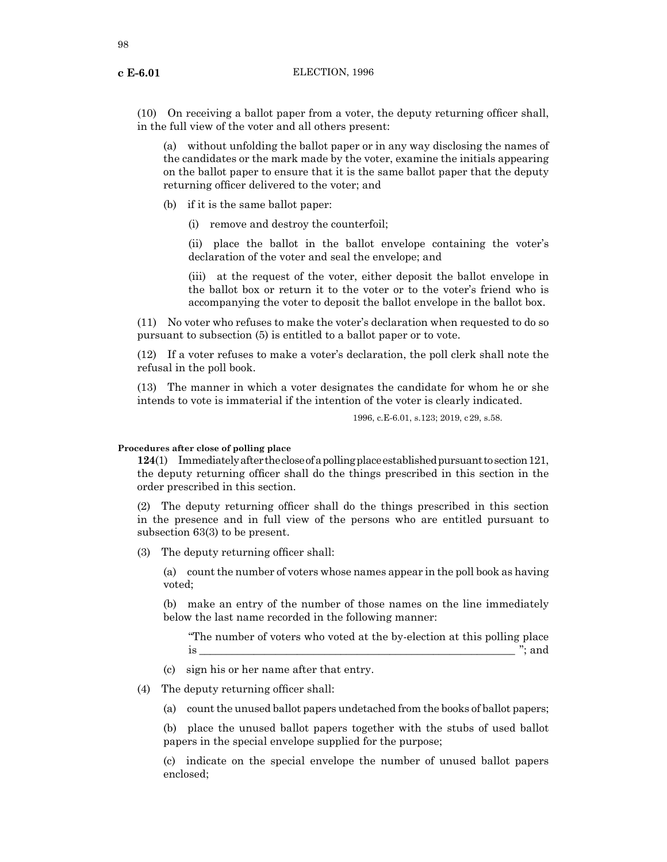(10) On receiving a ballot paper from a voter, the deputy returning officer shall, in the full view of the voter and all others present:

(a) without unfolding the ballot paper or in any way disclosing the names of the candidates or the mark made by the voter, examine the initials appearing on the ballot paper to ensure that it is the same ballot paper that the deputy returning officer delivered to the voter; and

(b) if it is the same ballot paper:

(i) remove and destroy the counterfoil;

(ii) place the ballot in the ballot envelope containing the voter's declaration of the voter and seal the envelope; and

(iii) at the request of the voter, either deposit the ballot envelope in the ballot box or return it to the voter or to the voter's friend who is accompanying the voter to deposit the ballot envelope in the ballot box.

(11) No voter who refuses to make the voter's declaration when requested to do so pursuant to subsection (5) is entitled to a ballot paper or to vote.

(12) If a voter refuses to make a voter's declaration, the poll clerk shall note the refusal in the poll book.

(13) The manner in which a voter designates the candidate for whom he or she intends to vote is immaterial if the intention of the voter is clearly indicated.

1996, c.E-6.01, s.123; 2019, c29, s.58.

## **Procedures after close of polling place**

**124**(1) Immediately after the close of a polling place established pursuant to section 121, the deputy returning officer shall do the things prescribed in this section in the order prescribed in this section.

(2) The deputy returning officer shall do the things prescribed in this section in the presence and in full view of the persons who are entitled pursuant to subsection 63(3) to be present.

(3) The deputy returning officer shall:

(a) count the number of voters whose names appear in the poll book as having voted;

(b) make an entry of the number of those names on the line immediately below the last name recorded in the following manner:

"The number of voters who voted at the by-election at this polling place is  $\cdots$  and

(c) sign his or her name after that entry.

(4) The deputy returning officer shall:

(a) count the unused ballot papers undetached from the books of ballot papers;

(b) place the unused ballot papers together with the stubs of used ballot papers in the special envelope supplied for the purpose;

(c) indicate on the special envelope the number of unused ballot papers enclosed;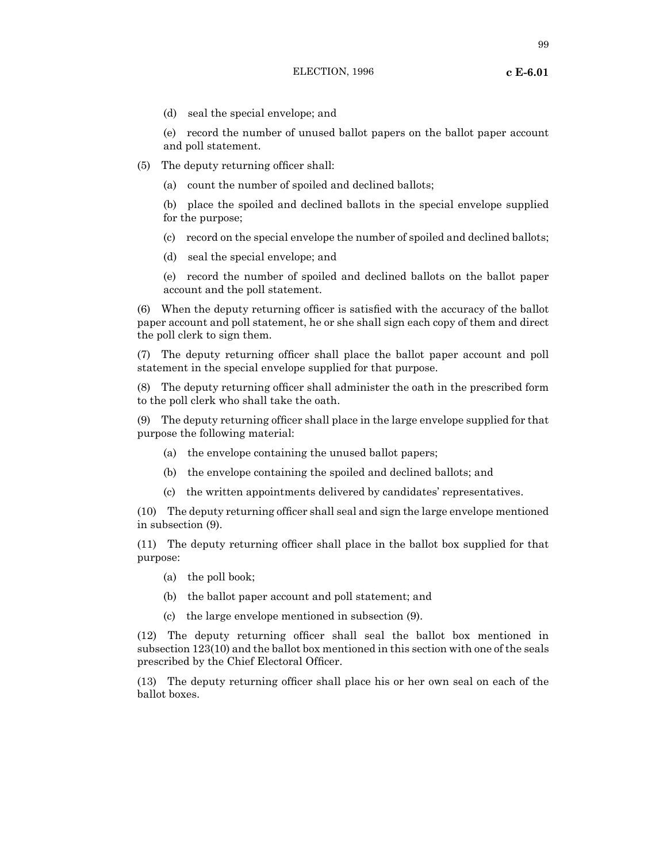99

(d) seal the special envelope; and

(e) record the number of unused ballot papers on the ballot paper account and poll statement.

- (5) The deputy returning officer shall:
	- (a) count the number of spoiled and declined ballots;

(b) place the spoiled and declined ballots in the special envelope supplied for the purpose;

- (c) record on the special envelope the number of spoiled and declined ballots;
- (d) seal the special envelope; and

(e) record the number of spoiled and declined ballots on the ballot paper account and the poll statement.

(6) When the deputy returning officer is satisfied with the accuracy of the ballot paper account and poll statement, he or she shall sign each copy of them and direct the poll clerk to sign them.

(7) The deputy returning officer shall place the ballot paper account and poll statement in the special envelope supplied for that purpose.

(8) The deputy returning officer shall administer the oath in the prescribed form to the poll clerk who shall take the oath.

(9) The deputy returning officer shall place in the large envelope supplied for that purpose the following material:

- (a) the envelope containing the unused ballot papers;
- (b) the envelope containing the spoiled and declined ballots; and
- (c) the written appointments delivered by candidates' representatives.

(10) The deputy returning officer shall seal and sign the large envelope mentioned in subsection (9).

(11) The deputy returning officer shall place in the ballot box supplied for that purpose:

- (a) the poll book;
- (b) the ballot paper account and poll statement; and
- (c) the large envelope mentioned in subsection (9).

(12) The deputy returning officer shall seal the ballot box mentioned in subsection 123(10) and the ballot box mentioned in this section with one of the seals prescribed by the Chief Electoral Officer.

(13) The deputy returning officer shall place his or her own seal on each of the ballot boxes.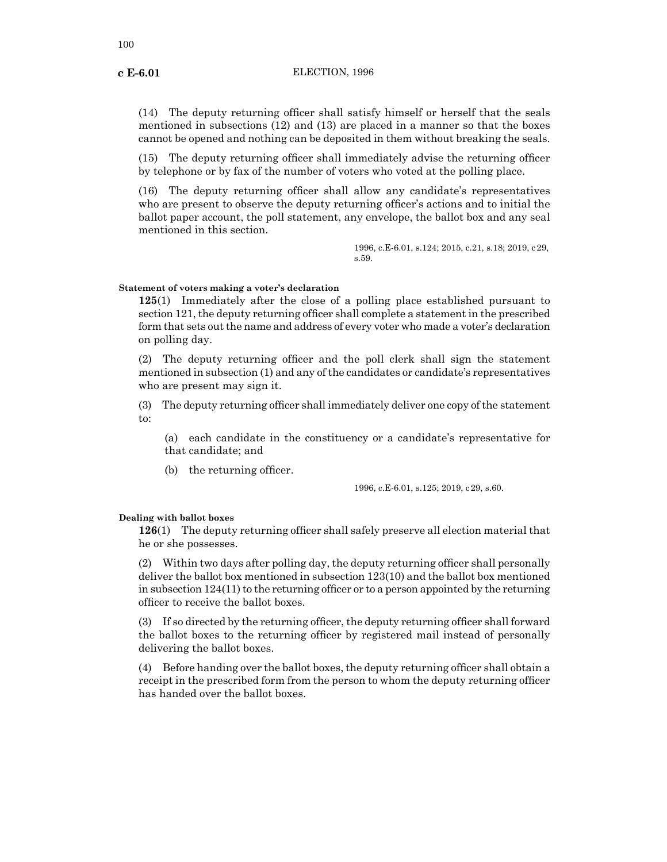(14) The deputy returning officer shall satisfy himself or herself that the seals mentioned in subsections (12) and (13) are placed in a manner so that the boxes cannot be opened and nothing can be deposited in them without breaking the seals.

(15) The deputy returning officer shall immediately advise the returning officer by telephone or by fax of the number of voters who voted at the polling place.

(16) The deputy returning officer shall allow any candidate's representatives who are present to observe the deputy returning officer's actions and to initial the ballot paper account, the poll statement, any envelope, the ballot box and any seal mentioned in this section.

> 1996, c.E-6.01, s.124; 2015, c.21, s.18; 2019, c29, s.59.

## **Statement of voters making a voter's declaration**

**125**(1) Immediately after the close of a polling place established pursuant to section 121, the deputy returning officer shall complete a statement in the prescribed form that sets out the name and address of every voter who made a voter's declaration on polling day.

(2) The deputy returning officer and the poll clerk shall sign the statement mentioned in subsection (1) and any of the candidates or candidate's representatives who are present may sign it.

(3) The deputy returning officer shall immediately deliver one copy of the statement to:

(a) each candidate in the constituency or a candidate's representative for that candidate; and

(b) the returning officer.

1996, c.E-6.01, s.125; 2019, c29, s.60.

#### **Dealing with ballot boxes**

**126**(1) The deputy returning officer shall safely preserve all election material that he or she possesses.

(2) Within two days after polling day, the deputy returning officer shall personally deliver the ballot box mentioned in subsection 123(10) and the ballot box mentioned in subsection  $124(11)$  to the returning officer or to a person appointed by the returning officer to receive the ballot boxes.

(3) If so directed by the returning officer, the deputy returning officer shall forward the ballot boxes to the returning officer by registered mail instead of personally delivering the ballot boxes.

(4) Before handing over the ballot boxes, the deputy returning officer shall obtain a receipt in the prescribed form from the person to whom the deputy returning officer has handed over the ballot boxes.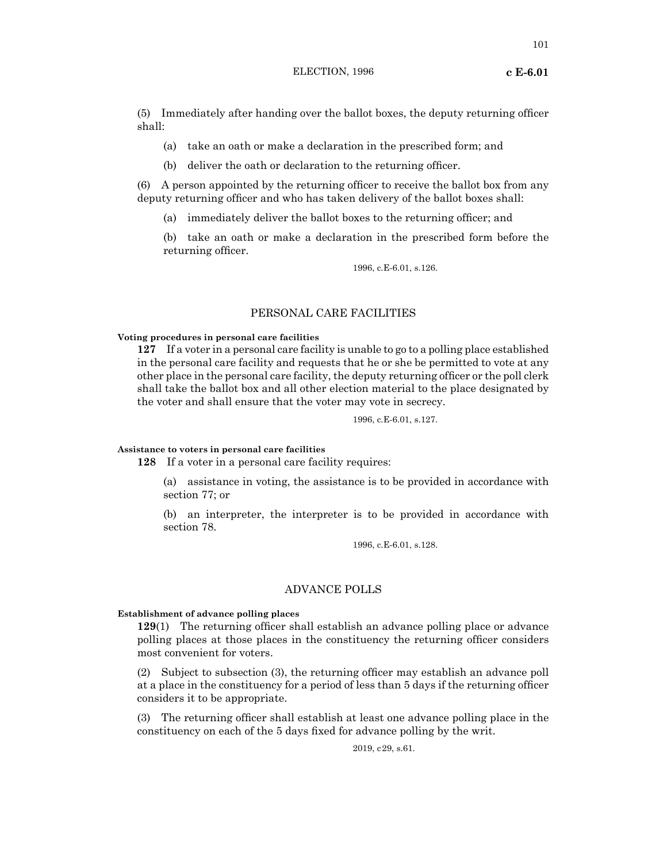(5) Immediately after handing over the ballot boxes, the deputy returning officer shall:

- (a) take an oath or make a declaration in the prescribed form; and
- (b) deliver the oath or declaration to the returning officer.

(6) A person appointed by the returning officer to receive the ballot box from any deputy returning officer and who has taken delivery of the ballot boxes shall:

(a) immediately deliver the ballot boxes to the returning officer; and

(b) take an oath or make a declaration in the prescribed form before the returning officer.

1996, c.E-6.01, s.126.

# PERSONAL CARE FACILITIES

#### **Voting procedures in personal care facilities**

**127** If a voter in a personal care facility is unable to go to a polling place established in the personal care facility and requests that he or she be permitted to vote at any other place in the personal care facility, the deputy returning officer or the poll clerk shall take the ballot box and all other election material to the place designated by the voter and shall ensure that the voter may vote in secrecy.

1996, c.E-6.01, s.127.

## **Assistance to voters in personal care facilities**

**128** If a voter in a personal care facility requires:

(a) assistance in voting, the assistance is to be provided in accordance with section 77; or

(b) an interpreter, the interpreter is to be provided in accordance with section 78.

1996, c.E-6.01, s.128.

## ADVANCE POLLS

#### **Establishment of advance polling places**

**129**(1) The returning officer shall establish an advance polling place or advance polling places at those places in the constituency the returning officer considers most convenient for voters.

(2) Subject to subsection (3), the returning officer may establish an advance poll at a place in the constituency for a period of less than 5 days if the returning officer considers it to be appropriate.

(3) The returning officer shall establish at least one advance polling place in the constituency on each of the 5 days fixed for advance polling by the writ.

2019, c29, s.61.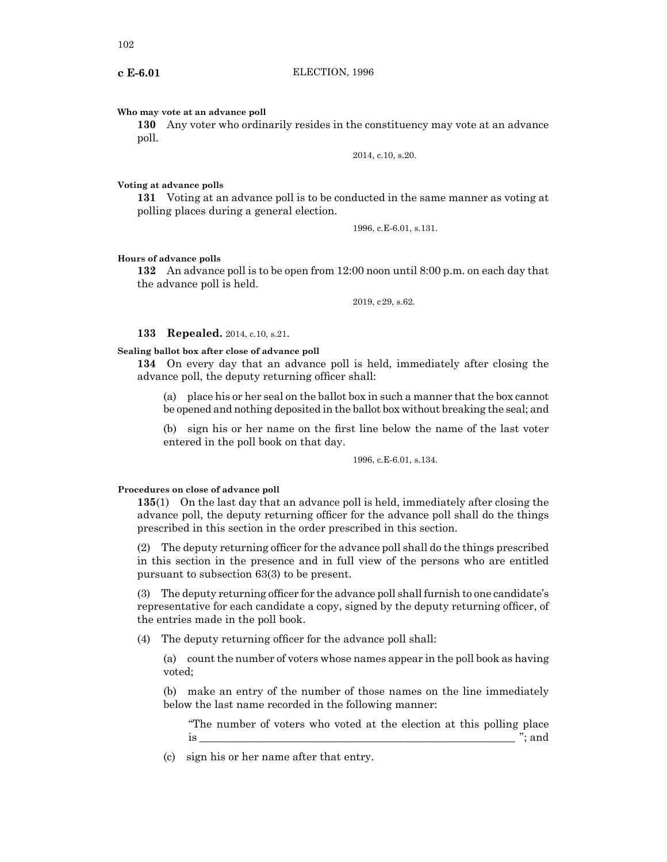102

#### **Who may vote at an advance poll**

**130** Any voter who ordinarily resides in the constituency may vote at an advance poll.

2014, c.10, s.20.

#### **Voting at advance polls**

**131** Voting at an advance poll is to be conducted in the same manner as voting at polling places during a general election.

1996, c.E-6.01, s.131.

#### **Hours of advance polls**

**132** An advance poll is to be open from 12:00 noon until 8:00 p.m. on each day that the advance poll is held.

2019, c29, s.62.

#### **133 Repealed.** 2014, c.10, s.21.

#### **Sealing ballot box after close of advance poll**

**134** On every day that an advance poll is held, immediately after closing the advance poll, the deputy returning officer shall:

(a) place his or her seal on the ballot box in such a manner that the box cannot be opened and nothing deposited in the ballot box without breaking the seal; and

(b) sign his or her name on the first line below the name of the last voter entered in the poll book on that day.

1996, c.E-6.01, s.134.

#### **Procedures on close of advance poll**

**135**(1) On the last day that an advance poll is held, immediately after closing the advance poll, the deputy returning officer for the advance poll shall do the things prescribed in this section in the order prescribed in this section.

(2) The deputy returning officer for the advance poll shall do the things prescribed in this section in the presence and in full view of the persons who are entitled pursuant to subsection 63(3) to be present.

(3) The deputy returning officer for the advance poll shall furnish to one candidate's representative for each candidate a copy, signed by the deputy returning officer, of the entries made in the poll book.

(4) The deputy returning officer for the advance poll shall:

(a) count the number of voters whose names appear in the poll book as having voted;

(b) make an entry of the number of those names on the line immediately below the last name recorded in the following manner:

"The number of voters who voted at the election at this polling place is \_\_\_\_\_\_\_\_\_\_\_\_\_\_\_\_\_\_\_\_\_\_\_\_\_\_\_\_\_\_\_\_\_\_\_\_\_\_\_\_\_\_\_\_\_\_\_\_\_\_\_\_\_\_\_\_\_\_ "; and

(c) sign his or her name after that entry.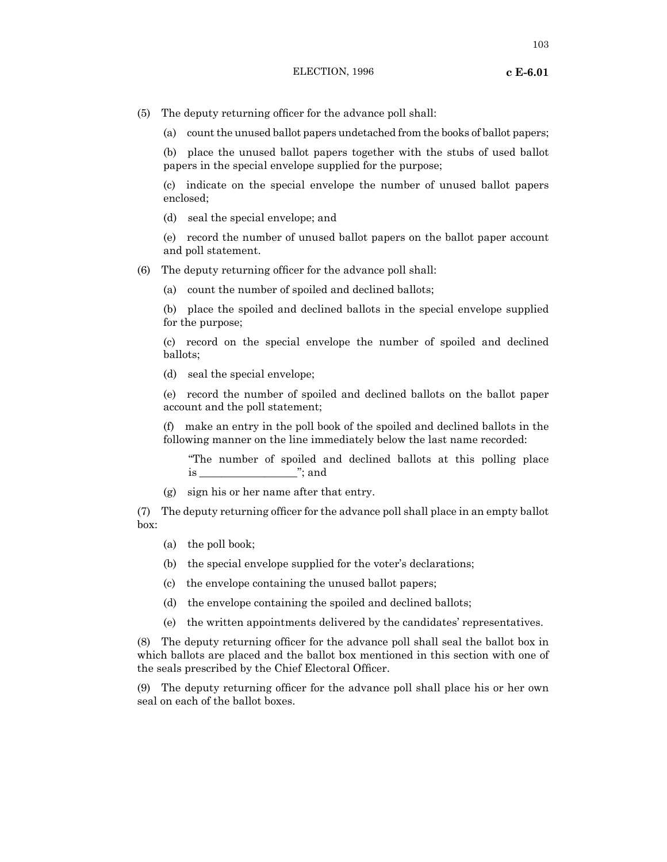103

- (5) The deputy returning officer for the advance poll shall:
	- (a) count the unused ballot papers undetached from the books of ballot papers;

(b) place the unused ballot papers together with the stubs of used ballot papers in the special envelope supplied for the purpose;

(c) indicate on the special envelope the number of unused ballot papers enclosed;

(d) seal the special envelope; and

(e) record the number of unused ballot papers on the ballot paper account and poll statement.

- (6) The deputy returning officer for the advance poll shall:
	- (a) count the number of spoiled and declined ballots;

(b) place the spoiled and declined ballots in the special envelope supplied for the purpose;

(c) record on the special envelope the number of spoiled and declined ballots;

(d) seal the special envelope;

(e) record the number of spoiled and declined ballots on the ballot paper account and the poll statement;

(f) make an entry in the poll book of the spoiled and declined ballots in the following manner on the line immediately below the last name recorded:

"The number of spoiled and declined ballots at this polling place is \_\_\_\_\_\_\_\_\_\_\_\_\_\_\_\_\_\_"; and

(g) sign his or her name after that entry.

(7) The deputy returning officer for the advance poll shall place in an empty ballot box:

- (a) the poll book;
- (b) the special envelope supplied for the voter's declarations;
- (c) the envelope containing the unused ballot papers;
- (d) the envelope containing the spoiled and declined ballots;
- (e) the written appointments delivered by the candidates' representatives.

(8) The deputy returning officer for the advance poll shall seal the ballot box in which ballots are placed and the ballot box mentioned in this section with one of the seals prescribed by the Chief Electoral Officer.

(9) The deputy returning officer for the advance poll shall place his or her own seal on each of the ballot boxes.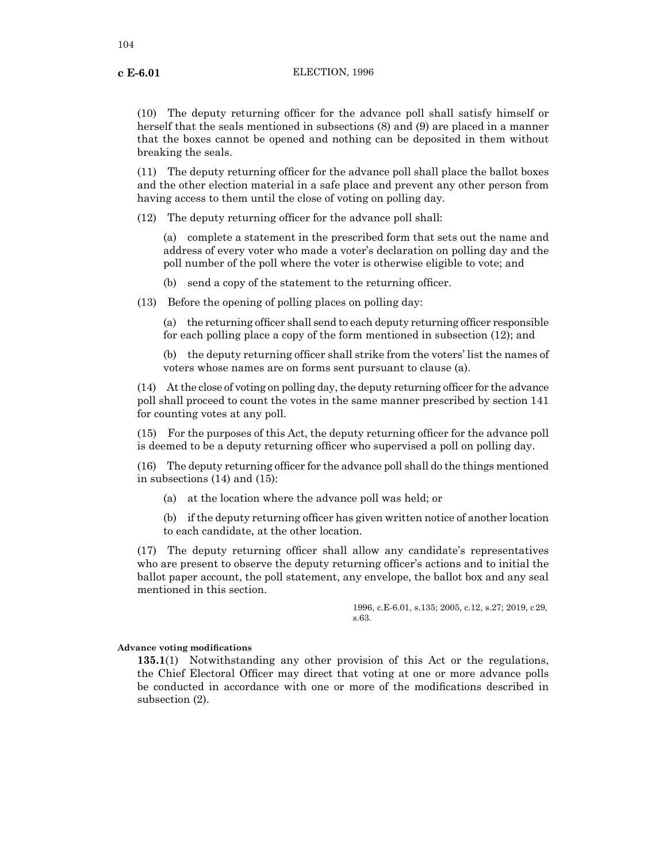(10) The deputy returning officer for the advance poll shall satisfy himself or herself that the seals mentioned in subsections (8) and (9) are placed in a manner that the boxes cannot be opened and nothing can be deposited in them without breaking the seals.

(11) The deputy returning officer for the advance poll shall place the ballot boxes and the other election material in a safe place and prevent any other person from having access to them until the close of voting on polling day.

(12) The deputy returning officer for the advance poll shall:

(a) complete a statement in the prescribed form that sets out the name and address of every voter who made a voter's declaration on polling day and the poll number of the poll where the voter is otherwise eligible to vote; and

(b) send a copy of the statement to the returning officer.

(13) Before the opening of polling places on polling day:

(a) the returning officer shall send to each deputy returning officer responsible for each polling place a copy of the form mentioned in subsection (12); and

(b) the deputy returning officer shall strike from the voters' list the names of voters whose names are on forms sent pursuant to clause (a).

 $(14)$  At the close of voting on polling day, the deputy returning officer for the advance poll shall proceed to count the votes in the same manner prescribed by section 141 for counting votes at any poll.

(15) For the purposes of this Act, the deputy returning officer for the advance poll is deemed to be a deputy returning officer who supervised a poll on polling day.

(16) The deputy returning officer for the advance poll shall do the things mentioned in subsections (14) and (15):

(a) at the location where the advance poll was held; or

(b) if the deputy returning officer has given written notice of another location to each candidate, at the other location.

(17) The deputy returning officer shall allow any candidate's representatives who are present to observe the deputy returning officer's actions and to initial the ballot paper account, the poll statement, any envelope, the ballot box and any seal mentioned in this section.

> 1996, c.E-6.01, s.135; 2005, c.12, s.27; 2019, c29, s.63.

#### **Advance voting modifications**

**135.1**(1) Notwithstanding any other provision of this Act or the regulations, the Chief Electoral Officer may direct that voting at one or more advance polls be conducted in accordance with one or more of the modifications described in subsection (2).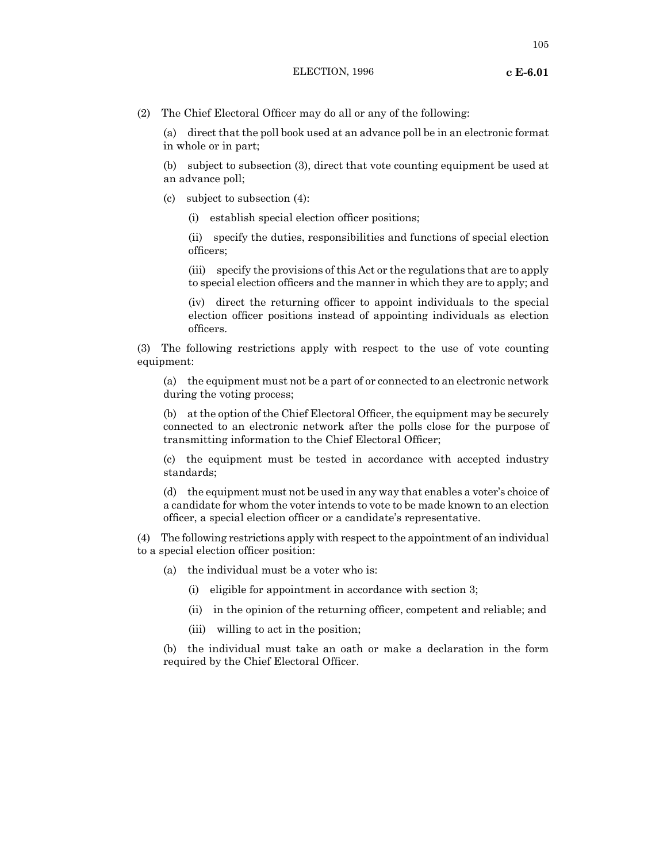105

(2) The Chief Electoral Officer may do all or any of the following:

(a) direct that the poll book used at an advance poll be in an electronic format in whole or in part;

(b) subject to subsection (3), direct that vote counting equipment be used at an advance poll;

- (c) subject to subsection (4):
	- (i) establish special election officer positions;

(ii) specify the duties, responsibilities and functions of special election officers;

(iii) specify the provisions of this Act or the regulations that are to apply to special election officers and the manner in which they are to apply; and

(iv) direct the returning officer to appoint individuals to the special election officer positions instead of appointing individuals as election officers.

(3) The following restrictions apply with respect to the use of vote counting equipment:

(a) the equipment must not be a part of or connected to an electronic network during the voting process;

(b) at the option of the Chief Electoral Officer, the equipment may be securely connected to an electronic network after the polls close for the purpose of transmitting information to the Chief Electoral Officer;

(c) the equipment must be tested in accordance with accepted industry standards;

(d) the equipment must not be used in any way that enables a voter's choice of a candidate for whom the voter intends to vote to be made known to an election officer, a special election officer or a candidate's representative.

(4) The following restrictions apply with respect to the appointment of an individual to a special election officer position:

- (a) the individual must be a voter who is:
	- (i) eligible for appointment in accordance with section 3;
	- (ii) in the opinion of the returning officer, competent and reliable; and
	- (iii) willing to act in the position;

(b) the individual must take an oath or make a declaration in the form required by the Chief Electoral Officer.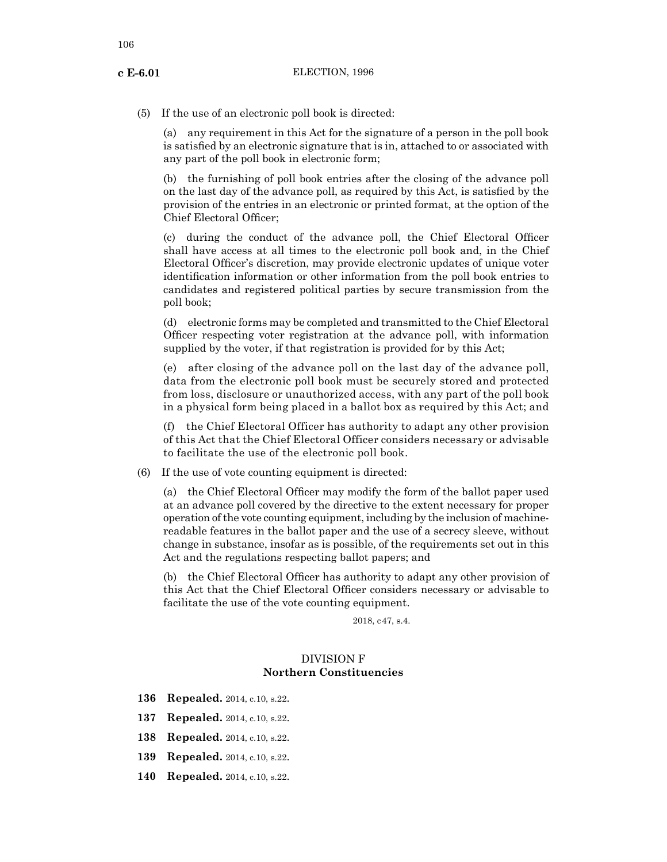(5) If the use of an electronic poll book is directed:

(a) any requirement in this Act for the signature of a person in the poll book is satisfied by an electronic signature that is in, attached to or associated with any part of the poll book in electronic form;

(b) the furnishing of poll book entries after the closing of the advance poll on the last day of the advance poll, as required by this Act, is satisfied by the provision of the entries in an electronic or printed format, at the option of the Chief Electoral Officer;

(c) during the conduct of the advance poll, the Chief Electoral Officer shall have access at all times to the electronic poll book and, in the Chief Electoral Officer's discretion, may provide electronic updates of unique voter identification information or other information from the poll book entries to candidates and registered political parties by secure transmission from the poll book;

(d) electronic forms may be completed and transmitted to the Chief Electoral Officer respecting voter registration at the advance poll, with information supplied by the voter, if that registration is provided for by this Act;

(e) after closing of the advance poll on the last day of the advance poll, data from the electronic poll book must be securely stored and protected from loss, disclosure or unauthorized access, with any part of the poll book in a physical form being placed in a ballot box as required by this Act; and

(f) the Chief Electoral Officer has authority to adapt any other provision of this Act that the Chief Electoral Officer considers necessary or advisable to facilitate the use of the electronic poll book.

(6) If the use of vote counting equipment is directed:

(a) the Chief Electoral Officer may modify the form of the ballot paper used at an advance poll covered by the directive to the extent necessary for proper operation of the vote counting equipment, including by the inclusion of machinereadable features in the ballot paper and the use of a secrecy sleeve, without change in substance, insofar as is possible, of the requirements set out in this Act and the regulations respecting ballot papers; and

(b) the Chief Electoral Officer has authority to adapt any other provision of this Act that the Chief Electoral Officer considers necessary or advisable to facilitate the use of the vote counting equipment.

2018, c47, s.4.

# DIVISION F **Northern Constituencies**

- **136 Repealed.** 2014, c.10, s.22.
- **137 Repealed.** 2014, c.10, s.22.
- **138 Repealed.** 2014, c.10, s.22.
- **139 Repealed.** 2014, c.10, s.22.
- **140 Repealed.** 2014, c.10, s.22.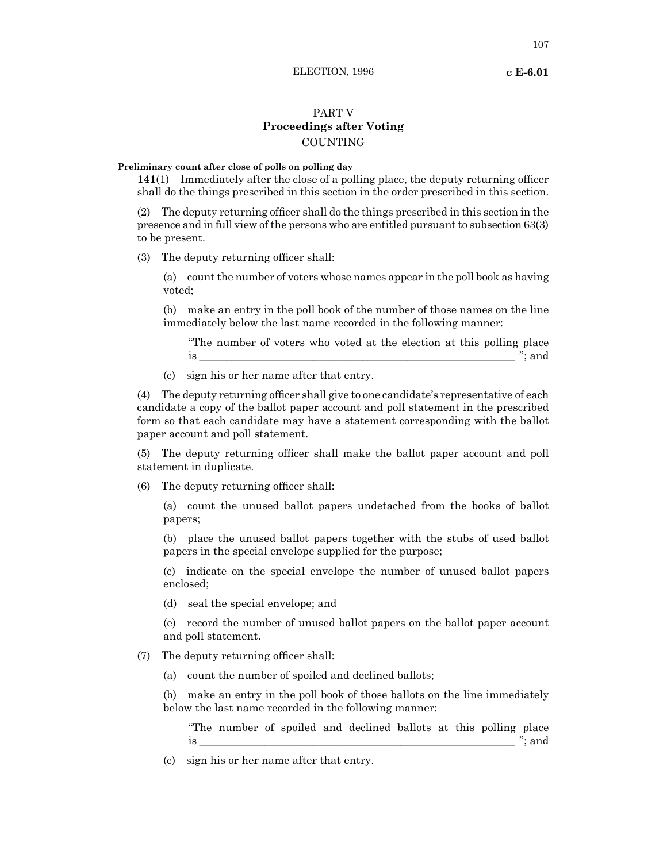# PART V **Proceedings after Voting** COUNTING

## **Preliminary count after close of polls on polling day**

**141**(1) Immediately after the close of a polling place, the deputy returning officer shall do the things prescribed in this section in the order prescribed in this section.

(2) The deputy returning officer shall do the things prescribed in this section in the presence and in full view of the persons who are entitled pursuant to subsection 63(3) to be present.

(3) The deputy returning officer shall:

(a) count the number of voters whose names appear in the poll book as having voted;

(b) make an entry in the poll book of the number of those names on the line immediately below the last name recorded in the following manner:

"The number of voters who voted at the election at this polling place  $\therefore$  and  $\therefore$  and

(c) sign his or her name after that entry.

(4) The deputy returning officer shall give to one candidate's representative of each candidate a copy of the ballot paper account and poll statement in the prescribed form so that each candidate may have a statement corresponding with the ballot paper account and poll statement.

(5) The deputy returning officer shall make the ballot paper account and poll statement in duplicate.

(6) The deputy returning officer shall:

(a) count the unused ballot papers undetached from the books of ballot papers;

(b) place the unused ballot papers together with the stubs of used ballot papers in the special envelope supplied for the purpose;

(c) indicate on the special envelope the number of unused ballot papers enclosed;

(d) seal the special envelope; and

(e) record the number of unused ballot papers on the ballot paper account and poll statement.

(7) The deputy returning officer shall:

(a) count the number of spoiled and declined ballots;

(b) make an entry in the poll book of those ballots on the line immediately below the last name recorded in the following manner:

"The number of spoiled and declined ballots at this polling place is  $\cdots$  and

(c) sign his or her name after that entry.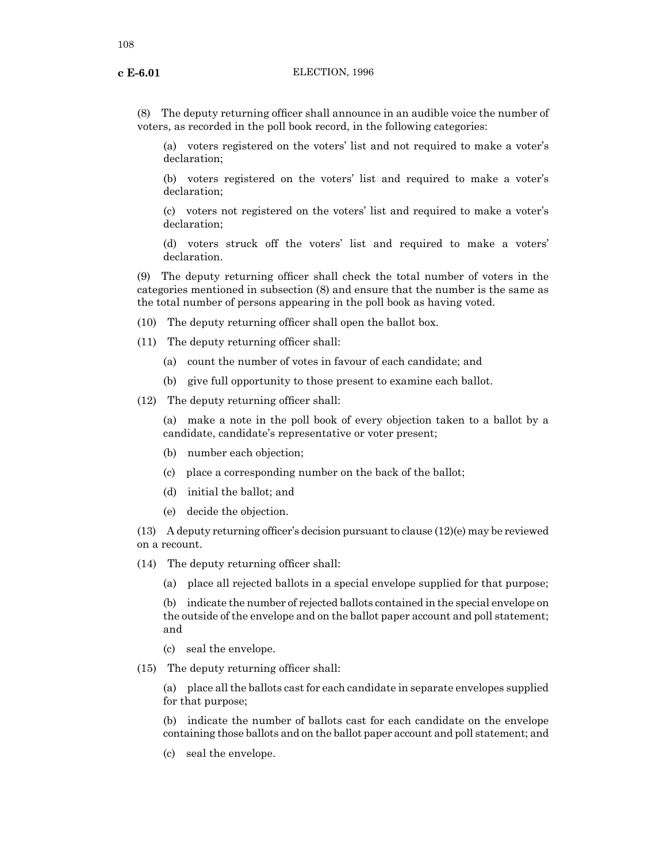(8) The deputy returning officer shall announce in an audible voice the number of voters, as recorded in the poll book record, in the following categories:

(a) voters registered on the voters' list and not required to make a voter's declaration;

(b) voters registered on the voters' list and required to make a voter's declaration;

(c) voters not registered on the voters' list and required to make a voter's declaration;

(d) voters struck off the voters' list and required to make a voters' declaration.

(9) The deputy returning officer shall check the total number of voters in the categories mentioned in subsection (8) and ensure that the number is the same as the total number of persons appearing in the poll book as having voted.

- (10) The deputy returning officer shall open the ballot box.
- (11) The deputy returning officer shall:
	- (a) count the number of votes in favour of each candidate; and
	- (b) give full opportunity to those present to examine each ballot.

(12) The deputy returning officer shall:

(a) make a note in the poll book of every objection taken to a ballot by a candidate, candidate's representative or voter present;

- (b) number each objection;
- (c) place a corresponding number on the back of the ballot;
- (d) initial the ballot; and
- (e) decide the objection.

(13) A deputy returning officer's decision pursuant to clause  $(12)(e)$  may be reviewed on a recount.

- (14) The deputy returning officer shall:
	- (a) place all rejected ballots in a special envelope supplied for that purpose;

(b) indicate the number of rejected ballots contained in the special envelope on the outside of the envelope and on the ballot paper account and poll statement; and

- (c) seal the envelope.
- (15) The deputy returning officer shall:

(a) place all the ballots cast for each candidate in separate envelopes supplied for that purpose;

(b) indicate the number of ballots cast for each candidate on the envelope containing those ballots and on the ballot paper account and poll statement; and

(c) seal the envelope.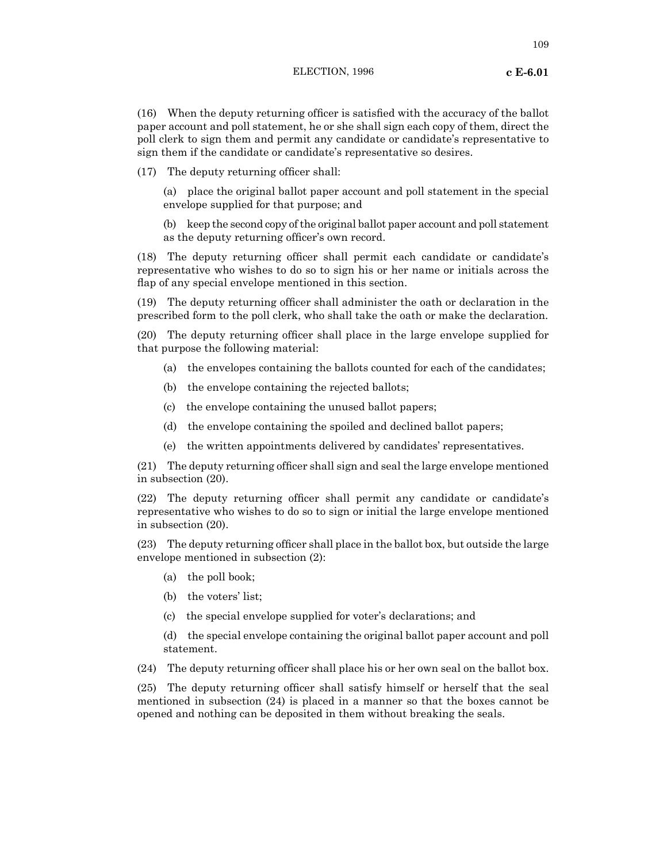109

(16) When the deputy returning officer is satisfied with the accuracy of the ballot paper account and poll statement, he or she shall sign each copy of them, direct the poll clerk to sign them and permit any candidate or candidate's representative to sign them if the candidate or candidate's representative so desires.

(17) The deputy returning officer shall:

(a) place the original ballot paper account and poll statement in the special envelope supplied for that purpose; and

(b) keep the second copy of the original ballot paper account and poll statement as the deputy returning officer's own record.

(18) The deputy returning officer shall permit each candidate or candidate's representative who wishes to do so to sign his or her name or initials across the flap of any special envelope mentioned in this section.

(19) The deputy returning officer shall administer the oath or declaration in the prescribed form to the poll clerk, who shall take the oath or make the declaration.

(20) The deputy returning officer shall place in the large envelope supplied for that purpose the following material:

- (a) the envelopes containing the ballots counted for each of the candidates;
- (b) the envelope containing the rejected ballots;
- (c) the envelope containing the unused ballot papers;
- (d) the envelope containing the spoiled and declined ballot papers;
- (e) the written appointments delivered by candidates' representatives.

(21) The deputy returning officer shall sign and seal the large envelope mentioned in subsection (20).

(22) The deputy returning officer shall permit any candidate or candidate's representative who wishes to do so to sign or initial the large envelope mentioned in subsection (20).

(23) The deputy returning officer shall place in the ballot box, but outside the large envelope mentioned in subsection (2):

- (a) the poll book;
- (b) the voters' list;
- (c) the special envelope supplied for voter's declarations; and
- (d) the special envelope containing the original ballot paper account and poll statement.

(24) The deputy returning officer shall place his or her own seal on the ballot box.

(25) The deputy returning officer shall satisfy himself or herself that the seal mentioned in subsection (24) is placed in a manner so that the boxes cannot be opened and nothing can be deposited in them without breaking the seals.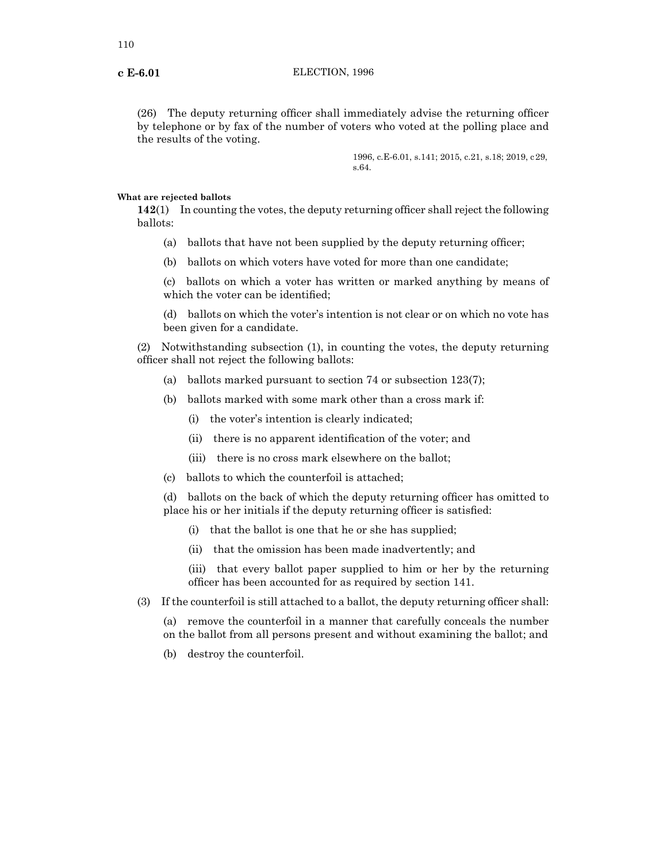(26) The deputy returning officer shall immediately advise the returning officer by telephone or by fax of the number of voters who voted at the polling place and the results of the voting.

> 1996, c.E-6.01, s.141; 2015, c.21, s.18; 2019, c29, s.64.

### **What are rejected ballots**

**142**(1) In counting the votes, the deputy returning officer shall reject the following ballots:

- (a) ballots that have not been supplied by the deputy returning officer;
- (b) ballots on which voters have voted for more than one candidate;

(c) ballots on which a voter has written or marked anything by means of which the voter can be identified;

(d) ballots on which the voter's intention is not clear or on which no vote has been given for a candidate.

(2) Notwithstanding subsection (1), in counting the votes, the deputy returning officer shall not reject the following ballots:

- (a) ballots marked pursuant to section 74 or subsection 123(7);
- (b) ballots marked with some mark other than a cross mark if:
	- (i) the voter's intention is clearly indicated;
	- (ii) there is no apparent identification of the voter; and
	- (iii) there is no cross mark elsewhere on the ballot;
- (c) ballots to which the counterfoil is attached;

(d) ballots on the back of which the deputy returning officer has omitted to place his or her initials if the deputy returning officer is satisfied:

- (i) that the ballot is one that he or she has supplied;
- (ii) that the omission has been made inadvertently; and

(iii) that every ballot paper supplied to him or her by the returning officer has been accounted for as required by section 141.

(3) If the counterfoil is still attached to a ballot, the deputy returning officer shall:

(a) remove the counterfoil in a manner that carefully conceals the number on the ballot from all persons present and without examining the ballot; and

(b) destroy the counterfoil.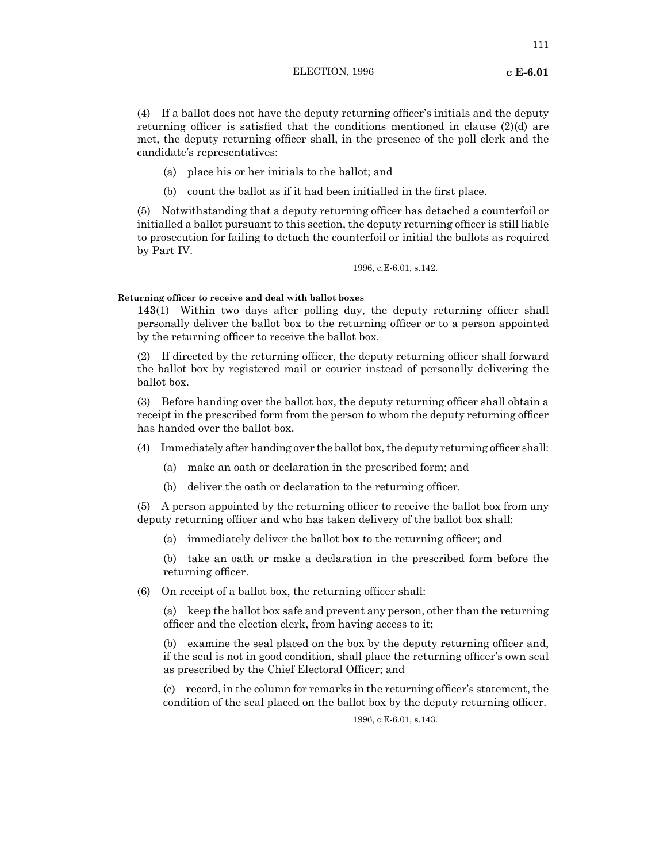(4) If a ballot does not have the deputy returning officer's initials and the deputy returning officer is satisfied that the conditions mentioned in clause (2)(d) are met, the deputy returning officer shall, in the presence of the poll clerk and the candidate's representatives:

- (a) place his or her initials to the ballot; and
- (b) count the ballot as if it had been initialled in the first place.

(5) Notwithstanding that a deputy returning officer has detached a counterfoil or initialled a ballot pursuant to this section, the deputy returning officer is still liable to prosecution for failing to detach the counterfoil or initial the ballots as required by Part IV.

1996, c.E-6.01, s.142.

### **Returning officer to receive and deal with ballot boxes**

**143**(1) Within two days after polling day, the deputy returning officer shall personally deliver the ballot box to the returning officer or to a person appointed by the returning officer to receive the ballot box.

(2) If directed by the returning officer, the deputy returning officer shall forward the ballot box by registered mail or courier instead of personally delivering the ballot box.

(3) Before handing over the ballot box, the deputy returning officer shall obtain a receipt in the prescribed form from the person to whom the deputy returning officer has handed over the ballot box.

- (4) Immediately after handing over the ballot box, the deputy returning officer shall:
	- (a) make an oath or declaration in the prescribed form; and
	- (b) deliver the oath or declaration to the returning officer.

(5) A person appointed by the returning officer to receive the ballot box from any deputy returning officer and who has taken delivery of the ballot box shall:

(a) immediately deliver the ballot box to the returning officer; and

(b) take an oath or make a declaration in the prescribed form before the returning officer.

(6) On receipt of a ballot box, the returning officer shall:

(a) keep the ballot box safe and prevent any person, other than the returning officer and the election clerk, from having access to it;

(b) examine the seal placed on the box by the deputy returning officer and, if the seal is not in good condition, shall place the returning officer's own seal as prescribed by the Chief Electoral Officer; and

(c) record, in the column for remarks in the returning officer's statement, the condition of the seal placed on the ballot box by the deputy returning officer.

1996, c.E-6.01, s.143.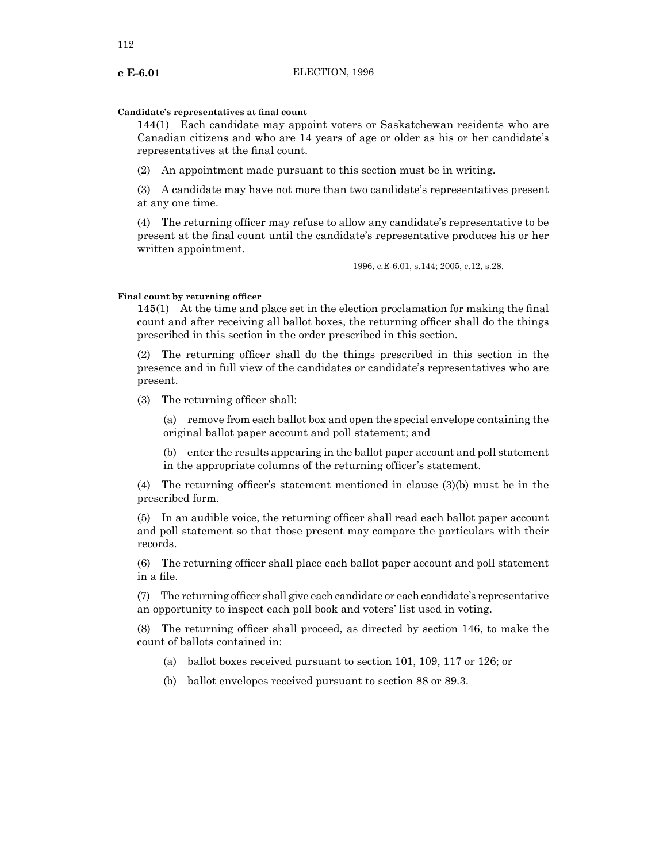# **Candidate's representatives at final count**

**144**(1) Each candidate may appoint voters or Saskatchewan residents who are Canadian citizens and who are 14 years of age or older as his or her candidate's representatives at the final count.

(2) An appointment made pursuant to this section must be in writing.

(3) A candidate may have not more than two candidate's representatives present at any one time.

(4) The returning officer may refuse to allow any candidate's representative to be present at the final count until the candidate's representative produces his or her written appointment.

1996, c.E-6.01, s.144; 2005, c.12, s.28.

### **Final count by returning officer**

**145**(1) At the time and place set in the election proclamation for making the final count and after receiving all ballot boxes, the returning officer shall do the things prescribed in this section in the order prescribed in this section.

(2) The returning officer shall do the things prescribed in this section in the presence and in full view of the candidates or candidate's representatives who are present.

(3) The returning officer shall:

(a) remove from each ballot box and open the special envelope containing the original ballot paper account and poll statement; and

(b) enter the results appearing in the ballot paper account and poll statement in the appropriate columns of the returning officer's statement.

(4) The returning officer's statement mentioned in clause (3)(b) must be in the prescribed form.

(5) In an audible voice, the returning officer shall read each ballot paper account and poll statement so that those present may compare the particulars with their records.

(6) The returning officer shall place each ballot paper account and poll statement in a file.

(7) The returning officer shall give each candidate or each candidate's representative an opportunity to inspect each poll book and voters' list used in voting.

(8) The returning officer shall proceed, as directed by section 146, to make the count of ballots contained in:

- (a) ballot boxes received pursuant to section 101, 109, 117 or 126; or
- (b) ballot envelopes received pursuant to section 88 or 89.3.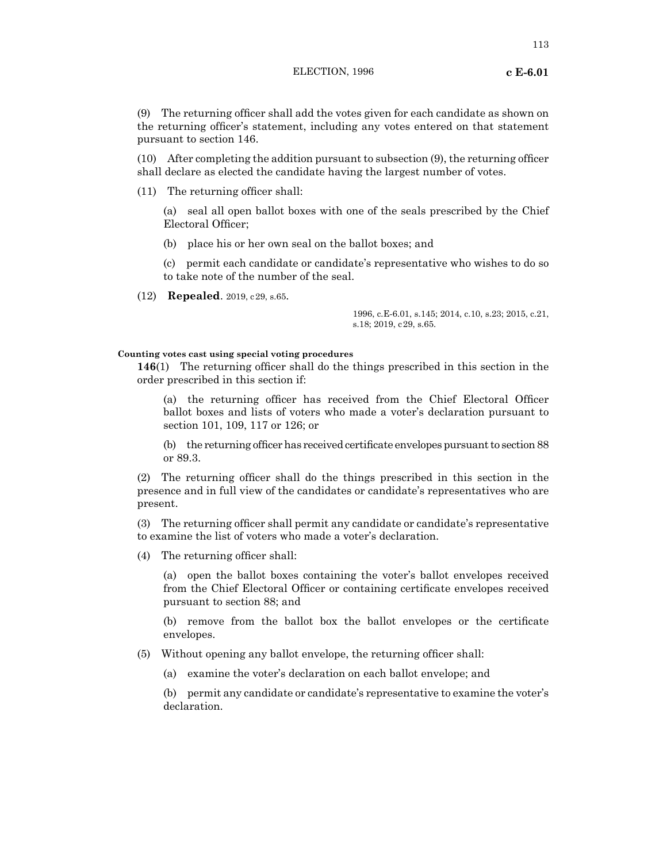(9) The returning officer shall add the votes given for each candidate as shown on the returning officer's statement, including any votes entered on that statement pursuant to section 146.

(10) After completing the addition pursuant to subsection (9), the returning officer shall declare as elected the candidate having the largest number of votes.

(11) The returning officer shall:

(a) seal all open ballot boxes with one of the seals prescribed by the Chief Electoral Officer;

(b) place his or her own seal on the ballot boxes; and

(c) permit each candidate or candidate's representative who wishes to do so to take note of the number of the seal.

(12) **Repealed**. 2019, c29, s.65.

1996, c.E-6.01, s.145; 2014, c.10, s.23; 2015, c.21, s.18; 2019, c29, s.65.

# **Counting votes cast using special voting procedures**

**146**(1) The returning officer shall do the things prescribed in this section in the order prescribed in this section if:

(a) the returning officer has received from the Chief Electoral Officer ballot boxes and lists of voters who made a voter's declaration pursuant to section 101, 109, 117 or 126; or

(b) the returning officer has received certificate envelopes pursuant to section 88 or 89.3.

(2) The returning officer shall do the things prescribed in this section in the presence and in full view of the candidates or candidate's representatives who are present.

(3) The returning officer shall permit any candidate or candidate's representative to examine the list of voters who made a voter's declaration.

(4) The returning officer shall:

(a) open the ballot boxes containing the voter's ballot envelopes received from the Chief Electoral Officer or containing certificate envelopes received pursuant to section 88; and

(b) remove from the ballot box the ballot envelopes or the certificate envelopes.

(5) Without opening any ballot envelope, the returning officer shall:

(a) examine the voter's declaration on each ballot envelope; and

(b) permit any candidate or candidate's representative to examine the voter's declaration.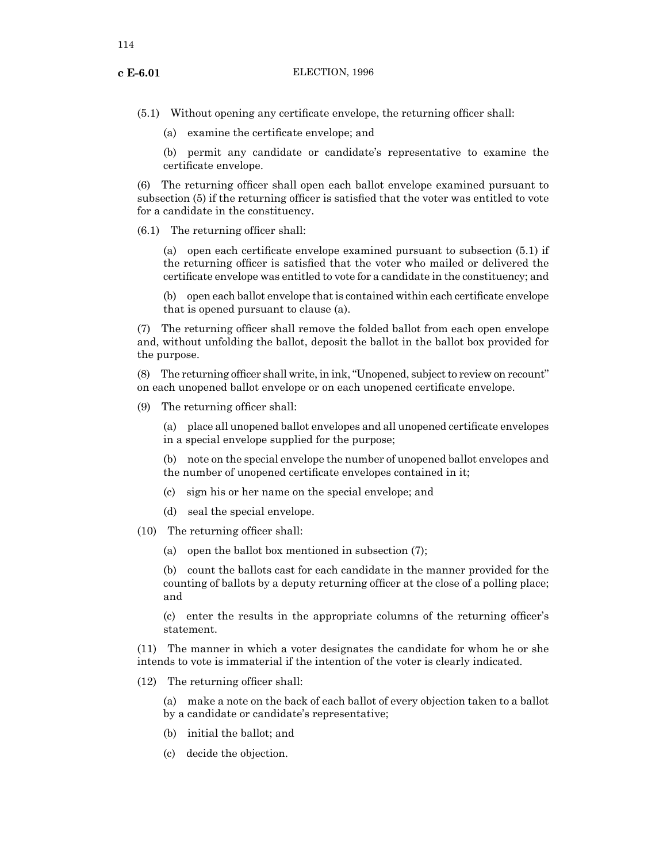(5.1) Without opening any certificate envelope, the returning officer shall:

(a) examine the certificate envelope; and

(b) permit any candidate or candidate's representative to examine the certificate envelope.

(6) The returning officer shall open each ballot envelope examined pursuant to subsection (5) if the returning officer is satisfied that the voter was entitled to vote for a candidate in the constituency.

(6.1) The returning officer shall:

(a) open each certificate envelope examined pursuant to subsection (5.1) if the returning officer is satisfied that the voter who mailed or delivered the certificate envelope was entitled to vote for a candidate in the constituency; and

(b) open each ballot envelope thatis contained within each certificate envelope that is opened pursuant to clause (a).

(7) The returning officer shall remove the folded ballot from each open envelope and, without unfolding the ballot, deposit the ballot in the ballot box provided for the purpose.

(8) The returning officer shall write, in ink, "Unopened, subject to review on recount" on each unopened ballot envelope or on each unopened certificate envelope.

(9) The returning officer shall:

(a) place all unopened ballot envelopes and all unopened certificate envelopes in a special envelope supplied for the purpose;

(b) note on the special envelope the number of unopened ballot envelopes and the number of unopened certificate envelopes contained in it;

- (c) sign his or her name on the special envelope; and
- (d) seal the special envelope.

(10) The returning officer shall:

(a) open the ballot box mentioned in subsection (7);

(b) count the ballots cast for each candidate in the manner provided for the counting of ballots by a deputy returning officer at the close of a polling place; and

(c) enter the results in the appropriate columns of the returning officer's statement.

(11) The manner in which a voter designates the candidate for whom he or she intends to vote is immaterial if the intention of the voter is clearly indicated.

- (12) The returning officer shall:
	- (a) make a note on the back of each ballot of every objection taken to a ballot by a candidate or candidate's representative;
	- (b) initial the ballot; and
	- (c) decide the objection.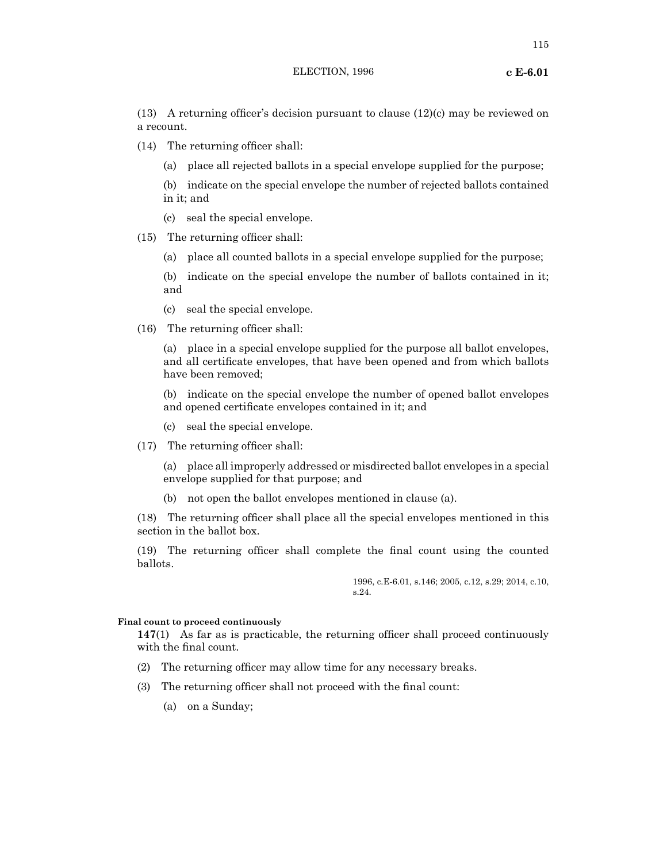(13) A returning officer's decision pursuant to clause (12)(c) may be reviewed on a recount.

- (14) The returning officer shall:
	- (a) place all rejected ballots in a special envelope supplied for the purpose;
	- (b) indicate on the special envelope the number of rejected ballots contained in it; and
	- (c) seal the special envelope.
- (15) The returning officer shall:
	- (a) place all counted ballots in a special envelope supplied for the purpose;
	- (b) indicate on the special envelope the number of ballots contained in it; and
	- (c) seal the special envelope.
- (16) The returning officer shall:

(a) place in a special envelope supplied for the purpose all ballot envelopes, and all certificate envelopes, that have been opened and from which ballots have been removed;

(b) indicate on the special envelope the number of opened ballot envelopes and opened certificate envelopes contained in it; and

- (c) seal the special envelope.
- (17) The returning officer shall:

(a) place all improperly addressed or misdirected ballot envelopes in a special envelope supplied for that purpose; and

(b) not open the ballot envelopes mentioned in clause (a).

(18) The returning officer shall place all the special envelopes mentioned in this section in the ballot box.

(19) The returning officer shall complete the final count using the counted ballots.

> 1996, c.E-6.01, s.146; 2005, c.12, s.29; 2014, c.10, s.24.

### **Final count to proceed continuously**

**147**(1) As far as is practicable, the returning officer shall proceed continuously with the final count.

- (2) The returning officer may allow time for any necessary breaks.
- (3) The returning officer shall not proceed with the final count:
	- (a) on a Sunday;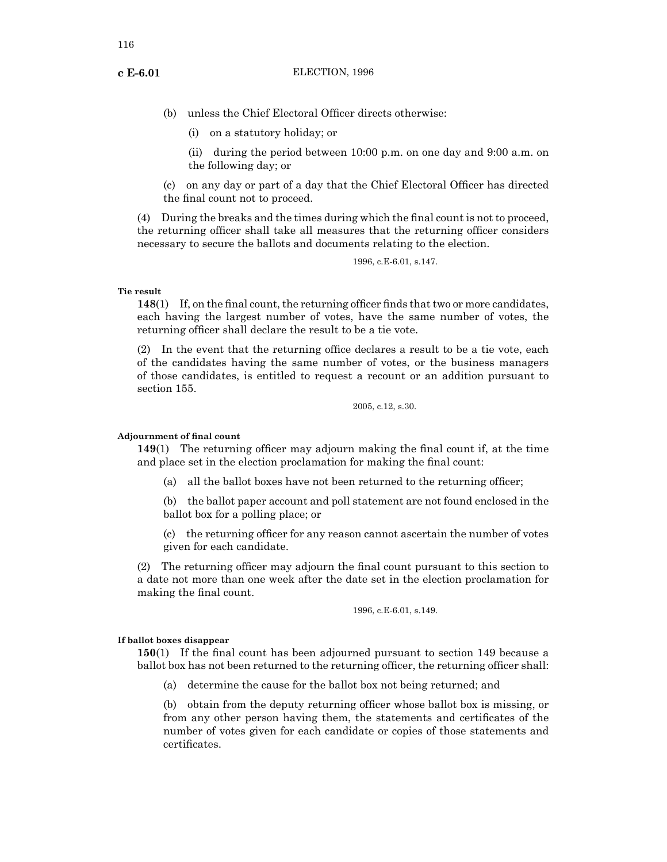- (b) unless the Chief Electoral Officer directs otherwise:
	- (i) on a statutory holiday; or

(ii) during the period between 10:00 p.m. on one day and 9:00 a.m. on the following day; or

(c) on any day or part of a day that the Chief Electoral Officer has directed the final count not to proceed.

(4) During the breaks and the times during which the final count is not to proceed, the returning officer shall take all measures that the returning officer considers necessary to secure the ballots and documents relating to the election.

1996, c.E-6.01, s.147.

## **Tie result**

**148**(1) If, on the final count, the returning officer finds that two or more candidates, each having the largest number of votes, have the same number of votes, the returning officer shall declare the result to be a tie vote.

(2) In the event that the returning office declares a result to be a tie vote, each of the candidates having the same number of votes, or the business managers of those candidates, is entitled to request a recount or an addition pursuant to section 155.

2005, c.12, s.30.

### **Adjournment of final count**

**149**(1) The returning officer may adjourn making the final count if, at the time and place set in the election proclamation for making the final count:

(a) all the ballot boxes have not been returned to the returning officer;

(b) the ballot paper account and poll statement are not found enclosed in the ballot box for a polling place; or

(c) the returning officer for any reason cannot ascertain the number of votes given for each candidate.

(2) The returning officer may adjourn the final count pursuant to this section to a date not more than one week after the date set in the election proclamation for making the final count.

1996, c.E-6.01, s.149.

### **If ballot boxes disappear**

**150**(1) If the final count has been adjourned pursuant to section 149 because a ballot box has not been returned to the returning officer, the returning officer shall:

(a) determine the cause for the ballot box not being returned; and

(b) obtain from the deputy returning officer whose ballot box is missing, or from any other person having them, the statements and certificates of the number of votes given for each candidate or copies of those statements and certificates.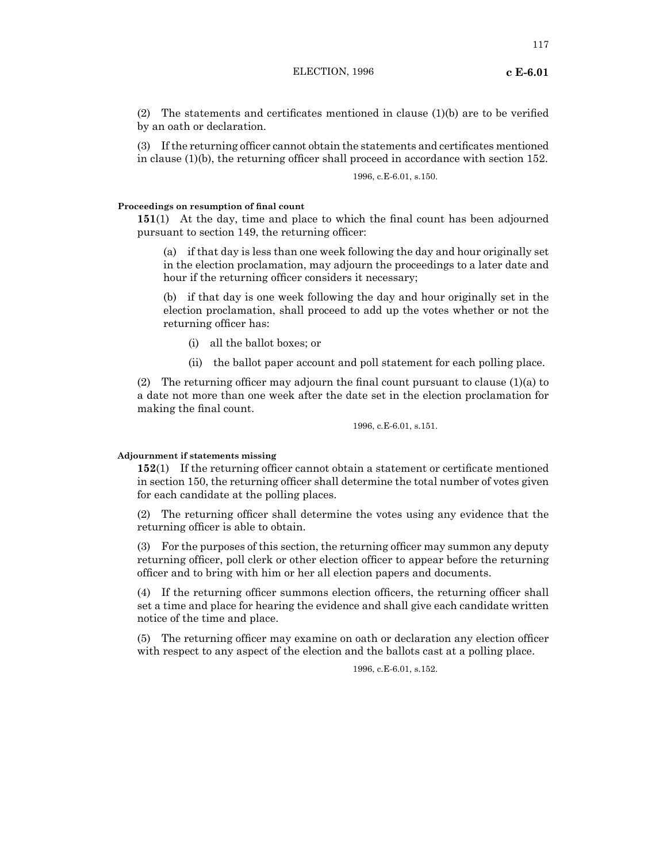(2) The statements and certificates mentioned in clause (1)(b) are to be verified by an oath or declaration.

(3) If the returning officer cannot obtain the statements and certificates mentioned in clause (1)(b), the returning officer shall proceed in accordance with section 152.

1996, c.E-6.01, s.150.

## **Proceedings on resumption of final count**

**151**(1) At the day, time and place to which the final count has been adjourned pursuant to section 149, the returning officer:

(a) if that day is less than one week following the day and hour originally set in the election proclamation, may adjourn the proceedings to a later date and hour if the returning officer considers it necessary;

(b) if that day is one week following the day and hour originally set in the election proclamation, shall proceed to add up the votes whether or not the returning officer has:

- (i) all the ballot boxes; or
- (ii) the ballot paper account and poll statement for each polling place.

(2) The returning officer may adjourn the final count pursuant to clause  $(1)(a)$  to a date not more than one week after the date set in the election proclamation for making the final count.

1996, c.E-6.01, s.151.

## **Adjournment if statements missing**

**152**(1) If the returning officer cannot obtain a statement or certificate mentioned in section 150, the returning officer shall determine the total number of votes given for each candidate at the polling places.

(2) The returning officer shall determine the votes using any evidence that the returning officer is able to obtain.

(3) For the purposes of this section, the returning officer may summon any deputy returning officer, poll clerk or other election officer to appear before the returning officer and to bring with him or her all election papers and documents.

(4) If the returning officer summons election officers, the returning officer shall set a time and place for hearing the evidence and shall give each candidate written notice of the time and place.

(5) The returning officer may examine on oath or declaration any election officer with respect to any aspect of the election and the ballots cast at a polling place.

1996, c.E-6.01, s.152.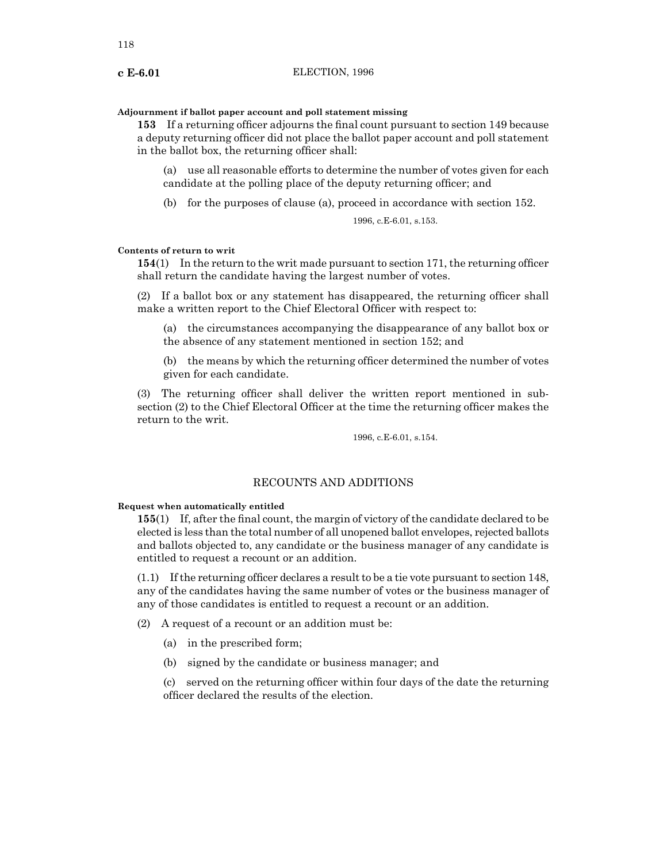### **Adjournment if ballot paper account and poll statement missing**

**153** If a returning officer adjourns the final count pursuant to section 149 because a deputy returning officer did not place the ballot paper account and poll statement in the ballot box, the returning officer shall:

(a) use all reasonable efforts to determine the number of votes given for each candidate at the polling place of the deputy returning officer; and

(b) for the purposes of clause (a), proceed in accordance with section 152.

1996, c.E-6.01, s.153.

# **Contents of return to writ**

**154**(1) In the return to the writ made pursuant to section 171, the returning officer shall return the candidate having the largest number of votes.

(2) If a ballot box or any statement has disappeared, the returning officer shall make a written report to the Chief Electoral Officer with respect to:

(a) the circumstances accompanying the disappearance of any ballot box or the absence of any statement mentioned in section 152; and

(b) the means by which the returning officer determined the number of votes given for each candidate.

(3) The returning officer shall deliver the written report mentioned in subsection (2) to the Chief Electoral Officer at the time the returning officer makes the return to the writ.

1996, c.E-6.01, s.154.

### RECOUNTS AND ADDITIONS

### **Request when automatically entitled**

**155**(1) If, after the final count, the margin of victory of the candidate declared to be elected is less than the total number of all unopened ballot envelopes, rejected ballots and ballots objected to, any candidate or the business manager of any candidate is entitled to request a recount or an addition.

 $(1.1)$  If the returning officer declares a result to be a tie vote pursuant to section 148, any of the candidates having the same number of votes or the business manager of any of those candidates is entitled to request a recount or an addition.

(2) A request of a recount or an addition must be:

- (a) in the prescribed form;
- (b) signed by the candidate or business manager; and

(c) served on the returning officer within four days of the date the returning officer declared the results of the election.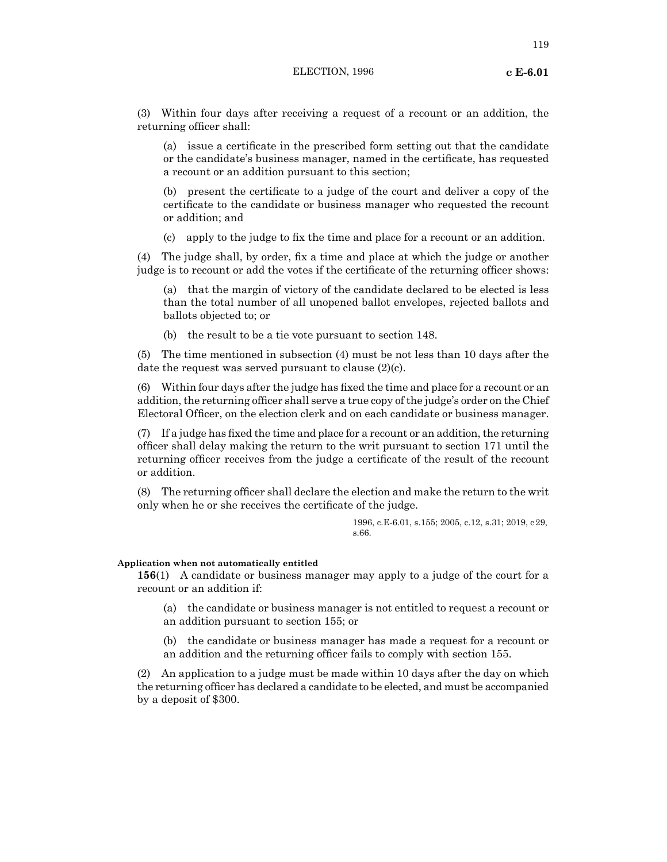(3) Within four days after receiving a request of a recount or an addition, the returning officer shall:

(a) issue a certificate in the prescribed form setting out that the candidate or the candidate's business manager, named in the certificate, has requested a recount or an addition pursuant to this section;

(b) present the certificate to a judge of the court and deliver a copy of the certificate to the candidate or business manager who requested the recount or addition; and

(c) apply to the judge to fix the time and place for a recount or an addition.

(4) The judge shall, by order, fix a time and place at which the judge or another judge is to recount or add the votes if the certificate of the returning officer shows:

(a) that the margin of victory of the candidate declared to be elected is less than the total number of all unopened ballot envelopes, rejected ballots and ballots objected to; or

(b) the result to be a tie vote pursuant to section 148.

(5) The time mentioned in subsection (4) must be not less than 10 days after the date the request was served pursuant to clause (2)(c).

(6) Within four days after the judge has fixed the time and place for a recount or an addition, the returning officer shall serve a true copy of the judge's order on the Chief Electoral Officer, on the election clerk and on each candidate or business manager.

(7) If a judge has fixed the time and place for a recount or an addition, the returning officer shall delay making the return to the writ pursuant to section 171 until the returning officer receives from the judge a certificate of the result of the recount or addition.

(8) The returning officer shall declare the election and make the return to the writ only when he or she receives the certificate of the judge.

> 1996, c.E-6.01, s.155; 2005, c.12, s.31; 2019, c29, s.66.

### **Application when not automatically entitled**

**156**(1) A candidate or business manager may apply to a judge of the court for a recount or an addition if:

(a) the candidate or business manager is not entitled to request a recount or an addition pursuant to section 155; or

(b) the candidate or business manager has made a request for a recount or an addition and the returning officer fails to comply with section 155.

(2) An application to a judge must be made within 10 days after the day on which the returning officer has declared a candidate to be elected, and must be accompanied by a deposit of \$300.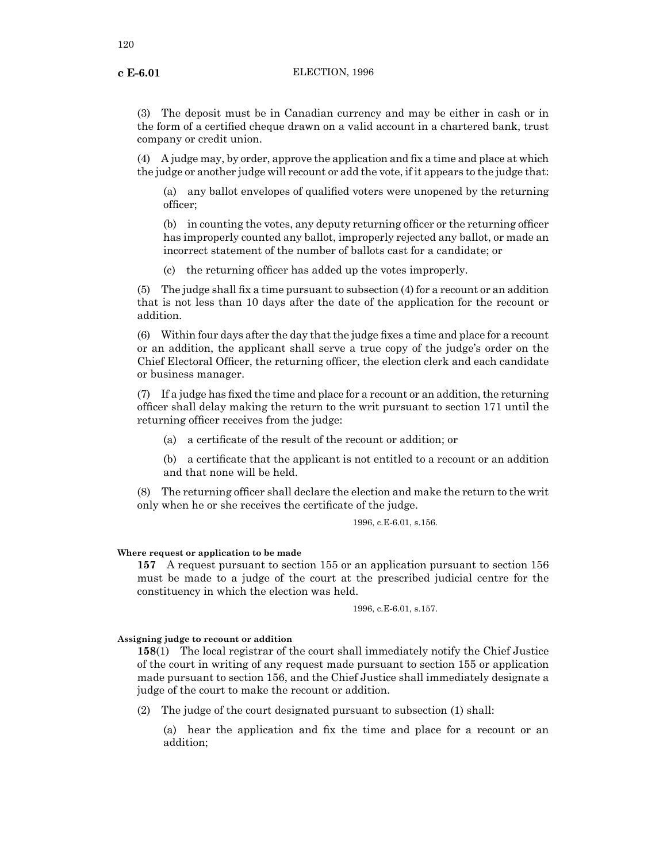(3) The deposit must be in Canadian currency and may be either in cash or in the form of a certified cheque drawn on a valid account in a chartered bank, trust company or credit union.

(4) A judge may, by order, approve the application and fix a time and place at which the judge or another judge will recount or add the vote, if it appears to the judge that:

(a) any ballot envelopes of qualified voters were unopened by the returning officer;

(b) in counting the votes, any deputy returning officer or the returning officer has improperly counted any ballot, improperly rejected any ballot, or made an incorrect statement of the number of ballots cast for a candidate; or

(c) the returning officer has added up the votes improperly.

(5) The judge shall fix a time pursuant to subsection (4) for a recount or an addition that is not less than 10 days after the date of the application for the recount or addition.

(6) Within four days after the day that the judge fixes a time and place for a recount or an addition, the applicant shall serve a true copy of the judge's order on the Chief Electoral Officer, the returning officer, the election clerk and each candidate or business manager.

(7) If a judge has fixed the time and place for a recount or an addition, the returning officer shall delay making the return to the writ pursuant to section 171 until the returning officer receives from the judge:

(a) a certificate of the result of the recount or addition; or

(b) a certificate that the applicant is not entitled to a recount or an addition and that none will be held.

(8) The returning officer shall declare the election and make the return to the writ only when he or she receives the certificate of the judge.

1996, c.E-6.01, s.156.

# **Where request or application to be made**

**157** A request pursuant to section 155 or an application pursuant to section 156 must be made to a judge of the court at the prescribed judicial centre for the constituency in which the election was held.

1996, c.E-6.01, s.157.

# **Assigning judge to recount or addition**

**158**(1) The local registrar of the court shall immediately notify the Chief Justice of the court in writing of any request made pursuant to section 155 or application made pursuant to section 156, and the Chief Justice shall immediately designate a judge of the court to make the recount or addition.

(2) The judge of the court designated pursuant to subsection (1) shall:

(a) hear the application and fix the time and place for a recount or an addition;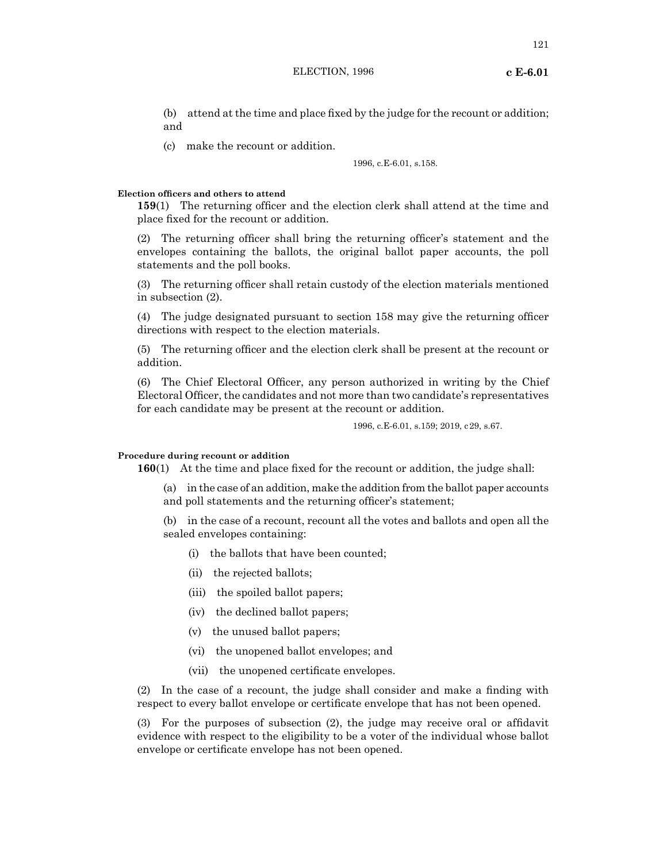(b) attend at the time and place fixed by the judge for the recount or addition; and

(c) make the recount or addition.

### 1996, c.E-6.01, s.158.

### **Election officers and others to attend**

**159**(1) The returning officer and the election clerk shall attend at the time and place fixed for the recount or addition.

(2) The returning officer shall bring the returning officer's statement and the envelopes containing the ballots, the original ballot paper accounts, the poll statements and the poll books.

(3) The returning officer shall retain custody of the election materials mentioned in subsection (2).

(4) The judge designated pursuant to section 158 may give the returning officer directions with respect to the election materials.

(5) The returning officer and the election clerk shall be present at the recount or addition.

(6) The Chief Electoral Officer, any person authorized in writing by the Chief Electoral Officer, the candidates and not more than two candidate's representatives for each candidate may be present at the recount or addition.

1996, c.E-6.01, s.159; 2019, c29, s.67.

### **Procedure during recount or addition**

**160**(1) At the time and place fixed for the recount or addition, the judge shall:

(a) in the case of an addition, make the addition from the ballot paper accounts and poll statements and the returning officer's statement;

(b) in the case of a recount, recount all the votes and ballots and open all the sealed envelopes containing:

- (i) the ballots that have been counted;
- (ii) the rejected ballots;
- (iii) the spoiled ballot papers;
- (iv) the declined ballot papers;
- (v) the unused ballot papers;
- (vi) the unopened ballot envelopes; and
- (vii) the unopened certificate envelopes.

(2) In the case of a recount, the judge shall consider and make a finding with respect to every ballot envelope or certificate envelope that has not been opened.

(3) For the purposes of subsection (2), the judge may receive oral or affidavit evidence with respect to the eligibility to be a voter of the individual whose ballot envelope or certificate envelope has not been opened.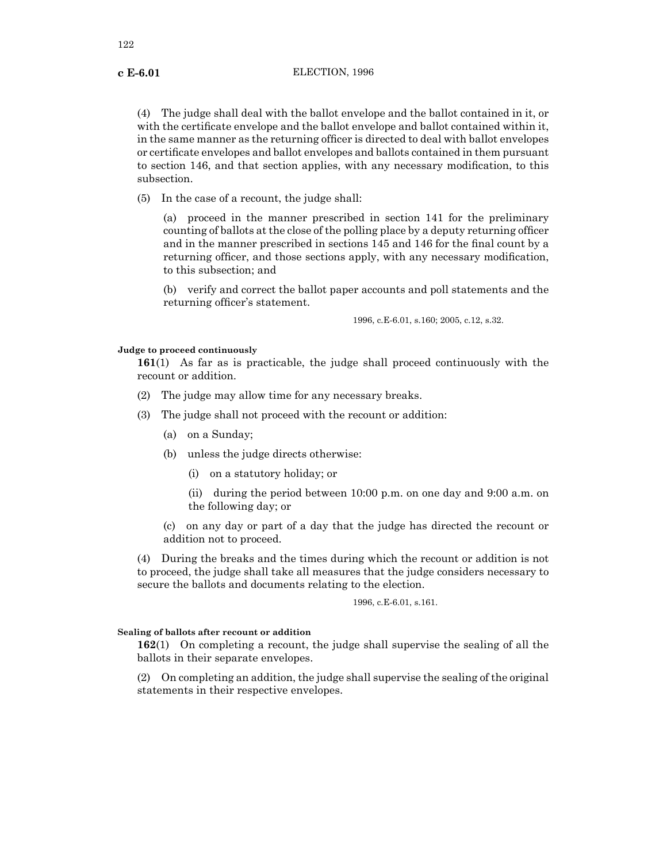(4) The judge shall deal with the ballot envelope and the ballot contained in it, or with the certificate envelope and the ballot envelope and ballot contained within it, in the same manner as the returning officer is directed to deal with ballot envelopes or certificate envelopes and ballot envelopes and ballots contained in them pursuant to section 146, and that section applies, with any necessary modification, to this subsection.

(5) In the case of a recount, the judge shall:

(a) proceed in the manner prescribed in section 141 for the preliminary counting of ballots at the close of the polling place by a deputy returning officer and in the manner prescribed in sections 145 and 146 for the final count by a returning officer, and those sections apply, with any necessary modification, to this subsection; and

(b) verify and correct the ballot paper accounts and poll statements and the returning officer's statement.

1996, c.E-6.01, s.160; 2005, c.12, s.32.

### **Judge to proceed continuously**

**161**(1) As far as is practicable, the judge shall proceed continuously with the recount or addition.

- (2) The judge may allow time for any necessary breaks.
- (3) The judge shall not proceed with the recount or addition:
	- (a) on a Sunday;
	- (b) unless the judge directs otherwise:
		- (i) on a statutory holiday; or
		- (ii) during the period between 10:00 p.m. on one day and 9:00 a.m. on the following day; or

(c) on any day or part of a day that the judge has directed the recount or addition not to proceed.

(4) During the breaks and the times during which the recount or addition is not to proceed, the judge shall take all measures that the judge considers necessary to secure the ballots and documents relating to the election.

1996, c.E-6.01, s.161.

### **Sealing of ballots after recount or addition**

**162**(1) On completing a recount, the judge shall supervise the sealing of all the ballots in their separate envelopes.

(2) On completing an addition, the judge shall supervise the sealing of the original statements in their respective envelopes.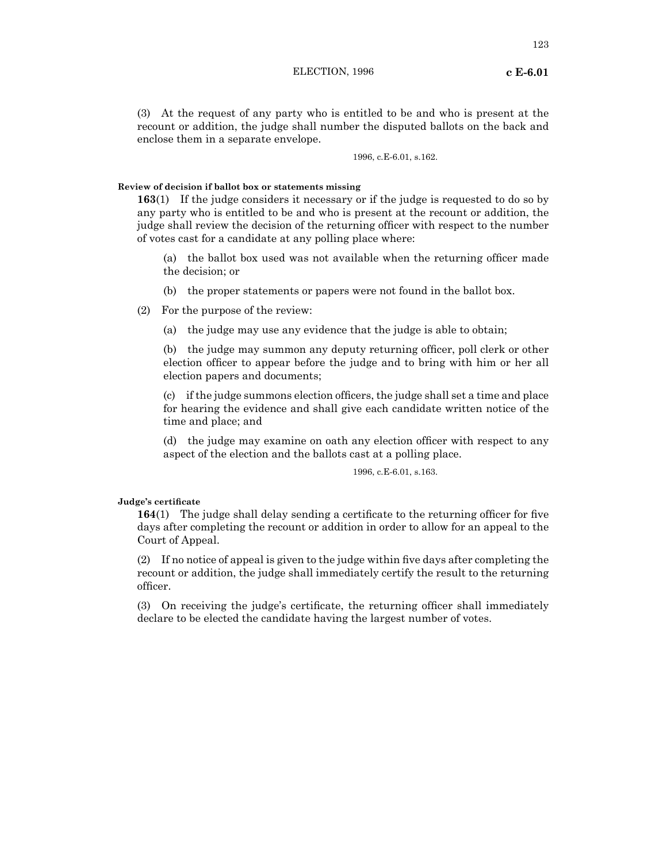(3) At the request of any party who is entitled to be and who is present at the recount or addition, the judge shall number the disputed ballots on the back and enclose them in a separate envelope.

1996, c.E-6.01, s.162.

### **Review of decision if ballot box or statements missing**

**163**(1) If the judge considers it necessary or if the judge is requested to do so by any party who is entitled to be and who is present at the recount or addition, the judge shall review the decision of the returning officer with respect to the number of votes cast for a candidate at any polling place where:

(a) the ballot box used was not available when the returning officer made the decision; or

(b) the proper statements or papers were not found in the ballot box.

(2) For the purpose of the review:

(a) the judge may use any evidence that the judge is able to obtain;

(b) the judge may summon any deputy returning officer, poll clerk or other election officer to appear before the judge and to bring with him or her all election papers and documents;

(c) if the judge summons election officers, the judge shall set a time and place for hearing the evidence and shall give each candidate written notice of the time and place; and

(d) the judge may examine on oath any election officer with respect to any aspect of the election and the ballots cast at a polling place.

# 1996, c.E-6.01, s.163.

### **Judge's certificate**

**164**(1) The judge shall delay sending a certificate to the returning officer for five days after completing the recount or addition in order to allow for an appeal to the Court of Appeal.

(2) If no notice of appeal is given to the judge within five days after completing the recount or addition, the judge shall immediately certify the result to the returning officer.

(3) On receiving the judge's certificate, the returning officer shall immediately declare to be elected the candidate having the largest number of votes.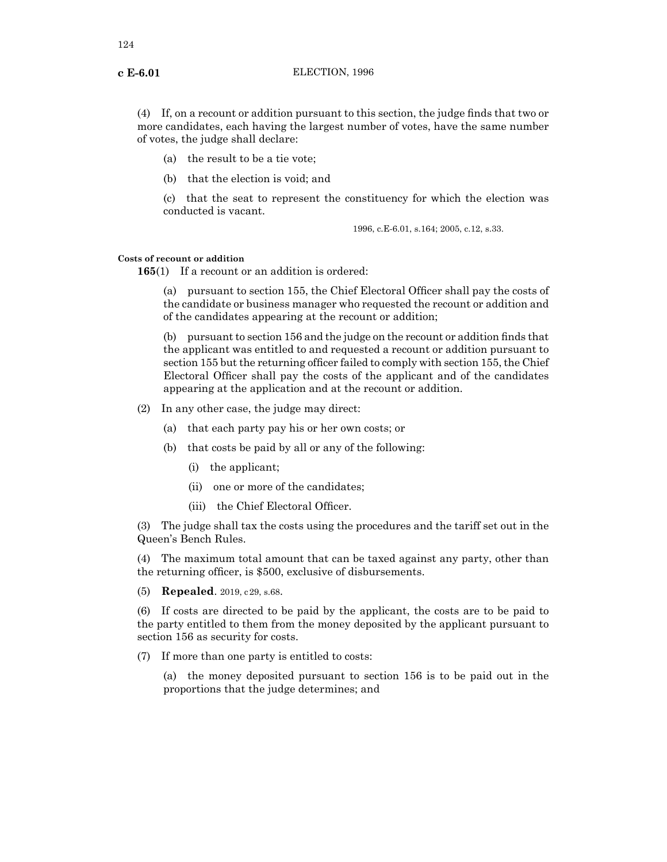(4) If, on a recount or addition pursuant to this section, the judge finds that two or more candidates, each having the largest number of votes, have the same number of votes, the judge shall declare:

- (a) the result to be a tie vote;
- (b) that the election is void; and

(c) that the seat to represent the constituency for which the election was conducted is vacant.

1996, c.E-6.01, s.164; 2005, c.12, s.33.

# **Costs of recount or addition**

**165**(1) If a recount or an addition is ordered:

(a) pursuant to section 155, the Chief Electoral Officer shall pay the costs of the candidate or business manager who requested the recount or addition and of the candidates appearing at the recount or addition;

(b) pursuant to section 156 and the judge on the recount or addition finds that the applicant was entitled to and requested a recount or addition pursuant to section 155 but the returning officer failed to comply with section 155, the Chief Electoral Officer shall pay the costs of the applicant and of the candidates appearing at the application and at the recount or addition.

- (2) In any other case, the judge may direct:
	- (a) that each party pay his or her own costs; or
	- (b) that costs be paid by all or any of the following:
		- (i) the applicant;
		- (ii) one or more of the candidates;
		- (iii) the Chief Electoral Officer.

(3) The judge shall tax the costs using the procedures and the tariff set out in the Queen's Bench Rules.

(4) The maximum total amount that can be taxed against any party, other than the returning officer, is \$500, exclusive of disbursements.

(5) **Repealed**. 2019, c29, s.68.

(6) If costs are directed to be paid by the applicant, the costs are to be paid to the party entitled to them from the money deposited by the applicant pursuant to section 156 as security for costs.

(7) If more than one party is entitled to costs:

(a) the money deposited pursuant to section 156 is to be paid out in the proportions that the judge determines; and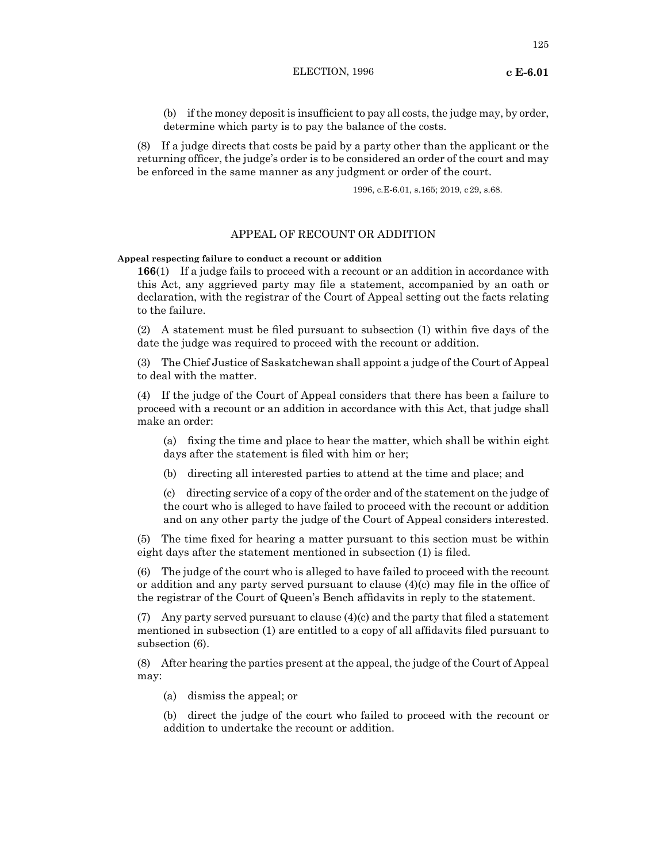(8) If a judge directs that costs be paid by a party other than the applicant or the returning officer, the judge's order is to be considered an order of the court and may be enforced in the same manner as any judgment or order of the court.

1996, c.E-6.01, s.165; 2019, c29, s.68.

# APPEAL OF RECOUNT OR ADDITION

## **Appeal respecting failure to conduct a recount or addition**

**166**(1) If a judge fails to proceed with a recount or an addition in accordance with this Act, any aggrieved party may file a statement, accompanied by an oath or declaration, with the registrar of the Court of Appeal setting out the facts relating to the failure.

(2) A statement must be filed pursuant to subsection (1) within five days of the date the judge was required to proceed with the recount or addition.

(3) The Chief Justice of Saskatchewan shall appoint a judge of the Court of Appeal to deal with the matter.

(4) If the judge of the Court of Appeal considers that there has been a failure to proceed with a recount or an addition in accordance with this Act, that judge shall make an order:

(a) fixing the time and place to hear the matter, which shall be within eight days after the statement is filed with him or her;

(b) directing all interested parties to attend at the time and place; and

(c) directing service of a copy of the order and of the statement on the judge of the court who is alleged to have failed to proceed with the recount or addition and on any other party the judge of the Court of Appeal considers interested.

(5) The time fixed for hearing a matter pursuant to this section must be within eight days after the statement mentioned in subsection (1) is filed.

(6) The judge of the court who is alleged to have failed to proceed with the recount or addition and any party served pursuant to clause (4)(c) may file in the office of the registrar of the Court of Queen's Bench affidavits in reply to the statement.

(7) Any party served pursuant to clause (4)(c) and the party that filed a statement mentioned in subsection (1) are entitled to a copy of all affidavits filed pursuant to subsection (6).

(8) After hearing the parties present at the appeal, the judge of the Court of Appeal may:

(a) dismiss the appeal; or

(b) direct the judge of the court who failed to proceed with the recount or addition to undertake the recount or addition.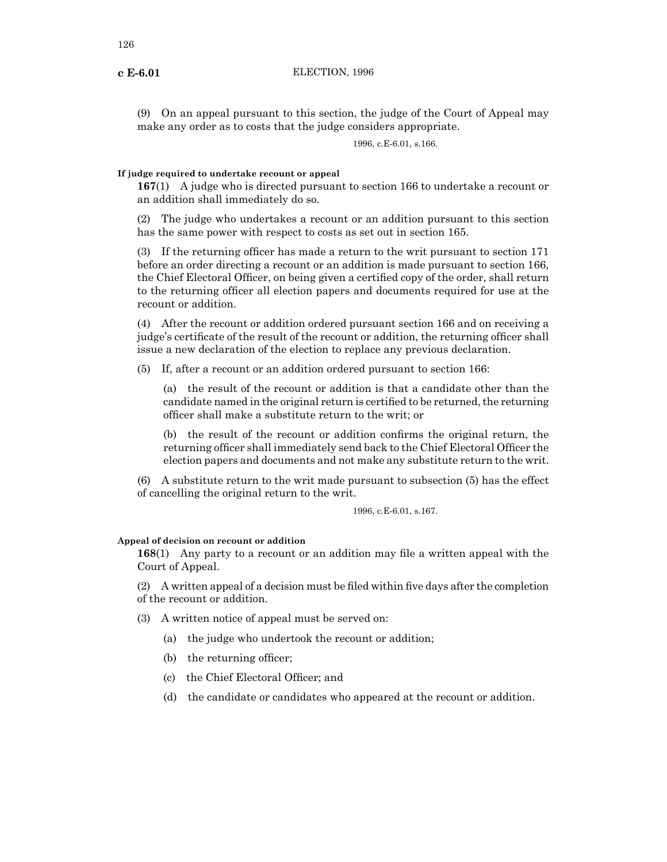(9) On an appeal pursuant to this section, the judge of the Court of Appeal may make any order as to costs that the judge considers appropriate.

1996, c.E-6.01, s.166.

# **If judge required to undertake recount or appeal**

**167**(1) A judge who is directed pursuant to section 166 to undertake a recount or an addition shall immediately do so.

(2) The judge who undertakes a recount or an addition pursuant to this section has the same power with respect to costs as set out in section 165.

(3) If the returning officer has made a return to the writ pursuant to section 171 before an order directing a recount or an addition is made pursuant to section 166, the Chief Electoral Officer, on being given a certified copy of the order, shall return to the returning officer all election papers and documents required for use at the recount or addition.

(4) After the recount or addition ordered pursuant section 166 and on receiving a judge's certificate of the result of the recount or addition, the returning officer shall issue a new declaration of the election to replace any previous declaration.

(5) If, after a recount or an addition ordered pursuant to section 166:

(a) the result of the recount or addition is that a candidate other than the candidate named in the original return is certified to be returned, the returning officer shall make a substitute return to the writ; or

(b) the result of the recount or addition confirms the original return, the returning officer shall immediately send back to the Chief Electoral Officer the election papers and documents and not make any substitute return to the writ.

(6) A substitute return to the writ made pursuant to subsection (5) has the effect of cancelling the original return to the writ.

1996, c.E-6.01, s.167.

## **Appeal of decision on recount or addition**

**168**(1) Any party to a recount or an addition may file a written appeal with the Court of Appeal.

(2) A written appeal of a decision must be filed within five days after the completion of the recount or addition.

(3) A written notice of appeal must be served on:

(a) the judge who undertook the recount or addition;

(b) the returning officer;

(c) the Chief Electoral Officer; and

(d) the candidate or candidates who appeared at the recount or addition.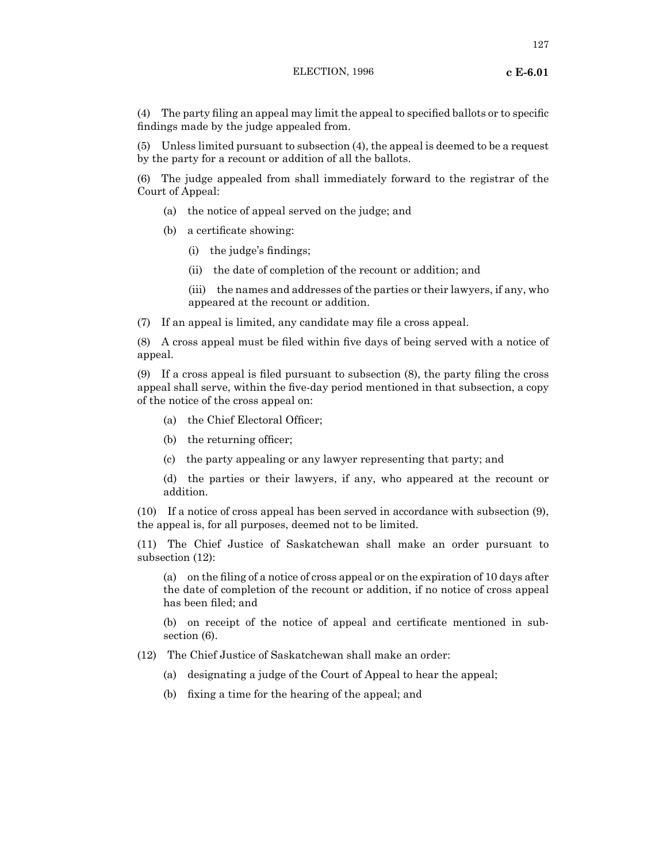(4) The party filing an appeal may limit the appeal to specified ballots or to specific findings made by the judge appealed from.

(5) Unless limited pursuant to subsection (4), the appeal is deemed to be a request by the party for a recount or addition of all the ballots.

(6) The judge appealed from shall immediately forward to the registrar of the Court of Appeal:

(a) the notice of appeal served on the judge; and

- (b) a certificate showing:
	- (i) the judge's findings;
	- (ii) the date of completion of the recount or addition; and
	- (iii) the names and addresses of the parties or their lawyers, if any, who appeared at the recount or addition.
- (7) If an appeal is limited, any candidate may file a cross appeal.

(8) A cross appeal must be filed within five days of being served with a notice of appeal.

(9) If a cross appeal is filed pursuant to subsection (8), the party filing the cross appeal shall serve, within the five-day period mentioned in that subsection, a copy of the notice of the cross appeal on:

- (a) the Chief Electoral Officer;
- (b) the returning officer;
- (c) the party appealing or any lawyer representing that party; and

(d) the parties or their lawyers, if any, who appeared at the recount or addition.

(10) If a notice of cross appeal has been served in accordance with subsection (9), the appeal is, for all purposes, deemed not to be limited.

(11) The Chief Justice of Saskatchewan shall make an order pursuant to subsection (12):

(a) on the filing of a notice of cross appeal or on the expiration of 10 days after the date of completion of the recount or addition, if no notice of cross appeal has been filed; and

(b) on receipt of the notice of appeal and certificate mentioned in subsection (6).

- (12) The Chief Justice of Saskatchewan shall make an order:
	- (a) designating a judge of the Court of Appeal to hear the appeal;
	- (b) fixing a time for the hearing of the appeal; and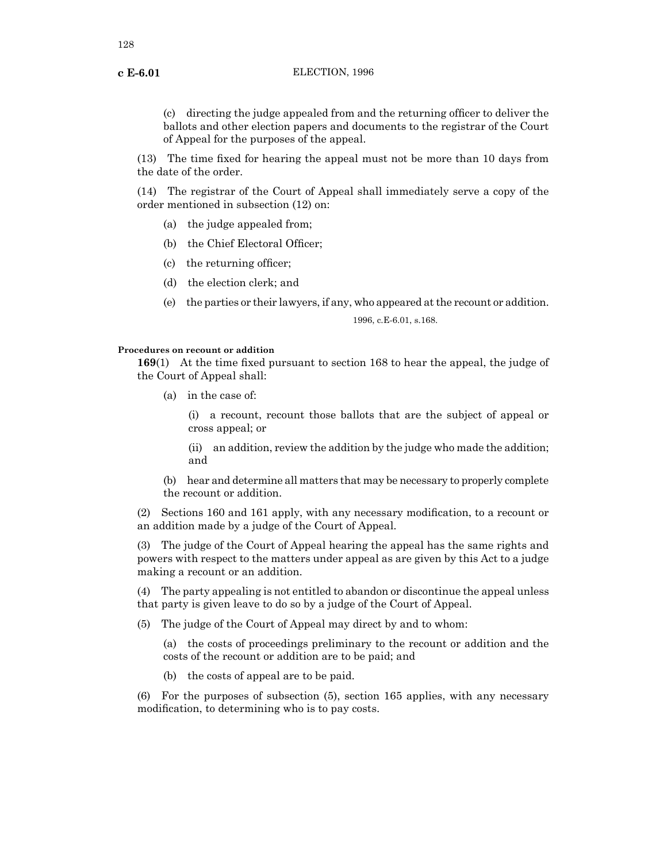(c) directing the judge appealed from and the returning officer to deliver the ballots and other election papers and documents to the registrar of the Court of Appeal for the purposes of the appeal.

(13) The time fixed for hearing the appeal must not be more than 10 days from the date of the order.

(14) The registrar of the Court of Appeal shall immediately serve a copy of the order mentioned in subsection (12) on:

- (a) the judge appealed from;
- (b) the Chief Electoral Officer;
- (c) the returning officer;
- (d) the election clerk; and
- (e) the parties or their lawyers, if any, who appeared at the recount or addition.

1996, c.E-6.01, s.168.

### **Procedures on recount or addition**

**169**(1) At the time fixed pursuant to section 168 to hear the appeal, the judge of the Court of Appeal shall:

(a) in the case of:

(i) a recount, recount those ballots that are the subject of appeal or cross appeal; or

(ii) an addition, review the addition by the judge who made the addition; and

(b) hear and determine all matters that may be necessary to properly complete the recount or addition.

(2) Sections 160 and 161 apply, with any necessary modification, to a recount or an addition made by a judge of the Court of Appeal.

(3) The judge of the Court of Appeal hearing the appeal has the same rights and powers with respect to the matters under appeal as are given by this Act to a judge making a recount or an addition.

(4) The party appealing is not entitled to abandon or discontinue the appeal unless that party is given leave to do so by a judge of the Court of Appeal.

(5) The judge of the Court of Appeal may direct by and to whom:

(a) the costs of proceedings preliminary to the recount or addition and the costs of the recount or addition are to be paid; and

(b) the costs of appeal are to be paid.

(6) For the purposes of subsection (5), section 165 applies, with any necessary modification, to determining who is to pay costs.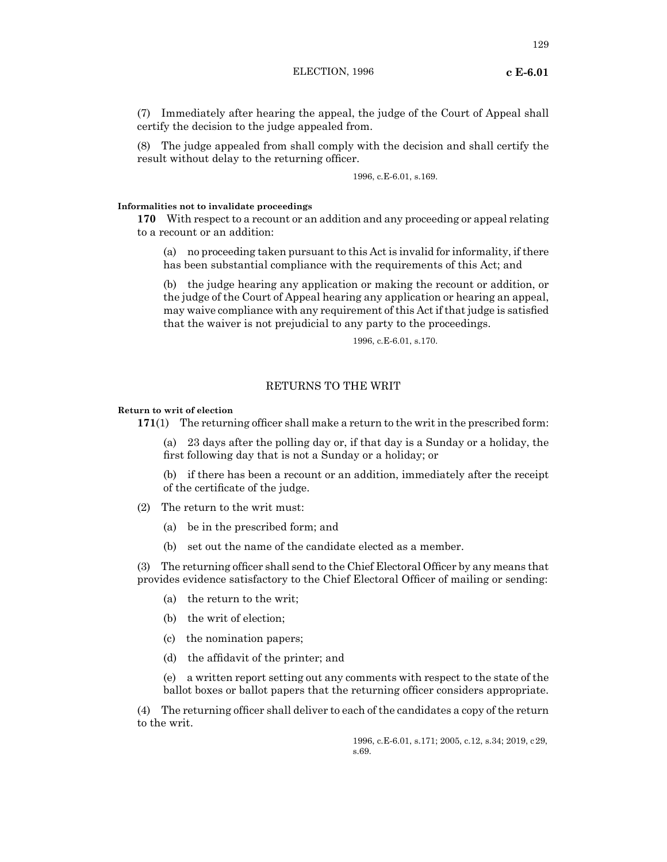(7) Immediately after hearing the appeal, the judge of the Court of Appeal shall certify the decision to the judge appealed from.

(8) The judge appealed from shall comply with the decision and shall certify the result without delay to the returning officer.

1996, c.E-6.01, s.169.

# **Informalities not to invalidate proceedings**

**170** With respect to a recount or an addition and any proceeding or appeal relating to a recount or an addition:

(a) no proceeding taken pursuant to this Act is invalid for informality, if there has been substantial compliance with the requirements of this Act; and

(b) the judge hearing any application or making the recount or addition, or the judge of the Court of Appeal hearing any application or hearing an appeal, may waive compliance with any requirement of this Act if that judge is satisfied that the waiver is not prejudicial to any party to the proceedings.

1996, c.E-6.01, s.170.

# RETURNS TO THE WRIT

### **Return to writ of election**

**171**(1) The returning officer shall make a return to the writ in the prescribed form:

(a) 23 days after the polling day or, if that day is a Sunday or a holiday, the first following day that is not a Sunday or a holiday; or

(b) if there has been a recount or an addition, immediately after the receipt of the certificate of the judge.

- (2) The return to the writ must:
	- (a) be in the prescribed form; and
	- (b) set out the name of the candidate elected as a member.

(3) The returning officer shall send to the Chief Electoral Officer by any means that provides evidence satisfactory to the Chief Electoral Officer of mailing or sending:

- (a) the return to the writ;
- (b) the writ of election;
- (c) the nomination papers;
- (d) the affidavit of the printer; and

(e) a written report setting out any comments with respect to the state of the ballot boxes or ballot papers that the returning officer considers appropriate.

(4) The returning officer shall deliver to each of the candidates a copy of the return to the writ.

> 1996, c.E-6.01, s.171; 2005, c.12, s.34; 2019, c29, s.69.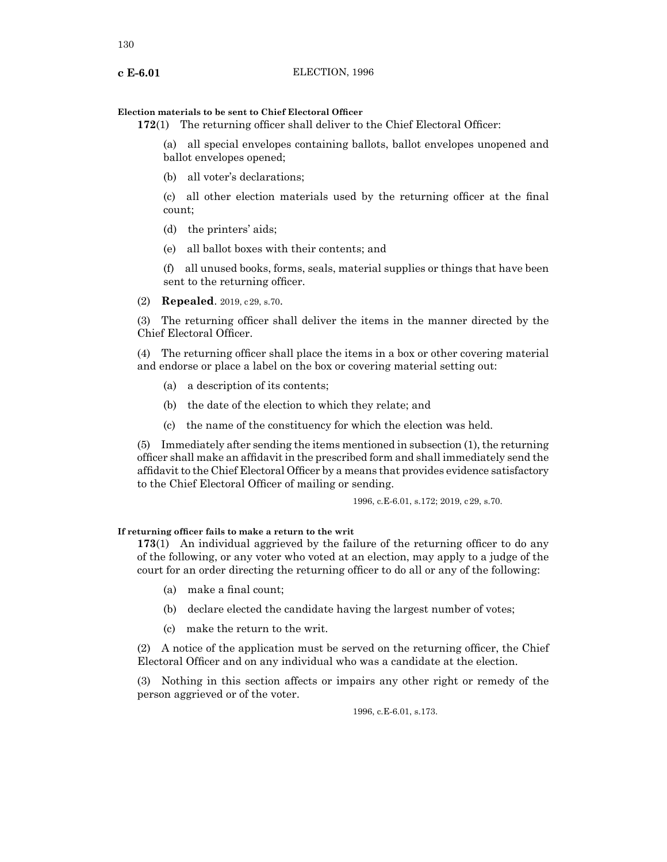# **Election materials to be sent to Chief Electoral Officer**

**172**(1) The returning officer shall deliver to the Chief Electoral Officer:

(a) all special envelopes containing ballots, ballot envelopes unopened and ballot envelopes opened;

(b) all voter's declarations;

(c) all other election materials used by the returning officer at the final count;

- (d) the printers' aids;
- (e) all ballot boxes with their contents; and

(f) all unused books, forms, seals, material supplies or things that have been sent to the returning officer.

(2) **Repealed**. 2019, c29, s.70.

(3) The returning officer shall deliver the items in the manner directed by the Chief Electoral Officer.

(4) The returning officer shall place the items in a box or other covering material and endorse or place a label on the box or covering material setting out:

- (a) a description of its contents;
- (b) the date of the election to which they relate; and
- (c) the name of the constituency for which the election was held.

(5) Immediately after sending the items mentioned in subsection (1), the returning officer shall make an affidavit in the prescribed form and shall immediately send the affidavit to the Chief Electoral Officer by a means that provides evidence satisfactory to the Chief Electoral Officer of mailing or sending.

1996, c.E-6.01, s.172; 2019, c29, s.70.

# **If returning officer fails to make a return to the writ**

**173**(1) An individual aggrieved by the failure of the returning officer to do any of the following, or any voter who voted at an election, may apply to a judge of the court for an order directing the returning officer to do all or any of the following:

- (a) make a final count;
- (b) declare elected the candidate having the largest number of votes;
- (c) make the return to the writ.

(2) A notice of the application must be served on the returning officer, the Chief Electoral Officer and on any individual who was a candidate at the election.

(3) Nothing in this section affects or impairs any other right or remedy of the person aggrieved or of the voter.

1996, c.E-6.01, s.173.

130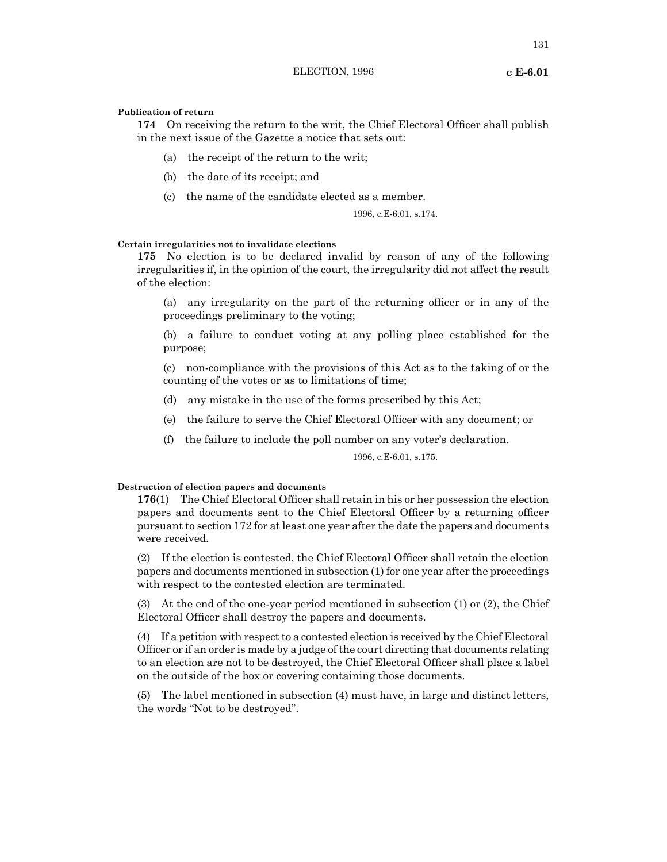**174** On receiving the return to the writ, the Chief Electoral Officer shall publish in the next issue of the Gazette a notice that sets out:

- (a) the receipt of the return to the writ;
- (b) the date of its receipt; and
- (c) the name of the candidate elected as a member.

1996, c.E-6.01, s.174.

### **Certain irregularities not to invalidate elections**

**175** No election is to be declared invalid by reason of any of the following irregularities if, in the opinion of the court, the irregularity did not affect the result of the election:

(a) any irregularity on the part of the returning officer or in any of the proceedings preliminary to the voting;

(b) a failure to conduct voting at any polling place established for the purpose;

(c) non-compliance with the provisions of this Act as to the taking of or the counting of the votes or as to limitations of time;

- (d) any mistake in the use of the forms prescribed by this Act;
- (e) the failure to serve the Chief Electoral Officer with any document; or
- (f) the failure to include the poll number on any voter's declaration.

1996, c.E-6.01, s.175.

# **Destruction of election papers and documents**

**176**(1) The Chief Electoral Officer shall retain in his or her possession the election papers and documents sent to the Chief Electoral Officer by a returning officer pursuant to section 172 for at least one year after the date the papers and documents were received.

(2) If the election is contested, the Chief Electoral Officer shall retain the election papers and documents mentioned in subsection (1) for one year after the proceedings with respect to the contested election are terminated.

(3) At the end of the one-year period mentioned in subsection (1) or (2), the Chief Electoral Officer shall destroy the papers and documents.

(4) If a petition with respect to a contested election is received by the Chief Electoral Officer or if an order is made by a judge ofthe court directing that documents relating to an election are not to be destroyed, the Chief Electoral Officer shall place a label on the outside of the box or covering containing those documents.

(5) The label mentioned in subsection (4) must have, in large and distinct letters, the words "Not to be destroyed".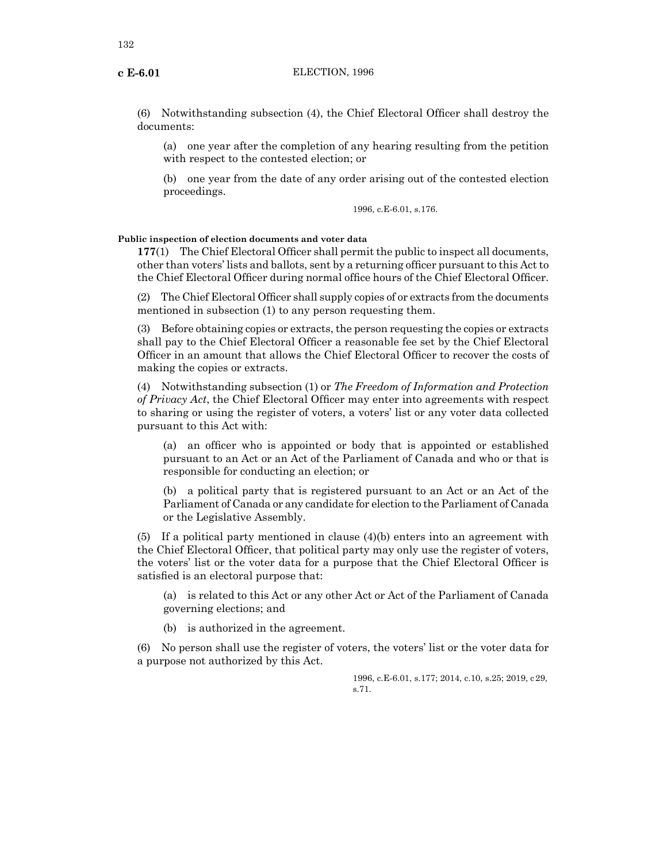(6) Notwithstanding subsection (4), the Chief Electoral Officer shall destroy the documents:

(a) one year after the completion of any hearing resulting from the petition with respect to the contested election; or

(b) one year from the date of any order arising out of the contested election proceedings.

1996, c.E-6.01, s.176.

# **Public inspection of election documents and voter data**

**177**(1) The Chief Electoral Officer shall permit the public to inspect all documents, other than voters' lists and ballots, sent by a returning officer pursuant to this Act to the Chief Electoral Officer during normal office hours of the Chief Electoral Officer.

(2) The Chief Electoral Officer shall supply copies of or extracts from the documents mentioned in subsection (1) to any person requesting them.

(3) Before obtaining copies or extracts, the person requesting the copies or extracts shall pay to the Chief Electoral Officer a reasonable fee set by the Chief Electoral Officer in an amount that allows the Chief Electoral Officer to recover the costs of making the copies or extracts.

(4) Notwithstanding subsection (1) or *The Freedom of Information and Protection of Privacy Act*, the Chief Electoral Officer may enter into agreements with respect to sharing or using the register of voters, a voters' list or any voter data collected pursuant to this Act with:

(a) an officer who is appointed or body that is appointed or established pursuant to an Act or an Act of the Parliament of Canada and who or that is responsible for conducting an election; or

(b) a political party that is registered pursuant to an Act or an Act of the Parliament of Canada or any candidate for election to the Parliament of Canada or the Legislative Assembly.

(5) If a political party mentioned in clause (4)(b) enters into an agreement with the Chief Electoral Officer, that political party may only use the register of voters, the voters' list or the voter data for a purpose that the Chief Electoral Officer is satisfied is an electoral purpose that:

(a) is related to this Act or any other Act or Act of the Parliament of Canada governing elections; and

(b) is authorized in the agreement.

(6) No person shall use the register of voters, the voters' list or the voter data for a purpose not authorized by this Act.

> 1996, c.E-6.01, s.177; 2014, c.10, s.25; 2019, c29, s.71.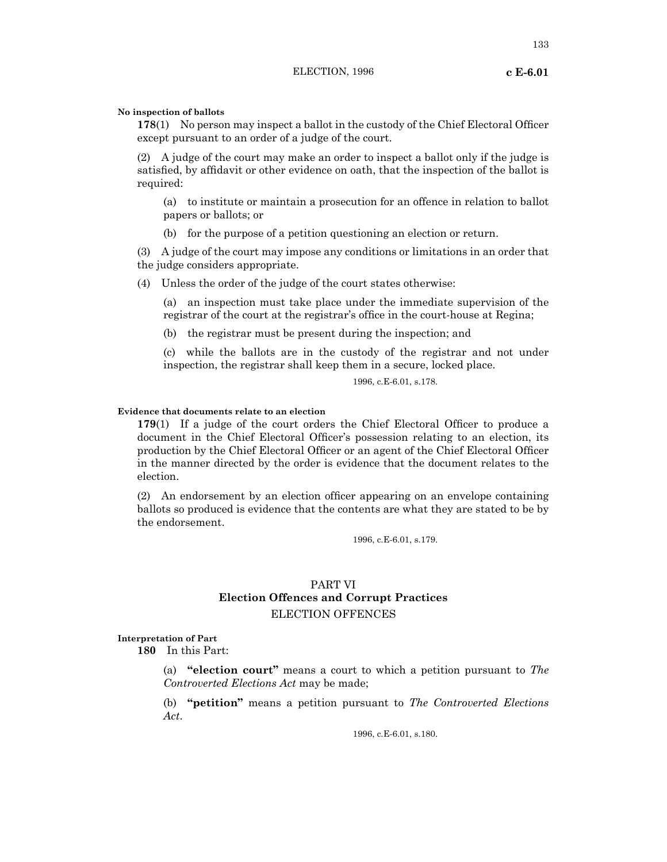### **No inspection of ballots**

**178**(1) No person may inspect a ballot in the custody of the Chief Electoral Officer except pursuant to an order of a judge of the court.

(2) A judge of the court may make an order to inspect a ballot only if the judge is satisfied, by affidavit or other evidence on oath, that the inspection of the ballot is required:

(a) to institute or maintain a prosecution for an offence in relation to ballot papers or ballots; or

(b) for the purpose of a petition questioning an election or return.

(3) A judge of the court may impose any conditions or limitations in an order that the judge considers appropriate.

(4) Unless the order of the judge of the court states otherwise:

(a) an inspection must take place under the immediate supervision of the registrar of the court at the registrar's office in the court-house at Regina;

(b) the registrar must be present during the inspection; and

(c) while the ballots are in the custody of the registrar and not under inspection, the registrar shall keep them in a secure, locked place.

1996, c.E-6.01, s.178.

# **Evidence that documents relate to an election**

**179**(1) If a judge of the court orders the Chief Electoral Officer to produce a document in the Chief Electoral Officer's possession relating to an election, its production by the Chief Electoral Officer or an agent of the Chief Electoral Officer in the manner directed by the order is evidence that the document relates to the election.

(2) An endorsement by an election officer appearing on an envelope containing ballots so produced is evidence that the contents are what they are stated to be by the endorsement.

1996, c.E-6.01, s.179.

# PART VI **Election Offences and Corrupt Practices** ELECTION OFFENCES

### **Interpretation of Part**

**180** In this Part:

(a) **"election court"** means a court to which a petition pursuant to *The Controverted Elections Act* may be made;

(b) **"petition"** means a petition pursuant to *The Controverted Elections Act*.

1996, c.E-6.01, s.180.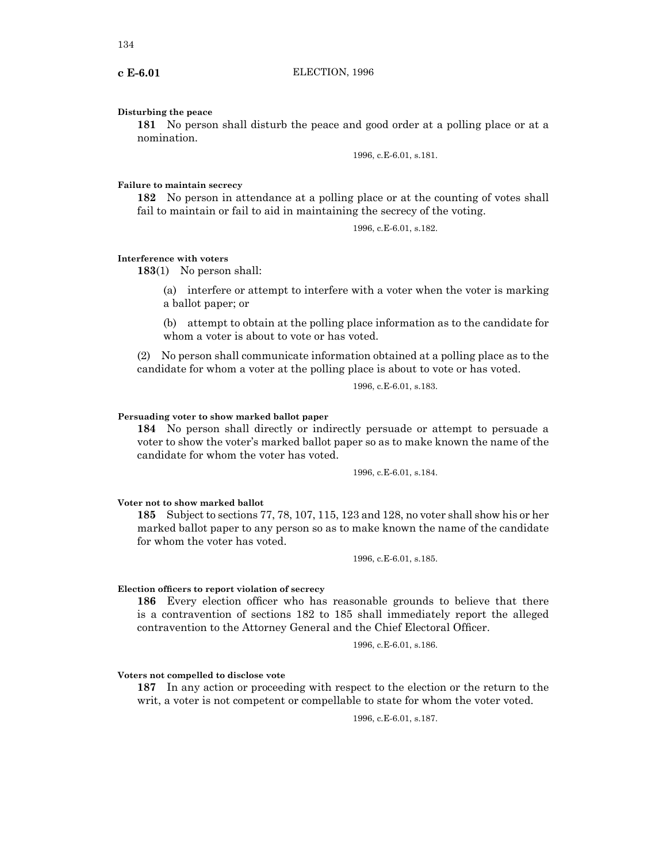### **Disturbing the peace**

**181** No person shall disturb the peace and good order at a polling place or at a nomination.

1996, c.E-6.01, s.181.

## **Failure to maintain secrecy**

**182** No person in attendance at a polling place or at the counting of votes shall fail to maintain or fail to aid in maintaining the secrecy of the voting.

1996, c.E-6.01, s.182.

### **Interference with voters**

**183**(1) No person shall:

(a) interfere or attempt to interfere with a voter when the voter is marking a ballot paper; or

(b) attempt to obtain at the polling place information as to the candidate for whom a voter is about to vote or has voted.

(2) No person shall communicate information obtained at a polling place as to the candidate for whom a voter at the polling place is about to vote or has voted.

1996, c.E-6.01, s.183.

### **Persuading voter to show marked ballot paper**

**184** No person shall directly or indirectly persuade or attempt to persuade a voter to show the voter's marked ballot paper so as to make known the name of the candidate for whom the voter has voted.

1996, c.E-6.01, s.184.

### **Voter not to show marked ballot**

**185** Subject to sections 77, 78, 107, 115, 123 and 128, no voter shall show his or her marked ballot paper to any person so as to make known the name of the candidate for whom the voter has voted.

1996, c.E-6.01, s.185.

### **Election officers to report violation of secrecy**

**186** Every election officer who has reasonable grounds to believe that there is a contravention of sections 182 to 185 shall immediately report the alleged contravention to the Attorney General and the Chief Electoral Officer.

1996, c.E-6.01, s.186.

# **Voters not compelled to disclose vote**

**187** In any action or proceeding with respect to the election or the return to the writ, a voter is not competent or compellable to state for whom the voter voted.

1996, c.E-6.01, s.187.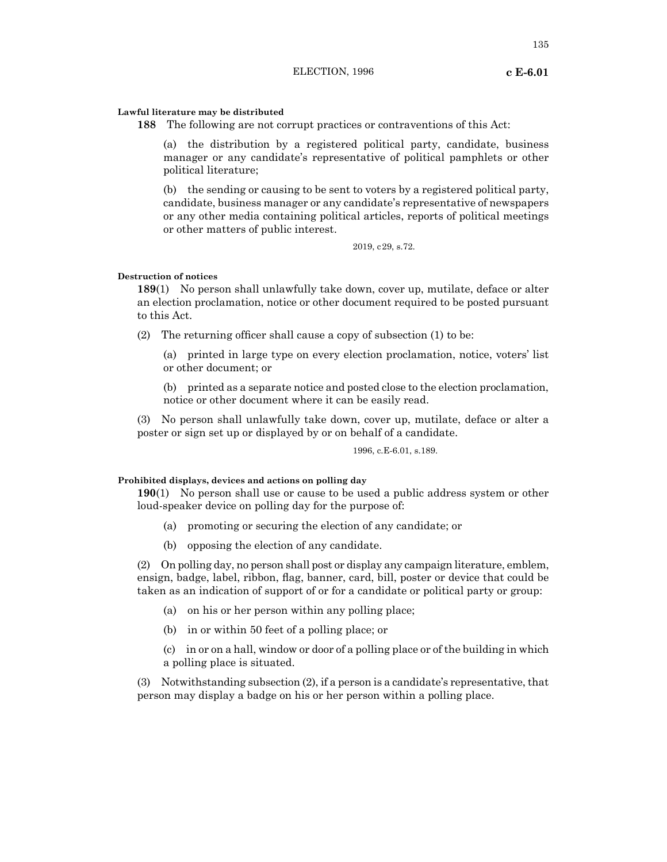# **Lawful literature may be distributed**

**188** The following are not corrupt practices or contraventions of this Act:

(a) the distribution by a registered political party, candidate, business manager or any candidate's representative of political pamphlets or other political literature;

(b) the sending or causing to be sent to voters by a registered political party, candidate, business manager or any candidate's representative of newspapers or any other media containing political articles, reports of political meetings or other matters of public interest.

2019, c29, s.72.

### **Destruction of notices**

**189**(1) No person shall unlawfully take down, cover up, mutilate, deface or alter an election proclamation, notice or other document required to be posted pursuant to this Act.

(2) The returning officer shall cause a copy of subsection (1) to be:

(a) printed in large type on every election proclamation, notice, voters' list or other document; or

(b) printed as a separate notice and posted close to the election proclamation, notice or other document where it can be easily read.

(3) No person shall unlawfully take down, cover up, mutilate, deface or alter a poster or sign set up or displayed by or on behalf of a candidate.

1996, c.E-6.01, s.189.

# **Prohibited displays, devices and actions on polling day**

**190**(1) No person shall use or cause to be used a public address system or other loud-speaker device on polling day for the purpose of:

- (a) promoting or securing the election of any candidate; or
- (b) opposing the election of any candidate.

(2) On polling day, no person shall post or display any campaign literature, emblem, ensign, badge, label, ribbon, flag, banner, card, bill, poster or device that could be taken as an indication of support of or for a candidate or political party or group:

- (a) on his or her person within any polling place;
- (b) in or within 50 feet of a polling place; or

(c) in or on a hall, window or door of a polling place or of the building in which a polling place is situated.

(3) Notwithstanding subsection (2), if a person is a candidate's representative, that person may display a badge on his or her person within a polling place.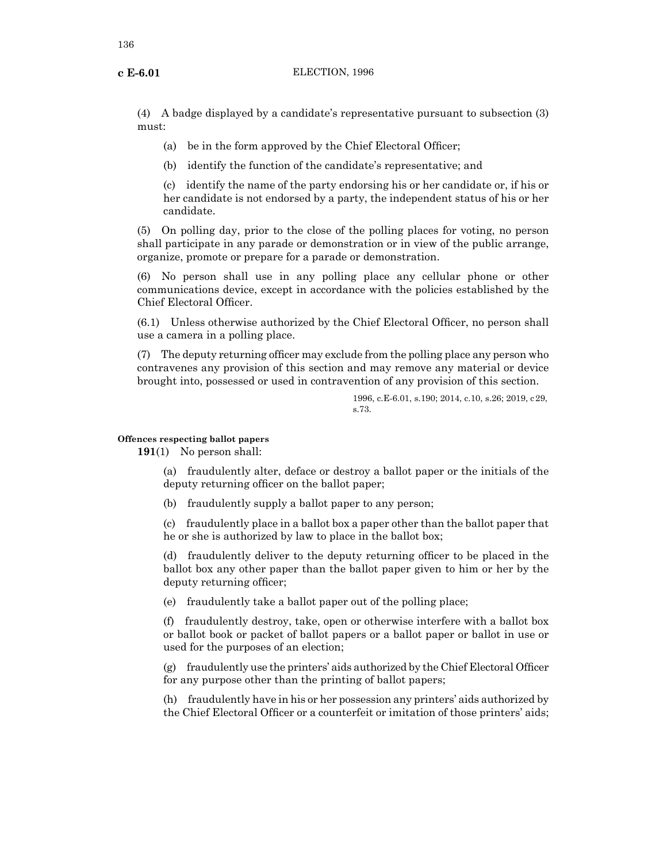(4) A badge displayed by a candidate's representative pursuant to subsection (3) must:

(a) be in the form approved by the Chief Electoral Officer;

(b) identify the function of the candidate's representative; and

(c) identify the name of the party endorsing his or her candidate or, if his or her candidate is not endorsed by a party, the independent status of his or her candidate.

(5) On polling day, prior to the close of the polling places for voting, no person shall participate in any parade or demonstration or in view of the public arrange, organize, promote or prepare for a parade or demonstration.

(6) No person shall use in any polling place any cellular phone or other communications device, except in accordance with the policies established by the Chief Electoral Officer.

(6.1) Unless otherwise authorized by the Chief Electoral Officer, no person shall use a camera in a polling place.

(7) The deputy returning officer may exclude from the polling place any person who contravenes any provision of this section and may remove any material or device brought into, possessed or used in contravention of any provision of this section.

> 1996, c.E-6.01, s.190; 2014, c.10, s.26; 2019, c29, s.73.

# **Offences respecting ballot papers**

**191**(1) No person shall:

(a) fraudulently alter, deface or destroy a ballot paper or the initials of the deputy returning officer on the ballot paper;

(b) fraudulently supply a ballot paper to any person;

(c) fraudulently place in a ballot box a paper other than the ballot paper that he or she is authorized by law to place in the ballot box;

(d) fraudulently deliver to the deputy returning officer to be placed in the ballot box any other paper than the ballot paper given to him or her by the deputy returning officer;

(e) fraudulently take a ballot paper out of the polling place;

(f) fraudulently destroy, take, open or otherwise interfere with a ballot box or ballot book or packet of ballot papers or a ballot paper or ballot in use or used for the purposes of an election;

(g) fraudulently use the printers' aids authorized by the Chief Electoral Officer for any purpose other than the printing of ballot papers;

(h) fraudulently have in his or her possession any printers' aids authorized by the Chief Electoral Officer or a counterfeit or imitation of those printers' aids;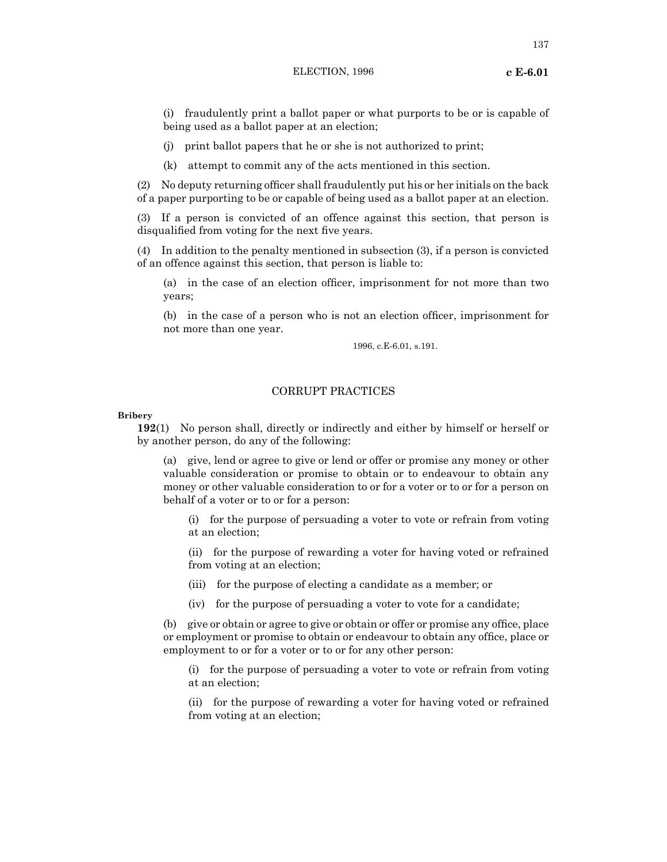(i) fraudulently print a ballot paper or what purports to be or is capable of being used as a ballot paper at an election;

- (j) print ballot papers that he or she is not authorized to print;
- (k) attempt to commit any of the acts mentioned in this section.

(2) No deputy returning officer shall fraudulently put his or her initials on the back of a paper purporting to be or capable of being used as a ballot paper at an election.

(3) If a person is convicted of an offence against this section, that person is disqualified from voting for the next five years.

(4) In addition to the penalty mentioned in subsection (3), if a person is convicted of an offence against this section, that person is liable to:

(a) in the case of an election officer, imprisonment for not more than two years;

(b) in the case of a person who is not an election officer, imprisonment for not more than one year.

1996, c.E-6.01, s.191.

# CORRUPT PRACTICES

**Bribery**

**192**(1) No person shall, directly or indirectly and either by himself or herself or by another person, do any of the following:

(a) give, lend or agree to give or lend or offer or promise any money or other valuable consideration or promise to obtain or to endeavour to obtain any money or other valuable consideration to or for a voter or to or for a person on behalf of a voter or to or for a person:

(i) for the purpose of persuading a voter to vote or refrain from voting at an election;

(ii) for the purpose of rewarding a voter for having voted or refrained from voting at an election;

- (iii) for the purpose of electing a candidate as a member; or
- (iv) for the purpose of persuading a voter to vote for a candidate;

(b) give or obtain or agree to give or obtain or offer or promise any office, place or employment or promise to obtain or endeavour to obtain any office, place or employment to or for a voter or to or for any other person:

(i) for the purpose of persuading a voter to vote or refrain from voting at an election;

(ii) for the purpose of rewarding a voter for having voted or refrained from voting at an election;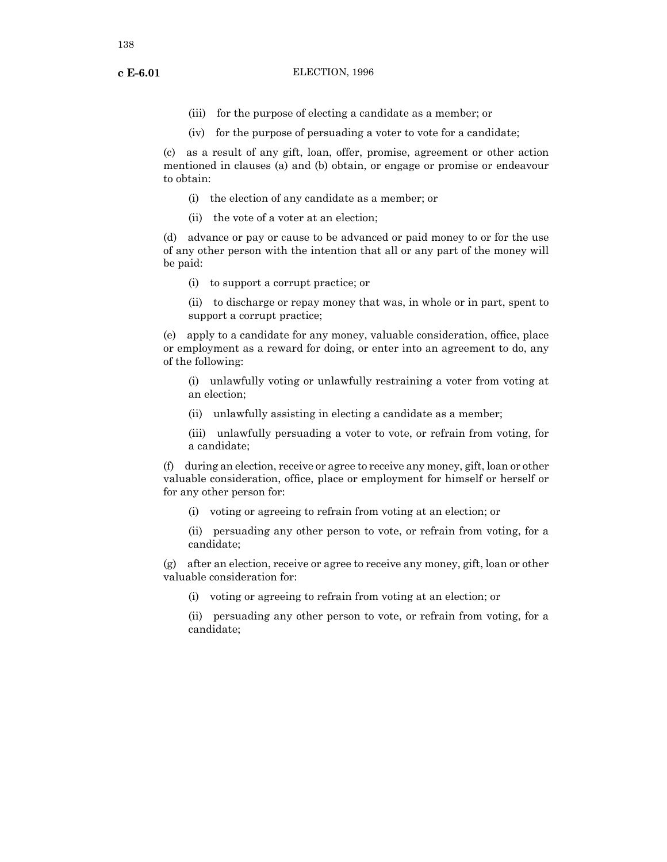- 
- (iii) for the purpose of electing a candidate as a member; or
- (iv) for the purpose of persuading a voter to vote for a candidate;

(c) as a result of any gift, loan, offer, promise, agreement or other action mentioned in clauses (a) and (b) obtain, or engage or promise or endeavour to obtain:

- (i) the election of any candidate as a member; or
- (ii) the vote of a voter at an election;

(d) advance or pay or cause to be advanced or paid money to or for the use of any other person with the intention that all or any part of the money will be paid:

(i) to support a corrupt practice; or

(ii) to discharge or repay money that was, in whole or in part, spent to support a corrupt practice;

(e) apply to a candidate for any money, valuable consideration, office, place or employment as a reward for doing, or enter into an agreement to do, any of the following:

(i) unlawfully voting or unlawfully restraining a voter from voting at an election;

- (ii) unlawfully assisting in electing a candidate as a member;
- (iii) unlawfully persuading a voter to vote, or refrain from voting, for a candidate;

(f) during an election, receive or agree to receive any money, gift, loan or other valuable consideration, office, place or employment for himself or herself or for any other person for:

(i) voting or agreeing to refrain from voting at an election; or

(ii) persuading any other person to vote, or refrain from voting, for a candidate;

(g) after an election, receive or agree to receive any money, gift, loan or other valuable consideration for:

(i) voting or agreeing to refrain from voting at an election; or

(ii) persuading any other person to vote, or refrain from voting, for a candidate;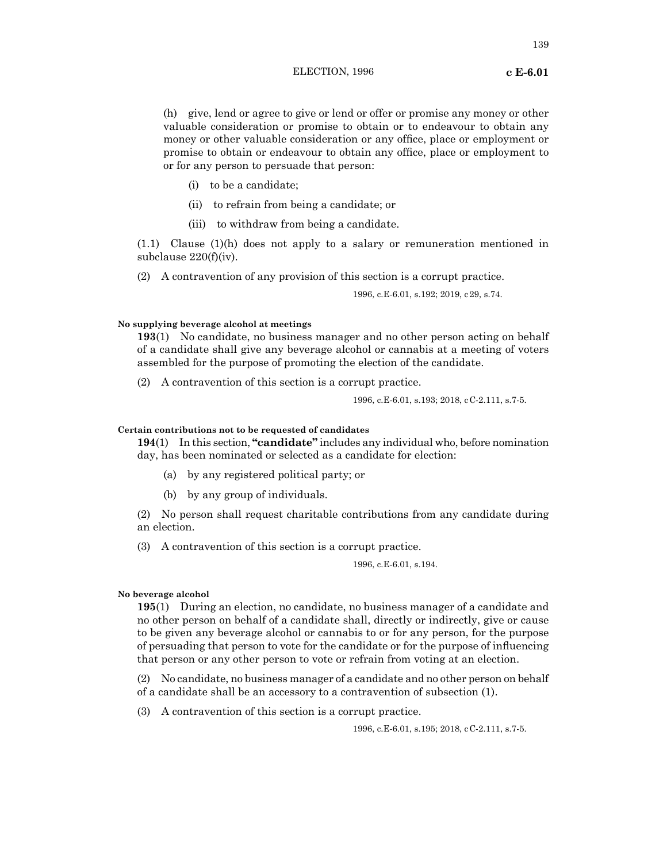(h) give, lend or agree to give or lend or offer or promise any money or other valuable consideration or promise to obtain or to endeavour to obtain any money or other valuable consideration or any office, place or employment or promise to obtain or endeavour to obtain any office, place or employment to or for any person to persuade that person:

- (i) to be a candidate;
- (ii) to refrain from being a candidate; or
- (iii) to withdraw from being a candidate.

(1.1) Clause (1)(h) does not apply to a salary or remuneration mentioned in subclause 220(f)(iv).

(2) A contravention of any provision of this section is a corrupt practice.

1996, c.E-6.01, s.192; 2019, c29, s.74.

## **No supplying beverage alcohol at meetings**

**193**(1) No candidate, no business manager and no other person acting on behalf of a candidate shall give any beverage alcohol or cannabis at a meeting of voters assembled for the purpose of promoting the election of the candidate.

(2) A contravention of this section is a corrupt practice.

1996, c.E-6.01, s.193; 2018, cC-2.111, s.7-5.

# **Certain contributions not to be requested of candidates**

**194**(1) In this section, **"candidate"** includes any individual who, before nomination day, has been nominated or selected as a candidate for election:

- (a) by any registered political party; or
- (b) by any group of individuals.

(2) No person shall request charitable contributions from any candidate during an election.

(3) A contravention of this section is a corrupt practice.

1996, c.E-6.01, s.194.

## **No beverage alcohol**

**195**(1) During an election, no candidate, no business manager of a candidate and no other person on behalf of a candidate shall, directly or indirectly, give or cause to be given any beverage alcohol or cannabis to or for any person, for the purpose of persuading that person to vote for the candidate or for the purpose of influencing that person or any other person to vote or refrain from voting at an election.

(2) No candidate, no business manager of a candidate and no other person on behalf of a candidate shall be an accessory to a contravention of subsection (1).

(3) A contravention of this section is a corrupt practice.

1996, c.E-6.01, s.195; 2018, cC-2.111, s.7-5.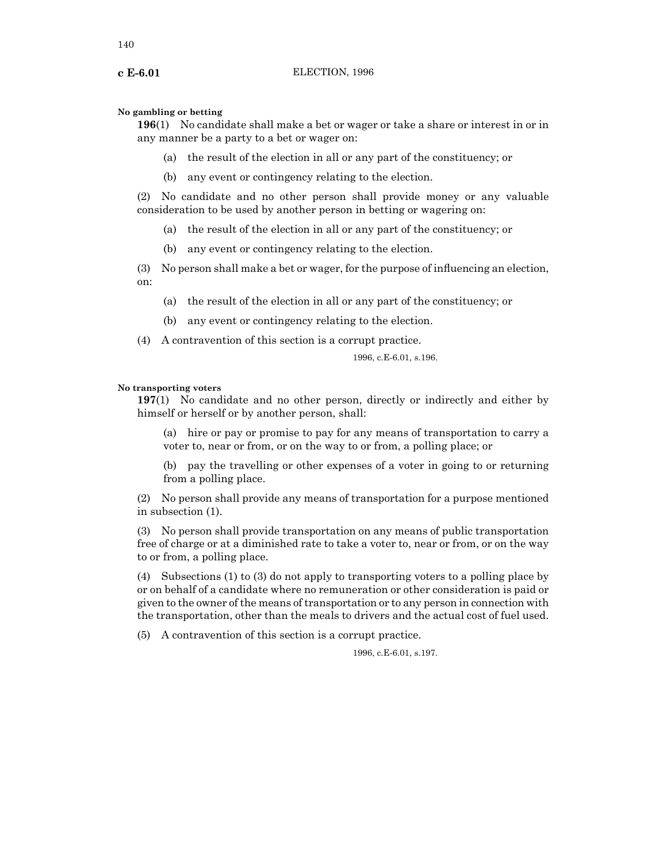### **No gambling or betting**

**196**(1) No candidate shall make a bet or wager or take a share or interest in or in any manner be a party to a bet or wager on:

- (a) the result of the election in all or any part of the constituency; or
- (b) any event or contingency relating to the election.

(2) No candidate and no other person shall provide money or any valuable consideration to be used by another person in betting or wagering on:

- (a) the result of the election in all or any part of the constituency; or
- (b) any event or contingency relating to the election.

(3) No person shall make a bet or wager, for the purpose of influencing an election, on:

- (a) the result of the election in all or any part of the constituency; or
- (b) any event or contingency relating to the election.
- (4) A contravention of this section is a corrupt practice.

1996, c.E-6.01, s.196.

### **No transporting voters**

**197**(1) No candidate and no other person, directly or indirectly and either by himself or herself or by another person, shall:

(a) hire or pay or promise to pay for any means of transportation to carry a voter to, near or from, or on the way to or from, a polling place; or

(b) pay the travelling or other expenses of a voter in going to or returning from a polling place.

(2) No person shall provide any means of transportation for a purpose mentioned in subsection (1).

(3) No person shall provide transportation on any means of public transportation free of charge or at a diminished rate to take a voter to, near or from, or on the way to or from, a polling place.

(4) Subsections (1) to (3) do not apply to transporting voters to a polling place by or on behalf of a candidate where no remuneration or other consideration is paid or given to the owner of the means of transportation or to any person in connection with the transportation, other than the meals to drivers and the actual cost of fuel used.

(5) A contravention of this section is a corrupt practice.

1996, c.E-6.01, s.197.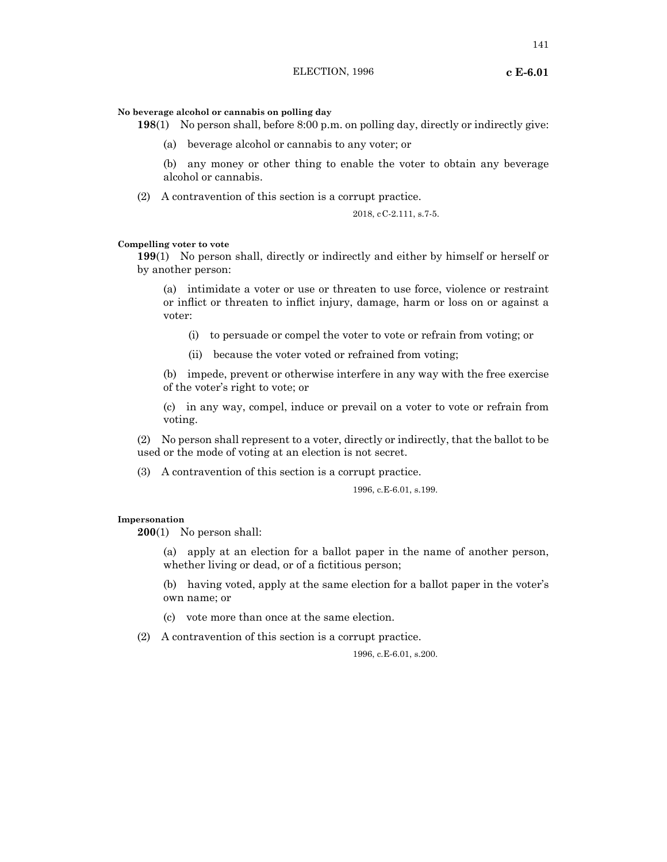### **No beverage alcohol or cannabis on polling day**

**198**(1) No person shall, before 8:00 p.m. on polling day, directly or indirectly give:

(a) beverage alcohol or cannabis to any voter; or

(b) any money or other thing to enable the voter to obtain any beverage alcohol or cannabis.

(2) A contravention of this section is a corrupt practice.

# 2018, cC-2.111, s.7-5.

# **Compelling voter to vote**

**199**(1) No person shall, directly or indirectly and either by himself or herself or by another person:

(a) intimidate a voter or use or threaten to use force, violence or restraint or inflict or threaten to inflict injury, damage, harm or loss on or against a voter:

- (i) to persuade or compel the voter to vote or refrain from voting; or
- (ii) because the voter voted or refrained from voting;

(b) impede, prevent or otherwise interfere in any way with the free exercise of the voter's right to vote; or

(c) in any way, compel, induce or prevail on a voter to vote or refrain from voting.

(2) No person shall represent to a voter, directly or indirectly, that the ballot to be used or the mode of voting at an election is not secret.

(3) A contravention of this section is a corrupt practice.

1996, c.E-6.01, s.199.

### **Impersonation**

**200**(1) No person shall:

(a) apply at an election for a ballot paper in the name of another person, whether living or dead, or of a fictitious person;

(b) having voted, apply at the same election for a ballot paper in the voter's own name; or

(c) vote more than once at the same election.

(2) A contravention of this section is a corrupt practice.

1996, c.E-6.01, s.200.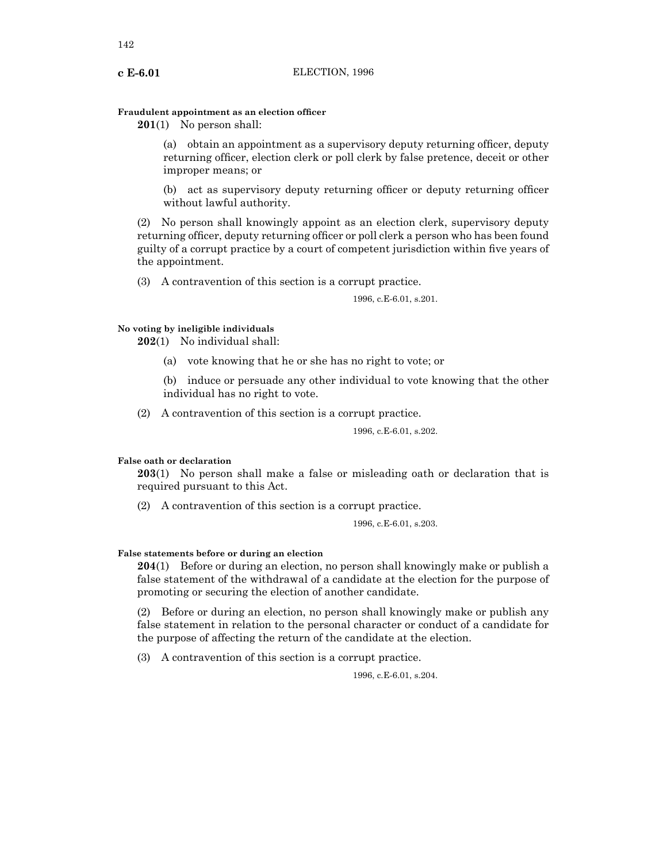# **Fraudulent appointment as an election officer**

**201**(1) No person shall:

(a) obtain an appointment as a supervisory deputy returning officer, deputy returning officer, election clerk or poll clerk by false pretence, deceit or other improper means; or

(b) act as supervisory deputy returning officer or deputy returning officer without lawful authority.

(2) No person shall knowingly appoint as an election clerk, supervisory deputy returning officer, deputy returning officer or poll clerk a person who has been found guilty of a corrupt practice by a court of competent jurisdiction within five years of the appointment.

(3) A contravention of this section is a corrupt practice.

1996, c.E-6.01, s.201.

# **No voting by ineligible individuals**

**202**(1) No individual shall:

(a) vote knowing that he or she has no right to vote; or

(b) induce or persuade any other individual to vote knowing that the other individual has no right to vote.

(2) A contravention of this section is a corrupt practice.

1996, c.E-6.01, s.202.

# **False oath or declaration**

**203**(1) No person shall make a false or misleading oath or declaration that is required pursuant to this Act.

(2) A contravention of this section is a corrupt practice.

1996, c.E-6.01, s.203.

## **False statements before or during an election**

**204**(1) Before or during an election, no person shall knowingly make or publish a false statement of the withdrawal of a candidate at the election for the purpose of promoting or securing the election of another candidate.

(2) Before or during an election, no person shall knowingly make or publish any false statement in relation to the personal character or conduct of a candidate for the purpose of affecting the return of the candidate at the election.

(3) A contravention of this section is a corrupt practice.

1996, c.E-6.01, s.204.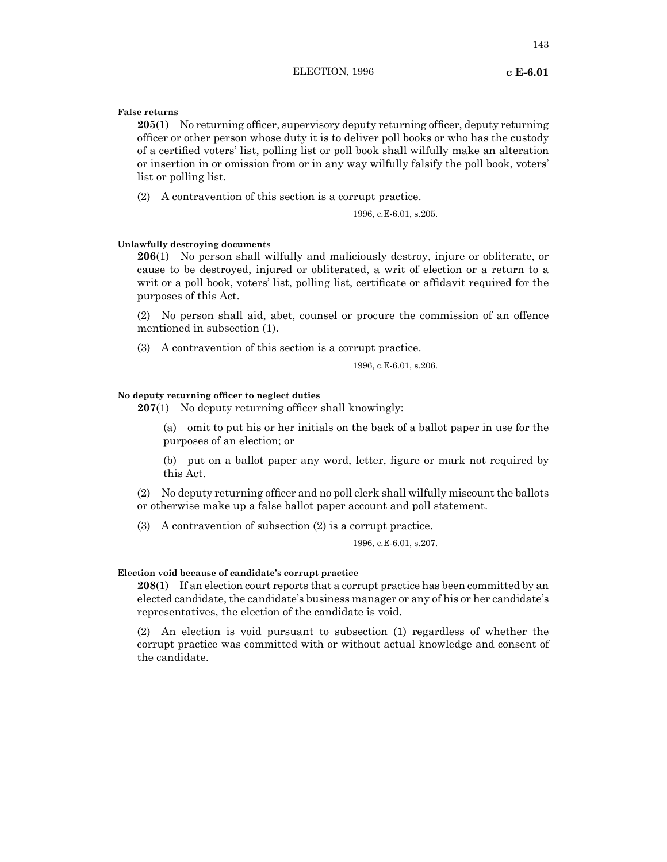**False returns**

**205**(1) No returning officer, supervisory deputy returning officer, deputy returning officer or other person whose duty it is to deliver poll books or who has the custody of a certified voters' list, polling list or poll book shall wilfully make an alteration or insertion in or omission from or in any way wilfully falsify the poll book, voters' list or polling list.

(2) A contravention of this section is a corrupt practice.

1996, c.E-6.01, s.205.

# **Unlawfully destroying documents**

**206**(1) No person shall wilfully and maliciously destroy, injure or obliterate, or cause to be destroyed, injured or obliterated, a writ of election or a return to a writ or a poll book, voters' list, polling list, certificate or affidavit required for the purposes of this Act.

(2) No person shall aid, abet, counsel or procure the commission of an offence mentioned in subsection (1).

(3) A contravention of this section is a corrupt practice.

1996, c.E-6.01, s.206.

# **No deputy returning officer to neglect duties**

**207**(1) No deputy returning officer shall knowingly:

(a) omit to put his or her initials on the back of a ballot paper in use for the purposes of an election; or

(b) put on a ballot paper any word, letter, figure or mark not required by this Act.

(2) No deputy returning officer and no poll clerk shall wilfully miscount the ballots or otherwise make up a false ballot paper account and poll statement.

(3) A contravention of subsection (2) is a corrupt practice.

1996, c.E-6.01, s.207.

## **Election void because of candidate's corrupt practice**

**208**(1) If an election court reports that a corrupt practice has been committed by an elected candidate, the candidate's business manager or any of his or her candidate's representatives, the election of the candidate is void.

(2) An election is void pursuant to subsection (1) regardless of whether the corrupt practice was committed with or without actual knowledge and consent of the candidate.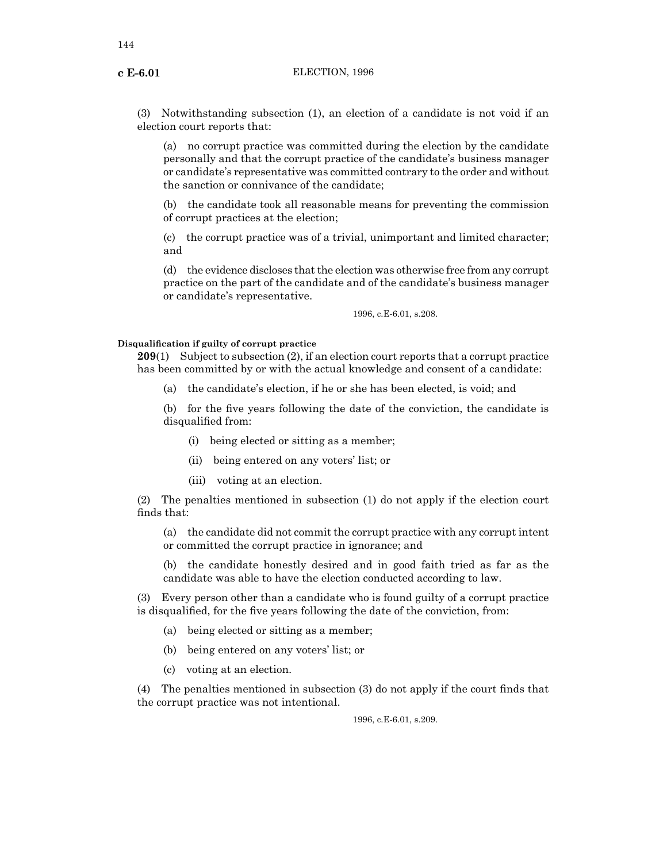(3) Notwithstanding subsection (1), an election of a candidate is not void if an election court reports that:

(a) no corrupt practice was committed during the election by the candidate personally and that the corrupt practice of the candidate's business manager or candidate's representative was committed contrary to the order and without the sanction or connivance of the candidate;

(b) the candidate took all reasonable means for preventing the commission of corrupt practices at the election;

(c) the corrupt practice was of a trivial, unimportant and limited character; and

(d) the evidence discloses that the election was otherwise free from any corrupt practice on the part of the candidate and of the candidate's business manager or candidate's representative.

1996, c.E-6.01, s.208.

### **Disqualification if guilty of corrupt practice**

**209**(1) Subject to subsection (2), if an election court reports that a corrupt practice has been committed by or with the actual knowledge and consent of a candidate:

(a) the candidate's election, if he or she has been elected, is void; and

(b) for the five years following the date of the conviction, the candidate is disqualified from:

- (i) being elected or sitting as a member;
- (ii) being entered on any voters' list; or
- (iii) voting at an election.

(2) The penalties mentioned in subsection (1) do not apply if the election court finds that:

(a) the candidate did not commit the corrupt practice with any corrupt intent or committed the corrupt practice in ignorance; and

(b) the candidate honestly desired and in good faith tried as far as the candidate was able to have the election conducted according to law.

(3) Every person other than a candidate who is found guilty of a corrupt practice is disqualified, for the five years following the date of the conviction, from:

- (a) being elected or sitting as a member;
- (b) being entered on any voters' list; or
- (c) voting at an election.

(4) The penalties mentioned in subsection (3) do not apply if the court finds that the corrupt practice was not intentional.

1996, c.E-6.01, s.209.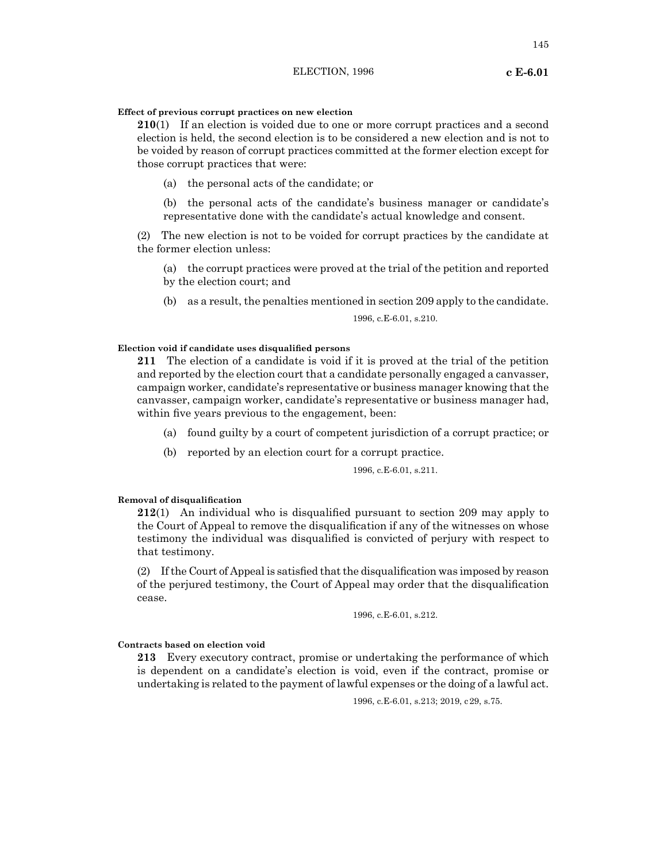# **Effect of previous corrupt practices on new election**

**210**(1) If an election is voided due to one or more corrupt practices and a second election is held, the second election is to be considered a new election and is not to be voided by reason of corrupt practices committed at the former election except for those corrupt practices that were:

(a) the personal acts of the candidate; or

(b) the personal acts of the candidate's business manager or candidate's representative done with the candidate's actual knowledge and consent.

(2) The new election is not to be voided for corrupt practices by the candidate at the former election unless:

(a) the corrupt practices were proved at the trial of the petition and reported by the election court; and

(b) as a result, the penalties mentioned in section 209 apply to the candidate.

1996, c.E-6.01, s.210.

## **Election void if candidate uses disqualified persons**

**211** The election of a candidate is void if it is proved at the trial of the petition and reported by the election court that a candidate personally engaged a canvasser, campaign worker, candidate's representative or business manager knowing that the canvasser, campaign worker, candidate's representative or business manager had, within five years previous to the engagement, been:

- (a) found guilty by a court of competent jurisdiction of a corrupt practice; or
- (b) reported by an election court for a corrupt practice.

1996, c.E-6.01, s.211.

# **Removal of disqualification**

**212**(1) An individual who is disqualified pursuant to section 209 may apply to the Court of Appeal to remove the disqualification if any of the witnesses on whose testimony the individual was disqualified is convicted of perjury with respect to that testimony.

 $(2)$  If the Court of Appeal is satisfied that the disqualification was imposed by reason of the perjured testimony, the Court of Appeal may order that the disqualification cease.

1996, c.E-6.01, s.212.

# **Contracts based on election void**

**213** Every executory contract, promise or undertaking the performance of which is dependent on a candidate's election is void, even if the contract, promise or undertaking is related to the payment of lawful expenses or the doing of a lawful act.

1996, c.E-6.01, s.213; 2019, c29, s.75.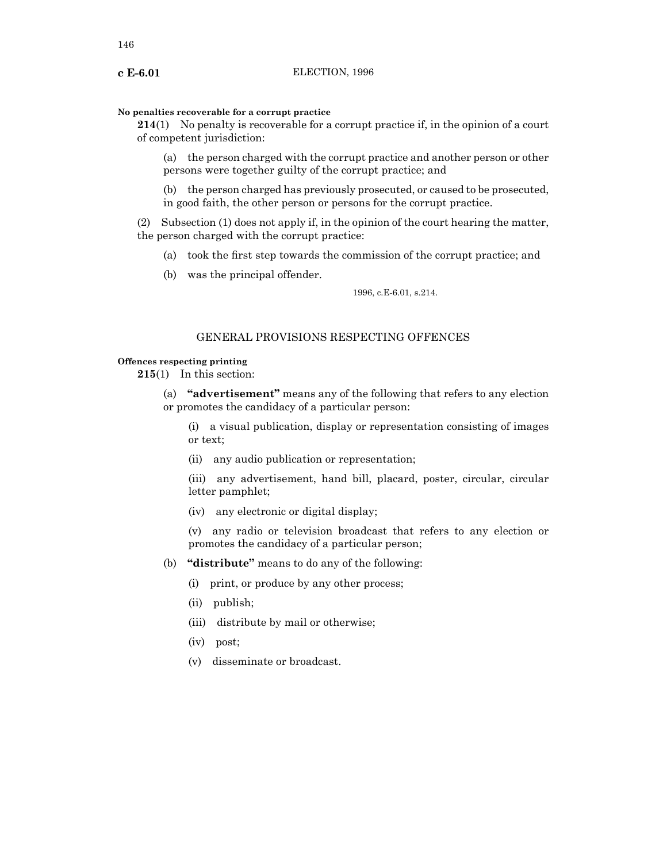#### **No penalties recoverable for a corrupt practice**

**214**(1) No penalty is recoverable for a corrupt practice if, in the opinion of a court of competent jurisdiction:

(a) the person charged with the corrupt practice and another person or other persons were together guilty of the corrupt practice; and

(b) the person charged has previously prosecuted, or caused to be prosecuted, in good faith, the other person or persons for the corrupt practice.

(2) Subsection (1) does not apply if, in the opinion of the court hearing the matter, the person charged with the corrupt practice:

- (a) took the first step towards the commission of the corrupt practice; and
- (b) was the principal offender.

1996, c.E-6.01, s.214.

# GENERAL PROVISIONS RESPECTING OFFENCES

# **Offences respecting printing**

**215**(1) In this section:

(a) **"advertisement"** means any of the following that refers to any election or promotes the candidacy of a particular person:

(i) a visual publication, display or representation consisting of images or text;

(ii) any audio publication or representation;

(iii) any advertisement, hand bill, placard, poster, circular, circular letter pamphlet;

(iv) any electronic or digital display;

(v) any radio or television broadcast that refers to any election or promotes the candidacy of a particular person;

- (b) **"distribute"** means to do any of the following:
	- (i) print, or produce by any other process;
	- (ii) publish;
	- (iii) distribute by mail or otherwise;
	- (iv) post;
	- (v) disseminate or broadcast.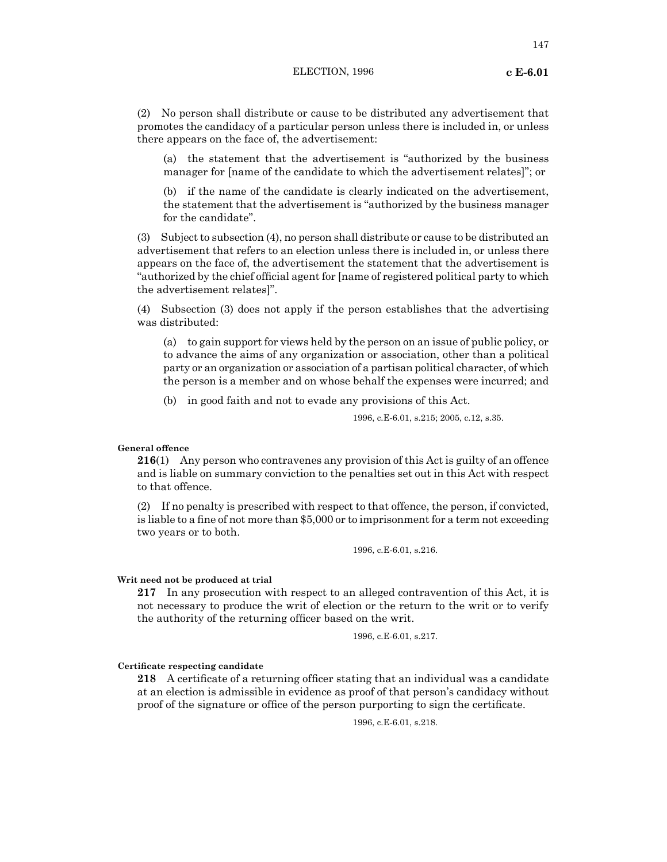(2) No person shall distribute or cause to be distributed any advertisement that promotes the candidacy of a particular person unless there is included in, or unless there appears on the face of, the advertisement:

(a) the statement that the advertisement is "authorized by the business manager for [name of the candidate to which the advertisement relates]"; or

(b) if the name of the candidate is clearly indicated on the advertisement, the statement that the advertisement is "authorized by the business manager for the candidate".

(3) Subject to subsection (4), no person shall distribute or cause to be distributed an advertisement that refers to an election unless there is included in, or unless there appears on the face of, the advertisement the statement that the advertisement is "authorized by the chief official agent for [name of registered political party to which the advertisement relates]".

(4) Subsection (3) does not apply if the person establishes that the advertising was distributed:

(a) to gain support for views held by the person on an issue of public policy, or to advance the aims of any organization or association, other than a political party or an organization or association of a partisan political character, of which the person is a member and on whose behalf the expenses were incurred; and

(b) in good faith and not to evade any provisions of this Act.

1996, c.E-6.01, s.215; 2005, c.12, s.35.

# **General offence**

**216**(1) Any person who contravenes any provision of this Act is guilty of an offence and is liable on summary conviction to the penalties set out in this Act with respect to that offence.

(2) If no penalty is prescribed with respect to that offence, the person, if convicted, is liable to a fine of not more than \$5,000 or to imprisonment for a term not exceeding two years or to both.

1996, c.E-6.01, s.216.

#### **Writ need not be produced at trial**

**217** In any prosecution with respect to an alleged contravention of this Act, it is not necessary to produce the writ of election or the return to the writ or to verify the authority of the returning officer based on the writ.

1996, c.E-6.01, s.217.

**Certificate respecting candidate**

**218** A certificate of a returning officer stating that an individual was a candidate at an election is admissible in evidence as proof of that person's candidacy without proof of the signature or office of the person purporting to sign the certificate.

1996, c.E-6.01, s.218.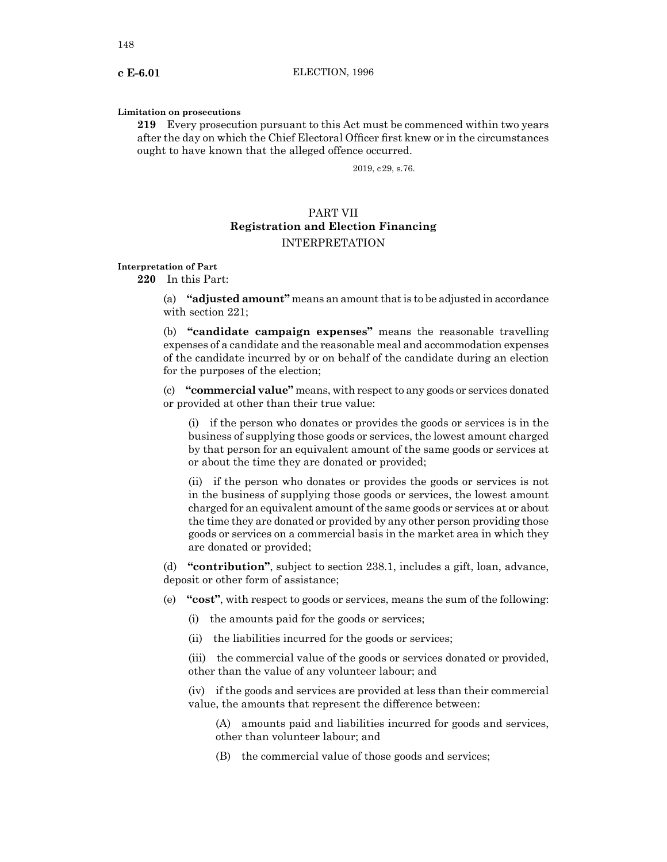#### **Limitation on prosecutions**

**219** Every prosecution pursuant to this Act must be commenced within two years after the day on which the Chief Electoral Officer first knew or in the circumstances ought to have known that the alleged offence occurred.

2019, c29, s.76.

# PART VII **Registration and Election Financing** INTERPRETATION

**Interpretation of Part**

**220** In this Part:

(a) **"adjusted amount"** means an amount that is to be adjusted in accordance with section 221;

(b) **"candidate campaign expenses"** means the reasonable travelling expenses of a candidate and the reasonable meal and accommodation expenses of the candidate incurred by or on behalf of the candidate during an election for the purposes of the election;

(c) **"commercial value"** means, with respect to any goods or services donated or provided at other than their true value:

(i) if the person who donates or provides the goods or services is in the business of supplying those goods or services, the lowest amount charged by that person for an equivalent amount of the same goods or services at or about the time they are donated or provided;

(ii) if the person who donates or provides the goods or services is not in the business of supplying those goods or services, the lowest amount charged for an equivalent amount of the same goods or services at or about the time they are donated or provided by any other person providing those goods or services on a commercial basis in the market area in which they are donated or provided;

(d) **"contribution"**, subject to section 238.1, includes a gift, loan, advance, deposit or other form of assistance;

(e) **"cost"**, with respect to goods or services, means the sum of the following:

(i) the amounts paid for the goods or services;

(ii) the liabilities incurred for the goods or services;

(iii) the commercial value of the goods or services donated or provided, other than the value of any volunteer labour; and

(iv) if the goods and services are provided at less than their commercial value, the amounts that represent the difference between:

(A) amounts paid and liabilities incurred for goods and services, other than volunteer labour; and

(B) the commercial value of those goods and services;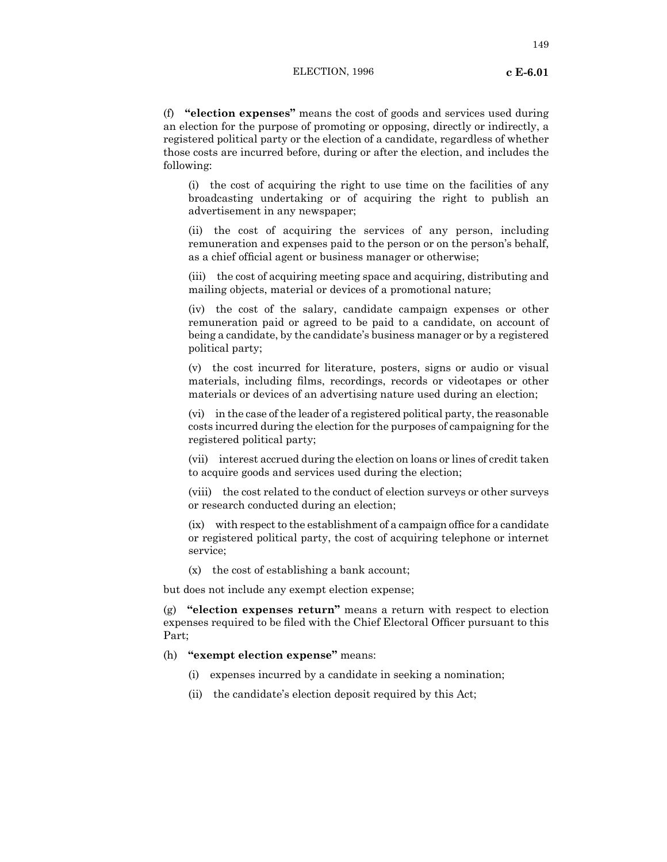(f) **"election expenses"** means the cost of goods and services used during an election for the purpose of promoting or opposing, directly or indirectly, a registered political party or the election of a candidate, regardless of whether those costs are incurred before, during or after the election, and includes the following:

(i) the cost of acquiring the right to use time on the facilities of any broadcasting undertaking or of acquiring the right to publish an advertisement in any newspaper;

(ii) the cost of acquiring the services of any person, including remuneration and expenses paid to the person or on the person's behalf, as a chief official agent or business manager or otherwise;

(iii) the cost of acquiring meeting space and acquiring, distributing and mailing objects, material or devices of a promotional nature;

(iv) the cost of the salary, candidate campaign expenses or other remuneration paid or agreed to be paid to a candidate, on account of being a candidate, by the candidate's business manager or by a registered political party;

(v) the cost incurred for literature, posters, signs or audio or visual materials, including films, recordings, records or videotapes or other materials or devices of an advertising nature used during an election;

(vi) in the case of the leader of a registered political party, the reasonable costs incurred during the election for the purposes of campaigning for the registered political party;

(vii) interest accrued during the election on loans or lines of credit taken to acquire goods and services used during the election;

(viii) the cost related to the conduct of election surveys or other surveys or research conducted during an election;

 $(ix)$  with respect to the establishment of a campaign office for a candidate or registered political party, the cost of acquiring telephone or internet service;

(x) the cost of establishing a bank account;

but does not include any exempt election expense;

(g) **"election expenses return"** means a return with respect to election expenses required to be filed with the Chief Electoral Officer pursuant to this Part;

- (h) **"exempt election expense"** means:
	- (i) expenses incurred by a candidate in seeking a nomination;
	- (ii) the candidate's election deposit required by this Act;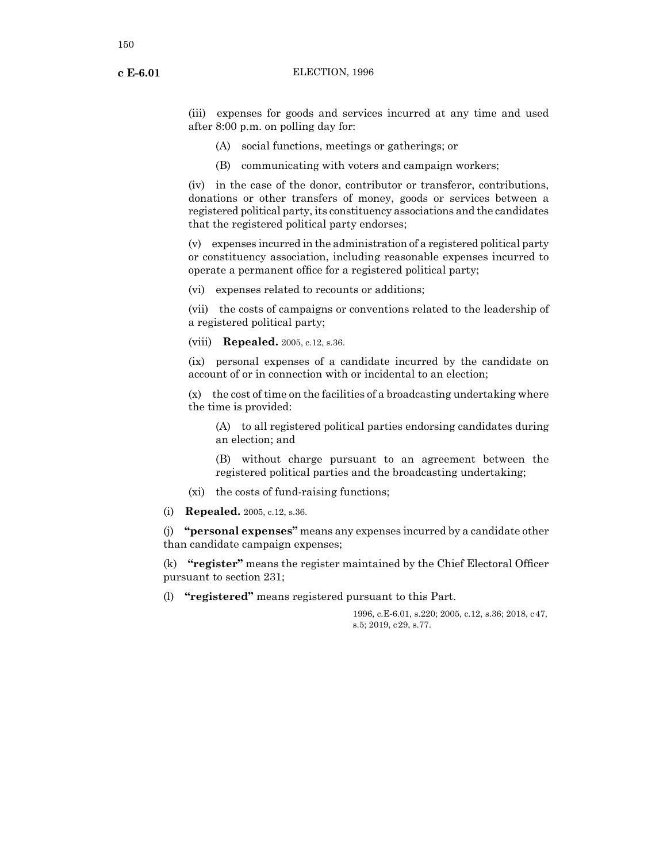(iii) expenses for goods and services incurred at any time and used after 8:00 p.m. on polling day for:

- (A) social functions, meetings or gatherings; or
- (B) communicating with voters and campaign workers;

(iv) in the case of the donor, contributor or transferor, contributions, donations or other transfers of money, goods or services between a registered political party, its constituency associations and the candidates that the registered political party endorses;

(v) expenses incurred in the administration of a registered political party or constituency association, including reasonable expenses incurred to operate a permanent office for a registered political party;

(vi) expenses related to recounts or additions;

(vii) the costs of campaigns or conventions related to the leadership of a registered political party;

(viii) **Repealed.** 2005, c.12, s.36.

(ix) personal expenses of a candidate incurred by the candidate on account of or in connection with or incidental to an election;

(x) the cost of time on the facilities of a broadcasting undertaking where the time is provided:

(A) to all registered political parties endorsing candidates during an election; and

(B) without charge pursuant to an agreement between the registered political parties and the broadcasting undertaking;

- (xi) the costs of fund-raising functions;
- (i) **Repealed.** 2005, c.12, s.36.

(j) **"personal expenses"** means any expenses incurred by a candidate other than candidate campaign expenses;

(k) **"register"** means the register maintained by the Chief Electoral Officer pursuant to section 231;

(l) **"registered"** means registered pursuant to this Part.

1996, c.E-6.01, s.220; 2005, c.12, s.36; 2018, c47, s.5; 2019, c29, s.77.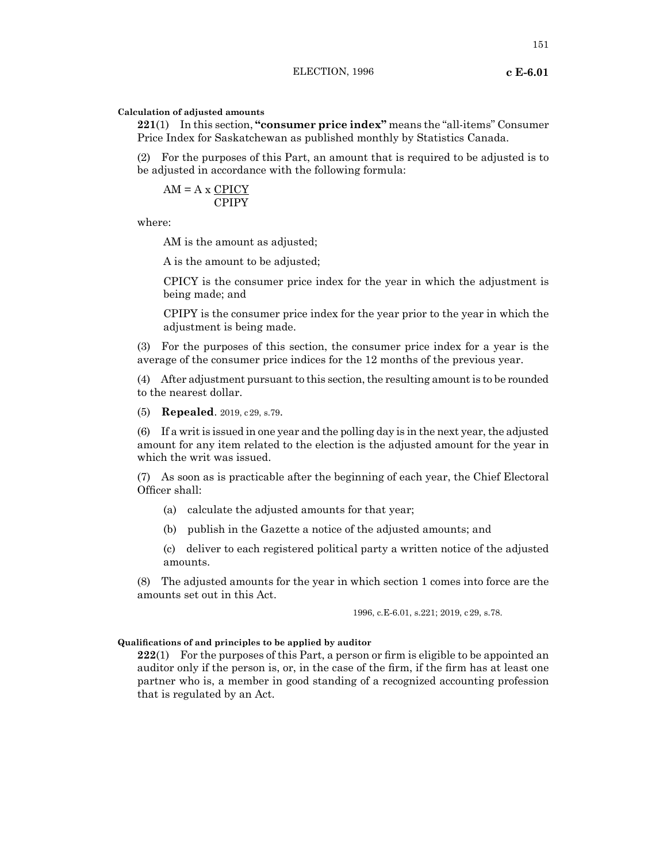#### **Calculation of adjusted amounts**

**221**(1) In this section, **"consumer price index"** means the "all-items" Consumer Price Index for Saskatchewan as published monthly by Statistics Canada.

(2) For the purposes of this Part, an amount that is required to be adjusted is to be adjusted in accordance with the following formula:

$$
AM = A \times \frac{CPICY}{CPIPY}
$$

where:

AM is the amount as adjusted;

A is the amount to be adjusted;

CPICY is the consumer price index for the year in which the adjustment is being made; and

CPIPY is the consumer price index for the year prior to the year in which the adjustment is being made.

(3) For the purposes of this section, the consumer price index for a year is the average of the consumer price indices for the 12 months of the previous year.

(4) After adjustment pursuant to this section, the resulting amount is to be rounded to the nearest dollar.

(5) **Repealed**. 2019, c29, s.79.

(6) If a writ is issued in one year and the polling day is in the next year, the adjusted amount for any item related to the election is the adjusted amount for the year in which the writ was issued.

(7) As soon as is practicable after the beginning of each year, the Chief Electoral Officer shall:

- (a) calculate the adjusted amounts for that year;
- (b) publish in the Gazette a notice of the adjusted amounts; and

(c) deliver to each registered political party a written notice of the adjusted amounts.

(8) The adjusted amounts for the year in which section 1 comes into force are the amounts set out in this Act.

1996, c.E-6.01, s.221; 2019, c29, s.78.

#### **Qualifications of and principles to be applied by auditor**

**222**(1) For the purposes of this Part, a person or firm is eligible to be appointed an auditor only if the person is, or, in the case of the firm, if the firm has at least one partner who is, a member in good standing of a recognized accounting profession that is regulated by an Act.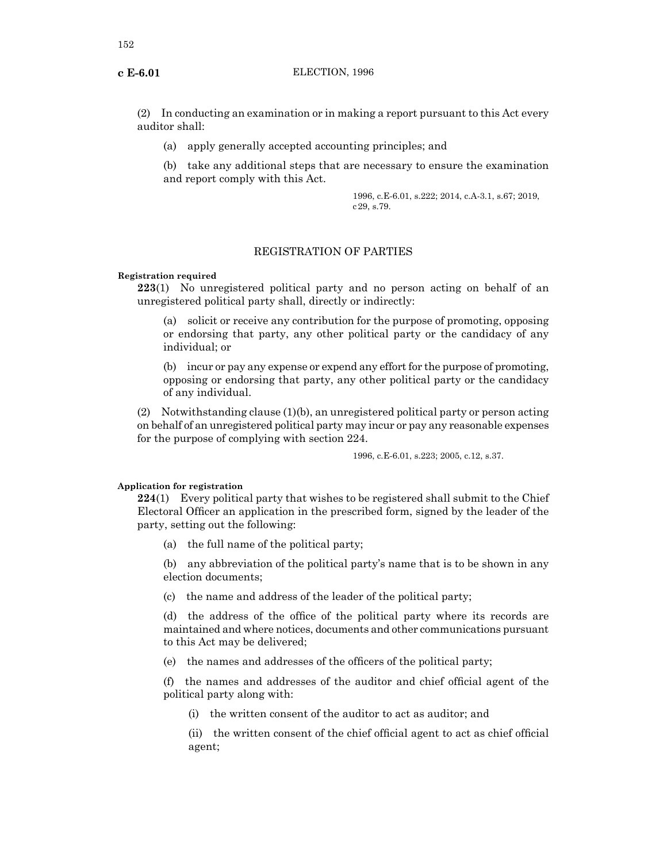(2) In conducting an examination or in making a report pursuant to this Act every auditor shall:

(a) apply generally accepted accounting principles; and

(b) take any additional steps that are necessary to ensure the examination and report comply with this Act.

> 1996, c.E-6.01, s.222; 2014, c.A-3.1, s.67; 2019, c29, s.79.

# REGISTRATION OF PARTIES

#### **Registration required**

**223**(1) No unregistered political party and no person acting on behalf of an unregistered political party shall, directly or indirectly:

(a) solicit or receive any contribution for the purpose of promoting, opposing or endorsing that party, any other political party or the candidacy of any individual; or

(b) incur or pay any expense or expend any effort for the purpose of promoting, opposing or endorsing that party, any other political party or the candidacy of any individual.

(2) Notwithstanding clause (1)(b), an unregistered political party or person acting on behalf of an unregistered political party may incur or pay any reasonable expenses for the purpose of complying with section 224.

1996, c.E-6.01, s.223; 2005, c.12, s.37.

#### **Application for registration**

**224**(1) Every political party that wishes to be registered shall submit to the Chief Electoral Officer an application in the prescribed form, signed by the leader of the party, setting out the following:

(a) the full name of the political party;

(b) any abbreviation of the political party's name that is to be shown in any election documents;

(c) the name and address of the leader of the political party;

(d) the address of the office of the political party where its records are maintained and where notices, documents and other communications pursuant to this Act may be delivered;

(e) the names and addresses of the officers of the political party;

(f) the names and addresses of the auditor and chief official agent of the political party along with:

(i) the written consent of the auditor to act as auditor; and

(ii) the written consent of the chief official agent to act as chief official agent;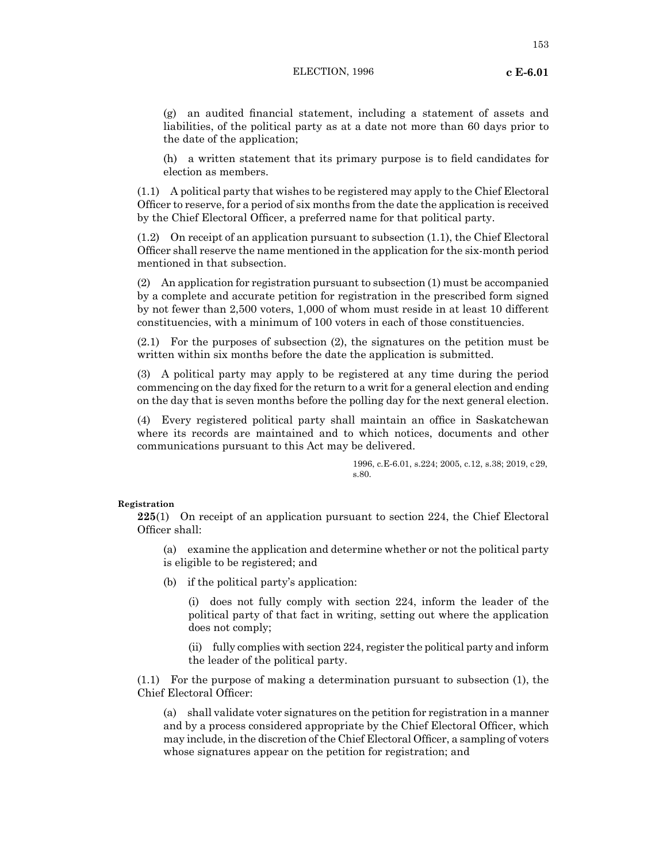153

(g) an audited financial statement, including a statement of assets and liabilities, of the political party as at a date not more than 60 days prior to the date of the application;

(h) a written statement that its primary purpose is to field candidates for election as members.

(1.1) A political party that wishes to be registered may apply to the Chief Electoral Officer to reserve, for a period of six months from the date the application is received by the Chief Electoral Officer, a preferred name for that political party.

(1.2) On receipt of an application pursuant to subsection (1.1), the Chief Electoral Officer shall reserve the name mentioned in the application for the six-month period mentioned in that subsection.

(2) An application for registration pursuant to subsection (1) must be accompanied by a complete and accurate petition for registration in the prescribed form signed by not fewer than 2,500 voters, 1,000 of whom must reside in at least 10 different constituencies, with a minimum of 100 voters in each of those constituencies.

(2.1) For the purposes of subsection (2), the signatures on the petition must be written within six months before the date the application is submitted.

(3) A political party may apply to be registered at any time during the period commencing on the day fixed for the return to a writ for a general election and ending on the day that is seven months before the polling day for the next general election.

(4) Every registered political party shall maintain an office in Saskatchewan where its records are maintained and to which notices, documents and other communications pursuant to this Act may be delivered.

> 1996, c.E-6.01, s.224; 2005, c.12, s.38; 2019, c29, s.80.

## **Registration**

**225**(1) On receipt of an application pursuant to section 224, the Chief Electoral Officer shall:

(a) examine the application and determine whether or not the political party is eligible to be registered; and

(b) if the political party's application:

(i) does not fully comply with section 224, inform the leader of the political party of that fact in writing, setting out where the application does not comply;

(ii) fully complies with section 224, register the political party and inform the leader of the political party.

(1.1) For the purpose of making a determination pursuant to subsection (1), the Chief Electoral Officer:

(a) shall validate voter signatures on the petition for registration in a manner and by a process considered appropriate by the Chief Electoral Officer, which may include, in the discretion of the Chief Electoral Officer, a sampling of voters whose signatures appear on the petition for registration; and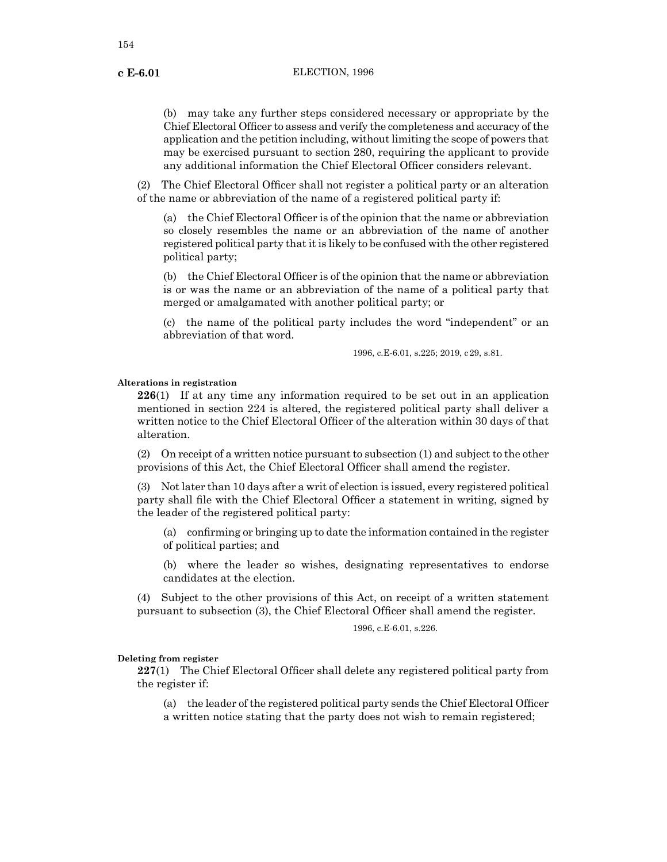(b) may take any further steps considered necessary or appropriate by the Chief Electoral Officer to assess and verify the completeness and accuracy ofthe application and the petition including, without limiting the scope of powers that may be exercised pursuant to section 280, requiring the applicant to provide any additional information the Chief Electoral Officer considers relevant.

(2) The Chief Electoral Officer shall not register a political party or an alteration of the name or abbreviation of the name of a registered political party if:

(a) the Chief Electoral Officer is of the opinion that the name or abbreviation so closely resembles the name or an abbreviation of the name of another registered political party that it is likely to be confused with the other registered political party;

(b) the Chief Electoral Officer is of the opinion that the name or abbreviation is or was the name or an abbreviation of the name of a political party that merged or amalgamated with another political party; or

(c) the name of the political party includes the word "independent" or an abbreviation of that word.

1996, c.E-6.01, s.225; 2019, c29, s.81.

#### **Alterations in registration**

**226**(1) If at any time any information required to be set out in an application mentioned in section 224 is altered, the registered political party shall deliver a written notice to the Chief Electoral Officer of the alteration within 30 days of that alteration.

(2) On receipt of a written notice pursuant to subsection (1) and subject to the other provisions of this Act, the Chief Electoral Officer shall amend the register.

(3) Not later than 10 days after a writ of election is issued, every registered political party shall file with the Chief Electoral Officer a statement in writing, signed by the leader of the registered political party:

(a) confirming or bringing up to date the information contained in the register of political parties; and

(b) where the leader so wishes, designating representatives to endorse candidates at the election.

(4) Subject to the other provisions of this Act, on receipt of a written statement pursuant to subsection (3), the Chief Electoral Officer shall amend the register.

1996, c.E-6.01, s.226.

#### **Deleting from register**

**227**(1) The Chief Electoral Officer shall delete any registered political party from the register if:

(a) the leader ofthe registered political party sends the Chief Electoral Officer a written notice stating that the party does not wish to remain registered;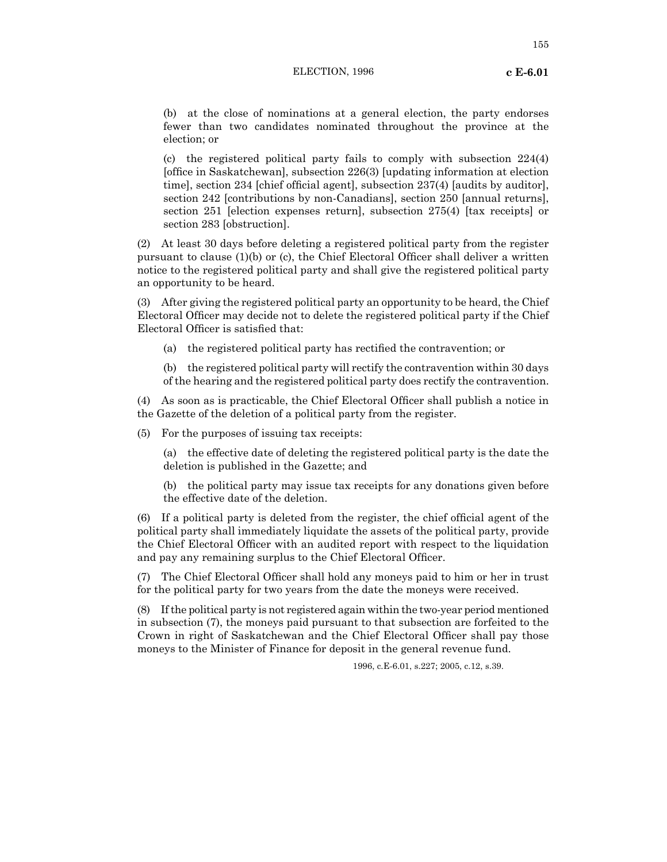(b) at the close of nominations at a general election, the party endorses fewer than two candidates nominated throughout the province at the election; or

(c) the registered political party fails to comply with subsection 224(4) [office in Saskatchewan], subsection 226(3) [updating information at election time], section 234 [chief official agent], subsection 237(4) [audits by auditor], section 242 [contributions by non-Canadians], section 250 [annual returns], section 251 [election expenses return], subsection 275(4) [tax receipts] or section 283 [obstruction].

(2) At least 30 days before deleting a registered political party from the register pursuant to clause (1)(b) or (c), the Chief Electoral Officer shall deliver a written notice to the registered political party and shall give the registered political party an opportunity to be heard.

(3) After giving the registered political party an opportunity to be heard, the Chief Electoral Officer may decide not to delete the registered political party if the Chief Electoral Officer is satisfied that:

- (a) the registered political party has rectified the contravention; or
- (b) the registered political party will rectify the contravention within 30 days of the hearing and the registered political party does rectify the contravention.

(4) As soon as is practicable, the Chief Electoral Officer shall publish a notice in the Gazette of the deletion of a political party from the register.

(5) For the purposes of issuing tax receipts:

(a) the effective date of deleting the registered political party is the date the deletion is published in the Gazette; and

(b) the political party may issue tax receipts for any donations given before the effective date of the deletion.

(6) If a political party is deleted from the register, the chief official agent of the political party shall immediately liquidate the assets of the political party, provide the Chief Electoral Officer with an audited report with respect to the liquidation and pay any remaining surplus to the Chief Electoral Officer.

(7) The Chief Electoral Officer shall hold any moneys paid to him or her in trust for the political party for two years from the date the moneys were received.

(8) If the political party is not registered again within the two-year period mentioned in subsection (7), the moneys paid pursuant to that subsection are forfeited to the Crown in right of Saskatchewan and the Chief Electoral Officer shall pay those moneys to the Minister of Finance for deposit in the general revenue fund.

1996, c.E-6.01, s.227; 2005, c.12, s.39.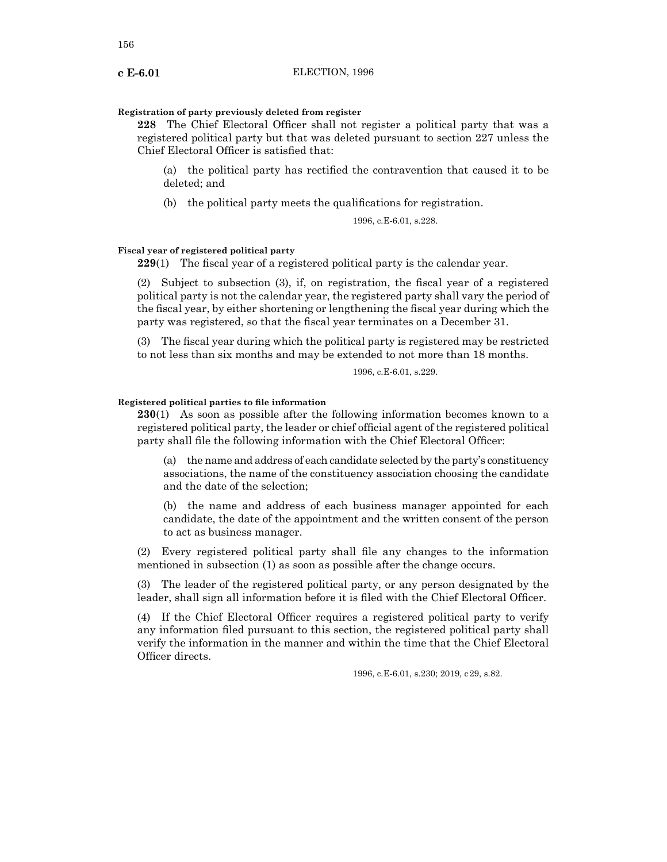#### **Registration of party previously deleted from register**

**228** The Chief Electoral Officer shall not register a political party that was a registered political party but that was deleted pursuant to section 227 unless the Chief Electoral Officer is satisfied that:

(a) the political party has rectified the contravention that caused it to be deleted; and

(b) the political party meets the qualifications for registration.

1996, c.E-6.01, s.228.

# **Fiscal year of registered political party**

**229**(1) The fiscal year of a registered political party is the calendar year.

(2) Subject to subsection (3), if, on registration, the fiscal year of a registered political party is not the calendar year, the registered party shall vary the period of the fiscal year, by either shortening or lengthening the fiscal year during which the party was registered, so that the fiscal year terminates on a December 31.

(3) The fiscal year during which the political party is registered may be restricted to not less than six months and may be extended to not more than 18 months.

1996, c.E-6.01, s.229.

#### **Registered political parties to file information**

**230**(1) As soon as possible after the following information becomes known to a registered political party, the leader or chief official agent of the registered political party shall file the following information with the Chief Electoral Officer:

(a) the name and address of each candidate selected by the party's constituency associations, the name of the constituency association choosing the candidate and the date of the selection;

(b) the name and address of each business manager appointed for each candidate, the date of the appointment and the written consent of the person to act as business manager.

(2) Every registered political party shall file any changes to the information mentioned in subsection (1) as soon as possible after the change occurs.

(3) The leader of the registered political party, or any person designated by the leader, shall sign all information before it is filed with the Chief Electoral Officer.

(4) If the Chief Electoral Officer requires a registered political party to verify any information filed pursuant to this section, the registered political party shall verify the information in the manner and within the time that the Chief Electoral Officer directs.

1996, c.E-6.01, s.230; 2019, c29, s.82.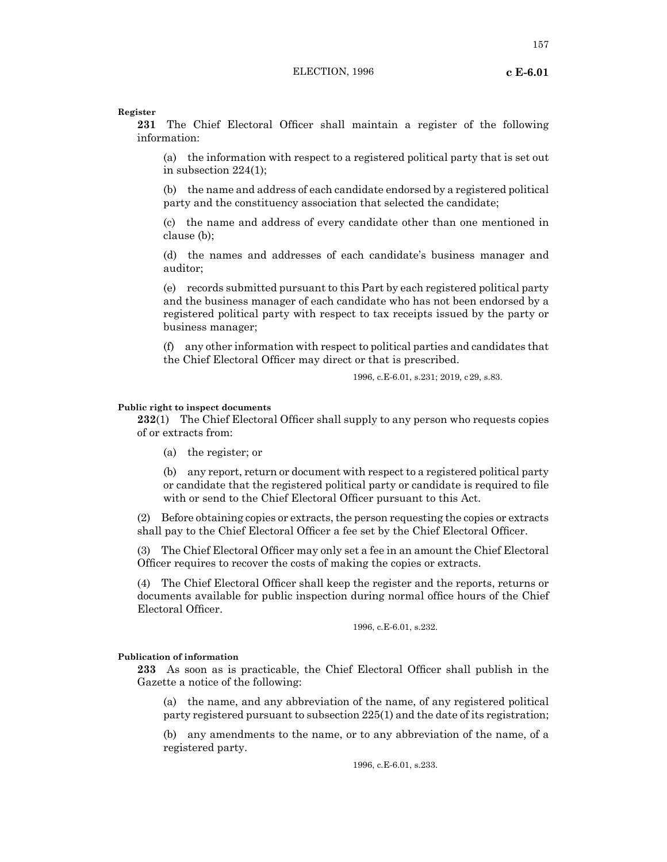157

#### **Register**

**231** The Chief Electoral Officer shall maintain a register of the following information:

(a) the information with respect to a registered political party that is set out in subsection 224(1);

(b) the name and address of each candidate endorsed by a registered political party and the constituency association that selected the candidate;

(c) the name and address of every candidate other than one mentioned in clause (b);

(d) the names and addresses of each candidate's business manager and auditor;

(e) records submitted pursuant to this Part by each registered political party and the business manager of each candidate who has not been endorsed by a registered political party with respect to tax receipts issued by the party or business manager;

(f) any other information with respect to political parties and candidates that the Chief Electoral Officer may direct or that is prescribed.

1996, c.E-6.01, s.231; 2019, c29, s.83.

#### **Public right to inspect documents**

**232**(1) The Chief Electoral Officer shall supply to any person who requests copies of or extracts from:

(a) the register; or

(b) any report, return or document with respect to a registered political party or candidate that the registered political party or candidate is required to file with or send to the Chief Electoral Officer pursuant to this Act.

(2) Before obtaining copies or extracts, the person requesting the copies or extracts shall pay to the Chief Electoral Officer a fee set by the Chief Electoral Officer.

(3) The Chief Electoral Officer may only set a fee in an amount the Chief Electoral Officer requires to recover the costs of making the copies or extracts.

(4) The Chief Electoral Officer shall keep the register and the reports, returns or documents available for public inspection during normal office hours of the Chief Electoral Officer.

1996, c.E-6.01, s.232.

#### **Publication of information**

**233** As soon as is practicable, the Chief Electoral Officer shall publish in the Gazette a notice of the following:

(a) the name, and any abbreviation of the name, of any registered political party registered pursuant to subsection 225(1) and the date of its registration;

(b) any amendments to the name, or to any abbreviation of the name, of a registered party.

1996, c.E-6.01, s.233.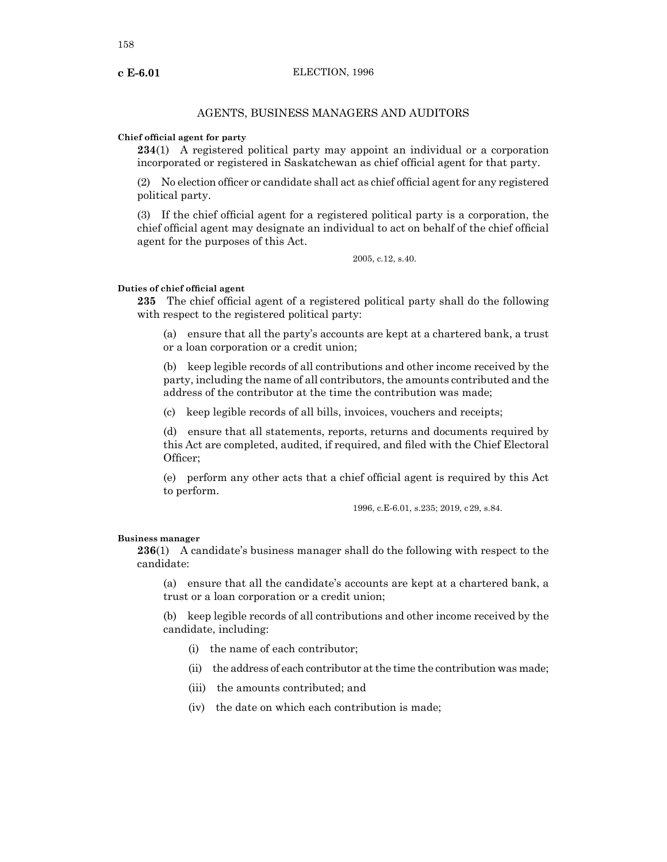# AGENTS, BUSINESS MANAGERS AND AUDITORS

#### **Chief official agent for party**

**234**(1) A registered political party may appoint an individual or a corporation incorporated or registered in Saskatchewan as chief official agent for that party.

(2) No election officer or candidate shall act as chief official agent for any registered political party.

(3) If the chief official agent for a registered political party is a corporation, the chief official agent may designate an individual to act on behalf of the chief official agent for the purposes of this Act.

2005, c.12, s.40.

#### **Duties of chief official agent**

**235** The chief official agent of a registered political party shall do the following with respect to the registered political party:

(a) ensure that all the party's accounts are kept at a chartered bank, a trust or a loan corporation or a credit union;

(b) keep legible records of all contributions and other income received by the party, including the name of all contributors, the amounts contributed and the address of the contributor at the time the contribution was made;

(c) keep legible records of all bills, invoices, vouchers and receipts;

(d) ensure that all statements, reports, returns and documents required by this Act are completed, audited, if required, and filed with the Chief Electoral Officer;

(e) perform any other acts that a chief official agent is required by this Act to perform.

1996, c.E-6.01, s.235; 2019, c29, s.84.

#### **Business manager**

**236**(1) A candidate's business manager shall do the following with respect to the candidate:

(a) ensure that all the candidate's accounts are kept at a chartered bank, a trust or a loan corporation or a credit union;

(b) keep legible records of all contributions and other income received by the candidate, including:

- (i) the name of each contributor;
- (ii) the address of each contributor at the time the contribution was made;
- (iii) the amounts contributed; and
- (iv) the date on which each contribution is made;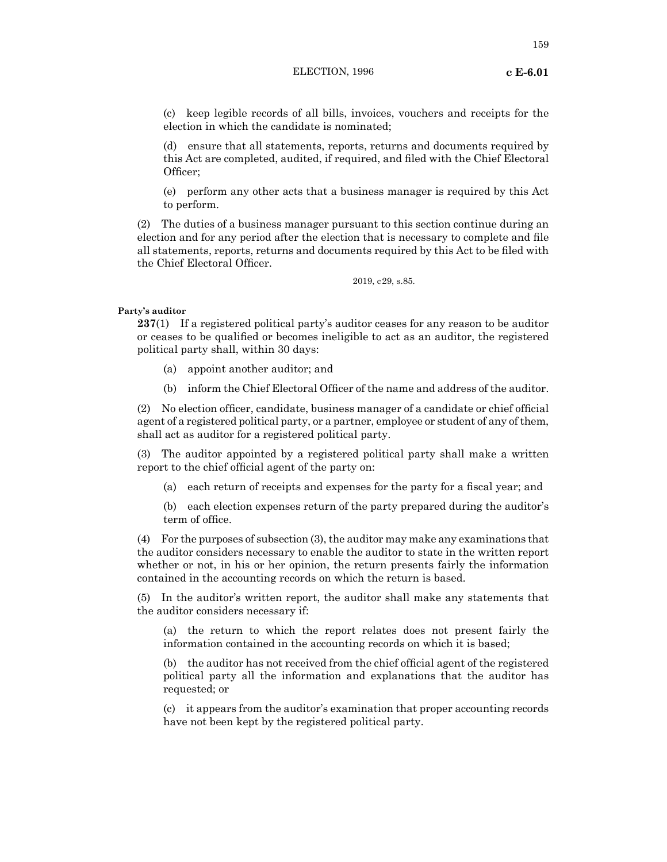159

(c) keep legible records of all bills, invoices, vouchers and receipts for the election in which the candidate is nominated;

(d) ensure that all statements, reports, returns and documents required by this Act are completed, audited, if required, and filed with the Chief Electoral Officer;

(e) perform any other acts that a business manager is required by this Act to perform.

(2) The duties of a business manager pursuant to this section continue during an election and for any period after the election that is necessary to complete and file all statements, reports, returns and documents required by this Act to be filed with the Chief Electoral Officer.

2019, c29, s.85.

## **Party's auditor**

**237**(1) If a registered political party's auditor ceases for any reason to be auditor or ceases to be qualified or becomes ineligible to act as an auditor, the registered political party shall, within 30 days:

- (a) appoint another auditor; and
- (b) inform the Chief Electoral Officer of the name and address of the auditor.

(2) No election officer, candidate, business manager of a candidate or chief official agent of a registered political party, or a partner, employee or student of any of them, shall act as auditor for a registered political party.

(3) The auditor appointed by a registered political party shall make a written report to the chief official agent of the party on:

(a) each return of receipts and expenses for the party for a fiscal year; and

(b) each election expenses return of the party prepared during the auditor's term of office.

 $(4)$  For the purposes of subsection  $(3)$ , the auditor may make any examinations that the auditor considers necessary to enable the auditor to state in the written report whether or not, in his or her opinion, the return presents fairly the information contained in the accounting records on which the return is based.

(5) In the auditor's written report, the auditor shall make any statements that the auditor considers necessary if:

(a) the return to which the report relates does not present fairly the information contained in the accounting records on which it is based;

(b) the auditor has not received from the chief official agent of the registered political party all the information and explanations that the auditor has requested; or

(c) it appears from the auditor's examination that proper accounting records have not been kept by the registered political party.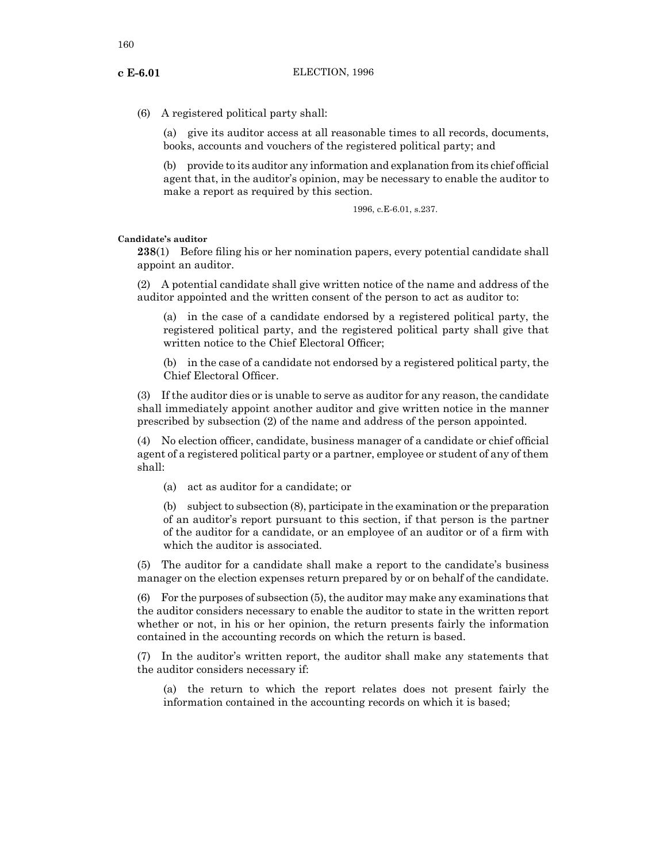(6) A registered political party shall:

(a) give its auditor access at all reasonable times to all records, documents, books, accounts and vouchers of the registered political party; and

(b) provide to its auditor any information and explanation from its chief official agent that, in the auditor's opinion, may be necessary to enable the auditor to make a report as required by this section.

1996, c.E-6.01, s.237.

# **Candidate's auditor**

**238**(1) Before filing his or her nomination papers, every potential candidate shall appoint an auditor.

(2) A potential candidate shall give written notice of the name and address of the auditor appointed and the written consent of the person to act as auditor to:

(a) in the case of a candidate endorsed by a registered political party, the registered political party, and the registered political party shall give that written notice to the Chief Electoral Officer;

(b) in the case of a candidate not endorsed by a registered political party, the Chief Electoral Officer.

(3) If the auditor dies or is unable to serve as auditor for any reason, the candidate shall immediately appoint another auditor and give written notice in the manner prescribed by subsection (2) of the name and address of the person appointed.

(4) No election officer, candidate, business manager of a candidate or chief official agent of a registered political party or a partner, employee or student of any of them shall:

(a) act as auditor for a candidate; or

(b) subject to subsection (8), participate in the examination or the preparation of an auditor's report pursuant to this section, if that person is the partner of the auditor for a candidate, or an employee of an auditor or of a firm with which the auditor is associated.

(5) The auditor for a candidate shall make a report to the candidate's business manager on the election expenses return prepared by or on behalf of the candidate.

 $(6)$  For the purposes of subsection  $(5)$ , the auditor may make any examinations that the auditor considers necessary to enable the auditor to state in the written report whether or not, in his or her opinion, the return presents fairly the information contained in the accounting records on which the return is based.

(7) In the auditor's written report, the auditor shall make any statements that the auditor considers necessary if:

(a) the return to which the report relates does not present fairly the information contained in the accounting records on which it is based;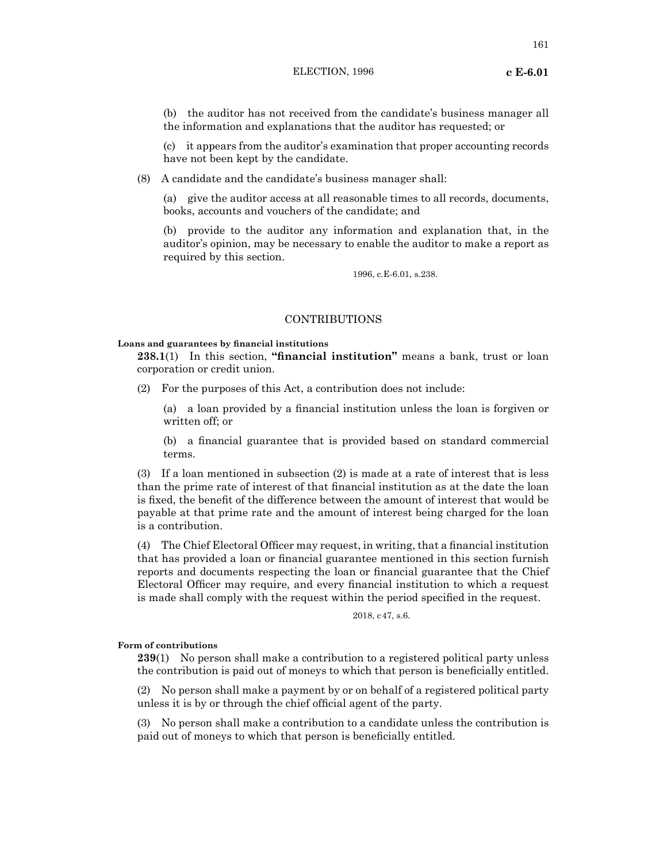(b) the auditor has not received from the candidate's business manager all the information and explanations that the auditor has requested; or

(c) it appears from the auditor's examination that proper accounting records have not been kept by the candidate.

(8) A candidate and the candidate's business manager shall:

(a) give the auditor access at all reasonable times to all records, documents, books, accounts and vouchers of the candidate; and

(b) provide to the auditor any information and explanation that, in the auditor's opinion, may be necessary to enable the auditor to make a report as required by this section.

1996, c.E-6.01, s.238.

# CONTRIBUTIONS

#### **Loans and guarantees by financial institutions**

**238.1**(1) In this section, **"financial institution"** means a bank, trust or loan corporation or credit union.

(2) For the purposes of this Act, a contribution does not include:

(a) a loan provided by a financial institution unless the loan is forgiven or written off; or

(b) a financial guarantee that is provided based on standard commercial terms.

(3) If a loan mentioned in subsection (2) is made at a rate of interest that is less than the prime rate of interest of that financial institution as at the date the loan is fixed, the benefit of the difference between the amount of interest that would be payable at that prime rate and the amount of interest being charged for the loan is a contribution.

(4) The Chief Electoral Officer may request, in writing, that a financial institution that has provided a loan or financial guarantee mentioned in this section furnish reports and documents respecting the loan or financial guarantee that the Chief Electoral Officer may require, and every financial institution to which a request is made shall comply with the request within the period specified in the request.

2018, c47, s.6.

# **Form of contributions**

**239**(1) No person shall make a contribution to a registered political party unless the contribution is paid out of moneys to which that person is beneficially entitled.

(2) No person shall make a payment by or on behalf of a registered political party unless it is by or through the chief official agent of the party.

(3) No person shall make a contribution to a candidate unless the contribution is paid out of moneys to which that person is beneficially entitled.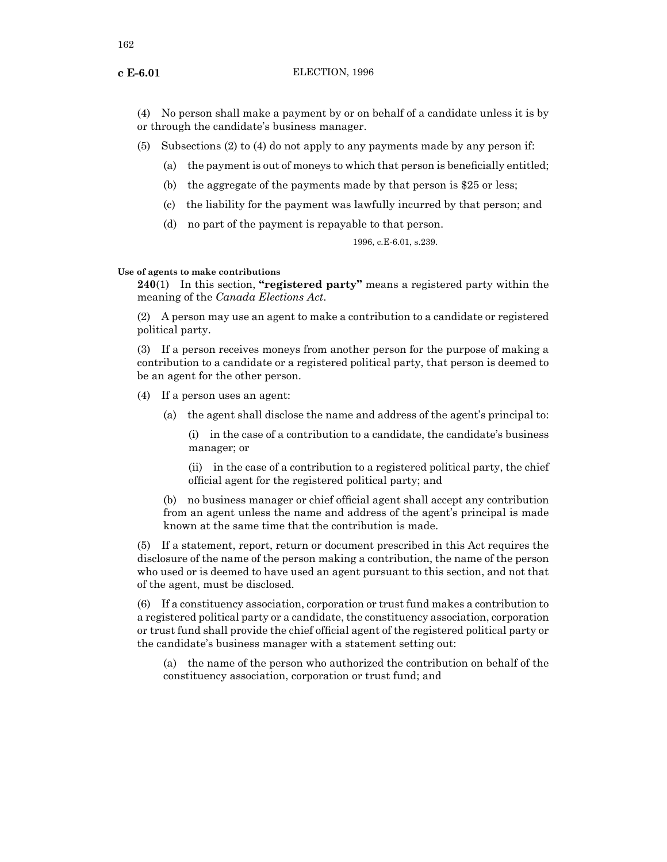(4) No person shall make a payment by or on behalf of a candidate unless it is by or through the candidate's business manager.

(5) Subsections (2) to (4) do not apply to any payments made by any person if:

- (a) the payment is out of moneys to which that person is beneficially entitled;
- (b) the aggregate of the payments made by that person is \$25 or less;
- (c) the liability for the payment was lawfully incurred by that person; and
- (d) no part of the payment is repayable to that person.

1996, c.E-6.01, s.239.

#### **Use of agents to make contributions**

**240**(1) In this section, **"registered party"** means a registered party within the meaning of the *Canada Elections Act*.

(2) A person may use an agent to make a contribution to a candidate or registered political party.

(3) If a person receives moneys from another person for the purpose of making a contribution to a candidate or a registered political party, that person is deemed to be an agent for the other person.

- (4) If a person uses an agent:
	- (a) the agent shall disclose the name and address of the agent's principal to:

(i) in the case of a contribution to a candidate, the candidate's business manager; or

(ii) in the case of a contribution to a registered political party, the chief official agent for the registered political party; and

(b) no business manager or chief official agent shall accept any contribution from an agent unless the name and address of the agent's principal is made known at the same time that the contribution is made.

(5) If a statement, report, return or document prescribed in this Act requires the disclosure of the name of the person making a contribution, the name of the person who used or is deemed to have used an agent pursuant to this section, and not that of the agent, must be disclosed.

(6) If a constituency association, corporation or trust fund makes a contribution to a registered political party or a candidate, the constituency association, corporation or trust fund shall provide the chief official agent of the registered political party or the candidate's business manager with a statement setting out:

(a) the name of the person who authorized the contribution on behalf of the constituency association, corporation or trust fund; and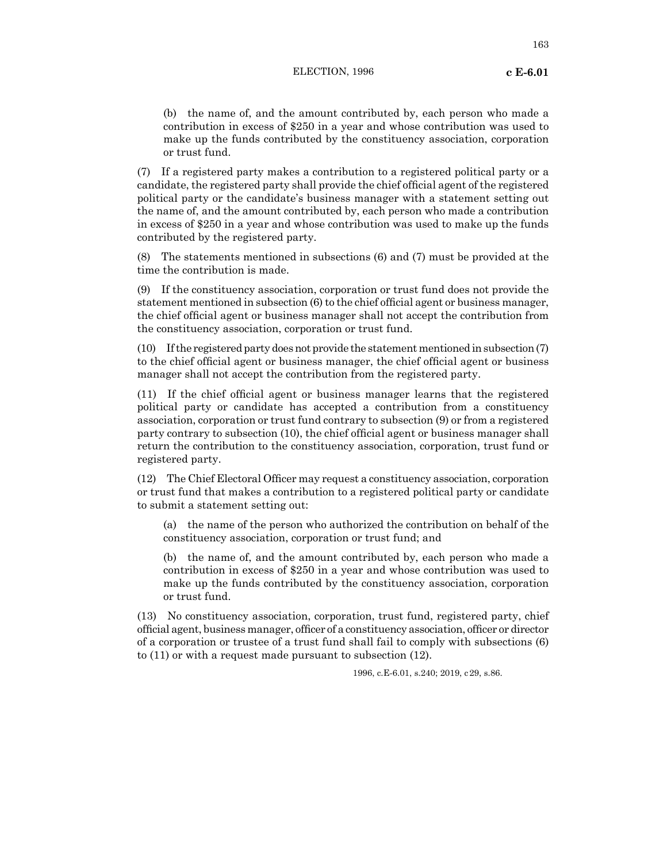(b) the name of, and the amount contributed by, each person who made a contribution in excess of \$250 in a year and whose contribution was used to make up the funds contributed by the constituency association, corporation or trust fund.

(7) If a registered party makes a contribution to a registered political party or a candidate, the registered party shall provide the chief official agent of the registered political party or the candidate's business manager with a statement setting out the name of, and the amount contributed by, each person who made a contribution in excess of \$250 in a year and whose contribution was used to make up the funds contributed by the registered party.

(8) The statements mentioned in subsections (6) and (7) must be provided at the time the contribution is made.

(9) If the constituency association, corporation or trust fund does not provide the statement mentioned in subsection (6) to the chief official agent or business manager, the chief official agent or business manager shall not accept the contribution from the constituency association, corporation or trust fund.

(10) If the registered party does not provide the statement mentioned in subsection (7) to the chief official agent or business manager, the chief official agent or business manager shall not accept the contribution from the registered party.

(11) If the chief official agent or business manager learns that the registered political party or candidate has accepted a contribution from a constituency association, corporation or trust fund contrary to subsection (9) or from a registered party contrary to subsection (10), the chief official agent or business manager shall return the contribution to the constituency association, corporation, trust fund or registered party.

(12) The Chief Electoral Officer may request a constituency association, corporation or trust fund that makes a contribution to a registered political party or candidate to submit a statement setting out:

(a) the name of the person who authorized the contribution on behalf of the constituency association, corporation or trust fund; and

(b) the name of, and the amount contributed by, each person who made a contribution in excess of \$250 in a year and whose contribution was used to make up the funds contributed by the constituency association, corporation or trust fund.

(13) No constituency association, corporation, trust fund, registered party, chief official agent, business manager, officer of a constituency association, officer or director of a corporation or trustee of a trust fund shall fail to comply with subsections (6) to (11) or with a request made pursuant to subsection (12).

1996, c.E-6.01, s.240; 2019, c29, s.86.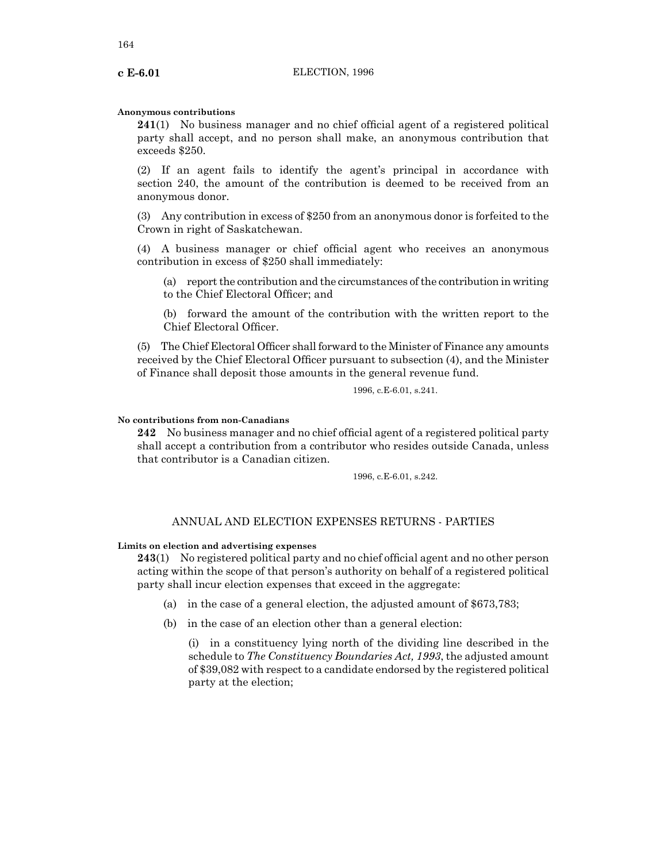#### **Anonymous contributions**

**241**(1) No business manager and no chief official agent of a registered political party shall accept, and no person shall make, an anonymous contribution that exceeds \$250.

(2) If an agent fails to identify the agent's principal in accordance with section 240, the amount of the contribution is deemed to be received from an anonymous donor.

(3) Any contribution in excess of \$250 from an anonymous donor is forfeited to the Crown in right of Saskatchewan.

(4) A business manager or chief official agent who receives an anonymous contribution in excess of \$250 shall immediately:

(a) report the contribution and the circumstances of the contribution in writing to the Chief Electoral Officer; and

(b) forward the amount of the contribution with the written report to the Chief Electoral Officer.

(5) The Chief Electoral Officer shall forward to the Minister of Finance any amounts received by the Chief Electoral Officer pursuant to subsection (4), and the Minister of Finance shall deposit those amounts in the general revenue fund.

1996, c.E-6.01, s.241.

# **No contributions from non-Canadians**

**242** No business manager and no chief official agent of a registered political party shall accept a contribution from a contributor who resides outside Canada, unless that contributor is a Canadian citizen.

1996, c.E-6.01, s.242.

# ANNUAL AND ELECTION EXPENSES RETURNS - PARTIES

#### **Limits on election and advertising expenses**

**243**(1) No registered political party and no chief official agent and no other person acting within the scope of that person's authority on behalf of a registered political party shall incur election expenses that exceed in the aggregate:

(a) in the case of a general election, the adjusted amount of \$673,783;

(b) in the case of an election other than a general election:

(i) in a constituency lying north of the dividing line described in the schedule to *The Constituency Boundaries Act, 1993*, the adjusted amount of \$39,082 with respect to a candidate endorsed by the registered political party at the election;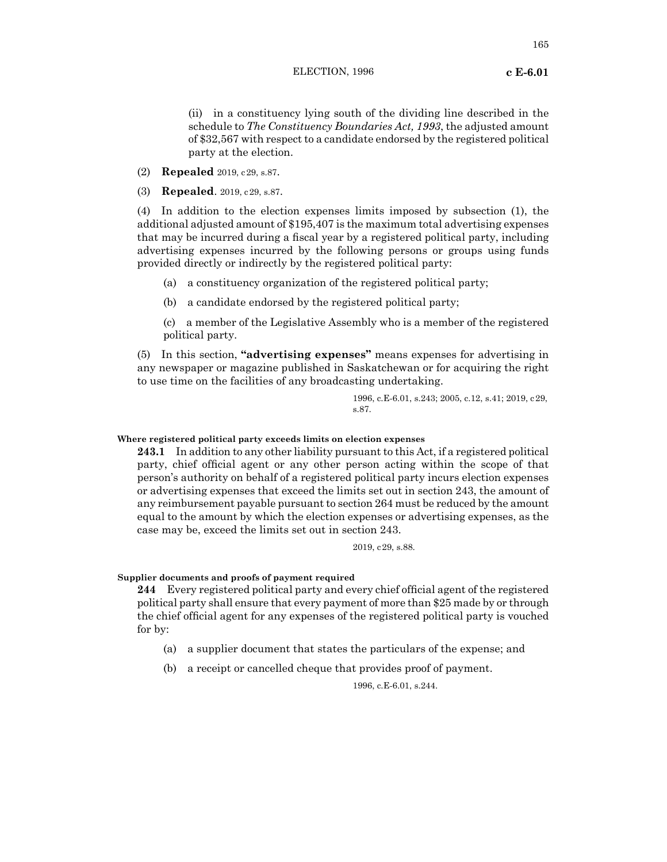(ii) in a constituency lying south of the dividing line described in the schedule to *The Constituency Boundaries Act, 1993*, the adjusted amount of \$32,567 with respect to a candidate endorsed by the registered political party at the election.

(2) **Repealed** 2019, c29, s.87.

(3) **Repealed**. 2019, c29, s.87.

(4) In addition to the election expenses limits imposed by subsection (1), the additional adjusted amount of \$195,407 is the maximum total advertising expenses that may be incurred during a fiscal year by a registered political party, including advertising expenses incurred by the following persons or groups using funds provided directly or indirectly by the registered political party:

- (a) a constituency organization of the registered political party;
- (b) a candidate endorsed by the registered political party;

(c) a member of the Legislative Assembly who is a member of the registered political party.

(5) In this section, **"advertising expenses"** means expenses for advertising in any newspaper or magazine published in Saskatchewan or for acquiring the right to use time on the facilities of any broadcasting undertaking.

> 1996, c.E-6.01, s.243; 2005, c.12, s.41; 2019, c29, s.87.

## **Where registered political party exceeds limits on election expenses**

**243.1** In addition to any other liability pursuant to this Act, if a registered political party, chief official agent or any other person acting within the scope of that person's authority on behalf of a registered political party incurs election expenses or advertising expenses that exceed the limits set out in section 243, the amount of any reimbursement payable pursuant to section 264 must be reduced by the amount equal to the amount by which the election expenses or advertising expenses, as the case may be, exceed the limits set out in section 243.

2019, c29, s.88.

## **Supplier documents and proofs of payment required**

**244** Every registered political party and every chief official agent of the registered political party shall ensure that every payment of more than \$25 made by or through the chief official agent for any expenses of the registered political party is vouched for by:

- (a) a supplier document that states the particulars of the expense; and
- (b) a receipt or cancelled cheque that provides proof of payment.

1996, c.E-6.01, s.244.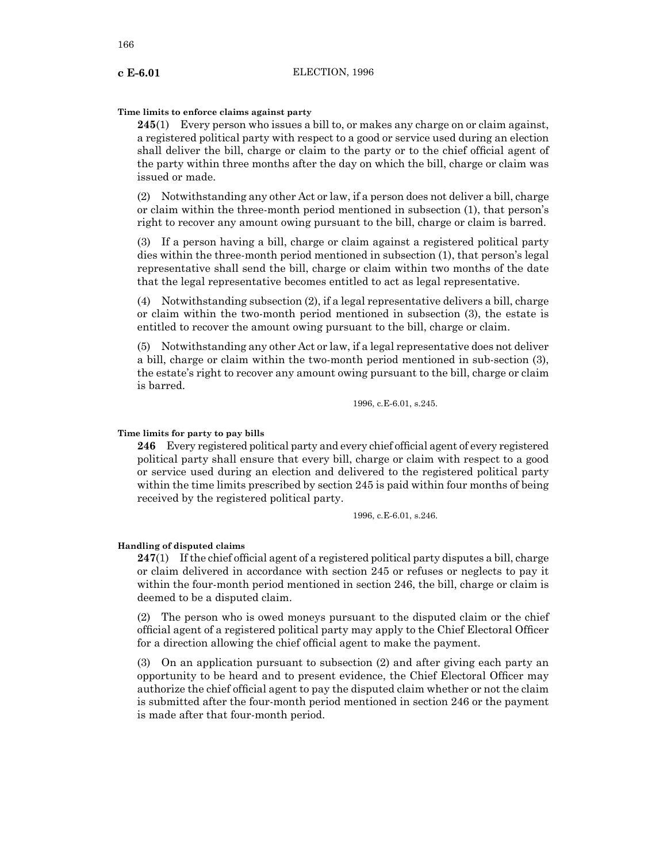# **Time limits to enforce claims against party**

**245**(1) Every person who issues a bill to, or makes any charge on or claim against, a registered political party with respect to a good or service used during an election shall deliver the bill, charge or claim to the party or to the chief official agent of the party within three months after the day on which the bill, charge or claim was issued or made.

(2) Notwithstanding any other Act or law, if a person does not deliver a bill, charge or claim within the three-month period mentioned in subsection (1), that person's right to recover any amount owing pursuant to the bill, charge or claim is barred.

(3) If a person having a bill, charge or claim against a registered political party dies within the three-month period mentioned in subsection (1), that person's legal representative shall send the bill, charge or claim within two months of the date that the legal representative becomes entitled to act as legal representative.

(4) Notwithstanding subsection (2), if a legal representative delivers a bill, charge or claim within the two-month period mentioned in subsection (3), the estate is entitled to recover the amount owing pursuant to the bill, charge or claim.

(5) Notwithstanding any other Act or law, if a legal representative does not deliver a bill, charge or claim within the two-month period mentioned in sub-section (3), the estate's right to recover any amount owing pursuant to the bill, charge or claim is barred.

1996, c.E-6.01, s.245.

## **Time limits for party to pay bills**

**246** Every registered political party and every chief official agent of every registered political party shall ensure that every bill, charge or claim with respect to a good or service used during an election and delivered to the registered political party within the time limits prescribed by section 245 is paid within four months of being received by the registered political party.

1996, c.E-6.01, s.246.

## **Handling of disputed claims**

**247**(1) Ifthe chief official agent of a registered political party disputes a bill, charge or claim delivered in accordance with section 245 or refuses or neglects to pay it within the four-month period mentioned in section 246, the bill, charge or claim is deemed to be a disputed claim.

(2) The person who is owed moneys pursuant to the disputed claim or the chief official agent of a registered political party may apply to the Chief Electoral Officer for a direction allowing the chief official agent to make the payment.

(3) On an application pursuant to subsection (2) and after giving each party an opportunity to be heard and to present evidence, the Chief Electoral Officer may authorize the chief official agent to pay the disputed claim whether or not the claim is submitted after the four-month period mentioned in section 246 or the payment is made after that four-month period.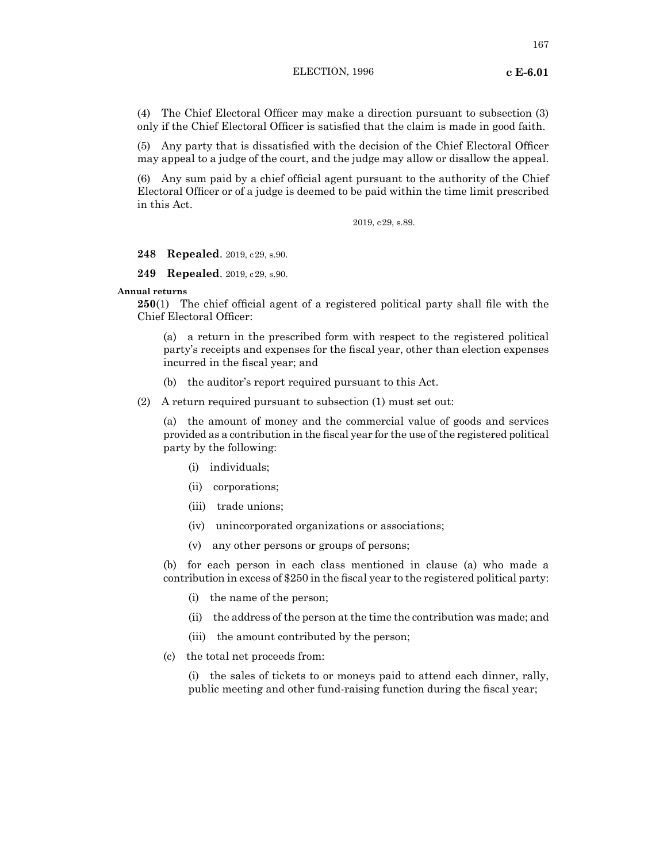(4) The Chief Electoral Officer may make a direction pursuant to subsection (3) only if the Chief Electoral Officer is satisfied that the claim is made in good faith.

(5) Any party that is dissatisfied with the decision of the Chief Electoral Officer may appeal to a judge of the court, and the judge may allow or disallow the appeal.

(6) Any sum paid by a chief official agent pursuant to the authority of the Chief Electoral Officer or of a judge is deemed to be paid within the time limit prescribed in this Act.

2019, c29, s.89.

**248 Repealed**. 2019, c29, s.90.

**249 Repealed**. 2019, c29, s.90.

## **Annual returns**

**250**(1) The chief official agent of a registered political party shall file with the Chief Electoral Officer:

(a) a return in the prescribed form with respect to the registered political party's receipts and expenses for the fiscal year, other than election expenses incurred in the fiscal year; and

(b) the auditor's report required pursuant to this Act.

(2) A return required pursuant to subsection (1) must set out:

(a) the amount of money and the commercial value of goods and services provided as a contribution in the fiscal year for the use ofthe registered political party by the following:

- (i) individuals;
- (ii) corporations;
- (iii) trade unions;
- (iv) unincorporated organizations or associations;
- (v) any other persons or groups of persons;

(b) for each person in each class mentioned in clause (a) who made a contribution in excess of \$250 in the fiscal year to the registered political party:

- (i) the name of the person;
- (ii) the address of the person at the time the contribution was made; and
- (iii) the amount contributed by the person;
- (c) the total net proceeds from:

(i) the sales of tickets to or moneys paid to attend each dinner, rally, public meeting and other fund-raising function during the fiscal year;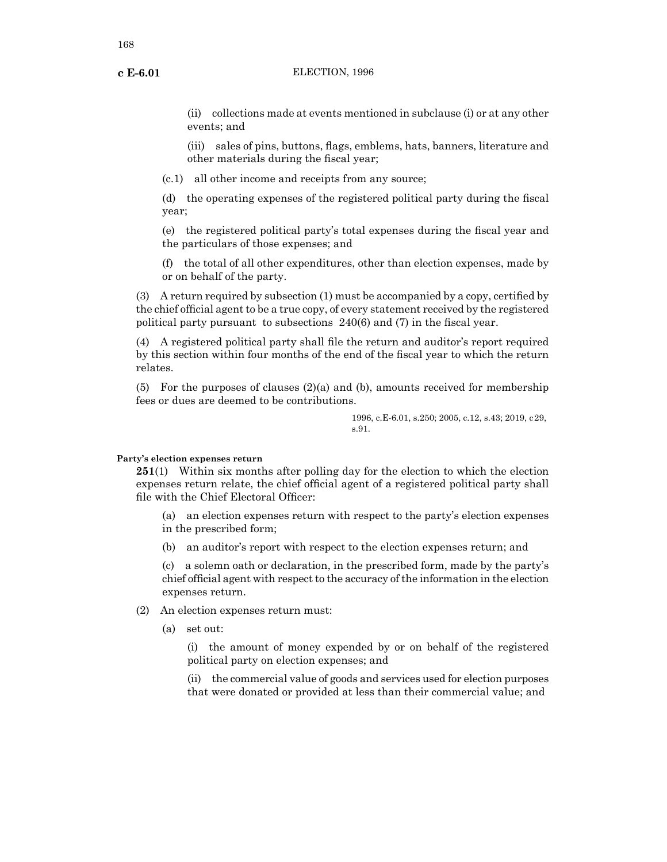(ii) collections made at events mentioned in subclause (i) or at any other events; and

(iii) sales of pins, buttons, flags, emblems, hats, banners, literature and other materials during the fiscal year;

(c.1) all other income and receipts from any source;

(d) the operating expenses of the registered political party during the fiscal year;

(e) the registered political party's total expenses during the fiscal year and the particulars of those expenses; and

(f) the total of all other expenditures, other than election expenses, made by or on behalf of the party.

(3) A return required by subsection (1) must be accompanied by a copy, certified by the chief official agent to be a true copy, of every statement received by the registered political party pursuant to subsections 240(6) and (7) in the fiscal year.

(4) A registered political party shall file the return and auditor's report required by this section within four months of the end of the fiscal year to which the return relates.

(5) For the purposes of clauses  $(2)(a)$  and (b), amounts received for membership fees or dues are deemed to be contributions.

> 1996, c.E-6.01, s.250; 2005, c.12, s.43; 2019, c29, s.91.

## **Party's election expenses return**

**251**(1) Within six months after polling day for the election to which the election expenses return relate, the chief official agent of a registered political party shall file with the Chief Electoral Officer:

(a) an election expenses return with respect to the party's election expenses in the prescribed form;

(b) an auditor's report with respect to the election expenses return; and

(c) a solemn oath or declaration, in the prescribed form, made by the party's chief official agent with respect to the accuracy of the information in the election expenses return.

- (2) An election expenses return must:
	- (a) set out:

(i) the amount of money expended by or on behalf of the registered political party on election expenses; and

(ii) the commercial value of goods and services used for election purposes that were donated or provided at less than their commercial value; and

168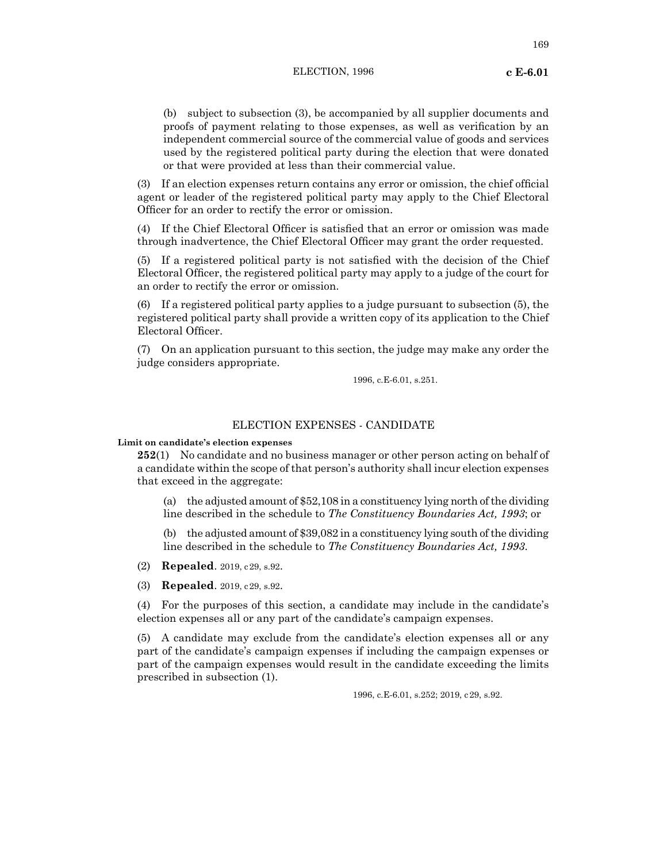169

(b) subject to subsection (3), be accompanied by all supplier documents and proofs of payment relating to those expenses, as well as verification by an independent commercial source of the commercial value of goods and services used by the registered political party during the election that were donated or that were provided at less than their commercial value.

(3) If an election expenses return contains any error or omission, the chief official agent or leader of the registered political party may apply to the Chief Electoral Officer for an order to rectify the error or omission.

(4) If the Chief Electoral Officer is satisfied that an error or omission was made through inadvertence, the Chief Electoral Officer may grant the order requested.

(5) If a registered political party is not satisfied with the decision of the Chief Electoral Officer, the registered political party may apply to a judge of the court for an order to rectify the error or omission.

(6) If a registered political party applies to a judge pursuant to subsection (5), the registered political party shall provide a written copy of its application to the Chief Electoral Officer.

(7) On an application pursuant to this section, the judge may make any order the judge considers appropriate.

1996, c.E-6.01, s.251.

# ELECTION EXPENSES - CANDIDATE

**Limit on candidate's election expenses**

**252**(1) No candidate and no business manager or other person acting on behalf of a candidate within the scope of that person's authority shall incur election expenses that exceed in the aggregate:

(a) the adjusted amount of \$52,108 in a constituency lying north of the dividing line described in the schedule to *The Constituency Boundaries Act, 1993*; or

(b) the adjusted amount of \$39,082 in a constituency lying south of the dividing line described in the schedule to *The Constituency Boundaries Act, 1993*.

(2) **Repealed**. 2019, c29, s.92.

(3) **Repealed**. 2019, c29, s.92.

(4) For the purposes of this section, a candidate may include in the candidate's election expenses all or any part of the candidate's campaign expenses.

(5) A candidate may exclude from the candidate's election expenses all or any part of the candidate's campaign expenses if including the campaign expenses or part of the campaign expenses would result in the candidate exceeding the limits prescribed in subsection (1).

1996, c.E-6.01, s.252; 2019, c29, s.92.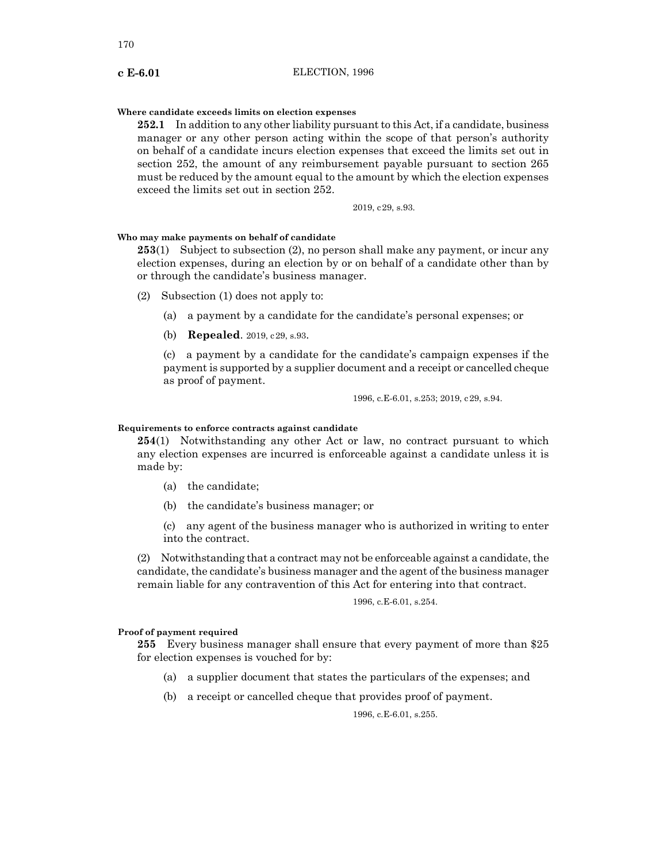#### **Where candidate exceeds limits on election expenses**

**252.1** In addition to any other liability pursuant to this Act, if a candidate, business manager or any other person acting within the scope of that person's authority on behalf of a candidate incurs election expenses that exceed the limits set out in section 252, the amount of any reimbursement payable pursuant to section 265 must be reduced by the amount equal to the amount by which the election expenses exceed the limits set out in section 252.

2019, c29, s.93.

# **Who may make payments on behalf of candidate**

**253**(1) Subject to subsection (2), no person shall make any payment, or incur any election expenses, during an election by or on behalf of a candidate other than by or through the candidate's business manager.

- (2) Subsection (1) does not apply to:
	- (a) a payment by a candidate for the candidate's personal expenses; or
	- (b) **Repealed**. 2019, c29, s.93.

(c) a payment by a candidate for the candidate's campaign expenses if the payment is supported by a supplier document and a receipt or cancelled cheque as proof of payment.

1996, c.E-6.01, s.253; 2019, c29, s.94.

#### **Requirements to enforce contracts against candidate**

**254**(1) Notwithstanding any other Act or law, no contract pursuant to which any election expenses are incurred is enforceable against a candidate unless it is made by:

- (a) the candidate;
- (b) the candidate's business manager; or
- (c) any agent of the business manager who is authorized in writing to enter into the contract.

(2) Notwithstanding that a contract may not be enforceable against a candidate, the candidate, the candidate's business manager and the agent of the business manager remain liable for any contravention of this Act for entering into that contract.

1996, c.E-6.01, s.254.

#### **Proof of payment required**

**255** Every business manager shall ensure that every payment of more than \$25 for election expenses is vouched for by:

- (a) a supplier document that states the particulars of the expenses; and
- (b) a receipt or cancelled cheque that provides proof of payment.

1996, c.E-6.01, s.255.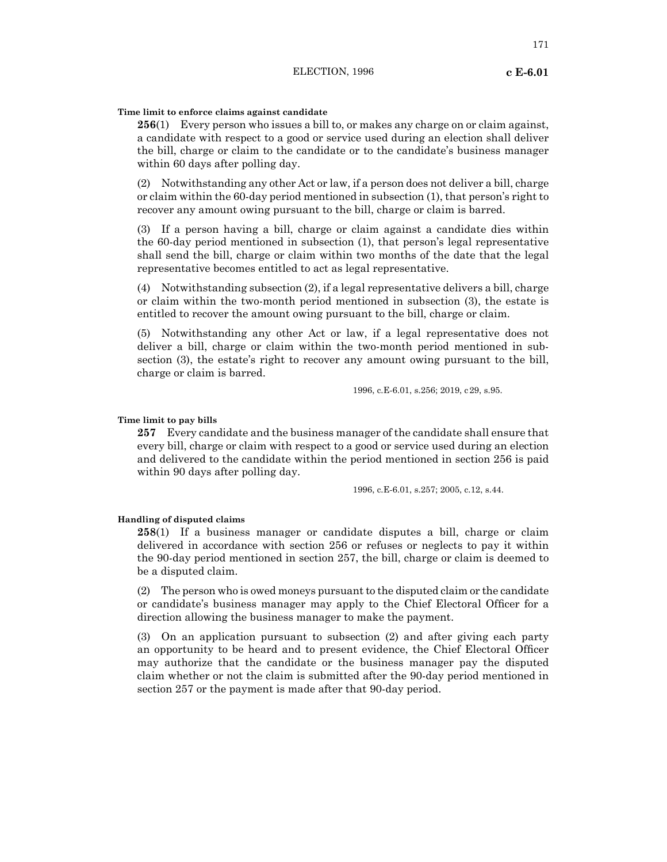171

# **Time limit to enforce claims against candidate**

**256**(1) Every person who issues a bill to, or makes any charge on or claim against, a candidate with respect to a good or service used during an election shall deliver the bill, charge or claim to the candidate or to the candidate's business manager within 60 days after polling day.

(2) Notwithstanding any other Act or law, if a person does not deliver a bill, charge or claim within the 60-day period mentioned in subsection (1), that person's right to recover any amount owing pursuant to the bill, charge or claim is barred.

(3) If a person having a bill, charge or claim against a candidate dies within the 60-day period mentioned in subsection (1), that person's legal representative shall send the bill, charge or claim within two months of the date that the legal representative becomes entitled to act as legal representative.

(4) Notwithstanding subsection (2), if a legal representative delivers a bill, charge or claim within the two-month period mentioned in subsection (3), the estate is entitled to recover the amount owing pursuant to the bill, charge or claim.

(5) Notwithstanding any other Act or law, if a legal representative does not deliver a bill, charge or claim within the two-month period mentioned in subsection (3), the estate's right to recover any amount owing pursuant to the bill, charge or claim is barred.

1996, c.E-6.01, s.256; 2019, c29, s.95.

## **Time limit to pay bills**

**257** Every candidate and the business manager of the candidate shall ensure that every bill, charge or claim with respect to a good or service used during an election and delivered to the candidate within the period mentioned in section 256 is paid within 90 days after polling day.

1996, c.E-6.01, s.257; 2005, c.12, s.44.

#### **Handling of disputed claims**

**258**(1) If a business manager or candidate disputes a bill, charge or claim delivered in accordance with section 256 or refuses or neglects to pay it within the 90-day period mentioned in section 257, the bill, charge or claim is deemed to be a disputed claim.

(2) The person who is owed moneys pursuant to the disputed claim or the candidate or candidate's business manager may apply to the Chief Electoral Officer for a direction allowing the business manager to make the payment.

(3) On an application pursuant to subsection (2) and after giving each party an opportunity to be heard and to present evidence, the Chief Electoral Officer may authorize that the candidate or the business manager pay the disputed claim whether or not the claim is submitted after the 90-day period mentioned in section 257 or the payment is made after that 90-day period.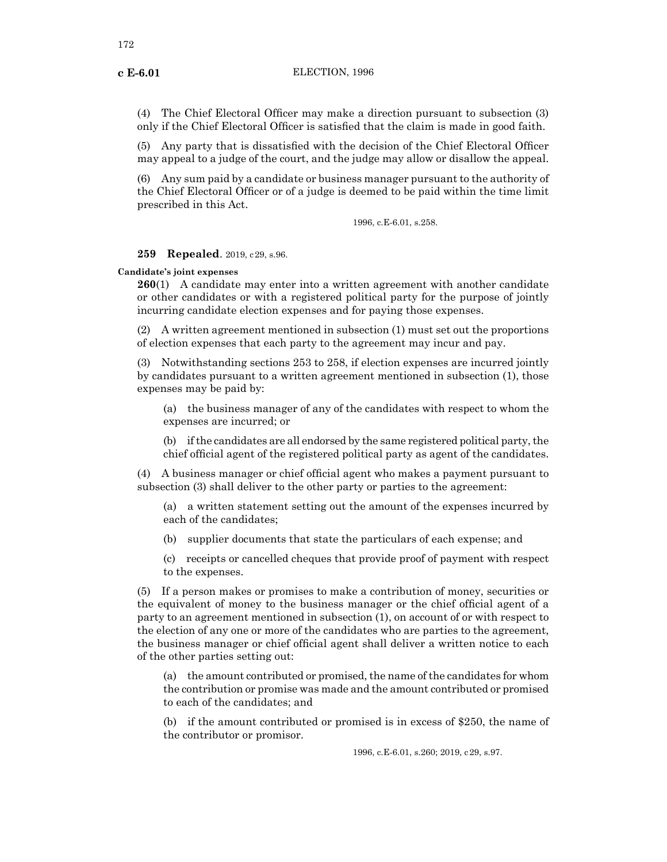(4) The Chief Electoral Officer may make a direction pursuant to subsection (3) only if the Chief Electoral Officer is satisfied that the claim is made in good faith.

(5) Any party that is dissatisfied with the decision of the Chief Electoral Officer may appeal to a judge of the court, and the judge may allow or disallow the appeal.

(6) Any sum paid by a candidate or business manager pursuant to the authority of the Chief Electoral Officer or of a judge is deemed to be paid within the time limit prescribed in this Act.

1996, c.E-6.01, s.258.

# **259 Repealed**. 2019, c29, s.96.

**Candidate's joint expenses**

**260**(1) A candidate may enter into a written agreement with another candidate or other candidates or with a registered political party for the purpose of jointly incurring candidate election expenses and for paying those expenses.

(2) A written agreement mentioned in subsection (1) must set out the proportions of election expenses that each party to the agreement may incur and pay.

(3) Notwithstanding sections 253 to 258, if election expenses are incurred jointly by candidates pursuant to a written agreement mentioned in subsection (1), those expenses may be paid by:

(a) the business manager of any of the candidates with respect to whom the expenses are incurred; or

(b) if the candidates are all endorsed by the same registered political party, the chief official agent of the registered political party as agent of the candidates.

(4) A business manager or chief official agent who makes a payment pursuant to subsection (3) shall deliver to the other party or parties to the agreement:

(a) a written statement setting out the amount of the expenses incurred by each of the candidates;

(b) supplier documents that state the particulars of each expense; and

(c) receipts or cancelled cheques that provide proof of payment with respect to the expenses.

(5) If a person makes or promises to make a contribution of money, securities or the equivalent of money to the business manager or the chief official agent of a party to an agreement mentioned in subsection (1), on account of or with respect to the election of any one or more of the candidates who are parties to the agreement, the business manager or chief official agent shall deliver a written notice to each of the other parties setting out:

(a) the amount contributed or promised, the name of the candidates for whom the contribution or promise was made and the amount contributed or promised to each of the candidates; and

(b) if the amount contributed or promised is in excess of \$250, the name of the contributor or promisor.

1996, c.E-6.01, s.260; 2019, c29, s.97.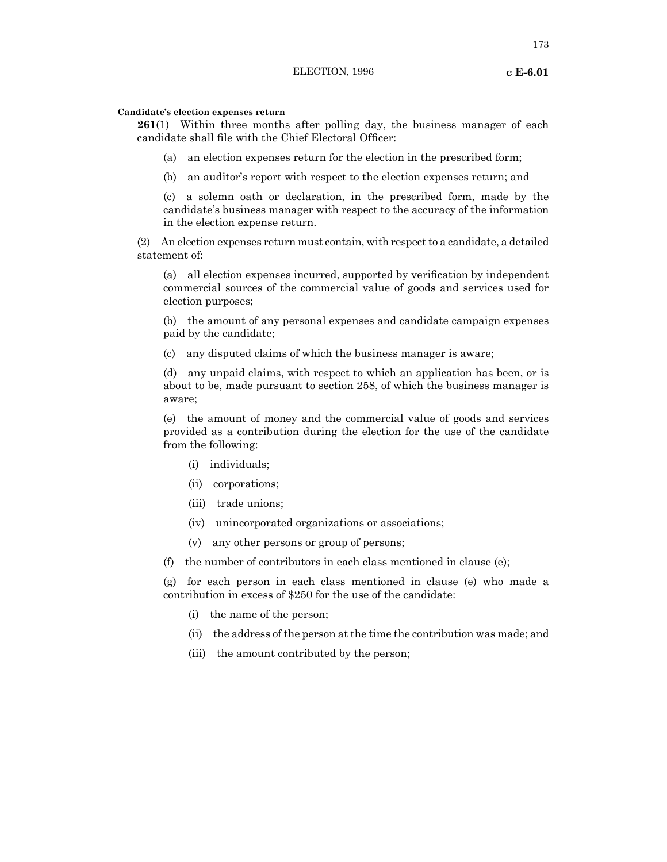# **Candidate's election expenses return**

**261**(1) Within three months after polling day, the business manager of each candidate shall file with the Chief Electoral Officer:

(a) an election expenses return for the election in the prescribed form;

(b) an auditor's report with respect to the election expenses return; and

(c) a solemn oath or declaration, in the prescribed form, made by the candidate's business manager with respect to the accuracy of the information in the election expense return.

(2) An election expenses return must contain, with respect to a candidate, a detailed statement of:

(a) all election expenses incurred, supported by verification by independent commercial sources of the commercial value of goods and services used for election purposes;

(b) the amount of any personal expenses and candidate campaign expenses paid by the candidate;

(c) any disputed claims of which the business manager is aware;

(d) any unpaid claims, with respect to which an application has been, or is about to be, made pursuant to section 258, of which the business manager is aware;

(e) the amount of money and the commercial value of goods and services provided as a contribution during the election for the use of the candidate from the following:

- (i) individuals;
- (ii) corporations;
- (iii) trade unions;
- (iv) unincorporated organizations or associations;
- (v) any other persons or group of persons;

(f) the number of contributors in each class mentioned in clause (e);

(g) for each person in each class mentioned in clause (e) who made a contribution in excess of \$250 for the use of the candidate:

- (i) the name of the person;
- (ii) the address of the person at the time the contribution was made; and
- (iii) the amount contributed by the person;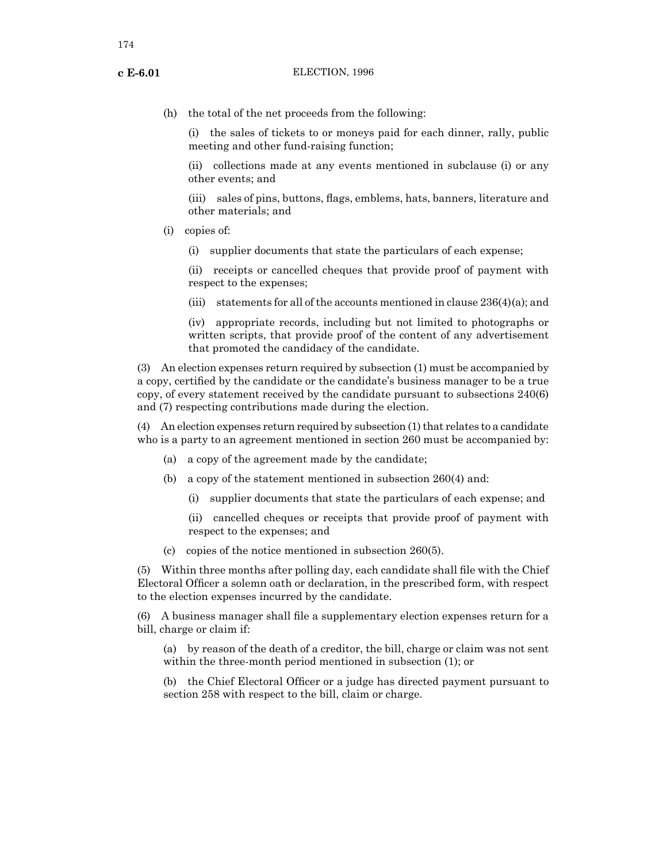(h) the total of the net proceeds from the following:

(i) the sales of tickets to or moneys paid for each dinner, rally, public meeting and other fund-raising function;

(ii) collections made at any events mentioned in subclause (i) or any other events; and

(iii) sales of pins, buttons, flags, emblems, hats, banners, literature and other materials; and

- (i) copies of:
	- (i) supplier documents that state the particulars of each expense;

(ii) receipts or cancelled cheques that provide proof of payment with respect to the expenses;

(iii) statements for all of the accounts mentioned in clause  $236(4)(a)$ ; and

(iv) appropriate records, including but not limited to photographs or written scripts, that provide proof of the content of any advertisement that promoted the candidacy of the candidate.

(3) An election expenses return required by subsection (1) must be accompanied by a copy, certified by the candidate or the candidate's business manager to be a true copy, of every statement received by the candidate pursuant to subsections 240(6) and (7) respecting contributions made during the election.

(4) An election expenses return required by subsection (1) that relates to a candidate who is a party to an agreement mentioned in section 260 must be accompanied by:

- (a) a copy of the agreement made by the candidate;
- (b) a copy of the statement mentioned in subsection 260(4) and:
	- (i) supplier documents that state the particulars of each expense; and

(ii) cancelled cheques or receipts that provide proof of payment with respect to the expenses; and

(c) copies of the notice mentioned in subsection 260(5).

(5) Within three months after polling day, each candidate shall file with the Chief Electoral Officer a solemn oath or declaration, in the prescribed form, with respect to the election expenses incurred by the candidate.

(6) A business manager shall file a supplementary election expenses return for a bill, charge or claim if:

(a) by reason of the death of a creditor, the bill, charge or claim was not sent within the three-month period mentioned in subsection (1); or

(b) the Chief Electoral Officer or a judge has directed payment pursuant to section 258 with respect to the bill, claim or charge.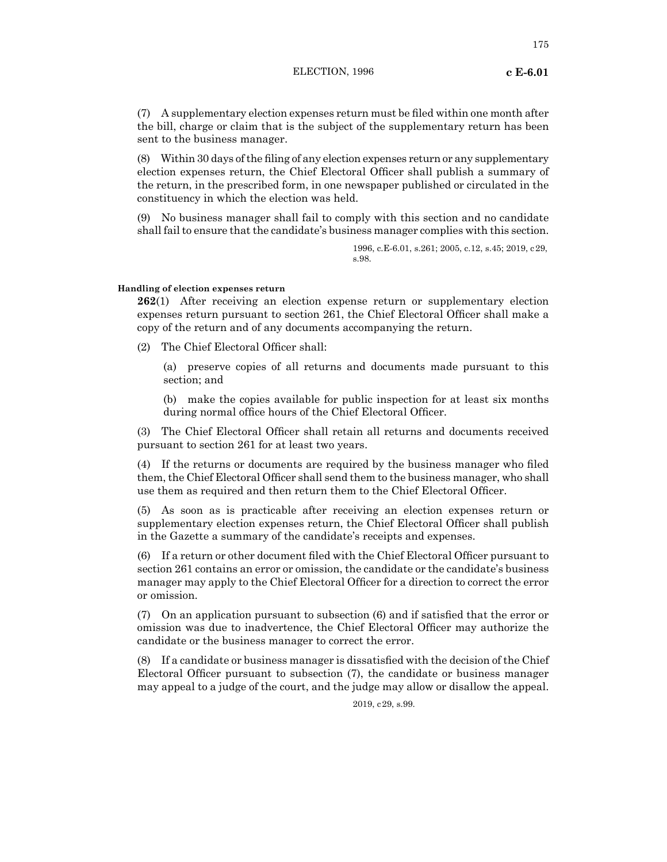(7) A supplementary election expenses return must be filed within one month after the bill, charge or claim that is the subject of the supplementary return has been sent to the business manager.

(8) Within 30 days ofthe filing of any election expenses return or any supplementary election expenses return, the Chief Electoral Officer shall publish a summary of the return, in the prescribed form, in one newspaper published or circulated in the constituency in which the election was held.

(9) No business manager shall fail to comply with this section and no candidate shall fail to ensure that the candidate's business manager complies with this section.

> 1996, c.E-6.01, s.261; 2005, c.12, s.45; 2019, c29, s.98.

## **Handling of election expenses return**

**262**(1) After receiving an election expense return or supplementary election expenses return pursuant to section 261, the Chief Electoral Officer shall make a copy of the return and of any documents accompanying the return.

(2) The Chief Electoral Officer shall:

(a) preserve copies of all returns and documents made pursuant to this section; and

(b) make the copies available for public inspection for at least six months during normal office hours of the Chief Electoral Officer.

(3) The Chief Electoral Officer shall retain all returns and documents received pursuant to section 261 for at least two years.

(4) If the returns or documents are required by the business manager who filed them, the Chief Electoral Officer shall send them to the business manager, who shall use them as required and then return them to the Chief Electoral Officer.

(5) As soon as is practicable after receiving an election expenses return or supplementary election expenses return, the Chief Electoral Officer shall publish in the Gazette a summary of the candidate's receipts and expenses.

(6) If a return or other document filed with the Chief Electoral Officer pursuant to section 261 contains an error or omission, the candidate or the candidate's business manager may apply to the Chief Electoral Officer for a direction to correct the error or omission.

(7) On an application pursuant to subsection (6) and if satisfied that the error or omission was due to inadvertence, the Chief Electoral Officer may authorize the candidate or the business manager to correct the error.

(8) If a candidate or business manager is dissatisfied with the decision of the Chief Electoral Officer pursuant to subsection (7), the candidate or business manager may appeal to a judge of the court, and the judge may allow or disallow the appeal.

2019, c29, s.99.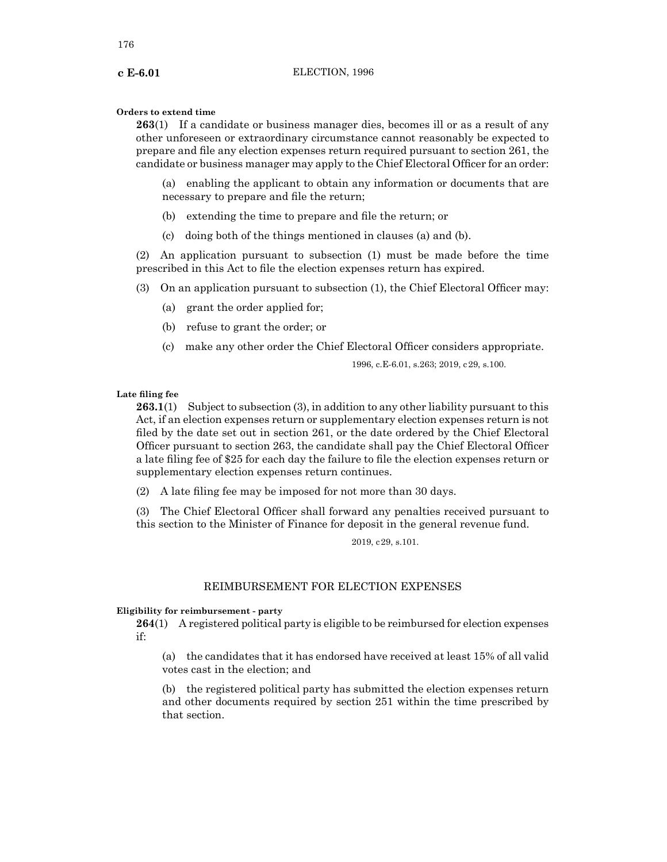# **Orders to extend time**

**263**(1) If a candidate or business manager dies, becomes ill or as a result of any other unforeseen or extraordinary circumstance cannot reasonably be expected to prepare and file any election expenses return required pursuant to section 261, the candidate or business manager may apply to the Chief Electoral Officer for an order:

(a) enabling the applicant to obtain any information or documents that are necessary to prepare and file the return;

- (b) extending the time to prepare and file the return; or
- (c) doing both of the things mentioned in clauses (a) and (b).

(2) An application pursuant to subsection (1) must be made before the time prescribed in this Act to file the election expenses return has expired.

(3) On an application pursuant to subsection (1), the Chief Electoral Officer may:

- (a) grant the order applied for;
- (b) refuse to grant the order; or
- (c) make any other order the Chief Electoral Officer considers appropriate.

1996, c.E-6.01, s.263; 2019, c29, s.100.

**Late filing fee**

**263.1**(1) Subject to subsection (3), in addition to any other liability pursuant to this Act, if an election expenses return or supplementary election expenses return is not filed by the date set out in section 261, or the date ordered by the Chief Electoral Officer pursuant to section 263, the candidate shall pay the Chief Electoral Officer a late filing fee of \$25 for each day the failure to file the election expenses return or supplementary election expenses return continues.

(2) A late filing fee may be imposed for not more than 30 days.

(3) The Chief Electoral Officer shall forward any penalties received pursuant to this section to the Minister of Finance for deposit in the general revenue fund.

2019, c29, s.101.

# REIMBURSEMENT FOR ELECTION EXPENSES

## **Eligibility for reimbursement - party**

**264**(1) A registered political party is eligible to be reimbursed for election expenses if:

(a) the candidates that it has endorsed have received at least 15% of all valid votes cast in the election; and

(b) the registered political party has submitted the election expenses return and other documents required by section 251 within the time prescribed by that section.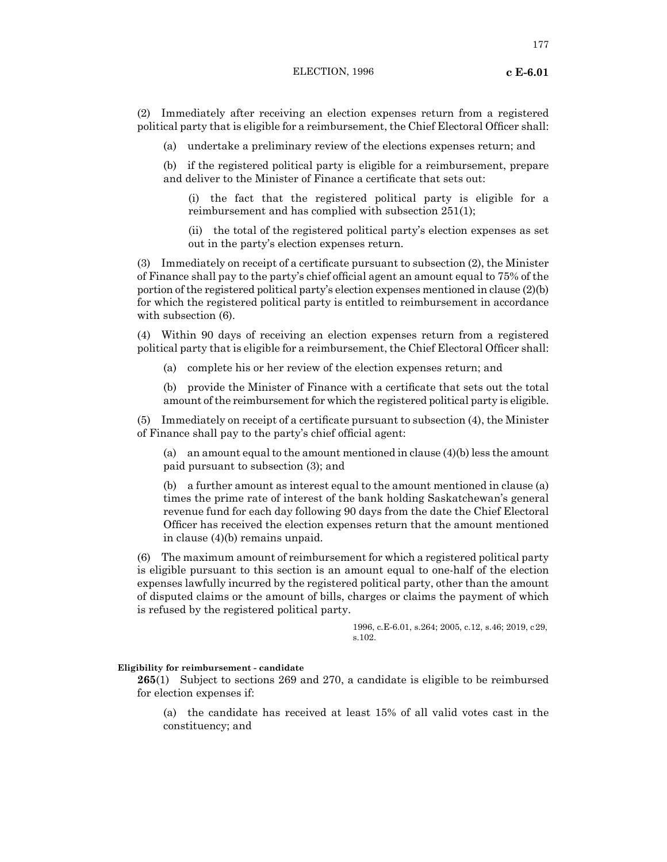177

(2) Immediately after receiving an election expenses return from a registered political party that is eligible for a reimbursement, the Chief Electoral Officer shall:

(a) undertake a preliminary review of the elections expenses return; and

(b) if the registered political party is eligible for a reimbursement, prepare and deliver to the Minister of Finance a certificate that sets out:

(i) the fact that the registered political party is eligible for a reimbursement and has complied with subsection 251(1);

(ii) the total of the registered political party's election expenses as set out in the party's election expenses return.

(3) Immediately on receipt of a certificate pursuant to subsection (2), the Minister of Finance shall pay to the party's chief official agent an amount equal to 75% of the portion of the registered political party's election expenses mentioned in clause (2)(b) for which the registered political party is entitled to reimbursement in accordance with subsection (6).

(4) Within 90 days of receiving an election expenses return from a registered political party that is eligible for a reimbursement, the Chief Electoral Officer shall:

(a) complete his or her review of the election expenses return; and

(b) provide the Minister of Finance with a certificate that sets out the total amount of the reimbursement for which the registered political party is eligible.

(5) Immediately on receipt of a certificate pursuant to subsection (4), the Minister of Finance shall pay to the party's chief official agent:

(a) an amount equal to the amount mentioned in clause (4)(b) less the amount paid pursuant to subsection (3); and

(b) a further amount as interest equal to the amount mentioned in clause (a) times the prime rate of interest of the bank holding Saskatchewan's general revenue fund for each day following 90 days from the date the Chief Electoral Officer has received the election expenses return that the amount mentioned in clause (4)(b) remains unpaid.

(6) The maximum amount of reimbursement for which a registered political party is eligible pursuant to this section is an amount equal to one-half of the election expenses lawfully incurred by the registered political party, other than the amount of disputed claims or the amount of bills, charges or claims the payment of which is refused by the registered political party.

> 1996, c.E-6.01, s.264; 2005, c.12, s.46; 2019, c29, s.102.

## **Eligibility for reimbursement - candidate**

**265**(1) Subject to sections 269 and 270, a candidate is eligible to be reimbursed for election expenses if:

(a) the candidate has received at least 15% of all valid votes cast in the constituency; and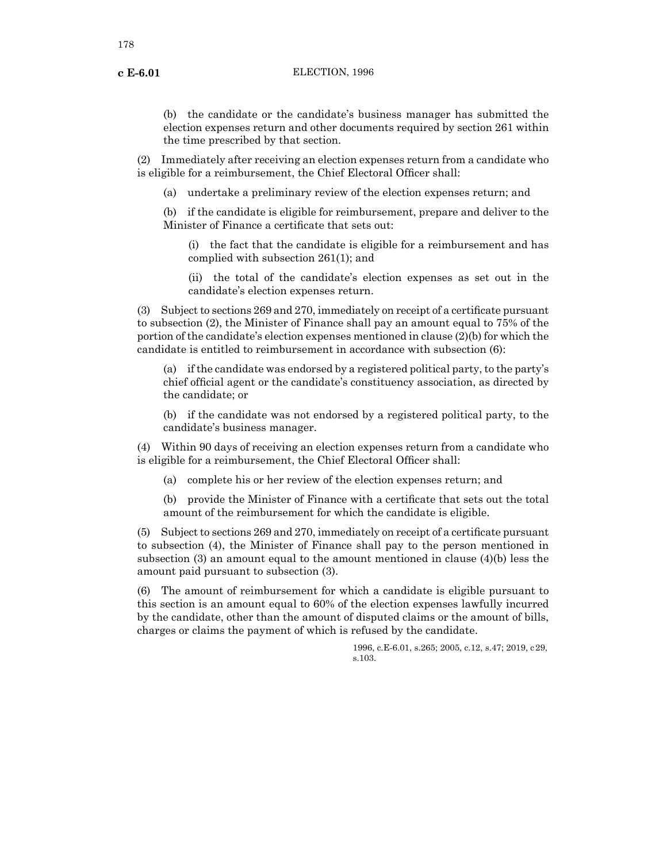(b) the candidate or the candidate's business manager has submitted the election expenses return and other documents required by section 261 within the time prescribed by that section.

(2) Immediately after receiving an election expenses return from a candidate who is eligible for a reimbursement, the Chief Electoral Officer shall:

(a) undertake a preliminary review of the election expenses return; and

(b) if the candidate is eligible for reimbursement, prepare and deliver to the Minister of Finance a certificate that sets out:

(i) the fact that the candidate is eligible for a reimbursement and has complied with subsection 261(1); and

(ii) the total of the candidate's election expenses as set out in the candidate's election expenses return.

(3) Subject to sections 269 and 270, immediately on receipt of a certificate pursuant to subsection (2), the Minister of Finance shall pay an amount equal to 75% of the portion of the candidate's election expenses mentioned in clause (2)(b) for which the candidate is entitled to reimbursement in accordance with subsection (6):

(a) if the candidate was endorsed by a registered political party, to the party's chief official agent or the candidate's constituency association, as directed by the candidate; or

(b) if the candidate was not endorsed by a registered political party, to the candidate's business manager.

(4) Within 90 days of receiving an election expenses return from a candidate who is eligible for a reimbursement, the Chief Electoral Officer shall:

(a) complete his or her review of the election expenses return; and

(b) provide the Minister of Finance with a certificate that sets out the total amount of the reimbursement for which the candidate is eligible.

(5) Subject to sections 269 and 270, immediately on receipt of a certificate pursuant to subsection (4), the Minister of Finance shall pay to the person mentioned in subsection (3) an amount equal to the amount mentioned in clause  $(4)(b)$  less the amount paid pursuant to subsection (3).

(6) The amount of reimbursement for which a candidate is eligible pursuant to this section is an amount equal to 60% of the election expenses lawfully incurred by the candidate, other than the amount of disputed claims or the amount of bills, charges or claims the payment of which is refused by the candidate.

> 1996, c.E-6.01, s.265; 2005, c.12, s.47; 2019, c29, s.103.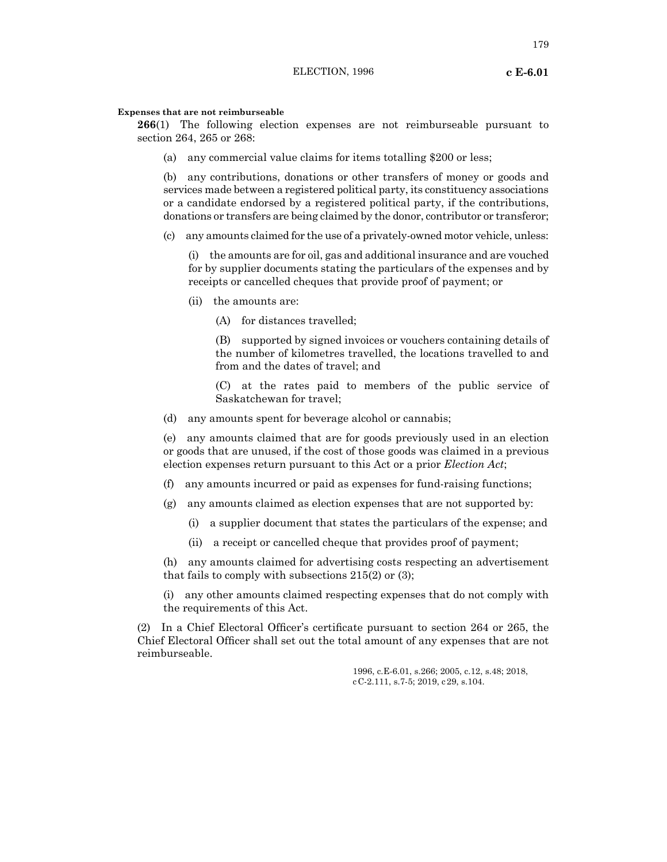#### **Expenses that are not reimburseable**

**266**(1) The following election expenses are not reimburseable pursuant to section 264, 265 or 268:

(a) any commercial value claims for items totalling \$200 or less;

(b) any contributions, donations or other transfers of money or goods and services made between a registered political party, its constituency associations or a candidate endorsed by a registered political party, if the contributions, donations or transfers are being claimed by the donor, contributor or transferor;

(c) any amounts claimed for the use of a privately-owned motor vehicle, unless:

(i) the amounts are for oil, gas and additional insurance and are vouched for by supplier documents stating the particulars of the expenses and by receipts or cancelled cheques that provide proof of payment; or

(ii) the amounts are:

(A) for distances travelled;

(B) supported by signed invoices or vouchers containing details of the number of kilometres travelled, the locations travelled to and from and the dates of travel; and

(C) at the rates paid to members of the public service of Saskatchewan for travel;

(d) any amounts spent for beverage alcohol or cannabis;

(e) any amounts claimed that are for goods previously used in an election or goods that are unused, if the cost of those goods was claimed in a previous election expenses return pursuant to this Act or a prior *Election Act*;

(f) any amounts incurred or paid as expenses for fund-raising functions;

- (g) any amounts claimed as election expenses that are not supported by:
	- (i) a supplier document that states the particulars of the expense; and
	- (ii) a receipt or cancelled cheque that provides proof of payment;

(h) any amounts claimed for advertising costs respecting an advertisement that fails to comply with subsections 215(2) or (3);

(i) any other amounts claimed respecting expenses that do not comply with the requirements of this Act.

(2) In a Chief Electoral Officer's certificate pursuant to section 264 or 265, the Chief Electoral Officer shall set out the total amount of any expenses that are not reimburseable.

> 1996, c.E-6.01, s.266; 2005, c.12, s.48; 2018, cC-2.111, s.7-5; 2019, c29, s.104.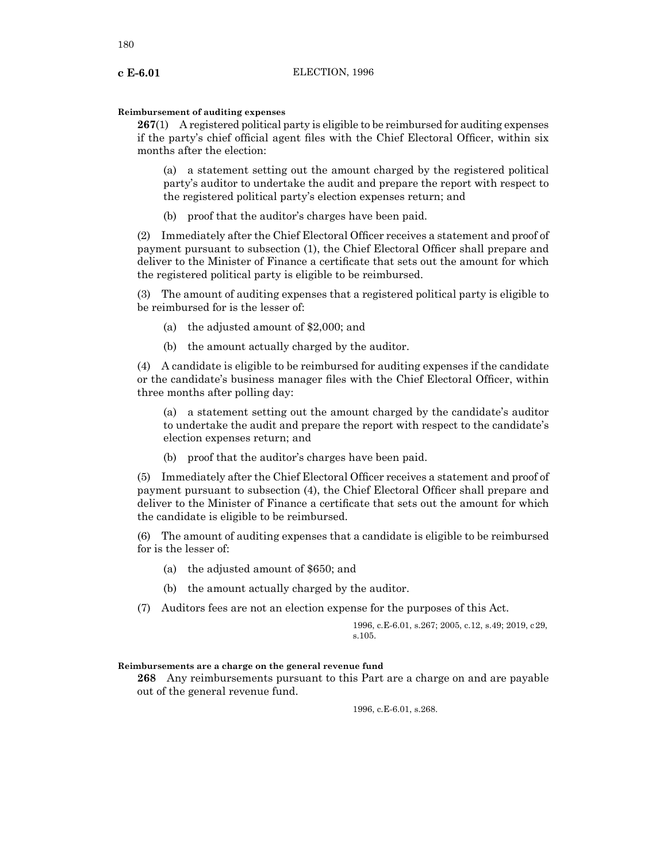# **Reimbursement of auditing expenses**

**267**(1) A registered political party is eligible to be reimbursed for auditing expenses if the party's chief official agent files with the Chief Electoral Officer, within six months after the election:

(a) a statement setting out the amount charged by the registered political party's auditor to undertake the audit and prepare the report with respect to the registered political party's election expenses return; and

(b) proof that the auditor's charges have been paid.

(2) Immediately after the Chief Electoral Officer receives a statement and proof of payment pursuant to subsection (1), the Chief Electoral Officer shall prepare and deliver to the Minister of Finance a certificate that sets out the amount for which the registered political party is eligible to be reimbursed.

(3) The amount of auditing expenses that a registered political party is eligible to be reimbursed for is the lesser of:

- (a) the adjusted amount of \$2,000; and
- (b) the amount actually charged by the auditor.

(4) A candidate is eligible to be reimbursed for auditing expenses if the candidate or the candidate's business manager files with the Chief Electoral Officer, within three months after polling day:

(a) a statement setting out the amount charged by the candidate's auditor to undertake the audit and prepare the report with respect to the candidate's election expenses return; and

(b) proof that the auditor's charges have been paid.

(5) Immediately after the Chief Electoral Officer receives a statement and proof of payment pursuant to subsection (4), the Chief Electoral Officer shall prepare and deliver to the Minister of Finance a certificate that sets out the amount for which the candidate is eligible to be reimbursed.

(6) The amount of auditing expenses that a candidate is eligible to be reimbursed for is the lesser of:

- (a) the adjusted amount of \$650; and
- (b) the amount actually charged by the auditor.
- (7) Auditors fees are not an election expense for the purposes of this Act.

1996, c.E-6.01, s.267; 2005, c.12, s.49; 2019, c29, s.105.

## **Reimbursements are a charge on the general revenue fund**

**268** Any reimbursements pursuant to this Part are a charge on and are payable out of the general revenue fund.

1996, c.E-6.01, s.268.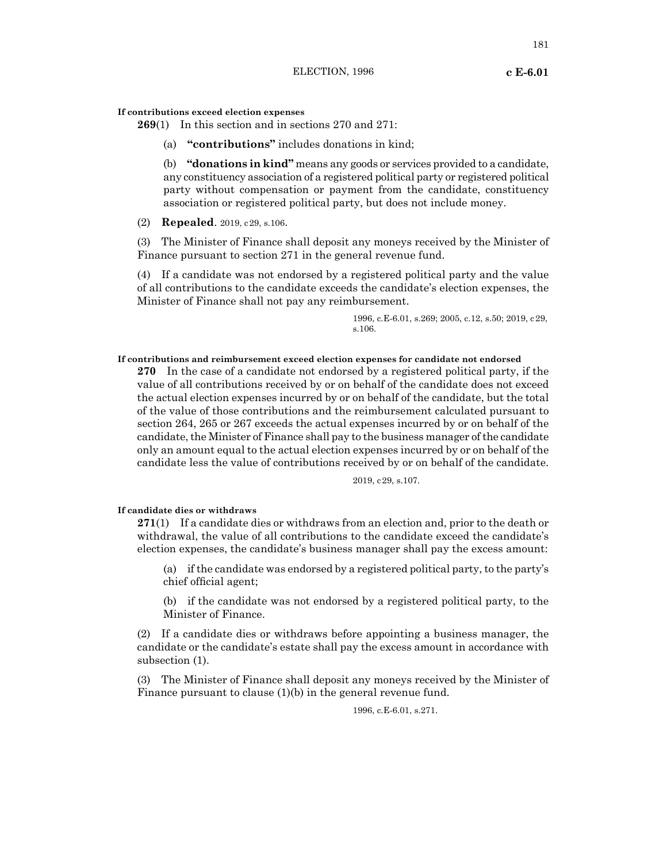#### **If contributions exceed election expenses**

**269**(1) In this section and in sections 270 and 271:

(a) **"contributions"** includes donations in kind;

(b) **"donations in kind"** means any goods or services provided to a candidate, any constituency association of a registered political party or registered political party without compensation or payment from the candidate, constituency association or registered political party, but does not include money.

(2) **Repealed**. 2019, c29, s.106.

(3) The Minister of Finance shall deposit any moneys received by the Minister of Finance pursuant to section 271 in the general revenue fund.

(4) If a candidate was not endorsed by a registered political party and the value of all contributions to the candidate exceeds the candidate's election expenses, the Minister of Finance shall not pay any reimbursement.

> 1996, c.E-6.01, s.269; 2005, c.12, s.50; 2019, c29, s.106.

# **If contributions and reimbursement exceed election expenses for candidate not endorsed**

**270** In the case of a candidate not endorsed by a registered political party, if the value of all contributions received by or on behalf of the candidate does not exceed the actual election expenses incurred by or on behalf of the candidate, but the total of the value of those contributions and the reimbursement calculated pursuant to section 264, 265 or 267 exceeds the actual expenses incurred by or on behalf of the candidate, the Minister of Finance shall pay to the business manager of the candidate only an amount equal to the actual election expenses incurred by or on behalf of the candidate less the value of contributions received by or on behalf of the candidate.

2019, c29, s.107.

### **If candidate dies or withdraws**

**271**(1) If a candidate dies or withdraws from an election and, prior to the death or withdrawal, the value of all contributions to the candidate exceed the candidate's election expenses, the candidate's business manager shall pay the excess amount:

(a) if the candidate was endorsed by a registered political party, to the party's chief official agent;

(b) if the candidate was not endorsed by a registered political party, to the Minister of Finance.

(2) If a candidate dies or withdraws before appointing a business manager, the candidate or the candidate's estate shall pay the excess amount in accordance with subsection (1).

(3) The Minister of Finance shall deposit any moneys received by the Minister of Finance pursuant to clause (1)(b) in the general revenue fund.

1996, c.E-6.01, s.271.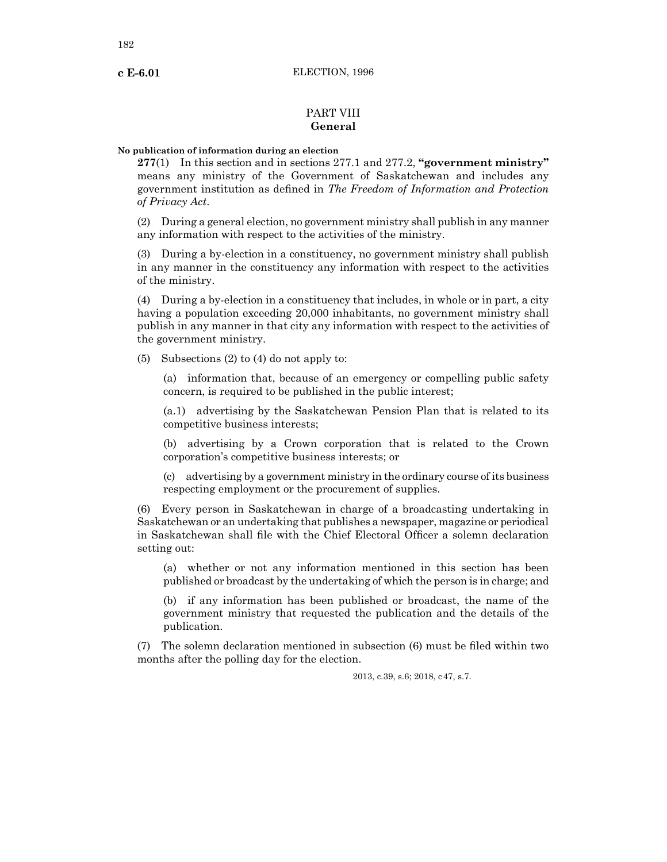# PART VIII **General**

### **No publication of information during an election**

**277**(1) In this section and in sections 277.1 and 277.2, **"government ministry"** means any ministry of the Government of Saskatchewan and includes any government institution as defined in *The Freedom of Information and Protection of Privacy Act*.

(2) During a general election, no government ministry shall publish in any manner any information with respect to the activities of the ministry.

(3) During a by-election in a constituency, no government ministry shall publish in any manner in the constituency any information with respect to the activities of the ministry.

(4) During a by-election in a constituency that includes, in whole or in part, a city having a population exceeding 20,000 inhabitants, no government ministry shall publish in any manner in that city any information with respect to the activities of the government ministry.

(5) Subsections (2) to (4) do not apply to:

(a) information that, because of an emergency or compelling public safety concern, is required to be published in the public interest;

(a.1) advertising by the Saskatchewan Pension Plan that is related to its competitive business interests;

(b) advertising by a Crown corporation that is related to the Crown corporation's competitive business interests; or

(c) advertising by a government ministry in the ordinary course of its business respecting employment or the procurement of supplies.

(6) Every person in Saskatchewan in charge of a broadcasting undertaking in Saskatchewan or an undertaking that publishes a newspaper, magazine or periodical in Saskatchewan shall file with the Chief Electoral Officer a solemn declaration setting out:

(a) whether or not any information mentioned in this section has been published or broadcast by the undertaking of which the person is in charge; and

(b) if any information has been published or broadcast, the name of the government ministry that requested the publication and the details of the publication.

(7) The solemn declaration mentioned in subsection (6) must be filed within two months after the polling day for the election.

2013, c.39, s.6; 2018, c47, s.7.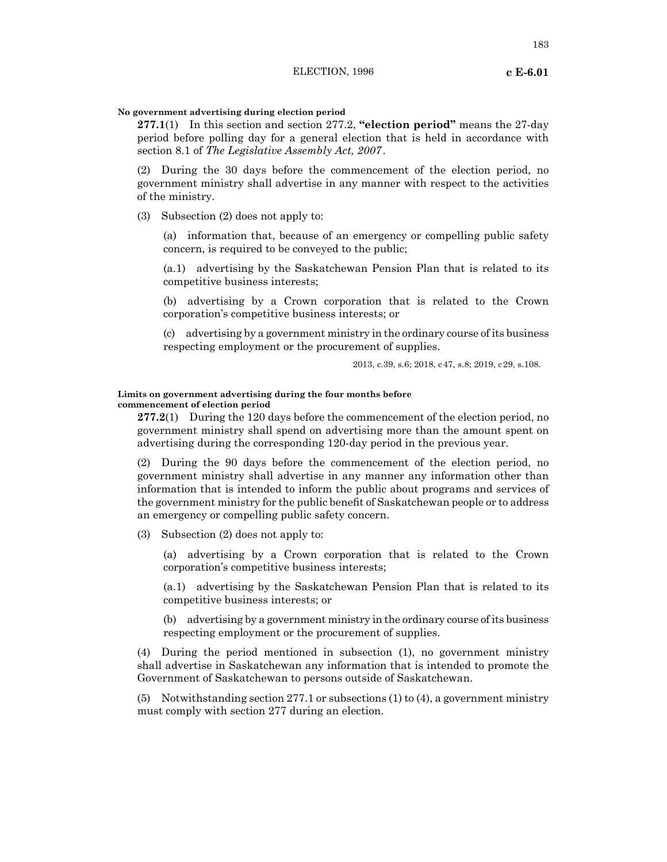# **No government advertising during election period**

**277.1**(1) In this section and section 277.2, **"election period"** means the 27-day period before polling day for a general election that is held in accordance with section 8.1 of *The Legislative Assembly Act, 2007*.

(2) During the 30 days before the commencement of the election period, no government ministry shall advertise in any manner with respect to the activities of the ministry.

(3) Subsection (2) does not apply to:

(a) information that, because of an emergency or compelling public safety concern, is required to be conveyed to the public;

(a.1) advertising by the Saskatchewan Pension Plan that is related to its competitive business interests;

(b) advertising by a Crown corporation that is related to the Crown corporation's competitive business interests; or

(c) advertising by a government ministry in the ordinary course of its business respecting employment or the procurement of supplies.

2013, c.39, s.6; 2018, c47, s.8; 2019, c29, s.108.

#### **Limits on government advertising during the four months before commencement of election period**

**277.2**(1) During the 120 days before the commencement of the election period, no government ministry shall spend on advertising more than the amount spent on advertising during the corresponding 120-day period in the previous year.

(2) During the 90 days before the commencement of the election period, no government ministry shall advertise in any manner any information other than information that is intended to inform the public about programs and services of the government ministry for the public benefit of Saskatchewan people or to address an emergency or compelling public safety concern.

(3) Subsection (2) does not apply to:

(a) advertising by a Crown corporation that is related to the Crown corporation's competitive business interests;

(a.1) advertising by the Saskatchewan Pension Plan that is related to its competitive business interests; or

(b) advertising by a government ministry in the ordinary course of its business respecting employment or the procurement of supplies.

(4) During the period mentioned in subsection (1), no government ministry shall advertise in Saskatchewan any information that is intended to promote the Government of Saskatchewan to persons outside of Saskatchewan.

(5) Notwithstanding section 277.1 or subsections (1) to (4), a government ministry must comply with section 277 during an election.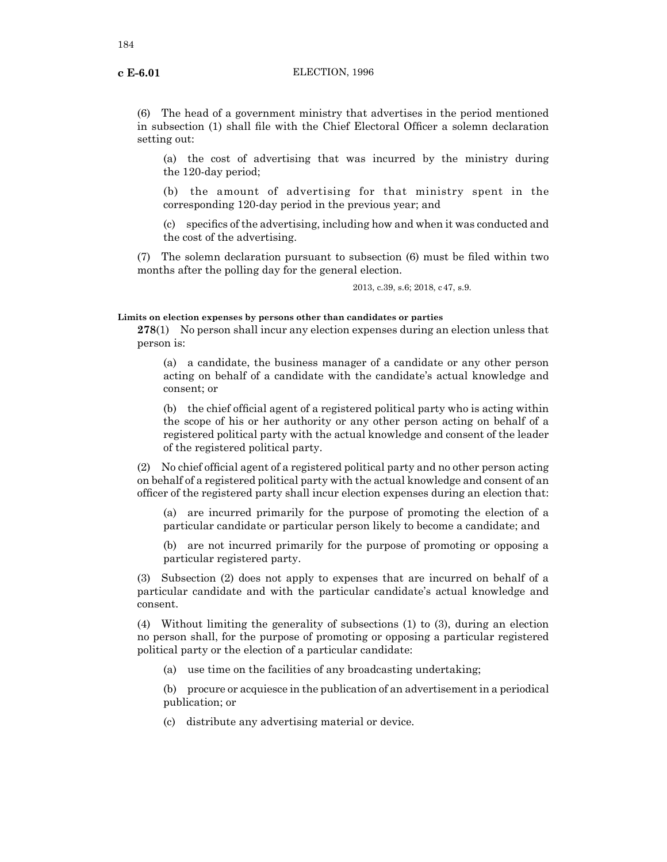(6) The head of a government ministry that advertises in the period mentioned in subsection (1) shall file with the Chief Electoral Officer a solemn declaration setting out:

(a) the cost of advertising that was incurred by the ministry during the 120-day period;

(b) the amount of advertising for that ministry spent in the corresponding 120-day period in the previous year; and

(c) specifics of the advertising, including how and when it was conducted and the cost of the advertising.

(7) The solemn declaration pursuant to subsection (6) must be filed within two months after the polling day for the general election.

2013, c.39, s.6; 2018, c47, s.9.

## **Limits on election expenses by persons other than candidates or parties**

**278**(1) No person shall incur any election expenses during an election unless that person is:

(a) a candidate, the business manager of a candidate or any other person acting on behalf of a candidate with the candidate's actual knowledge and consent; or

(b) the chief official agent of a registered political party who is acting within the scope of his or her authority or any other person acting on behalf of a registered political party with the actual knowledge and consent of the leader of the registered political party.

(2) No chief official agent of a registered political party and no other person acting on behalf of a registered political party with the actual knowledge and consent of an officer of the registered party shall incur election expenses during an election that:

(a) are incurred primarily for the purpose of promoting the election of a particular candidate or particular person likely to become a candidate; and

(b) are not incurred primarily for the purpose of promoting or opposing a particular registered party.

(3) Subsection (2) does not apply to expenses that are incurred on behalf of a particular candidate and with the particular candidate's actual knowledge and consent.

(4) Without limiting the generality of subsections (1) to (3), during an election no person shall, for the purpose of promoting or opposing a particular registered political party or the election of a particular candidate:

(a) use time on the facilities of any broadcasting undertaking;

(b) procure or acquiesce in the publication of an advertisement in a periodical publication; or

(c) distribute any advertising material or device.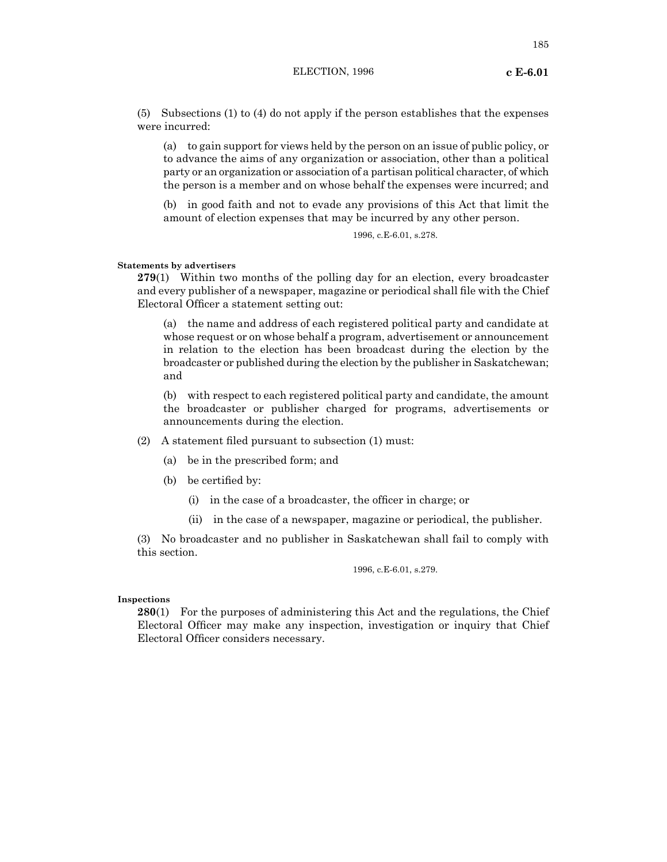(5) Subsections (1) to (4) do not apply if the person establishes that the expenses were incurred:

(a) to gain support for views held by the person on an issue of public policy, or to advance the aims of any organization or association, other than a political party or an organization or association of a partisan political character, of which the person is a member and on whose behalf the expenses were incurred; and

(b) in good faith and not to evade any provisions of this Act that limit the amount of election expenses that may be incurred by any other person.

1996, c.E-6.01, s.278.

#### **Statements by advertisers**

**279**(1) Within two months of the polling day for an election, every broadcaster and every publisher of a newspaper, magazine or periodical shall file with the Chief Electoral Officer a statement setting out:

(a) the name and address of each registered political party and candidate at whose request or on whose behalf a program, advertisement or announcement in relation to the election has been broadcast during the election by the broadcaster or published during the election by the publisher in Saskatchewan; and

(b) with respect to each registered political party and candidate, the amount the broadcaster or publisher charged for programs, advertisements or announcements during the election.

(2) A statement filed pursuant to subsection (1) must:

- (a) be in the prescribed form; and
- (b) be certified by:
	- (i) in the case of a broadcaster, the officer in charge; or
	- (ii) in the case of a newspaper, magazine or periodical, the publisher.

(3) No broadcaster and no publisher in Saskatchewan shall fail to comply with this section.

1996, c.E-6.01, s.279.

#### **Inspections**

**280**(1) For the purposes of administering this Act and the regulations, the Chief Electoral Officer may make any inspection, investigation or inquiry that Chief Electoral Officer considers necessary.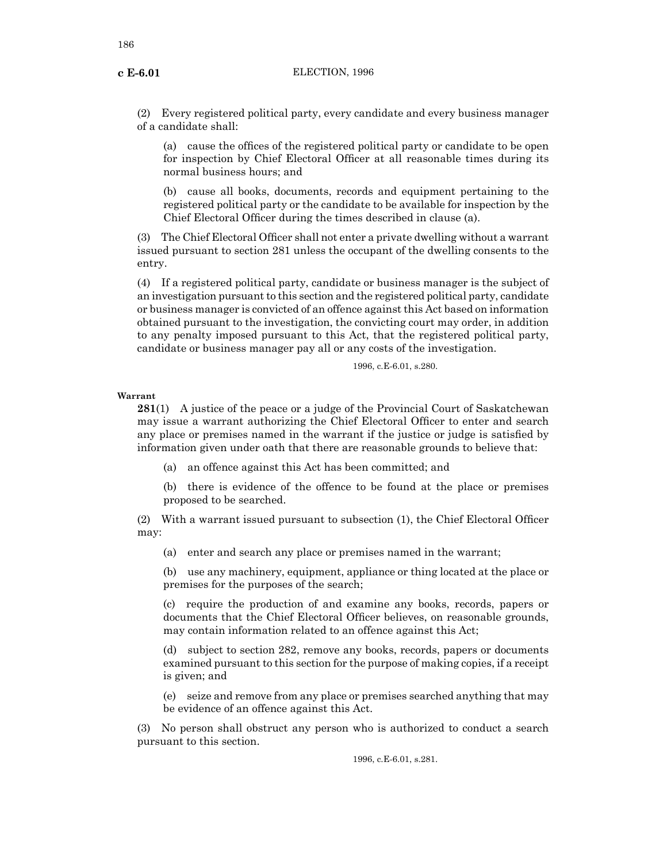(2) Every registered political party, every candidate and every business manager of a candidate shall:

(a) cause the offices of the registered political party or candidate to be open for inspection by Chief Electoral Officer at all reasonable times during its normal business hours; and

(b) cause all books, documents, records and equipment pertaining to the registered political party or the candidate to be available for inspection by the Chief Electoral Officer during the times described in clause (a).

(3) The Chief Electoral Officer shall not enter a private dwelling without a warrant issued pursuant to section 281 unless the occupant of the dwelling consents to the entry.

(4) If a registered political party, candidate or business manager is the subject of an investigation pursuant to this section and the registered political party, candidate or business manager is convicted of an offence against this Act based on information obtained pursuant to the investigation, the convicting court may order, in addition to any penalty imposed pursuant to this Act, that the registered political party, candidate or business manager pay all or any costs of the investigation.

1996, c.E-6.01, s.280.

#### **Warrant**

**281**(1) A justice of the peace or a judge of the Provincial Court of Saskatchewan may issue a warrant authorizing the Chief Electoral Officer to enter and search any place or premises named in the warrant if the justice or judge is satisfied by information given under oath that there are reasonable grounds to believe that:

(a) an offence against this Act has been committed; and

(b) there is evidence of the offence to be found at the place or premises proposed to be searched.

(2) With a warrant issued pursuant to subsection (1), the Chief Electoral Officer may:

(a) enter and search any place or premises named in the warrant;

(b) use any machinery, equipment, appliance or thing located at the place or premises for the purposes of the search;

(c) require the production of and examine any books, records, papers or documents that the Chief Electoral Officer believes, on reasonable grounds, may contain information related to an offence against this Act;

(d) subject to section 282, remove any books, records, papers or documents examined pursuant to this section for the purpose of making copies, if a receipt is given; and

(e) seize and remove from any place or premises searched anything that may be evidence of an offence against this Act.

(3) No person shall obstruct any person who is authorized to conduct a search pursuant to this section.

1996, c.E-6.01, s.281.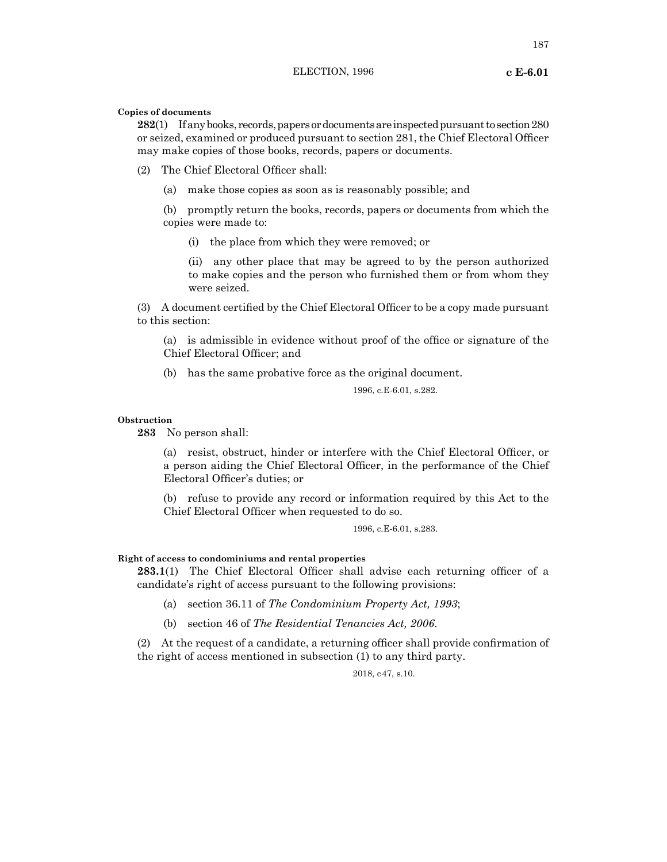**Copies of documents**

**282**(1) If any books, records, papers or documents are inspected pursuant to section 280 or seized, examined or produced pursuant to section 281, the Chief Electoral Officer may make copies of those books, records, papers or documents.

(2) The Chief Electoral Officer shall:

(a) make those copies as soon as is reasonably possible; and

(b) promptly return the books, records, papers or documents from which the copies were made to:

(i) the place from which they were removed; or

(ii) any other place that may be agreed to by the person authorized to make copies and the person who furnished them or from whom they were seized.

(3) A document certified by the Chief Electoral Officer to be a copy made pursuant to this section:

(a) is admissible in evidence without proof of the office or signature of the Chief Electoral Officer; and

(b) has the same probative force as the original document.

1996, c.E-6.01, s.282.

#### **Obstruction**

**283** No person shall:

(a) resist, obstruct, hinder or interfere with the Chief Electoral Officer, or a person aiding the Chief Electoral Officer, in the performance of the Chief Electoral Officer's duties; or

(b) refuse to provide any record or information required by this Act to the Chief Electoral Officer when requested to do so.

1996, c.E-6.01, s.283.

**Right of access to condominiums and rental properties**

**283.1**(1) The Chief Electoral Officer shall advise each returning officer of a candidate's right of access pursuant to the following provisions:

- (a) section 36.11 of *The Condominium Property Act, 1993*;
- (b) section 46 of *The Residential Tenancies Act, 2006*.

(2) At the request of a candidate, a returning officer shall provide confirmation of the right of access mentioned in subsection (1) to any third party.

2018, c47, s.10.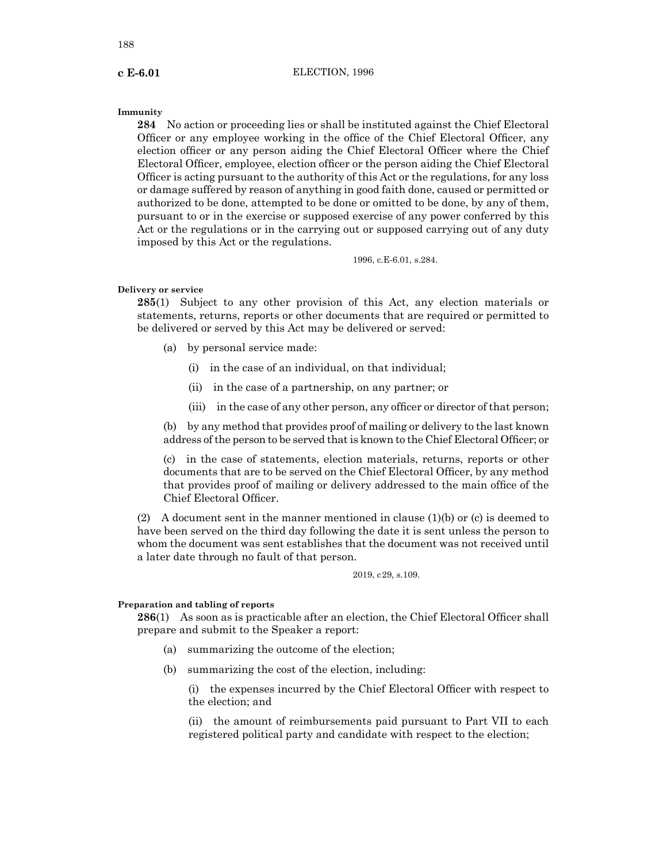#### **Immunity**

**284** No action or proceeding lies or shall be instituted against the Chief Electoral Officer or any employee working in the office of the Chief Electoral Officer, any election officer or any person aiding the Chief Electoral Officer where the Chief Electoral Officer, employee, election officer or the person aiding the Chief Electoral Officer is acting pursuant to the authority of this Act or the regulations, for any loss or damage suffered by reason of anything in good faith done, caused or permitted or authorized to be done, attempted to be done or omitted to be done, by any of them, pursuant to or in the exercise or supposed exercise of any power conferred by this Act or the regulations or in the carrying out or supposed carrying out of any duty imposed by this Act or the regulations.

1996, c.E-6.01, s.284.

#### **Delivery or service**

**285**(1) Subject to any other provision of this Act, any election materials or statements, returns, reports or other documents that are required or permitted to be delivered or served by this Act may be delivered or served:

- (a) by personal service made:
	- (i) in the case of an individual, on that individual;
	- (ii) in the case of a partnership, on any partner; or
	- (iii) in the case of any other person, any officer or director of that person;

(b) by any method that provides proof of mailing or delivery to the last known address of the person to be served that is known to the Chief Electoral Officer; or

(c) in the case of statements, election materials, returns, reports or other documents that are to be served on the Chief Electoral Officer, by any method that provides proof of mailing or delivery addressed to the main office of the Chief Electoral Officer.

(2) A document sent in the manner mentioned in clause  $(1)(b)$  or (c) is deemed to have been served on the third day following the date it is sent unless the person to whom the document was sent establishes that the document was not received until a later date through no fault of that person.

2019, c29, s.109.

# **Preparation and tabling of reports**

**286**(1) As soon as is practicable after an election, the Chief Electoral Officer shall prepare and submit to the Speaker a report:

- (a) summarizing the outcome of the election;
- (b) summarizing the cost of the election, including:

(i) the expenses incurred by the Chief Electoral Officer with respect to the election; and

(ii) the amount of reimbursements paid pursuant to Part VII to each registered political party and candidate with respect to the election;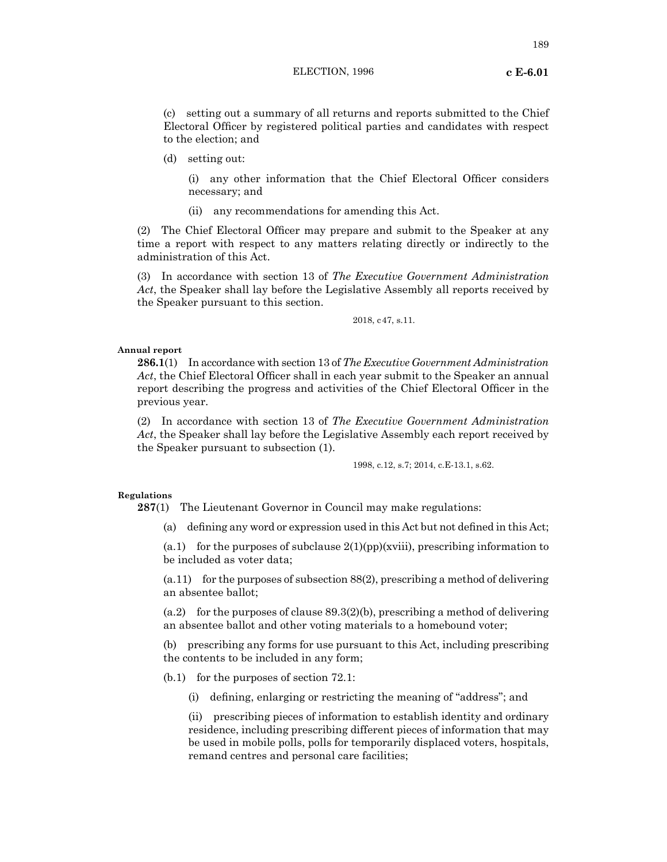### ELECTION, 1996 **c E-6.01**

(c) setting out a summary of all returns and reports submitted to the Chief Electoral Officer by registered political parties and candidates with respect to the election; and

(d) setting out:

(i) any other information that the Chief Electoral Officer considers necessary; and

(ii) any recommendations for amending this Act.

(2) The Chief Electoral Officer may prepare and submit to the Speaker at any time a report with respect to any matters relating directly or indirectly to the administration of this Act.

(3) In accordance with section 13 of *The Executive Government Administration Act*, the Speaker shall lay before the Legislative Assembly all reports received by the Speaker pursuant to this section.

2018, c47, s.11.

#### **Annual report**

**286.1**(1) In accordance with section 13 of *The Executive Government Administration Act*, the Chief Electoral Officer shall in each year submit to the Speaker an annual report describing the progress and activities of the Chief Electoral Officer in the previous year.

(2) In accordance with section 13 of *The Executive Government Administration Act*, the Speaker shall lay before the Legislative Assembly each report received by the Speaker pursuant to subsection (1).

1998, c.12, s.7; 2014, c.E-13.1, s.62.

#### **Regulations**

**287**(1) The Lieutenant Governor in Council may make regulations:

(a) defining any word or expression used in this Act but not defined in this Act;

(a.1) for the purposes of subclause  $2(1)(pp)(xviii)$ , prescribing information to be included as voter data;

 $(a.11)$  for the purposes of subsection 88(2), prescribing a method of delivering an absentee ballot;

(a.2) for the purposes of clause  $89.3(2)$ (b), prescribing a method of delivering an absentee ballot and other voting materials to a homebound voter;

(b) prescribing any forms for use pursuant to this Act, including prescribing the contents to be included in any form;

(b.1) for the purposes of section 72.1:

(i) defining, enlarging or restricting the meaning of "address"; and

(ii) prescribing pieces of information to establish identity and ordinary residence, including prescribing different pieces of information that may be used in mobile polls, polls for temporarily displaced voters, hospitals, remand centres and personal care facilities;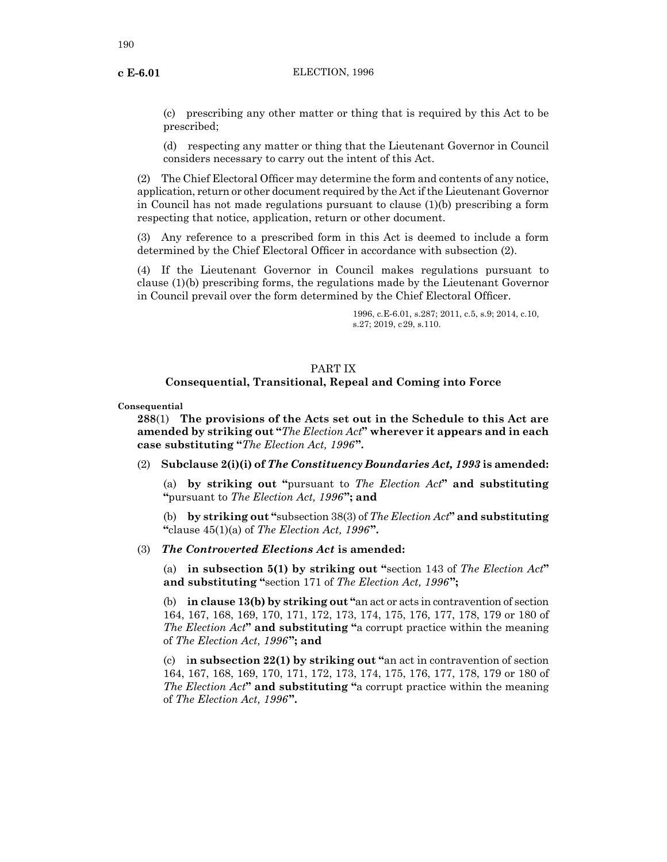(c) prescribing any other matter or thing that is required by this Act to be prescribed;

(d) respecting any matter or thing that the Lieutenant Governor in Council considers necessary to carry out the intent of this Act.

(2) The Chief Electoral Officer may determine the form and contents of any notice, application, return or other document required by the Act if the Lieutenant Governor in Council has not made regulations pursuant to clause (1)(b) prescribing a form respecting that notice, application, return or other document.

(3) Any reference to a prescribed form in this Act is deemed to include a form determined by the Chief Electoral Officer in accordance with subsection (2).

(4) If the Lieutenant Governor in Council makes regulations pursuant to clause (1)(b) prescribing forms, the regulations made by the Lieutenant Governor in Council prevail over the form determined by the Chief Electoral Officer.

> 1996, c.E-6.01, s.287; 2011, c.5, s.9; 2014, c.10, s.27; 2019, c29, s.110.

# PART IX

# **Consequential, Transitional, Repeal and Coming into Force**

**Consequential**

**288**(1) **The provisions of the Acts set out in the Schedule to this Act are amended by striking out "***The Election Act***" wherever it appears and in each case substituting "***The Election Act, 1996***".**

## (2) **Subclause 2(i)(i) of** *The Constituency Boundaries Act, 1993* **is amended:**

(a) **by striking out "**pursuant to *The Election Act***" and substituting "**pursuant to *The Election Act, 1996***"; and**

(b) **by striking out "**subsection 38(3) of *The Election Act***" and substituting "**clause 45(1)(a) of *The Election Act, 1996***".**

# (3) *The Controverted Elections Act* **is amended:**

(a) **in subsection 5(1) by striking out "**section 143 of *The Election Act***" and substituting "**section 171 of *The Election Act, 1996***";**

(b) **in clause 13(b) by striking out "**an act or acts in contravention of section 164, 167, 168, 169, 170, 171, 172, 173, 174, 175, 176, 177, 178, 179 or 180 of *The Election Act***" and substituting "**a corrupt practice within the meaning of *The Election Act, 1996***"; and**

(c) i**n subsection 22(1) by striking out "**an act in contravention of section 164, 167, 168, 169, 170, 171, 172, 173, 174, 175, 176, 177, 178, 179 or 180 of *The Election Act***" and substituting "**a corrupt practice within the meaning of *The Election Act, 1996***".**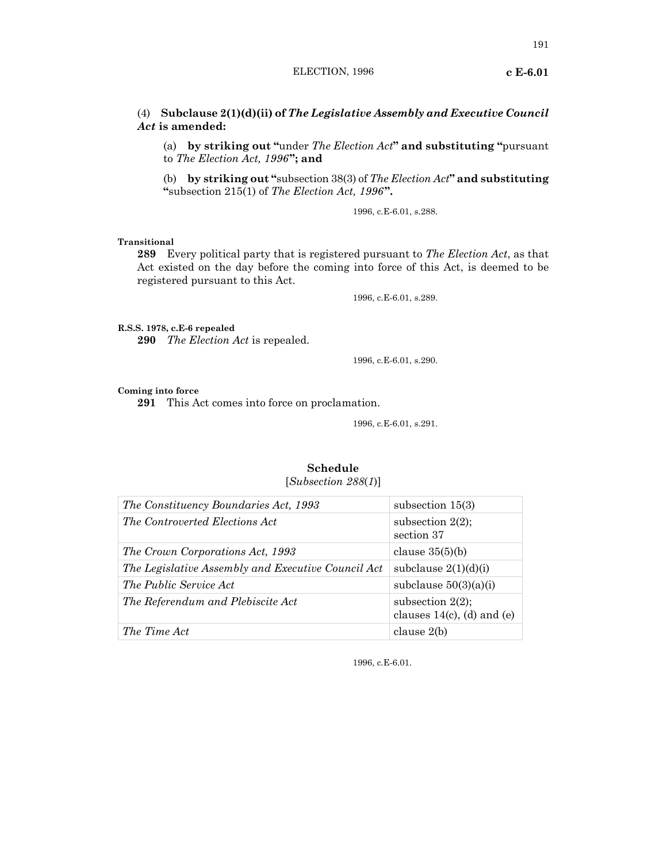# (4) **Subclause 2(1)(d)(ii) of** *The Legislative Assembly and Executive Council Act* **is amended:**

(a) **by striking out "**under *The Election Act***" and substituting "**pursuant to *The Election Act, 1996***"; and**

(b) **by striking out "**subsection 38(3) of *The Election Act***" and substituting "**subsection 215(1) of *The Election Act, 1996***".**

1996, c.E-6.01, s.288.

# **Transitional**

**289** Every political party that is registered pursuant to *The Election Act*, as that Act existed on the day before the coming into force of this Act, is deemed to be registered pursuant to this Act.

1996, c.E-6.01, s.289.

**R.S.S. 1978, c.E-6 repealed**

**290** *The Election Act* is repealed.

1996, c.E-6.01, s.290.

#### **Coming into force**

**291** This Act comes into force on proclamation.

1996, c.E-6.01, s.291.

# **Schedule**

[*Subsection 288*(*1*)]

| The Constituency Boundaries Act, 1993              | subsection $15(3)$                                   |
|----------------------------------------------------|------------------------------------------------------|
| The Controverted Elections Act                     | subsection $2(2)$ ;<br>section 37                    |
| The Crown Corporations Act, 1993                   | clause $35(5)(b)$                                    |
| The Legislative Assembly and Executive Council Act | subclause $2(1)(d)(i)$                               |
| <i>The Public Service Act</i>                      | subclause $50(3)(a)(i)$                              |
| The Referendum and Plebiscite Act                  | subsection $2(2)$ ;<br>clauses $14(c)$ , (d) and (e) |
| The Time Act                                       | clause 2(b)                                          |

1996, c.E-6.01.